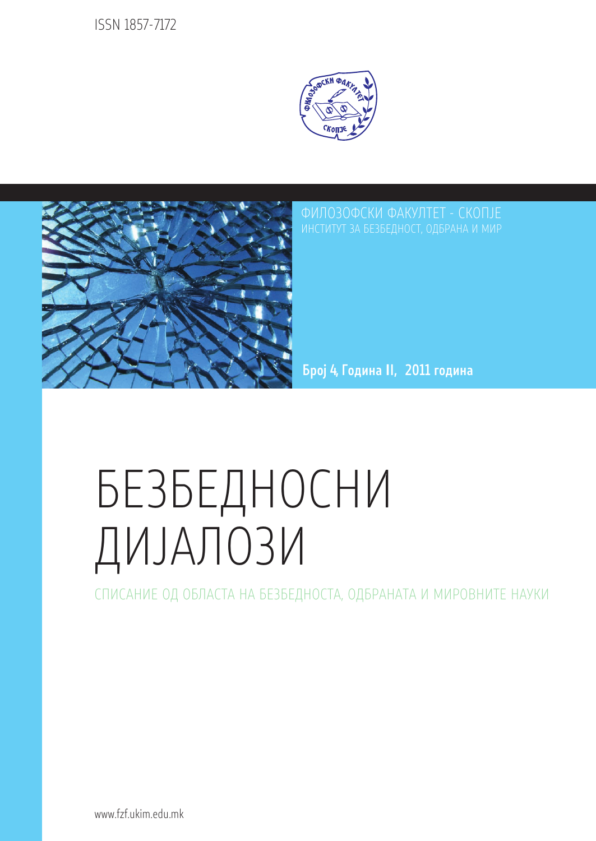ISSN 1857-7172





ФИЛОЗОФСКИ ФАКУЛТЕТ - СКОПЈЕ **ИНСТИТУТ ЗА БЕЗБЕЛНОСТ, ОЛБРАНА И МИР** 

Број 4, Година II, 2011 година

# БЕЗБЕДНОСНИ ДИЈАЛОЗИ

СПИСАНИЕ ОД ОБЛАСТА НА БЕЗБЕДНОСТА, ОДБРАНАТА И МИРОВНИТЕ НАУКИ

www.fzf.ukim.edu.mk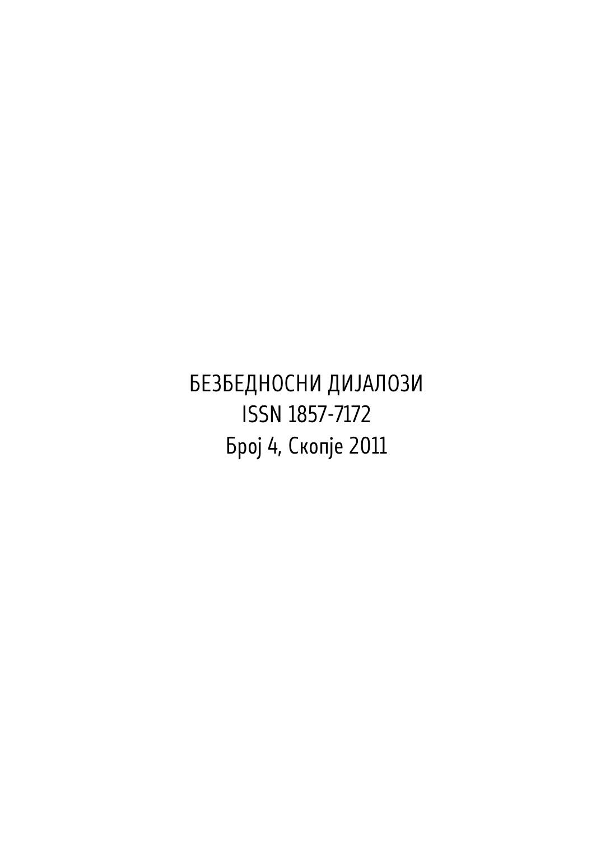БЕЗБЕДНОСНИ ДИЈАЛОЗИ ISSN 1857-7172 Број 4, Скопје 2011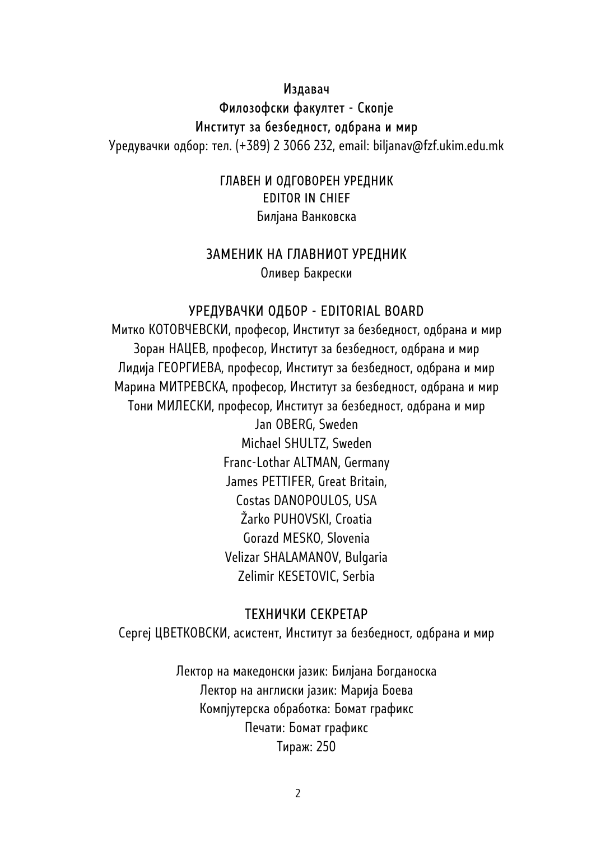#### Издавач

## Филозофски факултет - Скопје Институт за безбедност, одбрана и мир

Уредувачки одбор: тел. (+389) 2 3066 232, email: biljanav@fzf.ukim.edu.mk

## ГЛАВЕН И ОДГОВОРЕН УРЕДНИК EDITOR IN CHIEF

Билјана Ванковска

## ЗАМЕНИК НА ГЛАВНИОТ УРЕДНИК

Оливер Бакрески

## УРЕДУВАЧКИ ОДБОР - EDITORIAL BOARD

Митко КОТОВЧЕВСКИ, професор, Институт за безбедност, одбрана и мир Зоран НАЦЕВ, професор, Институт за безбедност, одбрана и мир Лидија ГЕОРГИЕВА, професор, Институт за безбедност, одбрана и мир Марина МИТРЕВСКА, професор, Институт за безбедност, одбрана и мир Тони МИЛЕСКИ, професор, Институт за безбедност, одбрана и мир Jan OBERG, Sweden Michael SHULTZ, Sweden Franc-Lothar ALTMAN, Germany James PETTIFER, Great Britain, Costas DANOPOULOS, USA Žarko PUHOVSKI, Croatia Gorazd MESKO, Slovenia Velizar SHALAMANOV, Bulgaria Zelimir KESETOVIC, Serbia

## ТЕХНИЧКИ СЕКРЕТАР

Сергеј ЦВЕТКОВСКИ, асистент, Институт за безбедност, одбрана и мир

Лектор на македонски јазик: Билјана Богданоска Лектор на англиски јазик: Марија Боева Компјутерска обработка: Бомат графикс Печати: Бомат графикс Тираж: 250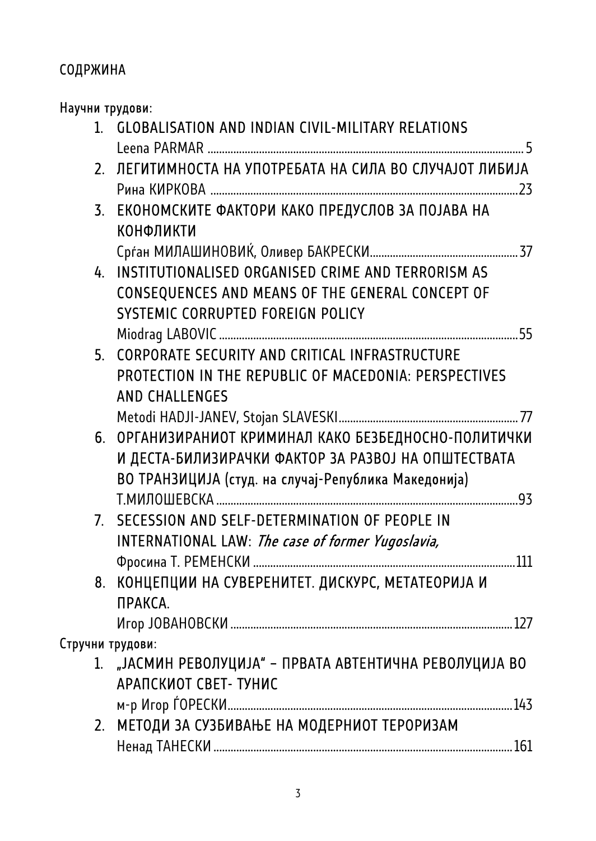# СОДРЖИНА

| Научни трудови: |                                                          |  |
|-----------------|----------------------------------------------------------|--|
|                 | 1. GLOBALISATION AND INDIAN CIVIL-MILITARY RELATIONS     |  |
|                 |                                                          |  |
|                 | 2. ЛЕГИТИМНОСТА НА УПОТРЕБАТА НА СИЛА ВО СЛУЧАЈОТ ЛИБИЈА |  |
|                 |                                                          |  |
|                 | 3. ЕКОНОМСКИТЕ ФАКТОРИ КАКО ПРЕДУСЛОВ ЗА ПОЈАВА НА       |  |
|                 | КОНФЛИКТИ                                                |  |
|                 |                                                          |  |
|                 | 4. INSTITUTIONALISED ORGANISED CRIME AND TERRORISM AS    |  |
|                 | CONSEQUENCES AND MEANS OF THE GENERAL CONCEPT OF         |  |
|                 | SYSTEMIC CORRUPTED FOREIGN POLICY                        |  |
|                 |                                                          |  |
|                 | 5. CORPORATE SECURITY AND CRITICAL INFRASTRUCTURE        |  |
|                 | PROTECTION IN THE REPUBLIC OF MACEDONIA: PERSPECTIVES    |  |
|                 | <b>AND CHALLENGES</b>                                    |  |
|                 |                                                          |  |
|                 | 6. ОРГАНИЗИРАНИОТ КРИМИНАЛ КАКО БЕЗБЕДНОСНО-ПОЛИТИЧКИ    |  |
|                 | И ДЕСТА-БИЛИЗИРАЧКИ ФАКТОР ЗА РАЗВОЈ НА ОПШТЕСТВАТА      |  |
|                 | ВО ТРАНЗИЦИЈА (студ. на случај-Република Македонија)     |  |
|                 |                                                          |  |
|                 | 7. SECESSION AND SELF-DETERMINATION OF PEOPLE IN         |  |
|                 | <b>INTERNATIONAL LAW: The case of former Yugoslavia,</b> |  |
|                 |                                                          |  |
|                 | 8. КОНЦЕПЦИИ НА СУВЕРЕНИТЕТ. ДИСКУРС, МЕТАТЕОРИЈА И      |  |
|                 | ПРАКСА.                                                  |  |
|                 |                                                          |  |
|                 | Стручни трудови:                                         |  |
|                 | 1. "ЈАСМИН РЕВОЛУЦИЈА" - ПРВАТА АВТЕНТИЧНА РЕВОЛУЦИЈА ВО |  |
|                 | АРАПСКИОТ СВЕТ- ТУНИС                                    |  |
|                 |                                                          |  |
| 2.              | МЕТОДИ ЗА СУЗБИВАЊЕ НА МОДЕРНИОТ ТЕРОРИЗАМ               |  |
|                 |                                                          |  |
|                 |                                                          |  |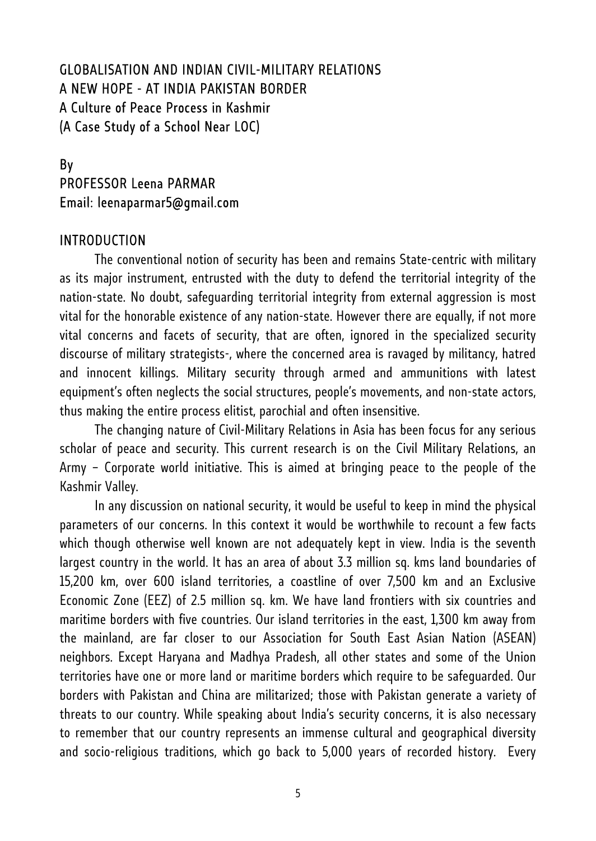## GLOBALISATION AND INDIAN CIVIL-MILITARY RELATIONS A NEW HOPE - AT INDIA PAKISTAN BORDER A Culture of Peace Process in Kashmir (A Case Study of a School Near LOC)

# By PROFESSOR Leena PARMAR Email: leenaparmar5@gmail.com

## INTRODUCTION

The conventional notion of security has been and remains State-centric with military as its major instrument, entrusted with the duty to defend the territorial integrity of the nation-state. No doubt, safeguarding territorial integrity from external aggression is most vital for the honorable existence of any nation-state. However there are equally, if not more vital concerns and facets of security, that are often, ignored in the specialized security discourse of military strategists-, where the concerned area is ravaged by militancy, hatred and innocent killings. Military security through armed and ammunitions with latest equipment's often neglects the social structures, people's movements, and non-state actors, thus making the entire process elitist, parochial and often insensitive.

The changing nature of Civil-Military Relations in Asia has been focus for any serious scholar of peace and security. This current research is on the Civil Military Relations, an Army – Corporate world initiative. This is aimed at bringing peace to the people of the Kashmir Valley.

In any discussion on national security, it would be useful to keep in mind the physical parameters of our concerns. In this context it would be worthwhile to recount a few facts which though otherwise well known are not adequately kept in view. India is the seventh largest country in the world. It has an area of about 3.3 million sq. kms land boundaries of 15,200 km, over 600 island territories, a coastline of over 7,500 km and an Exclusive Economic Zone (EEZ) of 2.5 million sq. km. We have land frontiers with six countries and maritime borders with five countries. Our island territories in the east, 1,300 km away from the mainland, are far closer to our Association for South East Asian Nation (ASEAN) neighbors. Except Haryana and Madhya Pradesh, all other states and some of the Union territories have one or more land or maritime borders which require to be safeguarded. Our borders with Pakistan and China are militarized; those with Pakistan generate a variety of threats to our country. While speaking about India's security concerns, it is also necessary to remember that our country represents an immense cultural and geographical diversity and socio-religious traditions, which go back to 5,000 years of recorded history. Every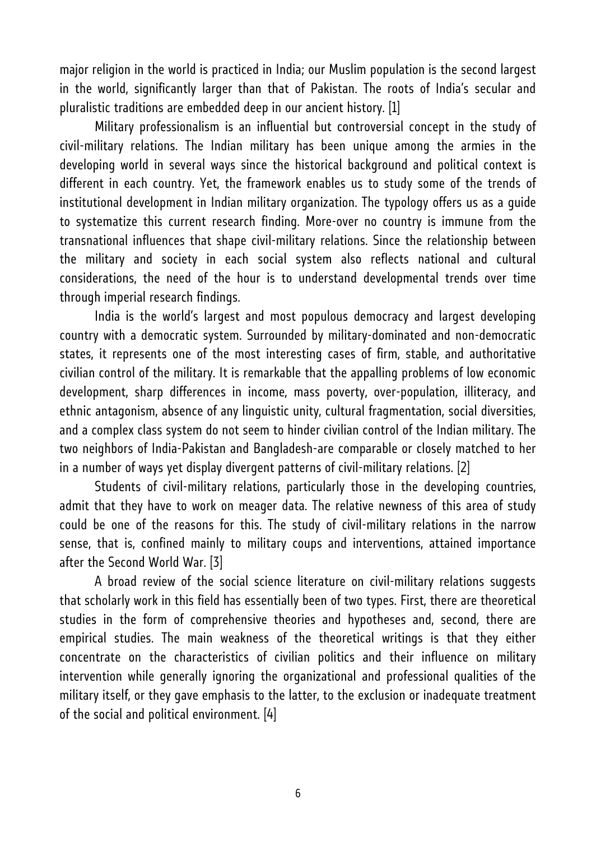major religion in the world is practiced in India; our Muslim population is the second largest in the world, significantly larger than that of Pakistan. The roots of India's secular and pluralistic traditions are embedded deep in our ancient history. [1]

Military professionalism is an influential but controversial concept in the study of civil-military relations. The Indian military has been unique among the armies in the developing world in several ways since the historical background and political context is different in each country. Yet, the framework enables us to study some of the trends of institutional development in Indian military organization. The typology offers us as a guide to systematize this current research finding. More-over no country is immune from the transnational influences that shape civil-military relations. Since the relationship between the military and society in each social system also reflects national and cultural considerations, the need of the hour is to understand developmental trends over time through imperial research findings.

India is the world's largest and most populous democracy and largest developing country with a democratic system. Surrounded by military-dominated and non-democratic states, it represents one of the most interesting cases of firm, stable, and authoritative civilian control of the military. It is remarkable that the appalling problems of low economic development, sharp differences in income, mass poverty, over-population, illiteracy, and ethnic antagonism, absence of any linguistic unity, cultural fragmentation, social diversities, and a complex class system do not seem to hinder civilian control of the Indian military. The two neighbors of India-Pakistan and Bangladesh-are comparable or closely matched to her in a number of ways yet display divergent patterns of civil-military relations. [2]

Students of civil-military relations, particularly those in the developing countries, admit that they have to work on meager data. The relative newness of this area of study could be one of the reasons for this. The study of civil-military relations in the narrow sense, that is, confined mainly to military coups and interventions, attained importance after the Second World War. [3]

A broad review of the social science literature on civil-military relations suggests that scholarly work in this field has essentially been of two types. First, there are theoretical studies in the form of comprehensive theories and hypotheses and, second, there are empirical studies. The main weakness of the theoretical writings is that they either concentrate on the characteristics of civilian politics and their influence on military intervention while generally ignoring the organizational and professional qualities of the military itself, or they gave emphasis to the latter, to the exclusion or inadequate treatment of the social and political environment. [4]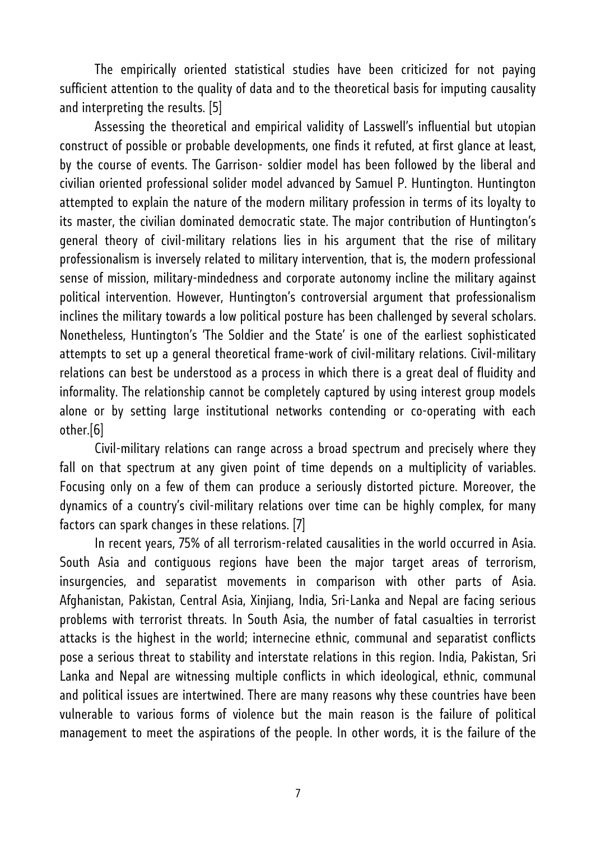The empirically oriented statistical studies have been criticized for not paying sufficient attention to the quality of data and to the theoretical basis for imputing causality and interpreting the results. [5]

Assessing the theoretical and empirical validity of Lasswell's influential but utopian construct of possible or probable developments, one finds it refuted, at first glance at least, by the course of events. The Garrison- soldier model has been followed by the liberal and civilian oriented professional solider model advanced by Samuel P. Huntington. Huntington attempted to explain the nature of the modern military profession in terms of its loyalty to its master, the civilian dominated democratic state. The major contribution of Huntington's general theory of civil-military relations lies in his argument that the rise of military professionalism is inversely related to military intervention, that is, the modern professional sense of mission, military-mindedness and corporate autonomy incline the military against political intervention. However, Huntington's controversial argument that professionalism inclines the military towards a low political posture has been challenged by several scholars. Nonetheless, Huntington's 'The Soldier and the State' is one of the earliest sophisticated attempts to set up a general theoretical frame-work of civil-military relations. Civil-military relations can best be understood as a process in which there is a great deal of fluidity and informality. The relationship cannot be completely captured by using interest group models alone or by setting large institutional networks contending or co-operating with each other.[6]

Civil-military relations can range across a broad spectrum and precisely where they fall on that spectrum at any given point of time depends on a multiplicity of variables. Focusing only on a few of them can produce a seriously distorted picture. Moreover, the dynamics of a country's civil-military relations over time can be highly complex, for many factors can spark changes in these relations. [7]

In recent years, 75% of all terrorism-related causalities in the world occurred in Asia. South Asia and contiguous regions have been the major target areas of terrorism, insurgencies, and separatist movements in comparison with other parts of Asia. Afghanistan, Pakistan, Central Asia, Xinjiang, India, Sri-Lanka and Nepal are facing serious problems with terrorist threats. In South Asia, the number of fatal casualties in terrorist attacks is the highest in the world; internecine ethnic, communal and separatist conflicts pose a serious threat to stability and interstate relations in this region. India, Pakistan, Sri Lanka and Nepal are witnessing multiple conflicts in which ideological, ethnic, communal and political issues are intertwined. There are many reasons why these countries have been vulnerable to various forms of violence but the main reason is the failure of political management to meet the aspirations of the people. In other words, it is the failure of the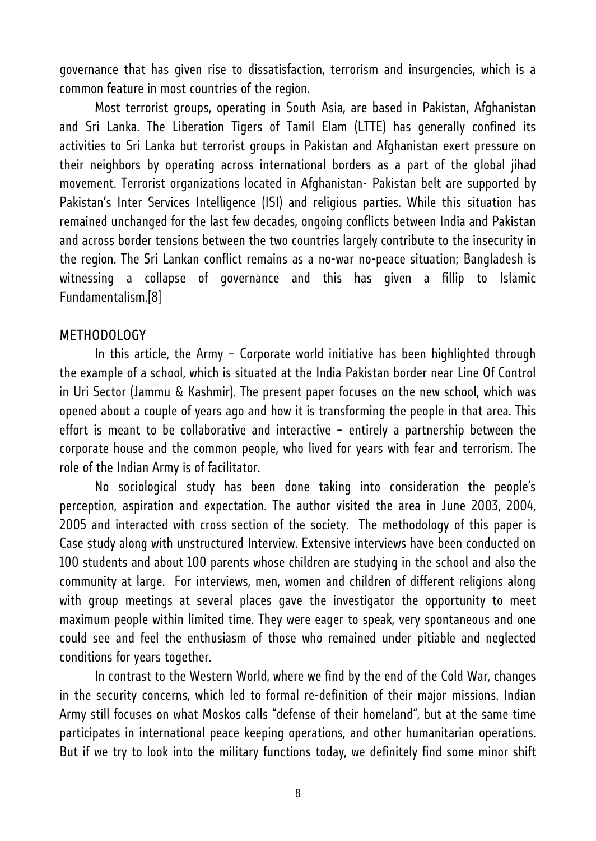governance that has given rise to dissatisfaction, terrorism and insurgencies, which is a common feature in most countries of the region.

Most terrorist groups, operating in South Asia, are based in Pakistan, Afghanistan and Sri Lanka. The Liberation Tigers of Tamil Elam (LTTE) has generally confined its activities to Sri Lanka but terrorist groups in Pakistan and Afghanistan exert pressure on their neighbors by operating across international borders as a part of the global jihad movement. Terrorist organizations located in Afghanistan- Pakistan belt are supported by Pakistan's Inter Services Intelligence (ISI) and religious parties. While this situation has remained unchanged for the last few decades, ongoing conflicts between India and Pakistan and across border tensions between the two countries largely contribute to the insecurity in the region. The Sri Lankan conflict remains as a no-war no-peace situation; Bangladesh is witnessing a collapse of governance and this has given a fillip to Islamic Fundamentalism.[8]

## METHODOLOGY

In this article, the Army – Corporate world initiative has been highlighted through the example of a school, which is situated at the India Pakistan border near Line Of Control in Uri Sector (Jammu & Kashmir). The present paper focuses on the new school, which was opened about a couple of years ago and how it is transforming the people in that area. This effort is meant to be collaborative and interactive – entirely a partnership between the corporate house and the common people, who lived for years with fear and terrorism. The role of the Indian Army is of facilitator.

No sociological study has been done taking into consideration the people's perception, aspiration and expectation. The author visited the area in June 2003, 2004, 2005 and interacted with cross section of the society. The methodology of this paper is Case study along with unstructured Interview. Extensive interviews have been conducted on 100 students and about 100 parents whose children are studying in the school and also the community at large. For interviews, men, women and children of different religions along with group meetings at several places gave the investigator the opportunity to meet maximum people within limited time. They were eager to speak, very spontaneous and one could see and feel the enthusiasm of those who remained under pitiable and neglected conditions for years together.

In contrast to the Western World, where we find by the end of the Cold War, changes in the security concerns, which led to formal re-definition of their major missions. Indian Army still focuses on what Moskos calls "defense of their homeland", but at the same time participates in international peace keeping operations, and other humanitarian operations. But if we try to look into the military functions today, we definitely find some minor shift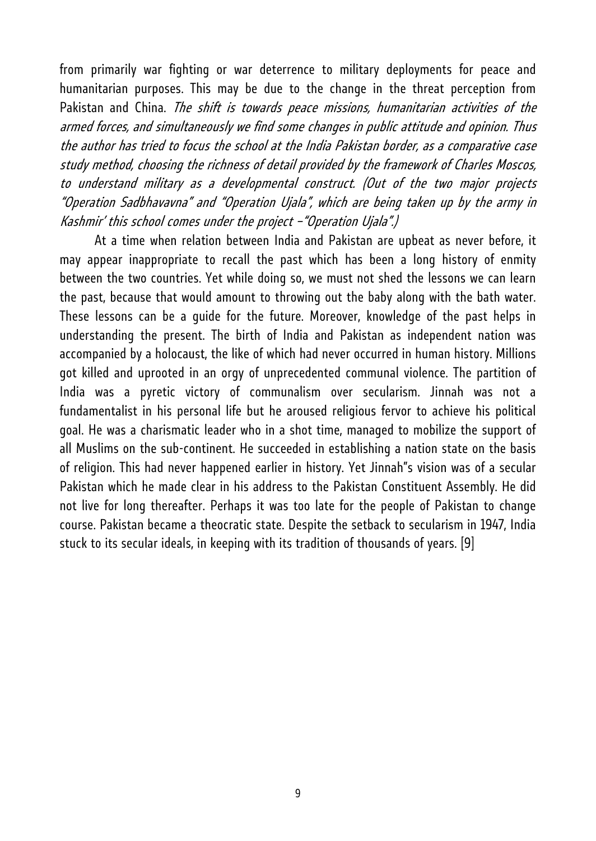from primarily war fighting or war deterrence to military deployments for peace and humanitarian purposes. This may be due to the change in the threat perception from Pakistan and China. The shift is towards peace missions, humanitarian activities of the armed forces, and simultaneously we find some changes in public attitude and opinion. Thus the author has tried to focus the school at the India Pakistan border, as a comparative case study method, choosing the richness of detail provided by the framework of Charles Moscos, to understand military as a developmental construct. (Out of the two major projects "Operation Sadbhavavna" and "Operation Ujala", which are being taken up by the army in Kashmir' this school comes under the project –"Operation Ujala".)

At a time when relation between India and Pakistan are upbeat as never before, it may appear inappropriate to recall the past which has been a long history of enmity between the two countries. Yet while doing so, we must not shed the lessons we can learn the past, because that would amount to throwing out the baby along with the bath water. These lessons can be a guide for the future. Moreover, knowledge of the past helps in understanding the present. The birth of India and Pakistan as independent nation was accompanied by a holocaust, the like of which had never occurred in human history. Millions got killed and uprooted in an orgy of unprecedented communal violence. The partition of India was a pyretic victory of communalism over secularism. Jinnah was not a fundamentalist in his personal life but he aroused religious fervor to achieve his political goal. He was a charismatic leader who in a shot time, managed to mobilize the support of all Muslims on the sub-continent. He succeeded in establishing a nation state on the basis of religion. This had never happened earlier in history. Yet Jinnah"s vision was of a secular Pakistan which he made clear in his address to the Pakistan Constituent Assembly. He did not live for long thereafter. Perhaps it was too late for the people of Pakistan to change course. Pakistan became a theocratic state. Despite the setback to secularism in 1947, India stuck to its secular ideals, in keeping with its tradition of thousands of years. [9]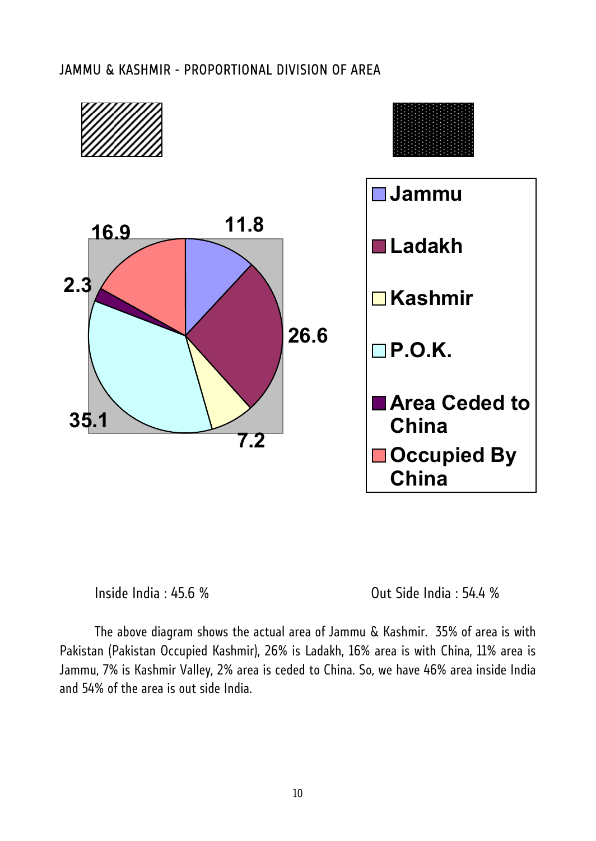#### JAMMU & KASHMIR - PROPORTIONAL DIVISION OF AREA





Inside India : 45.6 % Out Side India : 54.4 %

The above diagram shows the actual area of Jammu & Kashmir. 35% of area is with Pakistan (Pakistan Occupied Kashmir), 26% is Ladakh, 16% area is with China, 11% area is Jammu, 7% is Kashmir Valley, 2% area is ceded to China. So, we have 46% area inside India and 54% of the area is out side India.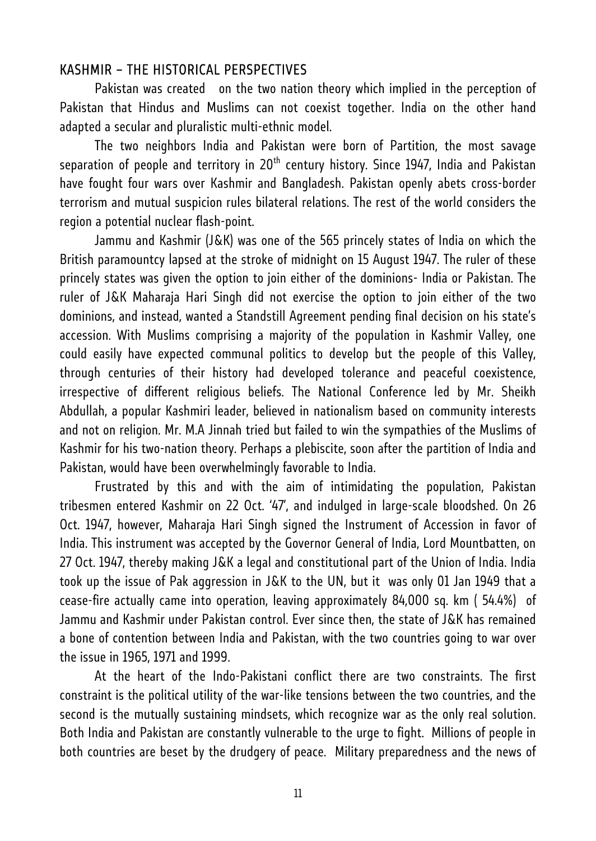## KASHMIR – THE HISTORICAL PERSPECTIVES

Pakistan was created on the two nation theory which implied in the perception of Pakistan that Hindus and Muslims can not coexist together. India on the other hand adapted a secular and pluralistic multi-ethnic model.

The two neighbors India and Pakistan were born of Partition, the most savage separation of people and territory in 20<sup>th</sup> century history. Since 1947, India and Pakistan have fought four wars over Kashmir and Bangladesh. Pakistan openly abets cross-border terrorism and mutual suspicion rules bilateral relations. The rest of the world considers the region a potential nuclear flash-point.

Jammu and Kashmir (J&K) was one of the 565 princely states of India on which the British paramountcy lapsed at the stroke of midnight on 15 August 1947. The ruler of these princely states was given the option to join either of the dominions- India or Pakistan. The ruler of J&K Maharaja Hari Singh did not exercise the option to join either of the two dominions, and instead, wanted a Standstill Agreement pending final decision on his state's accession. With Muslims comprising a majority of the population in Kashmir Valley, one could easily have expected communal politics to develop but the people of this Valley, through centuries of their history had developed tolerance and peaceful coexistence, irrespective of different religious beliefs. The National Conference led by Mr. Sheikh Abdullah, a popular Kashmiri leader, believed in nationalism based on community interests and not on religion. Mr. M.A Jinnah tried but failed to win the sympathies of the Muslims of Kashmir for his two-nation theory. Perhaps a plebiscite, soon after the partition of India and Pakistan, would have been overwhelmingly favorable to India.

Frustrated by this and with the aim of intimidating the population, Pakistan tribesmen entered Kashmir on 22 Oct. '47', and indulged in large-scale bloodshed. On 26 Oct. 1947, however, Maharaja Hari Singh signed the Instrument of Accession in favor of India. This instrument was accepted by the Governor General of India, Lord Mountbatten, on 27 Oct. 1947, thereby making J&K a legal and constitutional part of the Union of India. India took up the issue of Pak aggression in J&K to the UN, but it was only 01 Jan 1949 that a cease-fire actually came into operation, leaving approximately 84,000 sq. km ( 54.4%) of Jammu and Kashmir under Pakistan control. Ever since then, the state of J&K has remained a bone of contention between India and Pakistan, with the two countries going to war over the issue in 1965, 1971 and 1999.

At the heart of the Indo-Pakistani conflict there are two constraints. The first constraint is the political utility of the war-like tensions between the two countries, and the second is the mutually sustaining mindsets, which recognize war as the only real solution. Both India and Pakistan are constantly vulnerable to the urge to fight. Millions of people in both countries are beset by the drudgery of peace. Military preparedness and the news of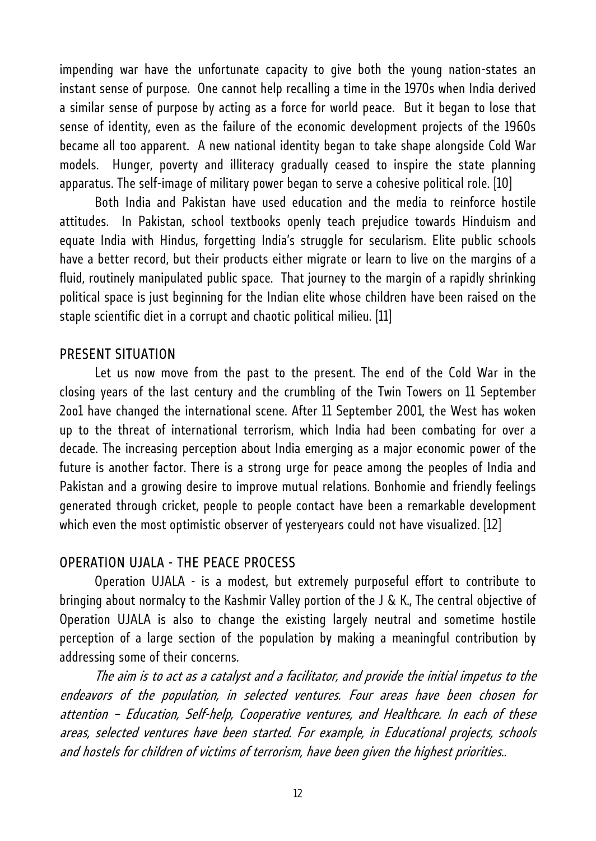impending war have the unfortunate capacity to give both the young nation-states an instant sense of purpose. One cannot help recalling a time in the 1970s when India derived a similar sense of purpose by acting as a force for world peace. But it began to lose that sense of identity, even as the failure of the economic development projects of the 1960s became all too apparent. A new national identity began to take shape alongside Cold War models. Hunger, poverty and illiteracy gradually ceased to inspire the state planning apparatus. The self-image of military power began to serve a cohesive political role. [10]

Both India and Pakistan have used education and the media to reinforce hostile attitudes. In Pakistan, school textbooks openly teach prejudice towards Hinduism and equate India with Hindus, forgetting India's struggle for secularism. Elite public schools have a better record, but their products either migrate or learn to live on the margins of a fluid, routinely manipulated public space. That journey to the margin of a rapidly shrinking political space is just beginning for the Indian elite whose children have been raised on the staple scientific diet in a corrupt and chaotic political milieu. [11]

## PRESENT SITUATION

Let us now move from the past to the present. The end of the Cold War in the closing years of the last century and the crumbling of the Twin Towers on 11 September 2oo1 have changed the international scene. After 11 September 2001, the West has woken up to the threat of international terrorism, which India had been combating for over a decade. The increasing perception about India emerging as a major economic power of the future is another factor. There is a strong urge for peace among the peoples of India and Pakistan and a growing desire to improve mutual relations. Bonhomie and friendly feelings generated through cricket, people to people contact have been a remarkable development which even the most optimistic observer of yesteryears could not have visualized. [12]

#### OPERATION UJALA - THE PEACE PROCESS

Operation UJALA - is a modest, but extremely purposeful effort to contribute to bringing about normalcy to the Kashmir Valley portion of the J & K., The central objective of Operation UJALA is also to change the existing largely neutral and sometime hostile perception of a large section of the population by making a meaningful contribution by addressing some of their concerns.

The aim is to act as a catalyst and a facilitator, and provide the initial impetus to the endeavors of the population, in selected ventures. Four areas have been chosen for attention – Education, Self-help, Cooperative ventures, and Healthcare. In each of these areas, selected ventures have been started. For example, in Educational projects, schools and hostels for children of victims of terrorism, have been given the highest priorities..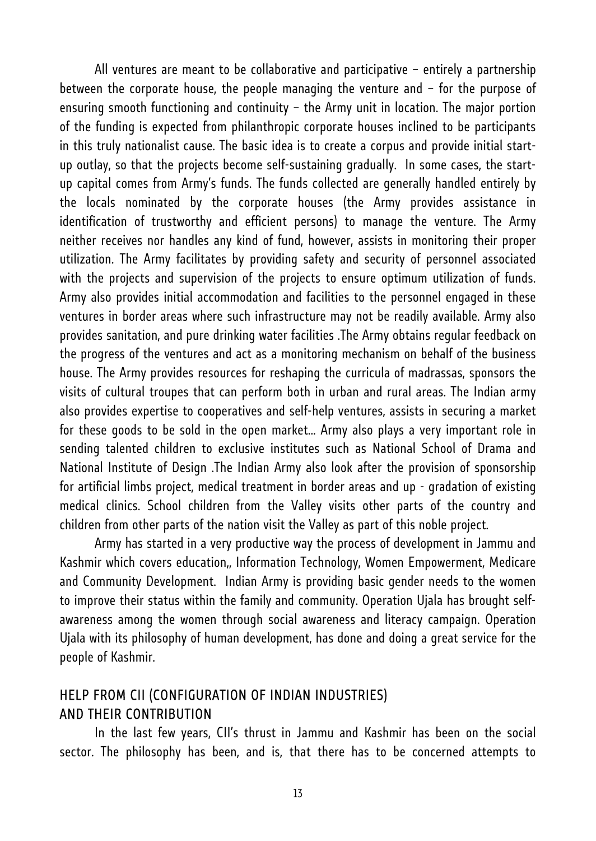All ventures are meant to be collaborative and participative – entirely a partnership between the corporate house, the people managing the venture and – for the purpose of ensuring smooth functioning and continuity – the Army unit in location. The major portion of the funding is expected from philanthropic corporate houses inclined to be participants in this truly nationalist cause. The basic idea is to create a corpus and provide initial startup outlay, so that the projects become self-sustaining gradually. In some cases, the startup capital comes from Army's funds. The funds collected are generally handled entirely by the locals nominated by the corporate houses (the Army provides assistance in identification of trustworthy and efficient persons) to manage the venture. The Army neither receives nor handles any kind of fund, however, assists in monitoring their proper utilization. The Army facilitates by providing safety and security of personnel associated with the projects and supervision of the projects to ensure optimum utilization of funds. Army also provides initial accommodation and facilities to the personnel engaged in these ventures in border areas where such infrastructure may not be readily available. Army also provides sanitation, and pure drinking water facilities .The Army obtains regular feedback on the progress of the ventures and act as a monitoring mechanism on behalf of the business house. The Army provides resources for reshaping the curricula of madrassas, sponsors the visits of cultural troupes that can perform both in urban and rural areas. The Indian army also provides expertise to cooperatives and self-help ventures, assists in securing a market for these goods to be sold in the open market... Army also plays a very important role in sending talented children to exclusive institutes such as National School of Drama and National Institute of Design .The Indian Army also look after the provision of sponsorship for artificial limbs project, medical treatment in border areas and up - gradation of existing medical clinics. School children from the Valley visits other parts of the country and children from other parts of the nation visit the Valley as part of this noble project.

Army has started in a very productive way the process of development in Jammu and Kashmir which covers education,, Information Technology, Women Empowerment, Medicare and Community Development. Indian Army is providing basic gender needs to the women to improve their status within the family and community. Operation Ujala has brought selfawareness among the women through social awareness and literacy campaign. Operation Ujala with its philosophy of human development, has done and doing a great service for the people of Kashmir.

## HELP FROM CII (CONFIGURATION OF INDIAN INDUSTRIES) AND THEIR CONTRIBUTION

In the last few years, CII's thrust in Jammu and Kashmir has been on the social sector. The philosophy has been, and is, that there has to be concerned attempts to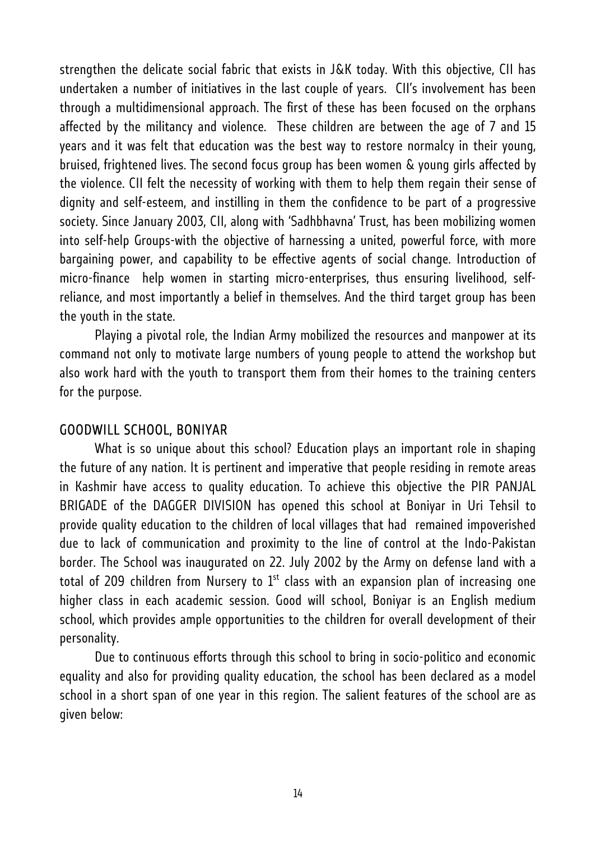strengthen the delicate social fabric that exists in J&K today. With this objective, CII has undertaken a number of initiatives in the last couple of years. CII's involvement has been through a multidimensional approach. The first of these has been focused on the orphans affected by the militancy and violence. These children are between the age of 7 and 15 years and it was felt that education was the best way to restore normalcy in their young, bruised, frightened lives. The second focus group has been women & young girls affected by the violence. CII felt the necessity of working with them to help them regain their sense of dignity and self-esteem, and instilling in them the confidence to be part of a progressive society. Since January 2003, CII, along with 'Sadhbhavna' Trust, has been mobilizing women into self-help Groups-with the objective of harnessing a united, powerful force, with more bargaining power, and capability to be effective agents of social change. Introduction of micro-finance help women in starting micro-enterprises, thus ensuring livelihood, selfreliance, and most importantly a belief in themselves. And the third target group has been the youth in the state.

Playing a pivotal role, the Indian Army mobilized the resources and manpower at its command not only to motivate large numbers of young people to attend the workshop but also work hard with the youth to transport them from their homes to the training centers for the purpose.

#### GOODWILL SCHOOL, BONIYAR

What is so unique about this school? Education plays an important role in shaping the future of any nation. It is pertinent and imperative that people residing in remote areas in Kashmir have access to quality education. To achieve this objective the PIR PANJAL BRIGADE of the DAGGER DIVISION has opened this school at Boniyar in Uri Tehsil to provide quality education to the children of local villages that had remained impoverished due to lack of communication and proximity to the line of control at the Indo-Pakistan border. The School was inaugurated on 22. July 2002 by the Army on defense land with a total of 209 children from Nursery to  $1<sup>st</sup>$  class with an expansion plan of increasing one higher class in each academic session. Good will school, Boniyar is an English medium school, which provides ample opportunities to the children for overall development of their personality.

Due to continuous efforts through this school to bring in socio-politico and economic equality and also for providing quality education, the school has been declared as a model school in a short span of one year in this region. The salient features of the school are as given below: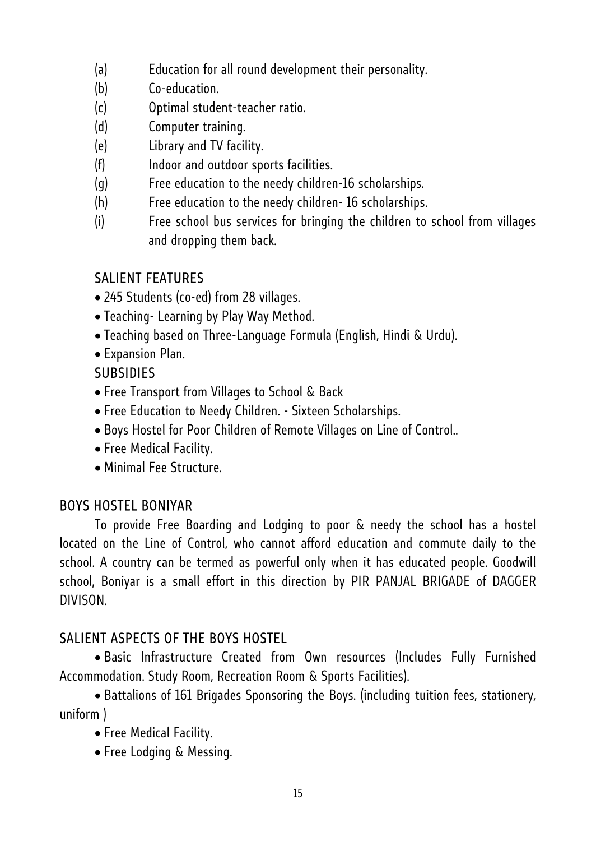- (a) Education for all round development their personality.
- (b) Co-education.
- (c) Optimal student-teacher ratio.
- (d) Computer training.
- (e) Library and TV facility.
- (f) Indoor and outdoor sports facilities.
- (g) Free education to the needy children-16 scholarships.
- (h) Free education to the needy children- 16 scholarships.
- (i) Free school bus services for bringing the children to school from villages and dropping them back.

# SALIENT FEATURES

- 245 Students (co-ed) from 28 villages.
- Teaching- Learning by Play Way Method.
- Teaching based on Three-Language Formula (English, Hindi & Urdu).
- Expansion Plan.

# **SUBSIDIES**

- Free Transport from Villages to School & Back
- Free Education to Needy Children. Sixteen Scholarships.
- Boys Hostel for Poor Children of Remote Villages on Line of Control..
- Free Medical Facility.
- Minimal Fee Structure.

# BOYS HOSTEL BONIYAR

To provide Free Boarding and Lodging to poor & needy the school has a hostel located on the Line of Control, who cannot afford education and commute daily to the school. A country can be termed as powerful only when it has educated people. Goodwill school, Boniyar is a small effort in this direction by PIR PANJAL BRIGADE of DAGGER DIVISON.

# SALIENT ASPECTS OF THE BOYS HOSTEL

• Basic Infrastructure Created from Own resources (Includes Fully Furnished Accommodation. Study Room, Recreation Room & Sports Facilities).

• Battalions of 161 Brigades Sponsoring the Boys. (including tuition fees, stationery, uniform )

- Free Medical Facility.
- Free Lodging & Messing.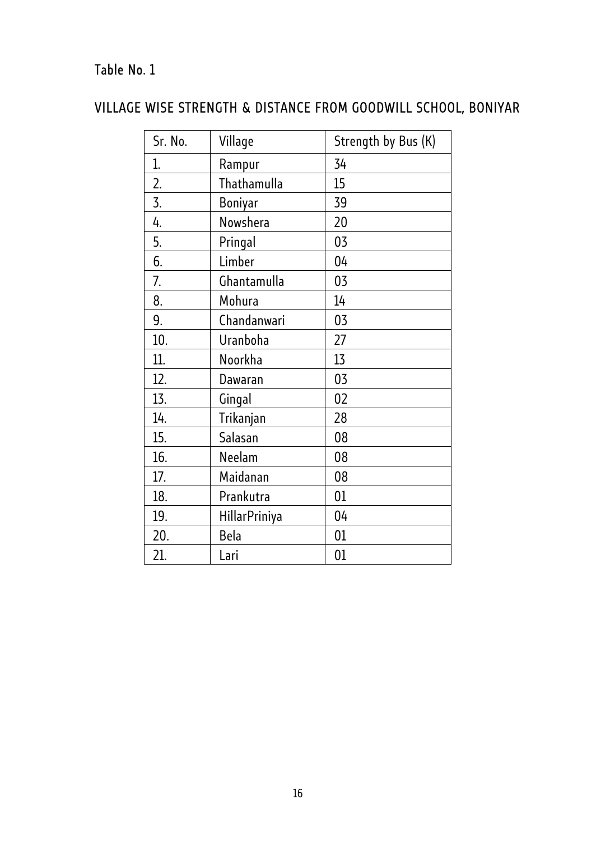# Table No. 1

# VILLAGE WISE STRENGTH & DISTANCE FROM GOODWILL SCHOOL, BONIYAR

| Sr. No.          | Village              | Strength by Bus (K) |
|------------------|----------------------|---------------------|
| 1.               | Rampur               | 34                  |
| $\overline{2}$ . | Thathamulla          | 15                  |
| 3.               | <b>Boniyar</b>       | 39                  |
| 4.               | Nowshera             | 20                  |
| 5.               | Pringal              | 03                  |
| 6.               | Limber               | 04                  |
| 7.               | Ghantamulla          | 03                  |
| 8.               | Mohura               | 14                  |
| 9.               | Chandanwari          | 03                  |
| 10.              | Uranboha             | 27                  |
| 11.              | Noorkha              | 13                  |
| 12.              | Dawaran              | 03                  |
| 13.              | Gingal               | 02                  |
| 14.              | Trikanjan            | 28                  |
| 15.              | Salasan              | 08                  |
| 16.              | Neelam               | 08                  |
| 17.              | Maidanan             | 08                  |
| 18.              | Prankutra            | 01                  |
| 19.              | <b>HillarPriniya</b> | 04                  |
| 20.              | <b>Bela</b>          | 01                  |
| 21.              | Lari                 | 01                  |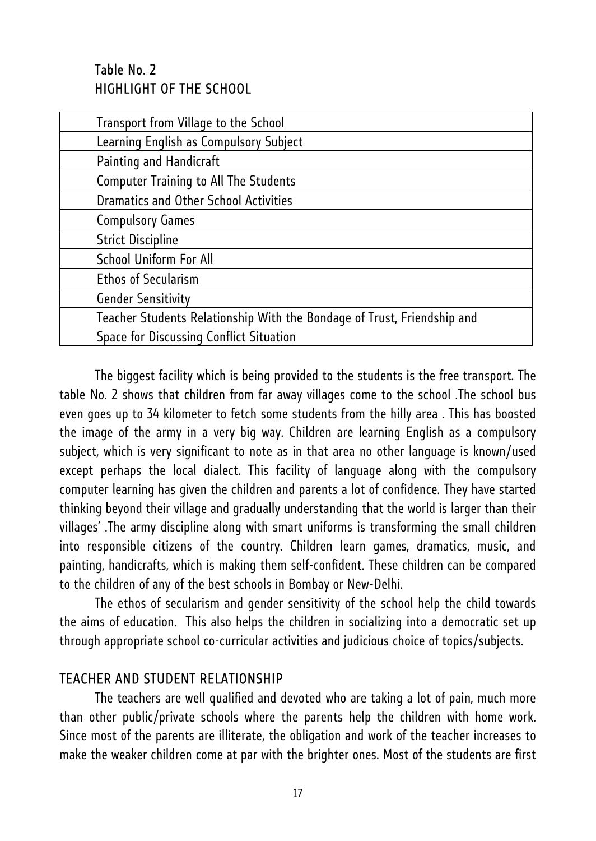# Table No. 2 HIGHLIGHT OF THE SCHOOL

| Transport from Village to the School                                    |
|-------------------------------------------------------------------------|
| Learning English as Compulsory Subject                                  |
| Painting and Handicraft                                                 |
| <b>Computer Training to All The Students</b>                            |
| <b>Dramatics and Other School Activities</b>                            |
| <b>Compulsory Games</b>                                                 |
| <b>Strict Discipline</b>                                                |
| <b>School Uniform For All</b>                                           |
| <b>Ethos of Secularism</b>                                              |
| <b>Gender Sensitivity</b>                                               |
| Teacher Students Relationship With the Bondage of Trust, Friendship and |
| Space for Discussing Conflict Situation                                 |
|                                                                         |

The biggest facility which is being provided to the students is the free transport. The table No. 2 shows that children from far away villages come to the school .The school bus even goes up to 34 kilometer to fetch some students from the hilly area . This has boosted the image of the army in a very big way. Children are learning English as a compulsory subject, which is very significant to note as in that area no other language is known/used except perhaps the local dialect. This facility of language along with the compulsory computer learning has given the children and parents a lot of confidence. They have started thinking beyond their village and gradually understanding that the world is larger than their villages' .The army discipline along with smart uniforms is transforming the small children into responsible citizens of the country. Children learn games, dramatics, music, and painting, handicrafts, which is making them self-confident. These children can be compared to the children of any of the best schools in Bombay or New-Delhi.

The ethos of secularism and gender sensitivity of the school help the child towards the aims of education. This also helps the children in socializing into a democratic set up through appropriate school co-curricular activities and judicious choice of topics/subjects.

#### TEACHER AND STUDENT RELATIONSHIP

The teachers are well qualified and devoted who are taking a lot of pain, much more than other public/private schools where the parents help the children with home work. Since most of the parents are illiterate, the obligation and work of the teacher increases to make the weaker children come at par with the brighter ones. Most of the students are first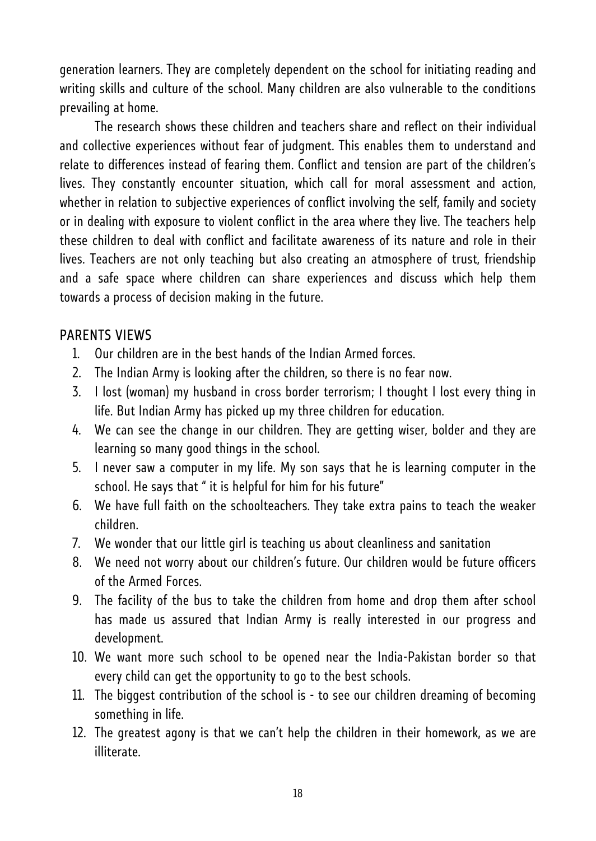generation learners. They are completely dependent on the school for initiating reading and writing skills and culture of the school. Many children are also vulnerable to the conditions prevailing at home.

The research shows these children and teachers share and reflect on their individual and collective experiences without fear of judgment. This enables them to understand and relate to differences instead of fearing them. Conflict and tension are part of the children's lives. They constantly encounter situation, which call for moral assessment and action, whether in relation to subjective experiences of conflict involving the self, family and society or in dealing with exposure to violent conflict in the area where they live. The teachers help these children to deal with conflict and facilitate awareness of its nature and role in their lives. Teachers are not only teaching but also creating an atmosphere of trust, friendship and a safe space where children can share experiences and discuss which help them towards a process of decision making in the future.

## PARENTS VIEWS

- 1. Our children are in the best hands of the Indian Armed forces.
- 2. The Indian Army is looking after the children, so there is no fear now.
- 3. I lost (woman) my husband in cross border terrorism; I thought I lost every thing in life. But Indian Army has picked up my three children for education.
- 4. We can see the change in our children. They are getting wiser, bolder and they are learning so many good things in the school.
- 5. I never saw a computer in my life. My son says that he is learning computer in the school. He says that " it is helpful for him for his future"
- 6. We have full faith on the schoolteachers. They take extra pains to teach the weaker children.
- 7. We wonder that our little girl is teaching us about cleanliness and sanitation
- 8. We need not worry about our children's future. Our children would be future officers of the Armed Forces.
- 9. The facility of the bus to take the children from home and drop them after school has made us assured that Indian Army is really interested in our progress and development.
- 10. We want more such school to be opened near the India-Pakistan border so that every child can get the opportunity to go to the best schools.
- 11. The biggest contribution of the school is to see our children dreaming of becoming something in life.
- 12. The greatest agony is that we can't help the children in their homework, as we are illiterate.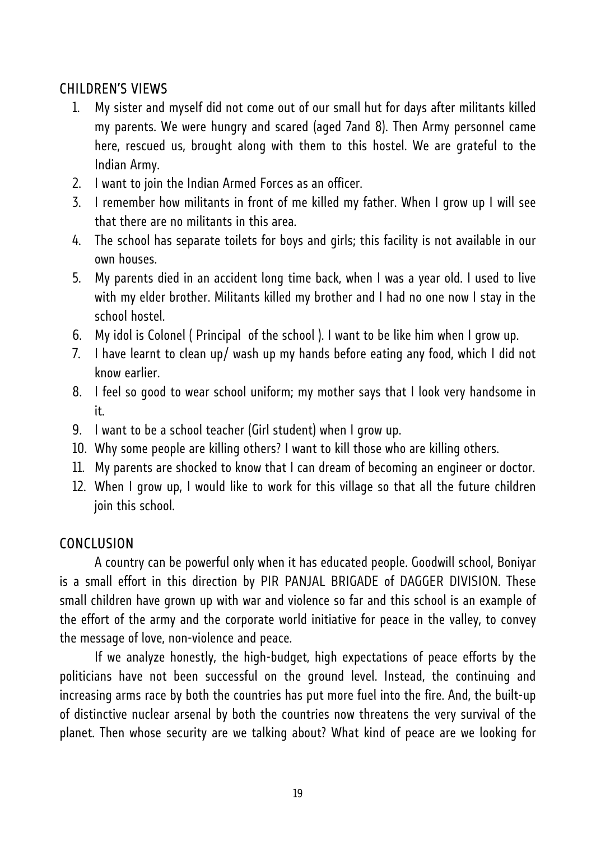## CHILDREN'S VIEWS

- 1. My sister and myself did not come out of our small hut for days after militants killed my parents. We were hungry and scared (aged 7and 8). Then Army personnel came here, rescued us, brought along with them to this hostel. We are grateful to the Indian Army.
- 2. I want to join the Indian Armed Forces as an officer.
- 3. I remember how militants in front of me killed my father. When I grow up I will see that there are no militants in this area.
- 4. The school has separate toilets for boys and girls; this facility is not available in our own houses.
- 5. My parents died in an accident long time back, when I was a year old. I used to live with my elder brother. Militants killed my brother and I had no one now I stay in the school hostel.
- 6. My idol is Colonel ( Principal of the school ). I want to be like him when I grow up.
- 7. I have learnt to clean up/ wash up my hands before eating any food, which I did not know earlier.
- 8. I feel so good to wear school uniform; my mother says that I look very handsome in it.
- 9. I want to be a school teacher (Girl student) when I grow up.
- 10. Why some people are killing others? I want to kill those who are killing others.
- 11. My parents are shocked to know that I can dream of becoming an engineer or doctor.
- 12. When I grow up, I would like to work for this village so that all the future children join this school.

## **CONCLUSION**

A country can be powerful only when it has educated people. Goodwill school, Boniyar is a small effort in this direction by PIR PANJAL BRIGADE of DAGGER DIVISION. These small children have grown up with war and violence so far and this school is an example of the effort of the army and the corporate world initiative for peace in the valley, to convey the message of love, non-violence and peace.

If we analyze honestly, the high-budget, high expectations of peace efforts by the politicians have not been successful on the ground level. Instead, the continuing and increasing arms race by both the countries has put more fuel into the fire. And, the built-up of distinctive nuclear arsenal by both the countries now threatens the very survival of the planet. Then whose security are we talking about? What kind of peace are we looking for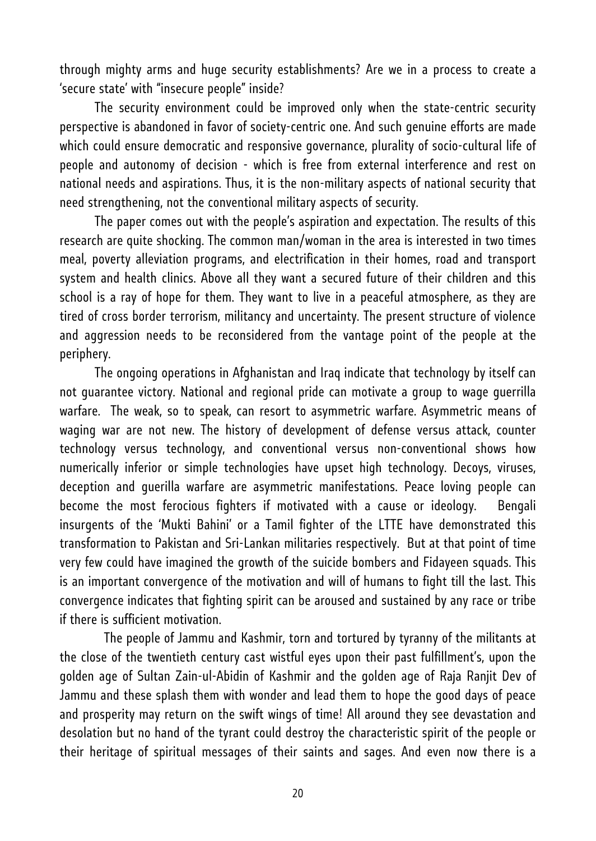through mighty arms and huge security establishments? Are we in a process to create a 'secure state' with "insecure people" inside?

The security environment could be improved only when the state-centric security perspective is abandoned in favor of society-centric one. And such genuine efforts are made which could ensure democratic and responsive governance, plurality of socio-cultural life of people and autonomy of decision - which is free from external interference and rest on national needs and aspirations. Thus, it is the non-military aspects of national security that need strengthening, not the conventional military aspects of security.

The paper comes out with the people's aspiration and expectation. The results of this research are quite shocking. The common man/woman in the area is interested in two times meal, poverty alleviation programs, and electrification in their homes, road and transport system and health clinics. Above all they want a secured future of their children and this school is a ray of hope for them. They want to live in a peaceful atmosphere, as they are tired of cross border terrorism, militancy and uncertainty. The present structure of violence and aggression needs to be reconsidered from the vantage point of the people at the periphery.

The ongoing operations in Afghanistan and Iraq indicate that technology by itself can not guarantee victory. National and regional pride can motivate a group to wage guerrilla warfare. The weak, so to speak, can resort to asymmetric warfare. Asymmetric means of waging war are not new. The history of development of defense versus attack, counter technology versus technology, and conventional versus non-conventional shows how numerically inferior or simple technologies have upset high technology. Decoys, viruses, deception and guerilla warfare are asymmetric manifestations. Peace loving people can become the most ferocious fighters if motivated with a cause or ideology. Bengali insurgents of the 'Mukti Bahini' or a Tamil fighter of the LTTE have demonstrated this transformation to Pakistan and Sri-Lankan militaries respectively. But at that point of time very few could have imagined the growth of the suicide bombers and Fidayeen squads. This is an important convergence of the motivation and will of humans to fight till the last. This convergence indicates that fighting spirit can be aroused and sustained by any race or tribe if there is sufficient motivation.

 The people of Jammu and Kashmir, torn and tortured by tyranny of the militants at the close of the twentieth century cast wistful eyes upon their past fulfillment's, upon the golden age of Sultan Zain-ul-Abidin of Kashmir and the golden age of Raja Ranjit Dev of Jammu and these splash them with wonder and lead them to hope the good days of peace and prosperity may return on the swift wings of time! All around they see devastation and desolation but no hand of the tyrant could destroy the characteristic spirit of the people or their heritage of spiritual messages of their saints and sages. And even now there is a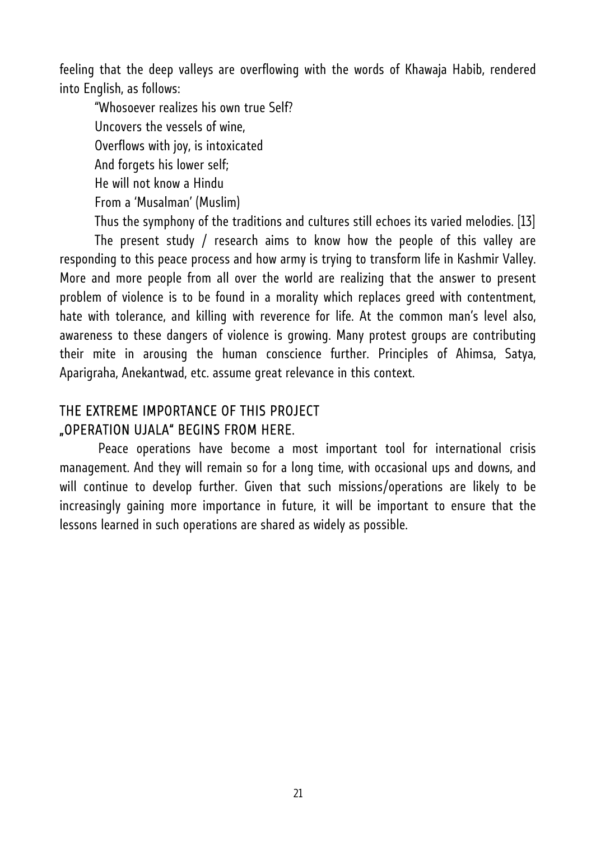feeling that the deep valleys are overflowing with the words of Khawaja Habib, rendered into English, as follows:

"Whosoever realizes his own true Self? Uncovers the vessels of wine, Overflows with joy, is intoxicated And forgets his lower self; He will not know a Hindu From a 'Musalman' (Muslim)

Thus the symphony of the traditions and cultures still echoes its varied melodies. [13] The present study / research aims to know how the people of this valley are responding to this peace process and how army is trying to transform life in Kashmir Valley. More and more people from all over the world are realizing that the answer to present problem of violence is to be found in a morality which replaces greed with contentment, hate with tolerance, and killing with reverence for life. At the common man's level also, awareness to these dangers of violence is growing. Many protest groups are contributing their mite in arousing the human conscience further. Principles of Ahimsa, Satya, Aparigraha, Anekantwad, etc. assume great relevance in this context.

## THE EXTREME IMPORTANCE OF THIS PROJECT "OPERATION UJALA" BEGINS FROM HERE.

 Peace operations have become a most important tool for international crisis management. And they will remain so for a long time, with occasional ups and downs, and will continue to develop further. Given that such missions/operations are likely to be increasingly gaining more importance in future, it will be important to ensure that the lessons learned in such operations are shared as widely as possible.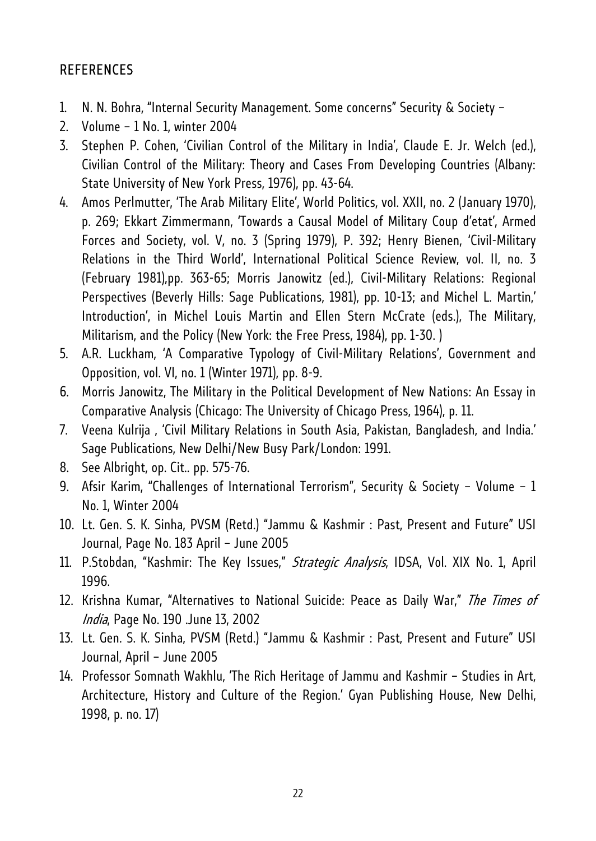## REFERENCES

- 1. N. N. Bohra, "Internal Security Management. Some concerns" Security & Society –
- 2. Volume 1 No. 1, winter 2004
- 3. Stephen P. Cohen, 'Civilian Control of the Military in India', Claude E. Jr. Welch (ed.), Civilian Control of the Military: Theory and Cases From Developing Countries (Albany: State University of New York Press, 1976), pp. 43-64.
- 4. Amos Perlmutter, 'The Arab Military Elite', World Politics, vol. XXII, no. 2 (January 1970), p. 269; Ekkart Zimmermann, 'Towards a Causal Model of Military Coup d'etat', Armed Forces and Society, vol. V, no. 3 (Spring 1979), P. 392; Henry Bienen, 'Civil-Military Relations in the Third World', International Political Science Review, vol. II, no. 3 (February 1981),pp. 363-65; Morris Janowitz (ed.), Civil-Military Relations: Regional Perspectives (Beverly Hills: Sage Publications, 1981), pp. 10-13; and Michel L. Martin,' Introduction', in Michel Louis Martin and Ellen Stern McCrate (eds.), The Military, Militarism, and the Policy (New York: the Free Press, 1984), pp. 1-30. )
- 5. A.R. Luckham, 'A Comparative Typology of Civil-Military Relations', Government and Opposition, vol. VI, no. 1 (Winter 1971), pp. 8-9.
- 6. Morris Janowitz, The Military in the Political Development of New Nations: An Essay in Comparative Analysis (Chicago: The University of Chicago Press, 1964), p. 11.
- 7. Veena Kulrija , 'Civil Military Relations in South Asia, Pakistan, Bangladesh, and India.' Sage Publications, New Delhi/New Busy Park/London: 1991.
- 8. See Albright, op. Cit.. pp. 575-76.
- 9. Afsir Karim, "Challenges of International Terrorism", Security & Society Volume 1 No. 1, Winter 2004
- 10. Lt. Gen. S. K. Sinha, PVSM (Retd.) "Jammu & Kashmir : Past, Present and Future" USI Journal, Page No. 183 April – June 2005
- 11. P.Stobdan, "Kashmir: The Key Issues," Strategic Analysis, IDSA, Vol. XIX No. 1, April 1996.
- 12. Krishna Kumar, "Alternatives to National Suicide: Peace as Daily War," The Times of India, Page No. 190 .June 13, 2002
- 13. Lt. Gen. S. K. Sinha, PVSM (Retd.) "Jammu & Kashmir : Past, Present and Future" USI Journal, April – June 2005
- 14. Professor Somnath Wakhlu, 'The Rich Heritage of Jammu and Kashmir Studies in Art, Architecture, History and Culture of the Region.' Gyan Publishing House, New Delhi, 1998, p. no. 17)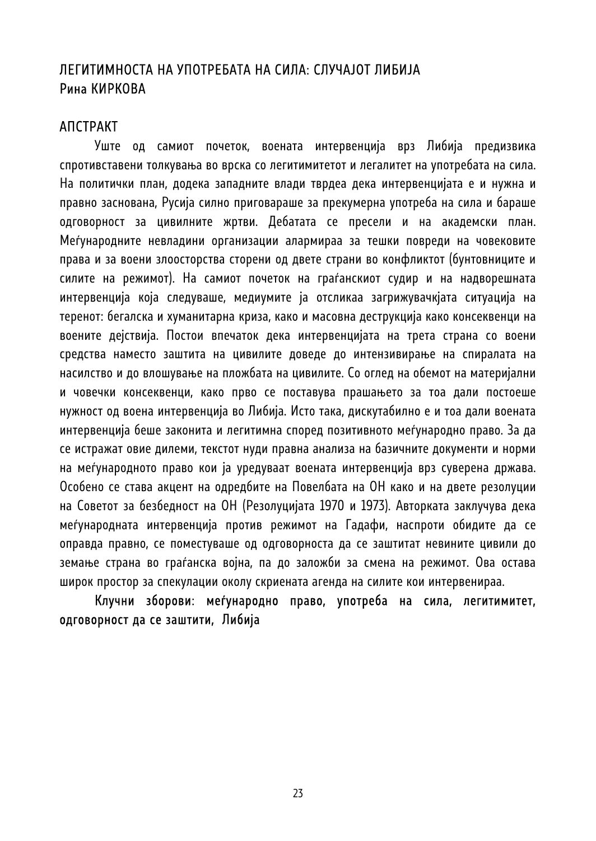## ЛЕГИТИМНОСТА НА УПОТРЕБАТА НА СИЛА: СЛУЧАЈОТ ЛИБИЈА Рина КИРКОВА

#### АПСТРАКТ

Уште од самиот почеток, воената интервенција врз Либија предизвика спротивставени толкувања во врска со легитимитетот и легалитет на употребата на сила. На политички план, додека западните влади тврдеа дека интервенцијата е и нужна и правно заснована, Русија силно приговараше за прекумерна употреба на сила и бараше одговорност за цивилните жртви. Дебатата се пресели и на академски план. Меѓународните невладини организации алармираа за тешки повреди на човековите права и за воени злоосторства сторени од двете страни во конфликтот (бунтовниците и силите на режимот). На самиот почеток на граѓанскиот судир и на надворешната интервенција која следуваше, медиумите ја отсликаа загрижувачкјата ситуација на теренот: бегалска и хуманитарна криза, како и масовна деструкција како консеквенци на воените дејствија. Постои впечаток дека интервенцијата на трета страна со воени средства наместо заштита на цивилите доведе до интензивирање на спиралата на насилство и до влошување на пложбата на цивилите. Со оглед на обемот на материјални и човечки консеквенци, како прво се поставува прашањето за тоа дали постоеше нужност од воена интервенција во Либија. Исто така, дискутабилно е и тоа дали воената интервенција беше законита и легитимна според позитивното меѓународно право. За да се истражат овие дилеми, текстот нуди правна анализа на базичните документи и норми на меѓународното право кои ја уредуваат воената интервенција врз суверена држава. Особено се става акцент на одредбите на Повелбата на ОН како и на двете резолуции на Советот за безбедност на ОН (Резолуцијата 1970 и 1973). Авторката заклучува дека меѓународната интервенција против режимот на Гадафи, наспроти обидите да се оправда правно, се поместуваше од одговорноста да се заштитат невините цивили до земање страна во граѓанска војна, па до заложби за смена на режимот. Ова остава широк простор за спекулации околу скриената агенда на силите кои интервенираа.

Клучни зборови: меѓународно право, употреба на сила, легитимитет, одговорност да се заштити, Либија

23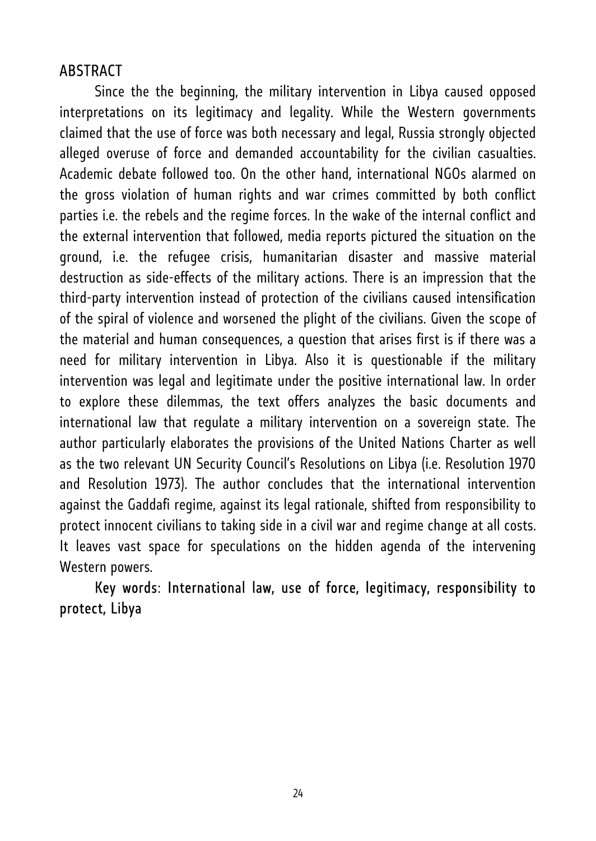# **ABSTRACT**

Since the the beginning, the military intervention in Libya caused opposed interpretations on its legitimacy and legality. While the Western governments claimed that the use of force was both necessary and legal, Russia strongly objected alleged overuse of force and demanded accountability for the civilian casualties. Academic debate followed too. On the other hand, international NGOs alarmed on the gross violation of human rights and war crimes committed by both conflict parties i.e. the rebels and the regime forces. In the wake of the internal conflict and the external intervention that followed, media reports pictured the situation on the ground, i.e. the refugee crisis, humanitarian disaster and massive material destruction as side-effects of the military actions. There is an impression that the third-party intervention instead of protection of the civilians caused intensification of the spiral of violence and worsened the plight of the civilians. Given the scope of the material and human consequences, a question that arises first is if there was a need for military intervention in Libya. Also it is questionable if the military intervention was legal and legitimate under the positive international law. In order to explore these dilemmas, the text offers analyzes the basic documents and international law that regulate a military intervention on a sovereign state. The author particularly elaborates the provisions of the United Nations Charter as well as the two relevant UN Security Council's Resolutions on Libya (i.e. Resolution 1970 and Resolution 1973). The author concludes that the international intervention against the Gaddafi regime, against its legal rationale, shifted from responsibility to protect innocent civilians to taking side in a civil war and regime change at all costs. It leaves vast space for speculations on the hidden agenda of the intervening Western powers.

# Key words: International law, use of force, legitimacy, responsibility to protect, Libya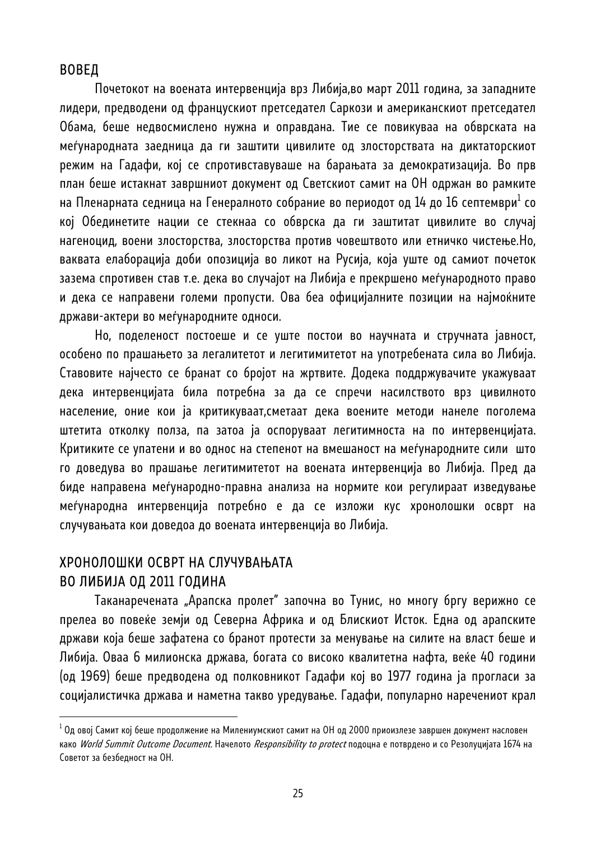#### ВОВЕД

Почетокот на воената интервенција врз Либија,во март 2011 година, за западните лидери, предводени од францускиот претседател Саркози и американскиот претседател Обама, беше недвосмислено нужна и оправдана. Тие се повикуваа на обврската на меѓународната заедница да ги заштити цивилите од злосторствата на диктаторскиот режим на Гадафи, кој се спротивставуваше на барањата за демократизација. Во прв план беше истакнат завршниот документ од Светскиот самит на ОН одржан во рамките на Пленарната седница на Генералното собрание во периодот од 14 до 16 септември $^{\rm l}$  со кој Обединетите нации се стекнаа со обврска да ги заштитат цивилите во случај нагеноцид, воени злосторства, злосторства против човештвото или етничко чистење.Но, ваквата елаборација доби опозиција во ликот на Русија, која уште од самиот почеток зазема спротивен став т.е. дека во случајот на Либија е прекршено меѓународното право и дека се направени големи пропусти. Ова беа официјалните позиции на најмоќните држави-актери во меѓународните односи.

Но, поделеност постоеше и се уште постои во научната и стручната јавност, особено по прашањето за легалитетот и легитимитетот на употребената сила во Либија. Ставовите најчесто се бранат со бројот на жртвите. Додека поддржувачите укажуваат дека интервенцијата била потребна за да се спречи насилството врз цивилното население, оние кои ја критикуваат,сметаат дека воените методи нанеле поголема штетита отколку полза, па затоа ја оспоруваат легитимноста на по интервенцијата. Критиките се упатени и во однос на степенот на вмешаност на меѓународните сили што го доведува во прашање легитимитетот на воената интервенција во Либија. Пред да биде направена меѓународно-правна анализа на нормите кои регулираат изведување меѓународна интервенција потребно е да се изложи кус хронолошки осврт на случувањата кои доведоа до воената интервенција во Либија.

## ХРОНОЛОШКИ ОСВРТ НА СЛУЧУВАЊАТА ВО ЛИБИЈА ОД 2011 ГОДИНА

l

Таканаречената "Арапска пролет" започна во Тунис, но многу бргу верижно се прелеа во повеќе земји од Северна Африка и од Блискиот Исток. Една од арапските држави која беше зафатена со бранот протести за менување на силите на власт беше и Либија. Оваа 6 милионска држава, богата со високо квалитетна нафта, веќе 40 години (од 1969) беше предводена од полковникот Гадафи кој во 1977 година ја прогласи за социјалистичка држава и наметна такво уредување. Гадафи, популарно наречениот крал

<sup>&</sup>lt;sup>1</sup> Од овој Самит кој беше продолжение на Милениумскиот самит на ОН од 2000 приоизлезе завршен документ насловен како World Summit Outcome Document. Начелото Responsibility to protect подоцна е потврдено и со Резолуцијата 1674 на Советот за безбедност на ОН.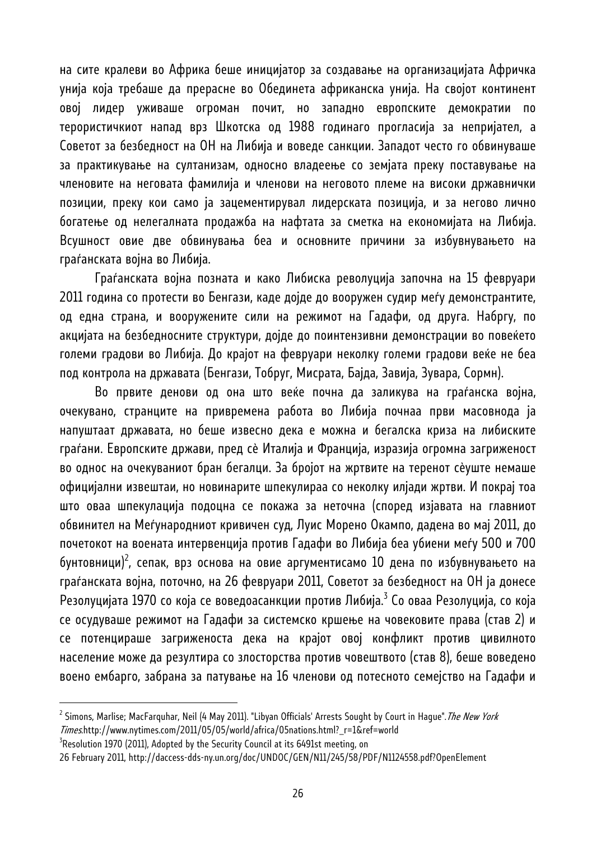на сите кралеви во Африка беше иницијатор за создавање на организацијата Афричка унија која требаше да прерасне во Обединета африканска унија. На својот континент овој лидер уживаше огроман почит, но западно европските демократии по терористичкиот напад врз Шкотска од 1988 годинаго прогласија за непријател, а Советот за безбедност на ОН на Либија и воведе санкции. Западот често го обвинуваше за практикување на султанизам, односно владеење со земјата преку поставување на членовите на неговата фамилија и членови на неговото племе на високи државнички позиции, преку кои само ја зацементирувал лидерската позиција, и за негово лично богатење од нелегалната продажба на нафтата за сметка на економијата на Либија. Всушност овие две обвинувања беа и основните причини за избувнувањето на граѓанската војна во Либија.

Граѓанската војна позната и како Либиска револуција започна на 15 февруари 2011 година со протести во Бенгази, каде дојде до вооружен судир меѓу демонстрантите, од една страна, и вооружените сили на режимот на Гадафи, од друга. Набргу, по акцијата на безбедносните структури, дојде до поинтензивни демонстрации во повеќето големи градови во Либија. До крајот на февруари неколку големи градови веќе не беа под контрола на државата (Бенгази, Тобруг, Мисрата, Бајда, Завија, Зувара, Сормн).

Во првите денови од она што веќе почна да заликува на граѓанска војна, очекувано, странците на привремена работа во Либија почнаа први масовнода ја напуштаат државата, но беше извесно дека е можна и бегалска криза на либиските граѓани. Европските држави, пред сѐ Италија и Франција, изразија огромна загриженост во однос на очекуваниот бран бегалци. За бројот на жртвите на теренот сѐуште немаше официјални извештаи, но новинарите шпекулираа со неколку илјади жртви. И покрај тоа што оваа шпекулација подоцна се покажа за неточна (според изјавата на главниот обвинител на Меѓународниот кривичен суд, Луис Морено Окампо, дадена во мај 2011, до почетокот на воената интервенција против Гадафи во Либија беа убиени меѓу 500 и 700 бунтовници)<sup>2</sup>, сепак, врз основа на овие аргументисамо 10 дена по избувнувањето на граѓанската војна, поточно, на 26 февруари 2011, Советот за безбедност на ОН ја донесе Резолуцијата 1970 со која се воведоасанкции против Либија.<sup>3</sup> Со оваа Резолуција, со која се осудуваше режимот на Гадафи за системско кршење на човековите права (став 2) и се потенцираше загриженоста дека на крајот овој конфликт против цивилното население може да резултира со злосторства против човештвото (став 8), беше воведено воено ембарго, забрана за патување на 16 членови од потесното семејство на Гадафи и

<sup>&</sup>lt;sup>2</sup> Simons, Marlise; MacFarquhar, Neil (4 May 2011). "Libyan Officials' Arrests Sought by Court in Hague".*The New York* Times.http://www.nytimes.com/2011/05/05/world/africa/05nations.html? r=1&ref=world

 $3$ Resolution 1970 (2011), Adopted by the Security Council at its 6491st meeting, on

<sup>26</sup> February 2011, http://daccess-dds-ny.un.org/doc/UNDOC/GEN/N11/245/58/PDF/N1124558.pdf?OpenElement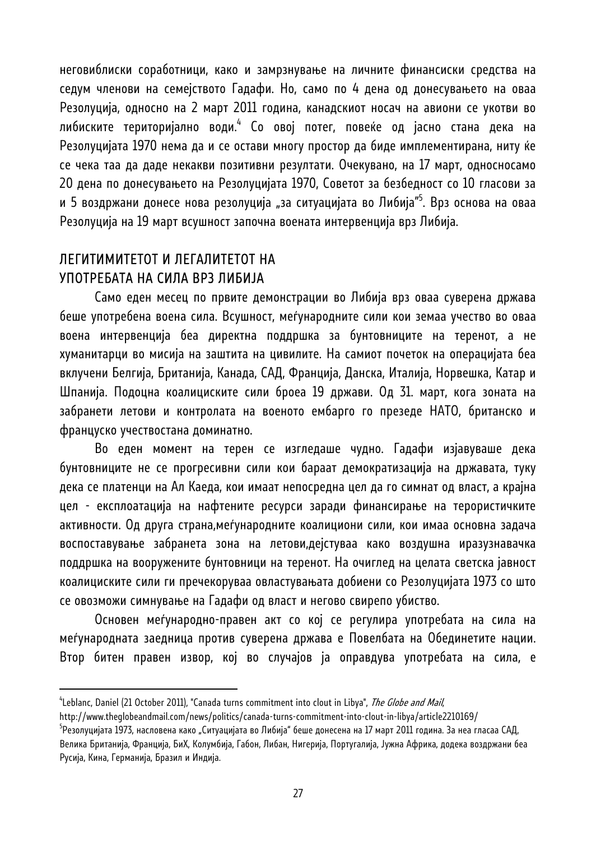неговиблиски соработници, како и замрзнување на личните финансиски средства на седум членови на семејството Гадафи. Но, само по 4 дена од донесувањето на оваа Резолуција, односно на 2 март 2011 година, канадскиот носач на авиони се укотви во либиските територијално води.<sup>4</sup> Со овој потег, повеќе од јасно стана дека на Резолуцијата 1970 нема да и се остави многу простор да биде имплементирана, ниту ќе се чека таа да даде некакви позитивни резултати. Очекувано, на 17 март, односносамо 20 дена по донесувањето на Резолуцијата 1970, Советот за безбедност со 10 гласови за и 5 воздржани донесе нова резолуција "за ситуацијата во Либија"<sup>5</sup>. Врз основа на оваа Резолуција на 19 март всушност започна воената интервенција врз Либија.

# ЛЕГИТИМИТЕТОТ И ЛЕГАЛИТЕТОТ НА УПОТРЕБАТА НА СИЛА ВРЗ ЛИБИЈА

l

Само еден месец по првите демонстрации во Либија врз оваа суверена држава беше употребена воена сила. Всушност, меѓународните сили кои земаа учество во оваа воена интервенција беа директна поддршка за бунтовниците на теренот, а не хуманитарци во мисија на заштита на цивилите. На самиот почеток на операцијата беа вклучени Белгија, Британија, Канада, САД, Франција, Данска, Италија, Норвешка, Катар и Шпанија. Подоцна коалициските сили броеа 19 држави. Од 31. март, кога зоната на забранети летови и контролата на военото ембарго го презеде НАТО, британско и француско учествостана доминатно.

Во еден момент на терен се изгледаше чудно. Гадафи изјавуваше дека бунтовниците не се прогресивни сили кои бараат демократизација на државата, туку дека се платенци на Ал Каеда, кои имаат непосредна цел да го симнат од власт, а крајна цел - експлоатација на нафтените ресурси заради финансирање на терористичките активности. Од друга страна,меѓународните коалициони сили, кои имаа основна задача воспоставување забранета зона на летови,дејстуваа како воздушна иразузнавачка поддршка на вооружените бунтовници на теренот. На очиглед на целата светска јавност коалициските сили ги пречекоруваа овластувањата добиени со Резолуцијата 1973 со што се овозможи симнување на Гадафи од власт и негово свирепо убиство.

Основен меѓународно-правен акт со кој се регулира употребата на сила на меѓународната заедница против суверена држава е Повелбата на Обединетите нации. Втор битен правен извор, кој во случајов ја оправдува употребата на сила, е

<sup>&</sup>lt;sup>4</sup>Leblanc, Daniel (21 October 2011), "Canada turns commitment into clout in Libya", *The Globe and Mail*,

http://www.theglobeandmail.com/news/politics/canada-turns-commitment-into-clout-in-libya/article2210169/ 5

<sup>&</sup>lt;sup>5</sup>Резолуцијата 1973, насловена како "Ситуацијата во Либија" беше донесена на 17 март 2011 година. За неа гласаа САД, Велика Британија, Франција, БиХ, Колумбија, Габон, Либан, Нигерија, Португалија, Јужна Африка, додека воздржани беа Русија, Кина, Германија, Бразил и Индија.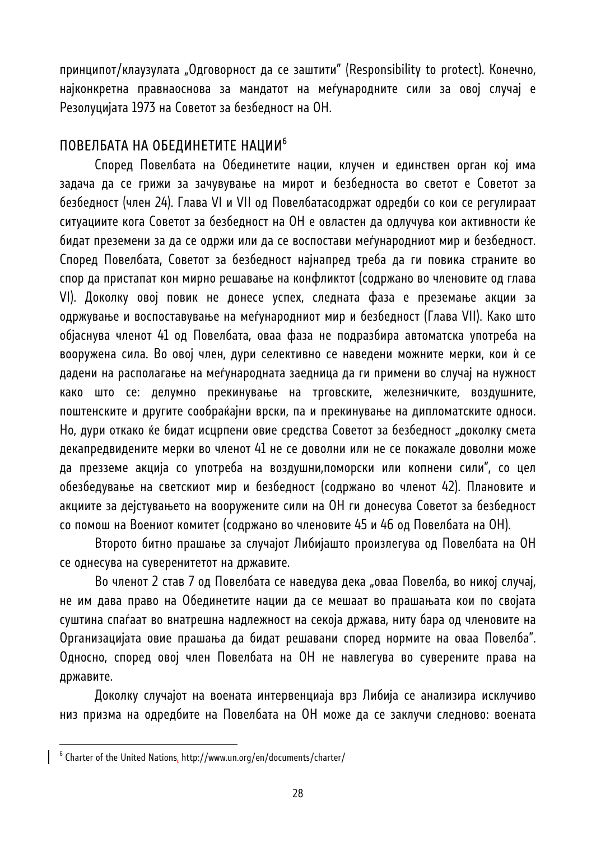принципот/клаузулата "Одговорност да се заштити" (Responsibility to protect). Конечно, најконкретна правнаоснова за мандатот на меѓународните сили за овој случај е Резолуцијата 1973 на Советот за безбедност на ОН.

## ПОВЕЛБАТА НА ОБЕДИНЕТИТЕ НАЦИИ<sup>6</sup>

Според Повелбата на Обединетите нации, клучен и единствен орган кој има задача да се грижи за зачувување на мирот и безбедноста во светот е Советот за безбедност (член 24). Глава VI и VII од Повелбатасодржат одредби со кои се регулираат ситуациите кога Советот за безбедност на ОН е овластен да одлучува кои активности ќе бидат преземени за да се одржи или да се воспостави меѓународниот мир и безбедност. Според Повелбата, Советот за безбедност најнапред треба да ги повика страните во спор да пристапат кон мирно решавање на конфликтот (содржано во членовите од глава VI). Доколку овој повик не донесе успех, следната фаза е преземање акции за одржување и воспоставување на меѓународниот мир и безбедност (Глава VII). Како што објаснува членот 41 од Повелбата, оваа фаза не подразбира автоматска употреба на вооружена сила. Во овој член, дури селективно се наведени можните мерки, кои ѝ се дадени на располагање на меѓународната заедница да ги примени во случај на нужност како што се: делумно прекинување на трговските, железничките, воздушните, поштенските и другите сообраќајни врски, па и прекинување на дипломатските односи. Но, дури откако ќе бидат исцрпени овие средства Советот за безбедност "доколку смета декапредвидените мерки во членот 41 не се доволни или не се покажале доволни може да презземе акција со употреба на воздушни,поморски или копнени сили", со цел обезбедување на светскиот мир и безбедност (содржано во членот 42). Плановите и акциите за дејстувањето на вооружените сили на ОН ги донесува Советот за безбедност со помош на Воениот комитет (содржано во членовите 45 и 46 од Повелбата на ОН).

Второто битно прашање за случајот Либијашто произлегува од Повелбата на ОН се однесува на суверенитетот на државите.

Во членот 2 став 7 од Повелбата се наведува дека "оваа Повелба, во никој случај, не им дава право на Обединетите нации да се мешаат во прашањата кои по својата суштина спаѓаат во внатрешна надлежност на секоја држава, ниту бара од членовите на Организацијата овие прашања да бидат решавани според нормите на оваа Повелба". Односно, според овој член Повелбата на ОН не навлегува во суверените права на државите.

Доколку случајот на воената интервенциаја врз Либија се анализира исклучиво низ призма на одредбите на Повелбата на ОН може да се заклучи следново: воената

 $^6$  Charter of the United Nations, http://www.un.org/en/documents/charter/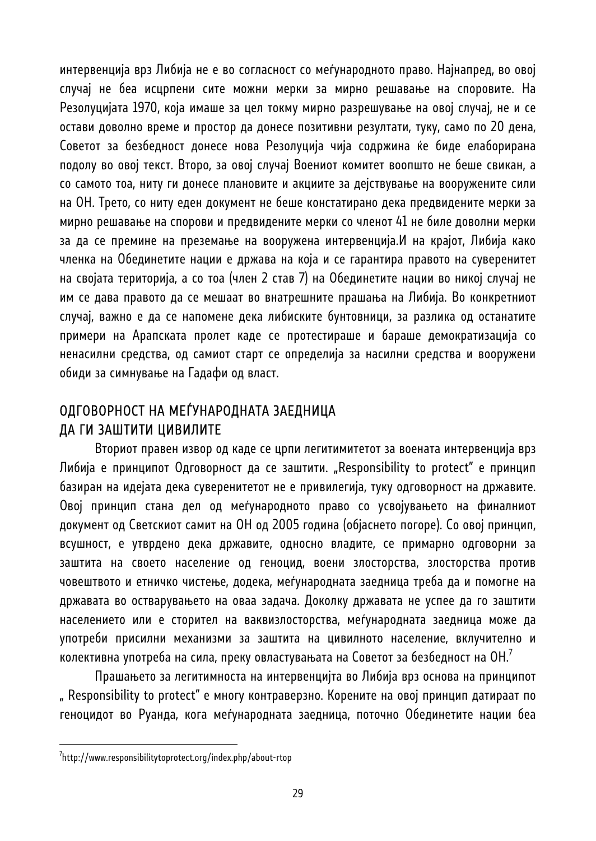интервенција врз Либија не е во согласност со меѓународното право. Најнапред, во овој случај не беа исцрпени сите можни мерки за мирно решавање на споровите. На Резолуцијата 1970, која имаше за цел токму мирно разрешување на овој случај, не и се остави доволно време и простор да донесе позитивни резултати, туку, само по 20 дена, Советот за безбедност донесе нова Резолуција чија содржина ќе биде елаборирана подолу во овој текст. Второ, за овој случај Воениот комитет воопшто не беше свикан, а со самото тоа, ниту ги донесе плановите и акциите за дејствување на вооружените сили на ОН. Трето, со ниту еден документ не беше констатирано дека предвидените мерки за мирно решавање на спорови и предвидените мерки со членот 41 не биле доволни мерки за да се премине на преземање на вооружена интервенција.И на крајот, Либија како членка на Обединетите нации е држава на која и се гарантира правото на суверенитет на својата територија, а со тоа (член 2 став 7) на Обединетите нации во никој случај не им се дава правото да се мешаат во внатрешните прашања на Либија. Во конкретниот случај, важно е да се напомене дека либиските бунтовници, за разлика од останатите примери на Арапската пролет каде се протестираше и бараше демократизација со ненасилни средства, од самиот старт се определија за насилни средства и вооружени обиди за симнување на Гадафи од власт.

# ОДГОВОРНОСТ НА МЕЃУНАРОДНАТА ЗАЕДНИЦА ДА ГИ ЗАШТИТИ ЦИВИЛИТЕ

Вториот правен извор од каде се црпи легитимитетот за воената интервенција врз Либија е принципот Одговорност да се заштити. "Responsibility to protect" е принцип базиран на идејата дека суверенитетот не е привилегија, туку одговорност на државите. Овој принцип стана дел од меѓународното право со усвојувањето на финалниот документ од Светскиот самит на ОН од 2005 година (објаснето погоре). Со овој принцип, всушност, е утврдено дека државите, односно владите, се примарно одговорни за заштита на своето население од геноцид, воени злосторства, злосторства против човештвото и етничко чистење, додека, меѓународната заедница треба да и помогне на државата во остварувањето на оваа задача. Доколку државата не успее да го заштити населението или е сторител на ваквизлосторства, меѓународната заедница може да употреби присилни механизми за заштита на цивилното население, вклучително и колективна употреба на сила, преку овластувањата на Советот за безбедност на ОН.<sup>7</sup>

Прашањето за легитимноста на интервенцијта во Либија врз основа на принципот " Responsibility to protect" е многу контраверзно. Корените на овој принцип датираат по геноцидот во Руанда, кога меѓународната заедница, поточно Обединетите нации беа

<sup>7</sup> http://www.responsibilitytoprotect.org/index.php/about-rtop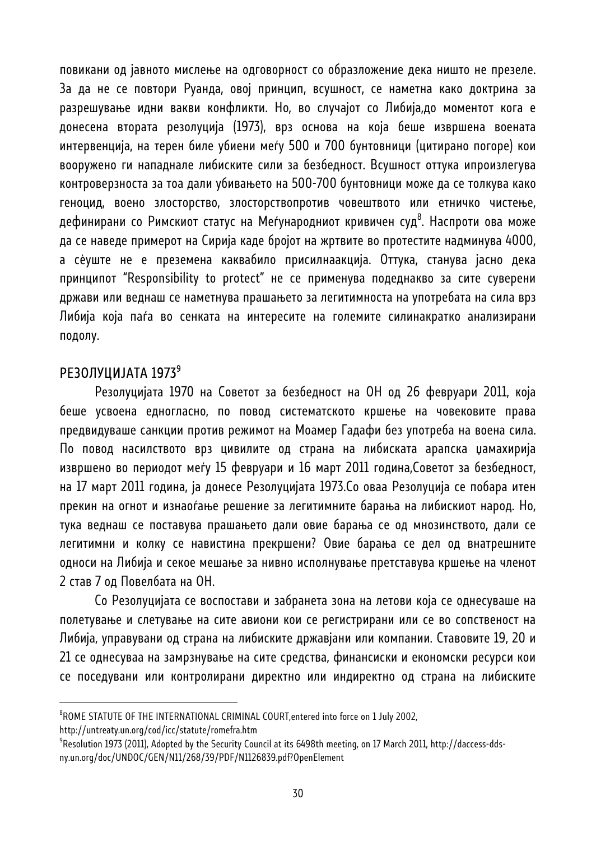повикани од јавното мислење на одговорност со образложение дека ништо не презеле. За да не се повтори Руанда, овој принцип, всушност, се наметна како доктрина за разрешување идни вакви конфликти. Но, во случајот со Либија,до моментот кога е донесена втората резолуција (1973), врз основа на која беше извршена воената интервенција, на терен биле убиени меѓу 500 и 700 бунтовници (цитирано погоре) кои вооружено ги нападнале либиските сили за безбедност. Всушност оттука ипроизлегува контроверзноста за тоа дали убивањето на 500-700 бунтовници може да се толкува како геноцид, воено злосторство, злосторствопротив човештвото или етничко чистење, дефинирани со Римскиот статус на Меѓународниот кривичен суд<sup>8</sup>. Наспроти ова може да се наведе примерот на Сирија каде бројот на жртвите во протестите надминува 4000, а сѐуште не е преземена каквабило присилнаакција. Оттука, станува јасно дека принципот "Responsibility to protect" не се применува подеднакво за сите суверени држави или веднаш се наметнува прашањето за легитимноста на употребата на сила врз Либија која паѓа во сенката на интересите на големите силинакратко анализирани подолу.

## РЕЗОЛУЦИЈАТА 1973<sup>9</sup>

l

Резолуцијата 1970 на Советот за безбедност на ОН од 26 февруари 2011, која беше усвоена едногласно, по повод систематското кршење на човековите права предвидуваше санкции против режимот на Моамер Гадафи без употреба на воена сила. По повод насилството врз цивилите од страна на либиската арапска џамахирија извршено во периодот меѓу 15 февруари и 16 март 2011 година,Советот за безбедност, на 17 март 2011 година, ја донесе Резолуцијата 1973.Со оваа Резолуција се побара итен прекин на огнот и изнаоѓање решение за легитимните барања на либискиот народ. Но, тука веднаш се поставува прашањето дали овие барања се од мнозинството, дали се легитимни и колку се навистина прекршени? Овие барања се дел од внатрешните односи на Либија и секое мешање за нивно исполнување претставува кршење на членот 2 став 7 од Повелбата на ОН.

Со Резолуцијата се воспостави и забранета зона на летови која се однесуваше на полетување и слетување на сите авиони кои се регистрирани или се во сопственост на Либија, управувани од страна на либиските државјани или компании. Ставовите 19, 20 и 21 се однесуваа на замрзнување на сите средства, финансиски и економски ресурси кои се поседувани или контролирани директно или индиректно од страна на либиските

 ${}^{\rm 8}$ ROME STATUTE OF THE INTERNATIONAL CRIMINAL COURT,entered into force on 1 July 2002, http://untreaty.un.org/cod/icc/statute/romefra.htm 9

<sup>&</sup>lt;sup>9</sup> Resolution 1973 (2011), Adopted by the Security Council at its 6498th meeting, on 17 March 2011, http://daccess-ddsny.un.org/doc/UNDOC/GEN/N11/268/39/PDF/N1126839.pdf?OpenElement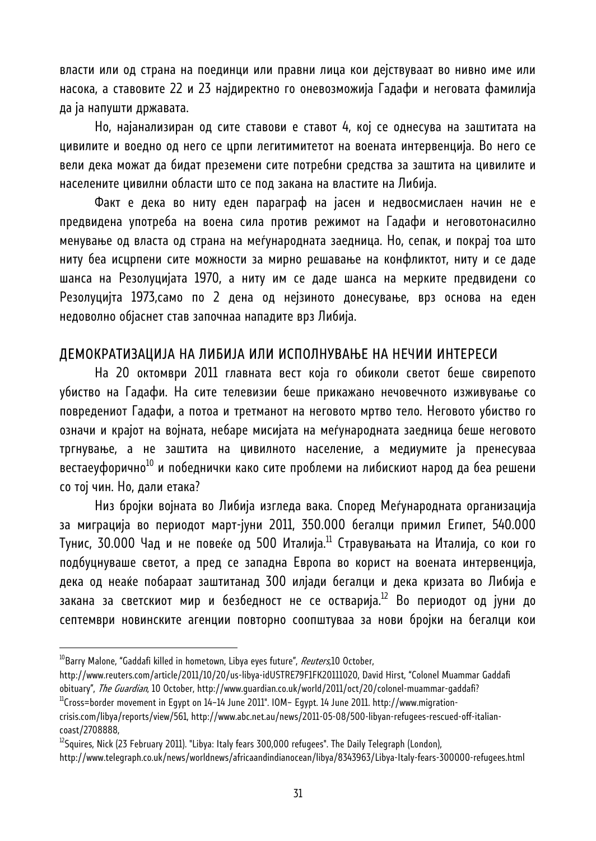власти или од страна на поединци или правни лица кои дејствуваат во нивно име или насока, а ставовите 22 и 23 најдиректно го оневозможија Гадафи и неговата фамилија да ја напушти државата.

Но, најанализиран од сите ставови е ставот 4, кој се однесува на заштитата на цивилите и воедно од него се црпи легитимитетот на воената интервенција. Во него се вели дека можат да бидат преземени сите потребни средства за заштита на цивилите и населените цивилни области што се под закана на властите на Либија.

Факт е дека во ниту еден параграф на јасен и недвосмислаен начин не е предвидена употреба на воена сила против режимот на Гадафи и неговотонасилно менување од власта од страна на меѓународната заедница. Но, сепак, и покрај тоа што ниту беа исцрпени сите можности за мирно решавање на конфликтот, ниту и се даде шанса на Резолуцијата 1970, а ниту им се даде шанса на мерките предвидени со Резолуцијта 1973,само по 2 дена од нејзиното донесување, врз основа на еден недоволно објаснет став започнаа нападите врз Либија.

#### ДЕМОКРАТИЗАЦИЈА НА ЛИБИЈА ИЛИ ИСПОЛНУВАЊЕ НА НЕЧИИ ИНТЕРЕСИ

На 20 октомври 2011 главната вест која го обиколи светот беше свирепото убиство на Гадафи. На сите телевизии беше прикажано нечовечното изживување со повредениот Гадафи, а потоа и третманот на неговото мртво тело. Неговото убиство го означи и крајот на војната, небаре мисијата на меѓународната заедница беше неговото тргнување, а не заштита на цивилното население, а медиумите ја пренесуваа вестаеуфорично<sup>10</sup> и победнички како сите проблеми на либискиот народ да беа решени со тој чин. Но, дали етака?

Низ бројки војната во Либија изгледа вака. Според Меѓународната организација за миграција во периодот март-јуни 2011, 350.000 бегалци примил Египет, 540.000 Тунис, 30.000 Чад и не повеќе од 500 Италија.<sup>11</sup> Стравувањата на Италија, со кои го подбуцнуваше светот, а пред се западна Европа во корист на воената интервенција, дека од неаќе побараат заштитанад 300 илјади бегалци и дека кризата во Либија е закана за светскиот мир и безбедност не се остварија.<sup>12</sup> Во периодот од јуни до септември новинските агенции повторно соопштуваа за нови бројки на бегалци кои

<sup>&</sup>lt;sup>10</sup>Barry Malone, "Gaddafi killed in hometown, Libya eyes future", *Reuters*,10 October,

http://www.reuters.com/article/2011/10/20/us-libya-idUSTRE79F1FK20111020, David Hirst, "Colonel Muammar Gaddafi obituary", *The Guardian*, 10 October, http://www.guardian.co.uk/world/2011/oct/20/colonel-muammar-gaddafi?<br><sup>11</sup>Cross=border movement in Egypt on 14–14 June 2011". IOM– Egypt. 14 June 2011. http://www.migration-

crisis.com/libya/reports/view/561, http://www.abc.net.au/news/2011-05-08/500-libyan-refugees-rescued-off-italiancoast/2708888,

 $^{12}$ Squires, Nick (23 February 2011). "Libya: Italy fears 300,000 refugees". The Daily Telegraph (London),

http://www.telegraph.co.uk/news/worldnews/africaandindianocean/libya/8343963/Libya-Italy-fears-300000-refugees.html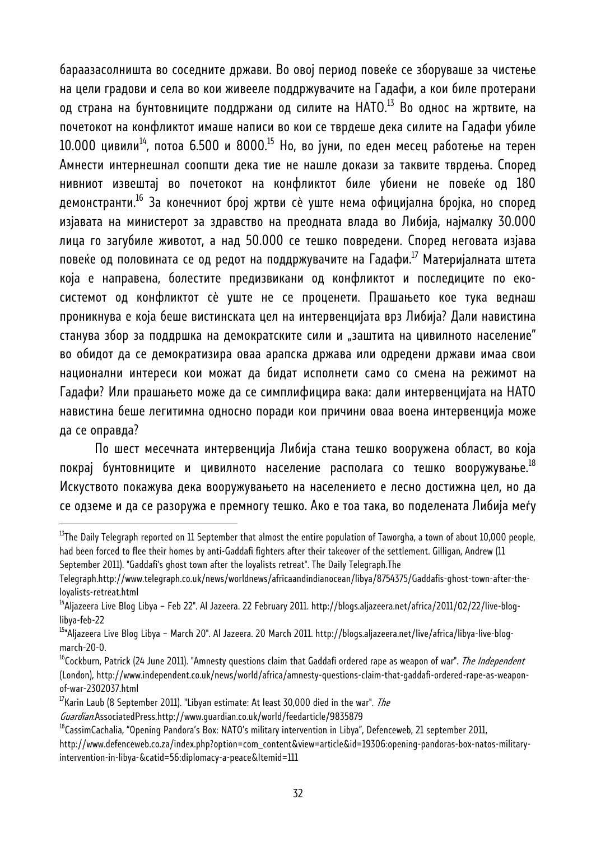бараазасолништа во соседните држави. Во овој период повеќе се зборуваше за чистење на цели градови и села во кои живееле поддржувачите на Гадафи, а кои биле протерани од страна на бунтовниците поддржани од силите на НАТО.<sup>13</sup> Во однос на жртвите, на почетокот на конфликтот имаше написи во кои се тврдеше дека силите на Гадафи убиле  $10.000$  цивили<sup>14</sup>, потоа 6.500 и 8000.<sup>15</sup> Но, во јуни, по еден месец работење на терен Амнести интернешнал соопшти дека тие не нашле докази за таквите тврдења. Според нивниот извештај во почетокот на конфликтот биле убиени не повеќе од 180 демонстранти.16 За конечниот број жртви сѐ уште нема официјална бројка, но според изјавата на министерот за здравство на преодната влада во Либија, најмалку 30.000 лица го загубиле животот, а над 50.000 се тешко повредени. Според неговата изјава повеќе од половината се од редот на поддржувачите на Гадафи.<sup>17</sup> Материјалната штета која е направена, болестите предизвикани од конфликтот и последиците по екосистемот од конфликтот сѐ уште не се проценети. Прашањето кое тука веднаш проникнува е која беше вистинската цел на интервенцијата врз Либија? Дали навистина станува збор за поддршка на демократските сили и "заштита на цивилното население" во обидот да се демократизира оваа арапска држава или одредени држави имаа свои национални интереси кои можат да бидат исполнети само со смена на режимот на Гадафи? Или прашањето може да се симплифицира вака: дали интервенцијата на НАТО навистина беше легитимна односно поради кои причини оваа воена интервенција може да се оправда?

По шест месечната интервенција Либија стана тешко вооружена област, во која покрај бунтовниците и цивилното население располага со тешко вооружување.<sup>18</sup> Искуството покажува дека вооружувањето на населението е лесно достижна цел, но да се одземе и да се разоружа е премногу тешко. Ако е тоа така, во поделената Либија меѓу

 $17$ Karin Laub (8 September 2011). "Libyan estimate: At least 30,000 died in the war". The

 $^{13}$ The Daily Telegraph reported on 11 September that almost the entire population of Taworgha, a town of about 10,000 people, had been forced to flee their homes by anti-Gaddafi fighters after their takeover of the settlement. Gilligan, Andrew (11 September 2011). "Gaddafi's ghost town after the loyalists retreat". The Daily Telegraph.The

Telegraph.http://www.telegraph.co.uk/news/worldnews/africaandindianocean/libya/8754375/Gaddafis-ghost-town-after-theloyalists-retreat.html<br><sup>14</sup>Aljazeera Live Blog Libya – Feb 22". Al Jazeera. 22 February 2011. http://blogs.aljazeera.net/africa/2011/02/22/live-blog-

libya-feb-22

<sup>15&</sup>quot;Aljazeera Live Blog Libya – March 20". Al Jazeera. 20 March 2011. http://blogs.aljazeera.net/live/africa/libya-live-blogmarch-20-0.

<sup>&</sup>lt;sup>16</sup>Cockburn. Patrick (24 June 2011). "Amnesty questions claim that Gaddafi ordered rape as weapon of war". *The Independent* (London), http://www.independent.co.uk/news/world/africa/amnesty-questions-claim-that-gaddafi-ordered-rape-as-weaponof-war-2302037.html

Guardian.AssociatedPress.http://www.guardian.co.uk/world/feedarticle/9835879<br><sup>18</sup>CassimCachalia, "Opening Pandora's Box: NATO's military intervention in Libya", Defenceweb, 21 september 2011,

http://www.defenceweb.co.za/index.php?option=com\_content&view=article&id=19306:opening-pandoras-box-natos-militaryintervention-in-libya-&catid=56:diplomacy-a-peace&Itemid=111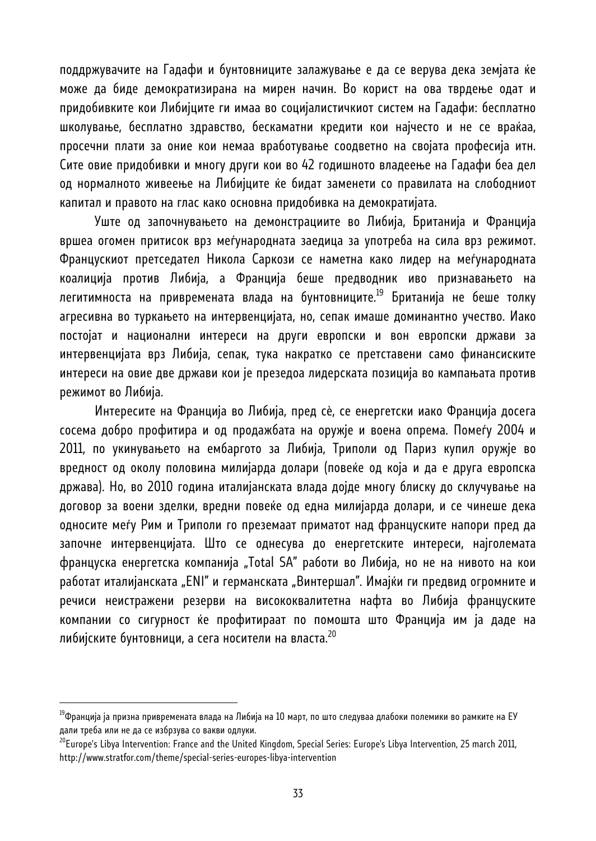поддржувачите на Гадафи и бунтовниците залажување е да се верува дека земјата ќе може да биде демократизирана на мирен начин. Во корист на ова тврдење одат и придобивките кои Либијците ги имаа во социјалистичкиот систем на Гадафи: бесплатно школување, бесплатно здравство, бескаматни кредити кои најчесто и не се враќаа, просечни плати за оние кои немаа вработување соодветно на својата професија итн. Сите овие придобивки и многу други кои во 42 годишното владеење на Гадафи беа дел од нормалното живеење на Либијците ќе бидат заменети со правилата на слободниот капитал и правото на глас како основна придобивка на демократијата.

Уште од започнувањето на демонстрациите во Либија, Британија и Франција вршеа огомен притисок врз меѓународната заедица за употреба на сила врз режимот. Францускиот претседател Никола Саркози се наметна како лидер на меѓународната коалиција против Либија, а Франција беше предводник иво признавањето на легитимноста на привремената влада на бунтовниците.<sup>19</sup> Британија не беше толку агресивна во туркањето на интервенцијата, но, сепак имаше доминантно учество. Иако постојат и национални интереси на други европски и вон европски држави за интервенцијата врз Либија, сепак, тука накратко се претставени само финансиските интереси на овие две држави кои је презедоа лидерската позиција во кампањата против режимот во Либија.

Интересите на Франција во Либија, пред сѐ, се енергетски иако Франција досега сосема добро профитира и од продажбата на оружје и воена опрема. Помеѓу 2004 и 2011, по укинувањето на ембаргото за Либија, Триполи од Париз купил оружје во вредност од околу половина милијарда долари (повеќе од која и да е друга европска држава). Но, во 2010 година италијанската влада дојде многу блиску до склучување на договор за воени зделки, вредни повеќе од една милијарда долари, и се чинеше дека односите меѓу Рим и Триполи го преземаат приматот над француските напори пред да започне интервенцијата. Што се однесува до енергетските интереси, најголемата француска енергетска компанија "Total SA" работи во Либија, но не на нивото на кои работат италијанската "ENI" и германската "Винтершал". Имајќи ги предвид огромните и речиси неистражени резерви на висококвалитетна нафта во Либија француските компании со сигурност ќе профитираат по помошта што Франција им ја даде на либијските бунтовници, а сега носители на власта.<sup>20</sup>

<sup>&</sup>lt;sup>19</sup>Франција ја призна привремената влада на Либија на 10 март, по што следуваа длабоки полемики во рамките на ЕУ дали треба или не да се избрзува со вакви одлуки.

 $^{20}$ Europe's Libya Intervention: France and the United Kingdom, Special Series: Europe's Libya Intervention, 25 march 2011, http://www.stratfor.com/theme/special-series-europes-libya-intervention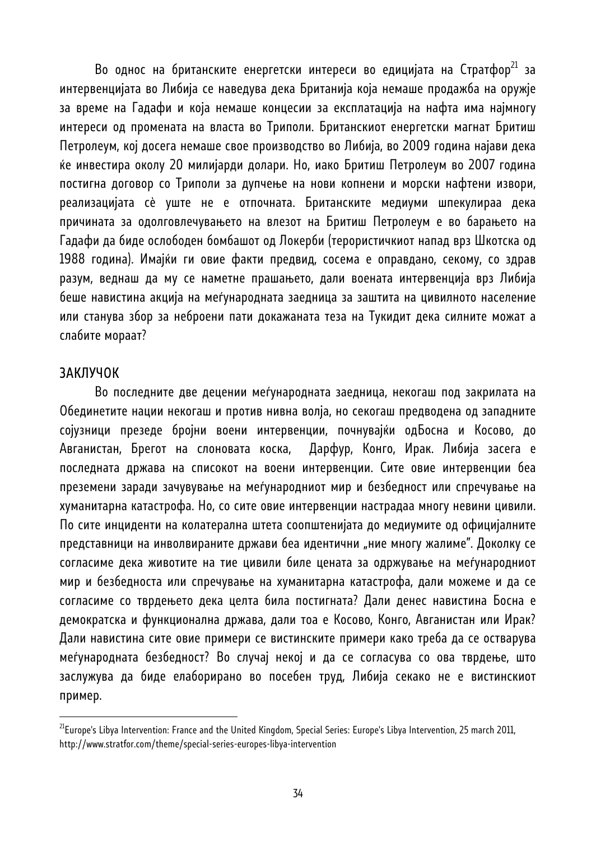Во однос на британските енергетски интереси во едицијата на Стратфор<sup>21</sup> за интервенцијата во Либија се наведува дека Британија која немаше продажба на оружје за време на Гадафи и која немаше концесии за експлатација на нафта има најмногу интереси од промената на власта во Триполи. Британскиот енергетски магнат Бритиш Петролеум, кој досега немаше свое производство во Либија, во 2009 година најави дека ќе инвестира околу 20 милијарди долари. Но, иако Бритиш Петролеум во 2007 година постигна договор со Триполи за дупчење на нови копнени и морски нафтени извори, реализацијата сѐ уште не е отпочната. Британските медиуми шпекулираа дека причината за одолговлечувањето на влезот на Бритиш Петролеум е во барањето на Гадафи да биде ослободен бомбашот од Локерби (терористичкиот напад врз Шкотска од 1988 година). Имајќи ги овие факти предвид, сосема е оправдано, секому, со здрав разум, веднаш да му се наметне прашањето, дали воената интервенција врз Либија беше навистина акција на меѓународната заедница за заштита на цивилното население или станува збор за неброени пати докажаната теза на Тукидит дека силните можат а слабите мораат?

#### ЗАКЛУЧОК

l

Во последните две децении меѓународната заедница, некогаш под закрилата на Обединетите нации некогаш и против нивна волја, но секогаш предводена од западните сојузници презеде бројни воени интервенции, почнувајќи одБосна и Косово, до Авганистан, Брегот на слоновата коска, Дарфур, Конго, Ирак. Либија засега е последната држава на списокот на воени интервенции. Сите овие интервенции беа преземени заради зачувување на меѓународниот мир и безбедност или спречување на хуманитарна катастрофа. Но, со сите овие интервенции настрадаа многу невини цивили. По сите инциденти на колатерална штета соопштенијата до медиумите од официјалните представници на инволвираните држави беа идентични "ние многу жалиме". Доколку се согласиме дека животите на тие цивили биле цената за одржување на меѓународниот мир и безбедноста или спречување на хуманитарна катастрофа, дали можеме и да се согласиме со тврдењето дека целта била постигната? Дали денес навистина Босна е демократска и функционална држава, дали тоа е Косово, Конго, Авганистан или Ирак? Дали навистина сите овие примери се вистинските примери како треба да се остварува меѓународната безбедност? Во случај некој и да се согласува со ова тврдење, што заслужува да биде елаборирано во посебен труд, Либија секако не е вистинскиот пример.

 $^{21}$ Europe's Libya Intervention: France and the United Kingdom, Special Series: Europe's Libya Intervention, 25 march 2011, http://www.stratfor.com/theme/special-series-europes-libya-intervention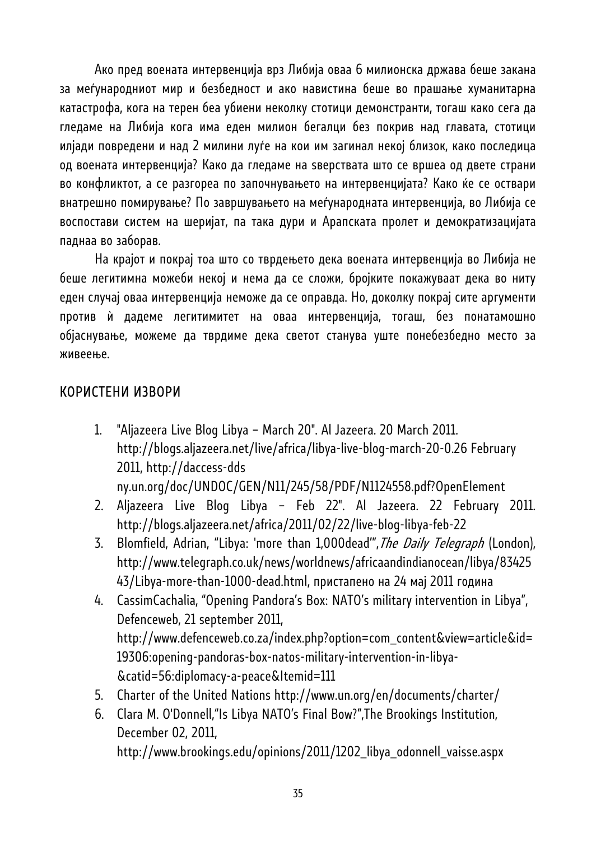Ако пред воената интервенција врз Либија оваа 6 милионска држава беше закана за меѓународниот мир и безбедност и ако навистина беше во прашање хуманитарна катастрофа, кога на терен беа убиени неколку стотици демонстранти, тогаш како сега да гледаме на Либија кога има еден милион бегалци без покрив над главата, стотици илјади повредени и над 2 милини луѓе на кои им загинал некој близок, како последица од воената интервенција? Како да гледаме на ѕверствата што се вршеа од двете страни во конфликтот, а се разгореа по започнувањето на интервенцијата? Како ќе се оствари внатрешно помирување? По завршувањето на меѓународната интервенција, во Либија се воспостави систем на шеријат, па така дури и Арапската пролет и демократизацијата паднаа во заборав.

На крајот и покрај тоа што со тврдењето дека воената интервенција во Либија не беше легитимна можеби некој и нема да се сложи, бројките покажуваат дека во ниту еден случај оваа интервенција неможе да се оправда. Но, доколку покрај сите аргументи против дадеме легитимитет на оваа интервенција, тогаш, без понатамошно објаснување, можеме да тврдиме дека светот станува уште понебезбедно место за живеење.

### КОРИСТЕНИ ИЗВОРИ

1. "Aljazeera Live Blog Libya – March 20". Al Jazeera. 20 March 2011. http://blogs.aljazeera.net/live/africa/libya-live-blog-march-20-0.26 February 2011, http://daccess-dds

ny.un.org/doc/UNDOC/GEN/N11/245/58/PDF/N1124558.pdf?OpenElement

- 2. Aljazeera Live Blog Libya Feb 22". Al Jazeera. 22 February 2011. http://blogs.aljazeera.net/africa/2011/02/22/live-blog-libya-feb-22
- 3. Blomfield, Adrian, "Libya: 'more than 1,000dead", The Daily Telegraph (London), http://www.telegraph.co.uk/news/worldnews/africaandindianocean/libya/83425 43/Libya-more-than-1000-dead.html, пристапено на 24 мај 2011 година
- 4. CassimCachalia, "Opening Pandora's Box: NATO's military intervention in Libya", Defenceweb, 21 september 2011, http://www.defenceweb.co.za/index.php?option=com\_content&view=article&id= 19306:opening-pandoras-box-natos-military-intervention-in-libya- &catid=56:diplomacy-a-peace&Itemid=111
- 5. Charter of the United Nations http://www.un.org/en/documents/charter/
- 6. Clara M. O'Donnell,"Is Libya NATO's Final Bow?",The Brookings Institution, December 02, 2011,

http://www.brookings.edu/opinions/2011/1202\_libya\_odonnell\_vaisse.aspx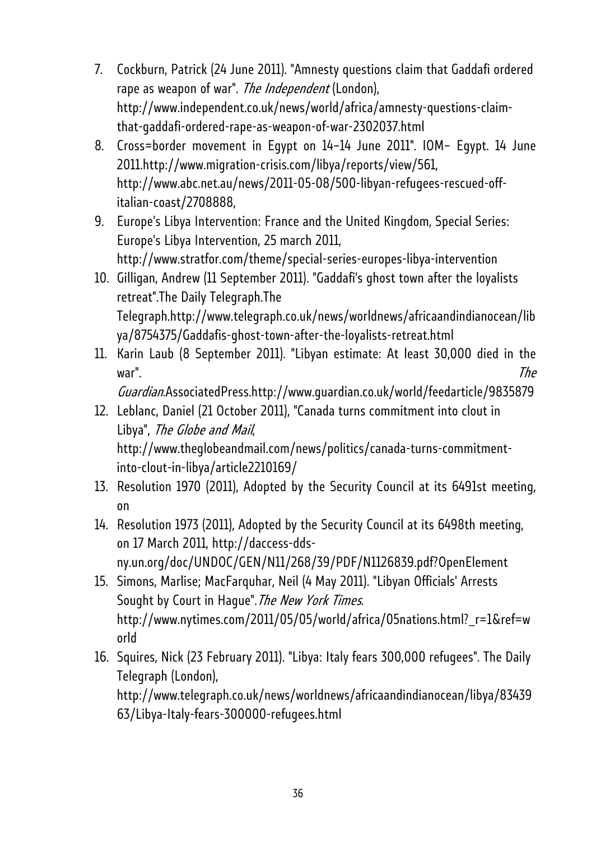- 7. Cockburn, Patrick (24 June 2011). "Amnesty questions claim that Gaddafi ordered rape as weapon of war". The Independent (London), http://www.independent.co.uk/news/world/africa/amnesty-questions-claimthat-gaddafi-ordered-rape-as-weapon-of-war-2302037.html
- 8. Cross=border movement in Egypt on 14–14 June 2011". IOM– Egypt. 14 June 2011.http://www.migration-crisis.com/libya/reports/view/561, http://www.abc.net.au/news/2011-05-08/500-libyan-refugees-rescued-offitalian-coast/2708888,
- 9. Europe's Libya Intervention: France and the United Kingdom, Special Series: Europe's Libya Intervention, 25 march 2011, http://www.stratfor.com/theme/special-series-europes-libya-intervention
- 10. Gilligan, Andrew (11 September 2011). "Gaddafi's ghost town after the loyalists retreat".The Daily Telegraph.The Telegraph.http://www.telegraph.co.uk/news/worldnews/africaandindianocean/lib ya/8754375/Gaddafis-ghost-town-after-the-loyalists-retreat.html
- 11. Karin Laub (8 September 2011). "Libyan estimate: At least 30,000 died in the war". The state of the state of the state of the state of the state of the state of the state of the state of the state of the state of the state of the state of the state of the state of the state of the state of the stat

Guardian.AssociatedPress.http://www.guardian.co.uk/world/feedarticle/9835879

- 12. Leblanc, Daniel (21 October 2011), "Canada turns commitment into clout in Libya", The Globe and Mail, http://www.theglobeandmail.com/news/politics/canada-turns-commitmentinto-clout-in-libya/article2210169/
- 13. Resolution 1970 (2011), Adopted by the Security Council at its 6491st meeting, on
- 14. Resolution 1973 (2011), Adopted by the Security Council at its 6498th meeting, on 17 March 2011, http://daccess-ddsny.un.org/doc/UNDOC/GEN/N11/268/39/PDF/N1126839.pdf?OpenElement
- 15. Simons, Marlise; MacFarquhar, Neil (4 May 2011). "Libyan Officials' Arrests Sought by Court in Hague". The New York Times. http://www.nytimes.com/2011/05/05/world/africa/05nations.html?\_r=1&ref=w orld
- 16. Squires, Nick (23 February 2011). "Libya: Italy fears 300,000 refugees". The Daily Telegraph (London), http://www.telegraph.co.uk/news/worldnews/africaandindianocean/libya/83439

63/Libya-Italy-fears-300000-refugees.html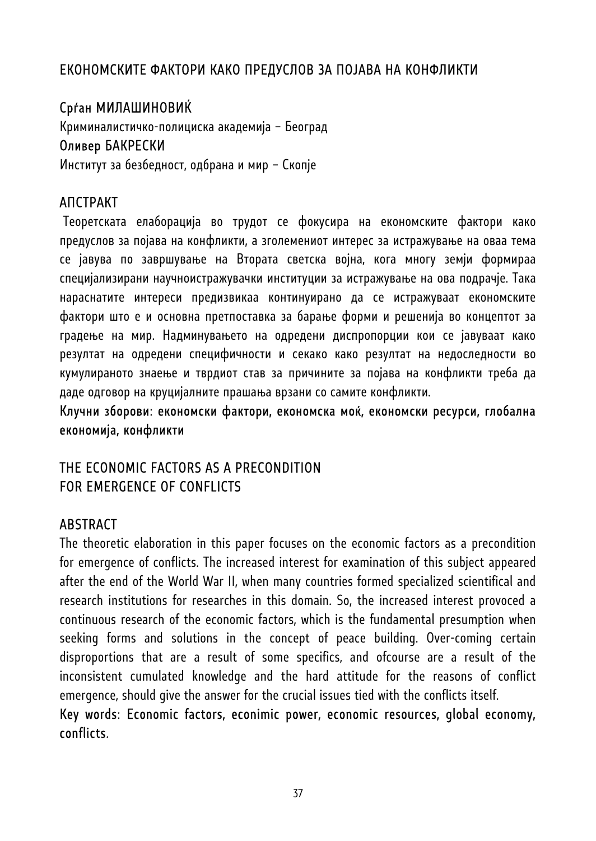## ЕКОНОМСКИТЕ ФАКТОРИ КАКО ПРЕДУСЛОВ ЗА ПОЈАВА НА КОНФЛИКТИ

# Срѓан МИЛАШИНОВИЌ

Криминалистичко-полициска академија – Београд Оливер БАКРЕСКИ

Институт за безбедност, одбрана и мир – Скопје

## АПСТРАКТ

 Теоретската елаборација во трудот се фокусира на економските фактори како предуслов за појава на конфликти, а зголемениот интерес за истражување на оваа тема се јавува по завршување на Втората светска војна, кога многу земји формираа специјализирани научноистражувачки институции за истражување на ова подрачје. Така нараснатите интереси предизвикаа континуирано да се истражуваат економските фактори што е и основна претпоставка за барање форми и решенија во концептот за градење на мир. Надминувањето на одредени диспропорции кои се јавуваат како резултат на одредени специфичности и секако како резултат на недоследности во кумулираното знаење и тврдиот став за причините за појава на конфликти треба да даде одговор на круцијалните прашања врзани со самите конфликти.

Клучни зборови: економски фактори, економска моќ, економски ресурси, глобална економија, конфликти

## THE ECONOMIC FACTORS AS A PRECONDITION FOR EMERGENCE OF CONFLICTS

### **ABSTRACT**

The theoretic elaboration in this paper focuses on the economic factors as a precondition for emergence of conflicts. The increased interest for examination of this subject appeared after the end of the World War II, when many countries formed specialized scientifical and research institutions for researches in this domain. So, the increased interest provoced a continuous research of the economic factors, which is the fundamental presumption when seeking forms and solutions in the concept of peace building. Over-coming certain disproportions that are a result of some specifics, and ofcourse are a result of the inconsistent cumulated knowledge and the hard attitude for the reasons of conflict emergence, should give the answer for the crucial issues tied with the conflicts itself.

Key words: Economic factors, econimic power, economic resources, global economy, conflicts.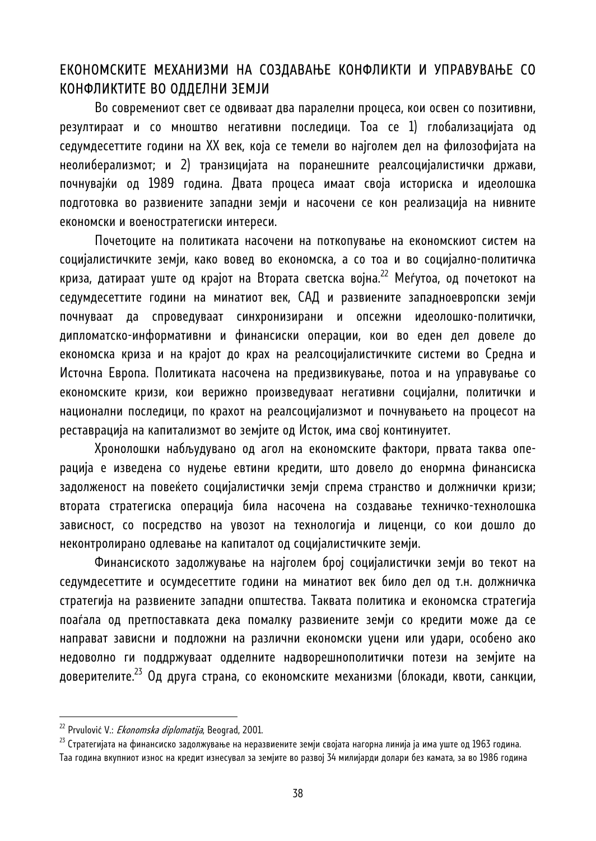#### ЕКОНОМСКИТЕ МЕХАНИЗМИ НА СОЗДАВАЊЕ КОНФЛИКТИ И УПРАВУВАЊЕ СО КОНФЛИКТИТЕ ВО ОДДЕЛНИ ЗЕМЈИ

Во современиот свет се одвиваат два паралелни процеса, кои освен со позитивни, резултираат и со мноштво негативни последици. Тоа се 1) глобализацијата од седумдесеттите години на XX век, која се темели во најголем дел на филозофијата на неолиберализмот; и 2) транзицијата на поранешните реалсоцијалистички држави, почнувајќи од 1989 година. Двата процеса имаат своја историска и идеолошка подготовка во развиените западни земји и насочени се кон реализација на нивните економски и военостратегиски интереси.

Почетоците на политиката насочени на поткопување на економскиот систем на социјалистичките земји, како вовед во економска, а со тоа и во социјално-политичка криза, датираат уште од крајот на Втората светска војна.22 Меѓутоа, од почетокот на седумдесеттите години на минатиот век, САД и развиените западноевропски земји почнуваат да спроведуваат синхронизирани и опсежни идеолошко-политички, дипломатско-информативни и финансиски операции, кои во еден дел довеле до економска криза и на крајот до крах на реалсоцијалистичките системи во Средна и Источна Европа. Политиката насочена на предизвикување, потоа и на управување со економските кризи, кои верижно произведуваат негативни социјални, политички и национални последици, по крахот на реалсоцијализмот и почнувањето на процесот на реставрација на капитализмот во земјите од Исток, има свој континуитет.

Хронолошки набљудувано од агол на економските фактори, првата таква операција е изведена со нудење евтини кредити, што довело до енормна финансиска задолженост на повеќето социјалистички земји спрема странство и должнички кризи; втората стратегиска операција била насочена на создавање техничко-технолошка зависност, со посредство на увозот на технологија и лиценци, со кои дошло до неконтролирано одлевање на капиталот од социјалистичките земји.

Финансиското задолжување на најголем број социјалистички земји во текот на седумдесеттите и осумдесеттите години на минатиот век било дел од т.н. должничка стратегија на развиените западни општества. Таквата политика и економска стратегија поаѓала од претпоставката дека помалку развиените земји со кредити може да се направат зависни и подложни на различни економски уцени или удари, особено ако недоволно ги поддржуваат одделните надворешнополитички потези на земјите на доверителите.<sup>23</sup> Од друга страна, со економските механизми (блокади, квоти, санкции,

<sup>&</sup>lt;sup>22</sup> Prvulović V.: *Ekonomska diplomatija*, Beograd, 2001.<br><sup>23</sup> Стратегијата на финансиско задолжување на неразвиените земји својата нагорна линија ја има уште од 1963 година. Таа година вкупниот износ на кредит изнесувал за земјите во развој 34 милијарди долари без камата, за во 1986 година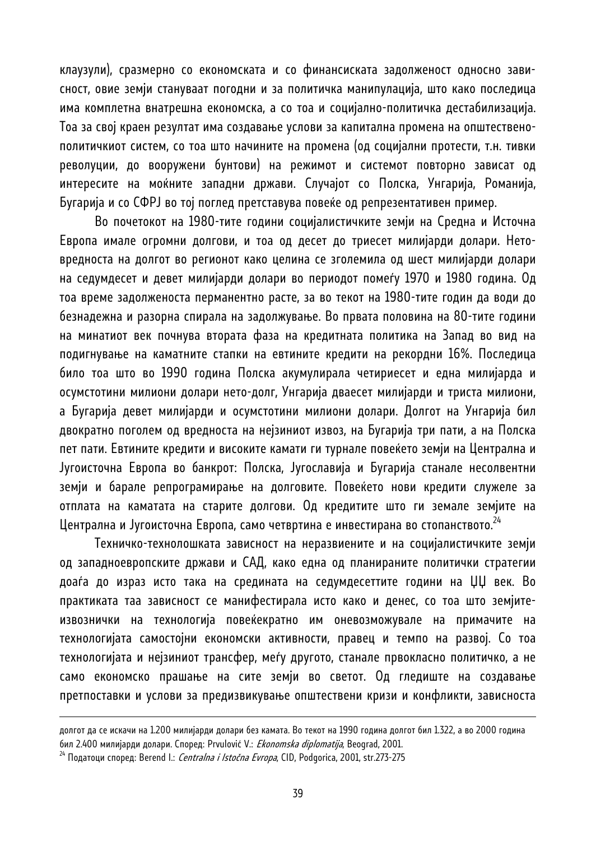клаузули), сразмерно со економската и со финансиската задолженост односно зависност, овие земји стануваат погодни и за политичка манипулација, што како последица има комплетна внатрешна економска, а со тоа и социјално-политичка дестабилизација. Тоа за свој краен резултат има создавање услови за капитална промена на општественополитичкиот систем, со тоа што начините на промена (од социјални протести, т.н. тивки револуции, до вооружени бунтови) на режимот и системот повторно зависат од интересите на моќните западни држави. Случајот со Полска, Унгарија, Романија, Бугарија и со СФРЈ во тој поглед претставува повеќе од репрезентативен пример.

Во почетокот на 1980-тите години социјалистичките земји на Средна и Источна Европа имале огромни долгови, и тоа од десет до триесет милијарди долари. Нетовредноста на долгот во регионот како целина се зголемила од шест милијарди долари на седумдесет и девет милијарди долари во периодот помеѓу 1970 и 1980 година. Од тоа време задолженоста перманентно расте, за во текот на 1980-тите годин да води до безнадежна и разорна спирала на задолжување. Во првата половина на 80-тите години на минатиот век почнува втората фаза на кредитната политика на Запад во вид на подигнување на каматните стапки на евтините кредити на рекордни 16%. Последица било тоа што во 1990 година Полска акумулирала четириесет и една милијарда и осумстотини милиони долари нето-долг, Унгарија дваесет милијарди и триста милиони, а Бугарија девет милијарди и осумстотини милиони долари. Долгот на Унгарија бил двократно поголем од вредноста на нејзиниот извоз, на Бугарија три пати, а на Полска пет пати. Евтините кредити и високите камати ги турнале повеќето земји на Централна и Југоисточна Европа во банкрот: Полска, Југославија и Бугарија станале несолвентни земји и барале репрограмирање на долговите. Повеќето нови кредити служеле за отплата на каматата на старите долгови. Од кредитите што ги земале земјите на Централна и Југоисточна Европа, само четвртина е инвестирана во стопанството.<sup>24</sup>

Техничко-технолошката зависност на неразвиените и на социјалистичките земји од западноевропските држави и САД, како една од планираните политички стратегии доаѓа до израз исто така на средината на седумдесеттите години на ЏЏ век. Во практиката таа зависност се манифестирала исто како и денес, со тоа што земјитеизвознички на технологија повеќекратно им оневозможувале на примачите на технологијата самостојни економски активности, правец и темпо на развој. Со тоа технологијата и нејзиниот трансфер, меѓу другото, станале првокласно политичко, а не само економско прашање на сите земји во светот. Од гледиште на создавање претпоставки и услови за предизвикување општествени кризи и конфликти, зависноста

долгот да се искачи на 1.200 милијарди долари без камата. Во текот на 1990 година долгот бил 1.322, а во 2000 година бил 2.400 милијарди долари. Според: Prvulović V.: *Ekonomska diplomatija*, Beograd, 2001.<br><sup>24</sup> Податоци според: Berend I.: *Centralna i Istočna Evropa*, CID, Podgorica, 2001, str.273-275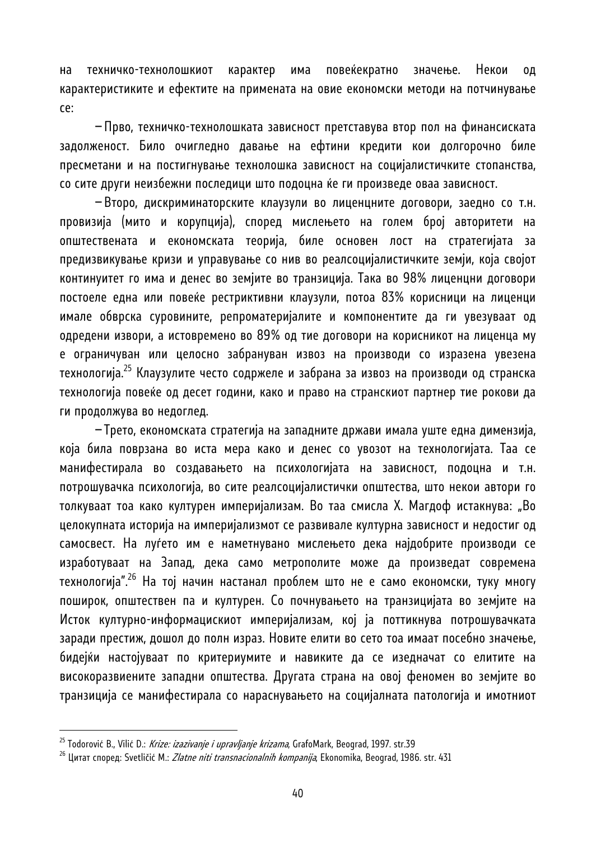на техничко-технолошкиот карактер има повеќекратно значење. Некои од карактеристиките и ефектите на примената на овие економски методи на потчинување се:

−Прво, техничко-технолошката зависност претставува втор пол на финансиската задолженост. Било очигледно давање на ефтини кредити кои долгорочно биле пресметани и на постигнување технолошка зависност на социјалистичките стопанства, со сите други неизбежни последици што подоцна ќе ги произведе оваа зависност.

−Второ, дискриминаторските клаузули во лиценцните договори, заедно со т.н. провизија (мито и корупција), според мислењето на голем број авторитети на општествената и економската теорија, биле основен лост на стратегијата за предизвикување кризи и управување со нив во реалсоцијалистичките земји, која својот континуитет го има и денес во земјите во транзиција. Така во 98% лиценцни договори постоеле една или повеќе рестриктивни клаузули, потоа 83% корисници на лиценци имале обврска суровините, репроматеријалите и компонентите да ги увезуваат од одредени извори, а истовремено во 89% од тие договори на корисникот на лиценца му е ограничуван или целосно забрануван извоз на производи со изразена увезена технологија.<sup>25</sup> Клаузулите често содржеле и забрана за извоз на производи од странска технологија повеќе од десет години, како и право на странскиот партнер тие рокови да ги продолжува во недоглед.

−Трето, економската стратегија на западните држави имала уште една димензија, која била поврзана во иста мера како и денес со увозот на технологијата. Таа се манифестирала во создавањето на психологијата на зависност, подоцна и т.н. потрошувачка психологија, во сите реалсоцијалистички општества, што некои автори го толкуваат тоа како културен империјализам. Во таа смисла Х. Магдоф истакнува: "Во целокупната историја на империјализмот се развивале културна зависност и недостиг од самосвест. На луѓето им е наметнувано мислењето дека најдобрите производи се изработуваат на Запад, дека само метрополите може да произведат современа технологија".26 На тој начин настанал проблем што не е само економски, туку многу поширок, општествен па и културен. Со почнувањето на транзицијата во земјите на Исток културно-информацискиот империјализам, кој ја поттикнува потрошувачката заради престиж, дошол до полн израз. Новите елити во сето тоа имаат посебно значење, бидејќи настојуваат по критериумите и навиките да се изедначат со елитите на високоразвиените западни општества. Другата страна на овој феномен во земјите во транзиција се манифестирала со нараснувањето на социјалната патологија и имотниот

<sup>&</sup>lt;sup>25</sup> Todorović B., Vilić D.: *Krize: izazivanje i upravljanje krizama*, GrafoMark, Beograd, 1997. str.39<br><sup>26</sup> Цитат според: Svetličić M.: *Zlatne niti transnacionalnih kompanija*, Ekonomika, Beograd, 1986. str. 431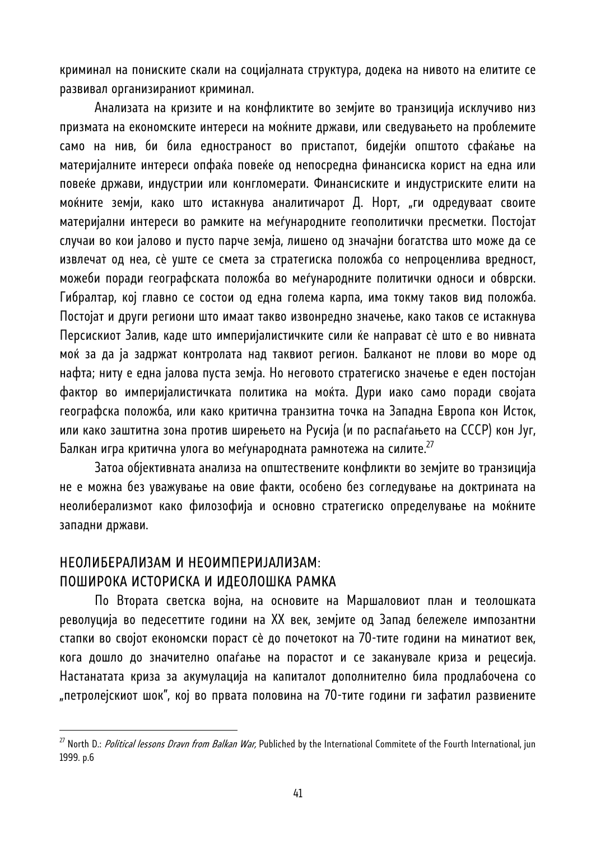криминал на пониските скали на социјалната структура, додека на нивото на елитите се развивал организираниот криминал.

Анализата на кризите и на конфликтите во земјите во транзиција исклучиво низ призмата на економските интереси на моќните држави, или сведувањето на проблемите само на нив, би била едностраност во пристапот, бидејќи општото сфаќање на материјалните интереси опфаќа повеќе од непосредна финансиска корист на една или повеќе држави, индустрии или конгломерати. Финансиските и индустриските елити на моќните земји, како што истакнува аналитичарот Д. Норт, "ги одредуваат своите материјални интереси во рамките на меѓународните геополитички пресметки. Постојат случаи во кои јалово и пусто парче земја, лишено од значајни богатства што може да се извлечат од неа, сè уште се смета за стратегиска положба со непроценлива вредност, можеби поради географската положба во меѓународните политички односи и обврски. Гибралтар, кој главно се состои од една голема карпа, има токму таков вид положба. Постојат и други региони што имаат такво извонредно значење, како таков се истакнува Персискиот Залив, каде што империјалистичките сили ќе направат сè што е во нивната моќ за да ја задржат контролата над таквиот регион. Балканот не плови во море од нафта; ниту е една јалова пуста земја. Но неговото стратегиско значење е еден постојан фактор во империјалистичката политика на моќта. Дури иако само поради својата географска положба, или како критична транзитна точка на Западна Европа кон Исток, или како заштитна зона против ширењето на Русија (и по распаѓањето на СССР) кон Југ, Балкан игра критична улога во меѓународната рамнотежа на силите.<sup>27</sup>

Затоа објективната анализа на општествените конфликти во земјите во транзиција не е можна без уважување на овие факти, особено без согледување на доктрината на неолиберализмот како филозофија и основно стратегиско определување на моќните западни држави.

#### НЕОЛИБЕРАЛИЗАМ И НЕОИМПЕРИЈАЛИЗАМ: ПОШИРОКА ИСТОРИСКА И ИДЕОЛОШКА РАМКА

l

По Втората светска војна, на основите на Маршаловиот план и теолошката револуција во педесеттите години на XX век, земјите од Запад бележеле импозантни стапки во својот економски пораст сè до почетокот на 70-тите години на минатиот век, кога дошло до значително опаѓање на порастот и се заканувале криза и рецесија. Настанатата криза за акумулација на капиталот дополнително била продлабочена со "петролејскиот шок", кој во првата половина на 70-тите години ги зафатил развиените

<sup>&</sup>lt;sup>27</sup> North D.: *Political lessons Dravn from Balkan War*, Publiched by the International Commitete of the Fourth International, jun 1999. p.6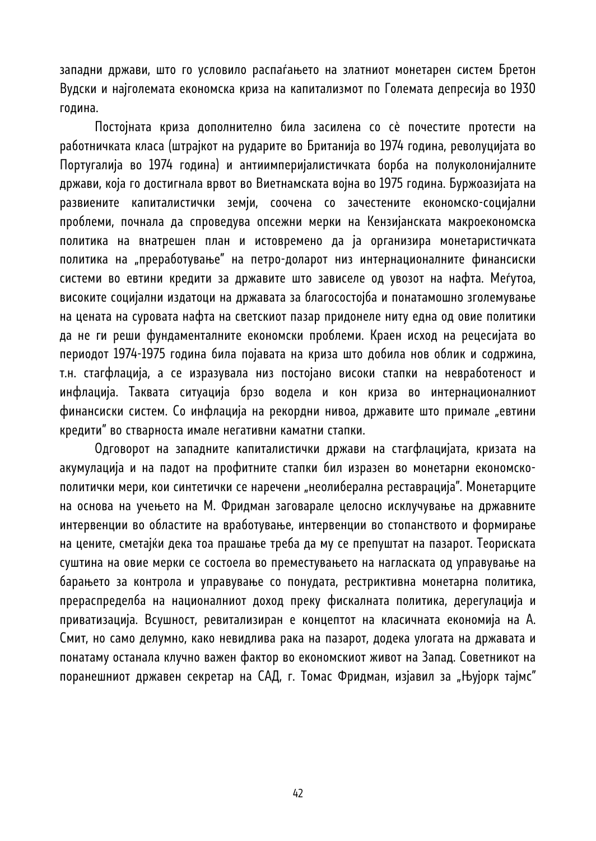западни држави, што го условило распаѓањето на златниот монетарен систем Бретон Вудски и најголемата економска криза на капитализмот по Големата депресија во 1930 година.

Постојната криза дополнително била засилена со сè почестите протести на работничката класа (штрајкот на рударите во Британија во 1974 година, револуцијата во Португалија во 1974 година) и антиимперијалистичката борба на полуколонијалните држави, која го достигнала врвот во Виетнамската војна во 1975 година. Буржоазијата на развиените капиталистички земји, соочена со зачестените економско-социјални проблеми, почнала да спроведува опсежни мерки на Кензијанската макроекономска политика на внатрешен план и истовремено да ја организира монетаристичката политика на "преработување" на петро-доларот низ интернационалните финансиски системи во евтини кредити за државите што зависеле од увозот на нафта. Меѓутоа, високите социјални издатоци на државата за благосостојба и понатамошно зголемување на цената на суровата нафта на светскиот пазар придонеле ниту една од овие политики да не ги реши фундаменталните економски проблеми. Краен исход на рецесијата во периодот 1974-1975 година била појавата на криза што добила нов облик и содржина, т.н. стагфлација, а се изразувала низ постојано високи стапки на невработеност и инфлација. Таквата ситуација брзо водела и кон криза во интернационалниот финансиски систем. Со инфлација на рекордни нивоа, државите што примале "евтини кредити" во стварноста имале негативни каматни стапки.

Одговорот на западните капиталистички држави на стагфлацијата, кризата на акумулација и на падот на профитните стапки бил изразен во монетарни економскополитички мери, кои синтетички се наречени "неолиберална реставрација". Монетарците на основа на учењето на М. Фридман заговарале целосно исклучување на државните интервенции во областите на вработување, интервенции во стопанството и формирање на цените, сметајќи дека тоа прашање треба да му се препуштат на пазарот. Теориската суштина на овие мерки се состоела во преместувањето на нагласката од управување на барањето за контрола и управување со понудата, рестриктивна монетарна политика, прераспределба на националниот доход преку фискалната политика, дерегулација и приватизација. Всушност, ревитализиран е концептот на класичната економија на А. Смит, но само делумно, како невидлива рака на пазарот, додека улогата на државата и понатаму останала клучно важен фактор во економскиот живот на Запад. Советникот на поранешниот државен секретар на САД, г. Томас Фридман, изјавил за "Њујорк тајмс"

42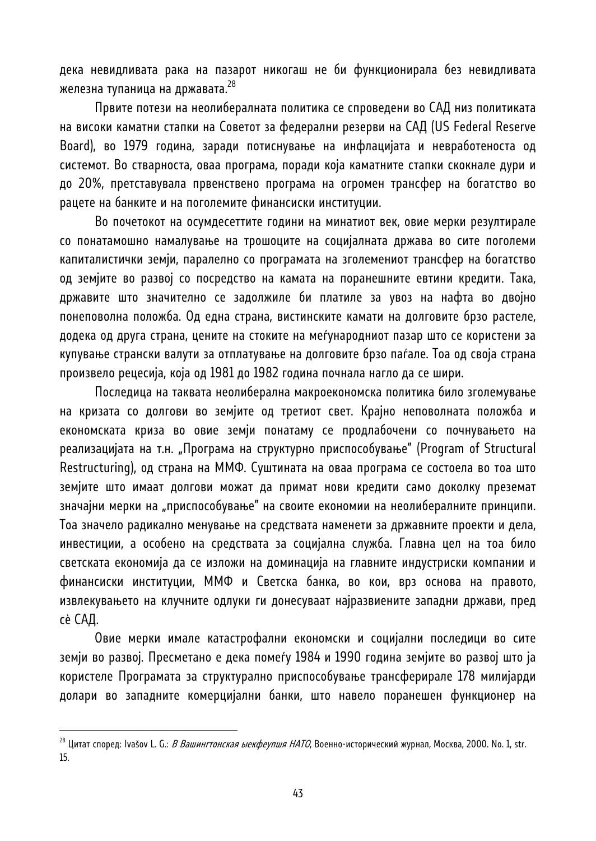дека невидливата рака на пазарот никогаш не би функционирала без невидливата железна тупаница на државата.  $^{28}$ 

Првите потези на неолибералната политика се спроведени во САД низ политиката на високи каматни стапки на Советот за федерални резерви на САД (US Federal Reserve Board), во 1979 година, заради потиснување на инфлацијата и невработеноста од системот. Во стварноста, оваа програма, поради која каматните стапки скокнале дури и до 20%, претставувала првенствено програма на огромен трансфер на богатство во рацете на банките и на поголемите финансиски институции.

Во почетокот на осумдесеттите години на минатиот век, овие мерки резултирале со понатамошно намалување на трошоците на социјалната држава во сите поголеми капиталистички земји, паралелно со програмата на зголемениот трансфер на богатство од земјите во развој со посредство на камата на поранешните евтини кредити. Така, државите што значително се задолжиле би платиле за увоз на нафта во двојно понеповолна положба. Од една страна, вистинските камати на долговите брзо растеле, додека од друга страна, цените на стоките на меѓународниот пазар што се користени за купување странски валути за отплатување на долговите брзо паѓале. Тоа од своја страна произвело рецесија, која од 1981 до 1982 година почнала нагло да се шири.

Последица на таквата неолиберална макроекономска политика било зголемување на кризата со долгови во земјите од третиот свет. Крајно неповолната положба и економската криза во овие земји понатаму се продлабочени со почнувањето на реализацијата на т.н. "Програма на структурно приспособување" (Program of Structural Restructuring), од страна на ММФ. Суштината на оваа програма се состоела во тоа што земјите што имаат долгови можат да примат нови кредити само доколку преземат значајни мерки на "приспособување" на своите економии на неолибералните принципи. Тоа значело радикално менување на средствата наменети за државните проекти и дела, инвестиции, а особено на средствата за социјална служба. Главна цел на тоа било светската економија да се изложи на доминација на главните индустриски компании и финансиски институции, ММФ и Светска банка, во кои, врз основа на правото, извлекувањето на клучните одлуки ги донесуваат најразвиените западни држави, пред сè САД.

Овие мерки имале катастрофални економски и социјални последици во сите земји во развој. Пресметано е дека помеѓу 1984 и 1990 година земјите во развој што ја користеле Програмата за структурално приспособување трансферирале 178 милијарди долари во западните комерцијални банки, што навело поранешен функционер на

 $^{28}$  Цитат според: Ivašov L. G.: *В Вашингтонская ыекфеупшя НАТО*, Военно-исторический журнал, Москва, 2000. No. 1, str. 15.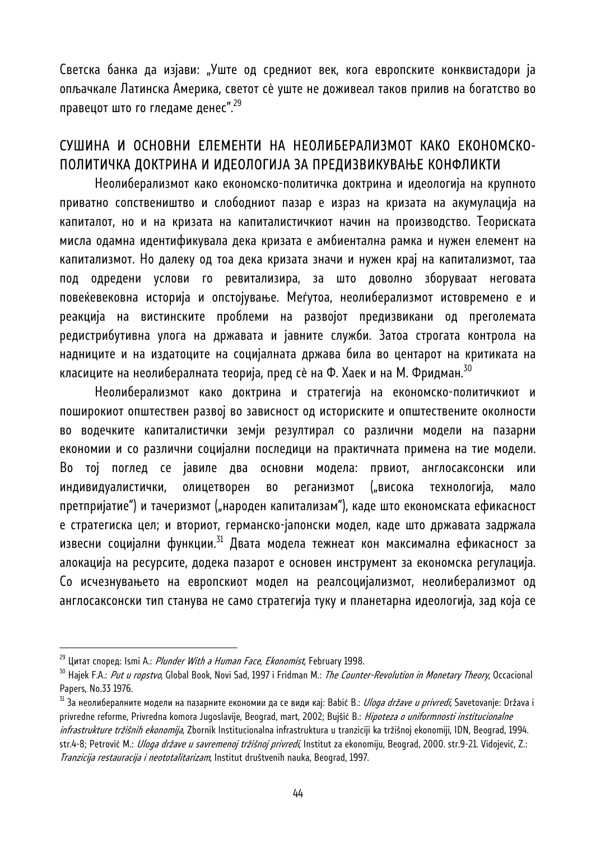Светска банка да изјави: "Уште од средниот век, кога европските конквистадори ја опљачкале Латинска Америка, светот сè уште не доживеал таков прилив на богатство во правецот што го гледаме денес".<sup>29</sup>

### СУШИНА И ОСНОВНИ ЕЛЕМЕНТИ НА НЕОЛИБЕРАЛИЗМОТ КАКО ЕКОНОМСКО-ПОЛИТИЧКА ДОКТРИНА И ИДЕОЛОГИЈА ЗА ПРЕДИЗВИКУВАЊЕ КОНФЛИКТИ

Неолиберализмот како економско-политичка доктрина и идеологија на крупното приватно сопствеништво и слободниот пазар е израз на кризата на акумулација на капиталот, но и на кризата на капиталистичкиот начин на производство. Теориската мисла одамна идентификувала дека кризата е амбиентална рамка и нужен елемент на капитализмот. Но далеку од тоа дека кризата значи и нужен крај на капитализмот, таа под одредени услови го ревитализира, за што доволно зборуваат неговата повеќевековна историја и опстојување. Меѓутоа, неолиберализмот истовремено е и реакција на вистинските проблеми на развојот предизвикани од преголемата редистрибутивна улога на државата и јавните служби. Затоа строгата контрола на надниците и на издатоците на социјалната држава била во центарот на критиката на класиците на неолибералната теорија, пред сè на Ф. Хаек и на М. Фридман. $^{50}$ 

Неолиберализмот како доктрина и стратегија на економско-политичкиот и поширокиот општествен развој во зависност од историските и општествените околности во водечките капиталистички земји резултирал со различни модели на пазарни економии и со различни социјални последици на практичната примена на тие модели. Во тој поглед се јавиле два основни модела: првиот, англосаксонски или индивидуалистички, олицетворен во реганизмот ("висока технологија, мало претпријатие") и тачеризмот ("народен капитализам"), каде што економската ефикасност е стратегиска цел; и вториот, германско-јапонски модел, каде што државата задржала извесни социјални функции.<sup>31</sup> Двата модела тежнеат кон максимална ефикасност за алокација на ресурсите, додека пазарот е основен инструмент за економска регулација. Со исчезнувањето на европскиот модел на реалсоцијализмот, неолиберализмот од англосаксонски тип станува не само стратегија туку и планетарна идеологија, зад која се

<sup>&</sup>lt;sup>29</sup> Цитат според: Ismi A.: *Plunder With a Human Face, Ekonomist*, February 1998.<br><sup>30</sup> Hajek F.A.: *Put u ropstvo*, Global Book, Novi Sad, 1997 i Fridman M.: *The Counter-Revolution in Monetary Theory,* Occacional Papers, No.33 1976.

<sup>&</sup>lt;sup>31</sup> За неолибералните модели на пазарните економии да се види кај: Babić B.: *Uloga države u privredi*, Savetovanje: Država i privredne reforme, Privredna komora Jugoslavije, Beograd, mart, 2002; Bujšić B.: Hipoteza o uniformnosti institucionalne infrastrukture tržišnih ekonomija, Zbornik Institucionalna infrastruktura u tranziciji ka tržišnoj ekonomiji, IDN, Beograd, 1994. str.4-8; Petrović M.: *Uloga države u savremenoj tržišnoj privredi*, Institut za ekonomiju, Beograd, 2000. str.9-21. Vidojević, Z.: Tranzicija restauracija i neototalitarizam, Institut društvenih nauka, Beograd, 1997.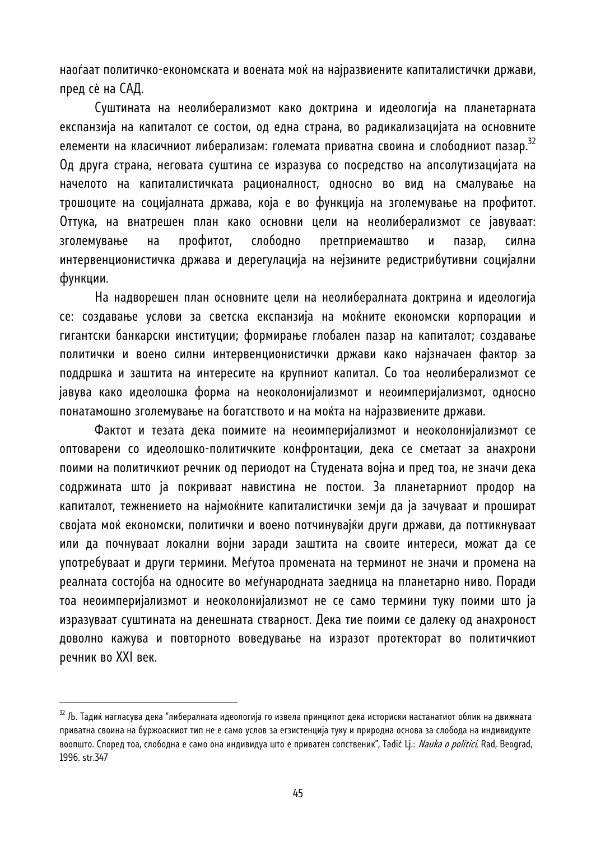наоѓаат политичко-економската и воената моќ на најразвиените капиталистички држави, пред сè на САД.

Суштината на неолиберализмот како доктрина и идеологија на планетарната експанзија на капиталот се состои, од една страна, во радикализацијата на основните елементи на класичниот либерализам: големата приватна своина и слободниот пазар.<sup>32</sup> Од друга страна, неговата суштина се изразува со посредство на апсолутизацијата на начелото на капиталистичката рационалност, односно во вид на смалување на трошоците на социјалната држава, која е во функција на зголемување на профитот. Оттука, на внатрешен план како основни цели на неолиберализмот се јавуваат: зголемување на профитот, слободно претприемаштво и пазар, силна интервенционистичка држава и дерегулација на нејзините редистрибутивни социјални функции.

На надворешен план основните цели на неолибералната доктрина и идеологија се: создавање услови за светска експанзија на моќните економски корпорации и гигантски банкарски институции; формирање глобален пазар на капиталот; создавање политички и воено силни интервенционистички држави како најзначаен фактор за поддршка и заштита на интересите на крупниот капитал. Со тоа неолиберализмот се јавува како идеолошка форма на неоколонијализмот и неоимперијализмот, односно понатамошно зголемување на богатството и на моќта на најразвиените држави.

Фактот и тезата дека поимите на неоимперијализмот и неоколонијализмот се оптоварени со идеолошко-политичките конфронтации, дека се сметаат за анахрони поими на политичкиот речник од периодот на Студената војна и пред тоа, не значи дека содржината што ја покриваат навистина не постои. За планетарниот продор на капиталот, тежнението на најмоќните капиталистички земји да ја зачуваат и прошират својата моќ економски, политички и воено потчинувајќи други држави, да поттикнуваат или да почнуваат локални војни заради заштита на своите интереси, можат да се употребуваат и други термини. Меѓутоа промената на терминот не значи и промена на реалната состојба на односите во меѓународната заедница на планетарно ниво. Поради тоа неоимперијализмот и неоколонијализмот не се само термини туку поими што ја изразуваат суштината на денешната стварност. Дека тие поими се далеку од анахроност доволно кажува и повторното воведување на изразот протекторат во политичкиот речник во XXI век.

 $^{32}$  Љ. Тадиќ нагласува дека "либералната идеологија го извела принципот дека историски настанатиот облик на движната приватна своина на буржоаскиот тип не е само услов за егзистенција туку и природна основа за слобода на индивидуите воопшто. Според тоа, слободна е само она индивидуа што е приватен сопственик", Tadić Lj.: Nauka o politici, Rad, Beograd, 1996. str.347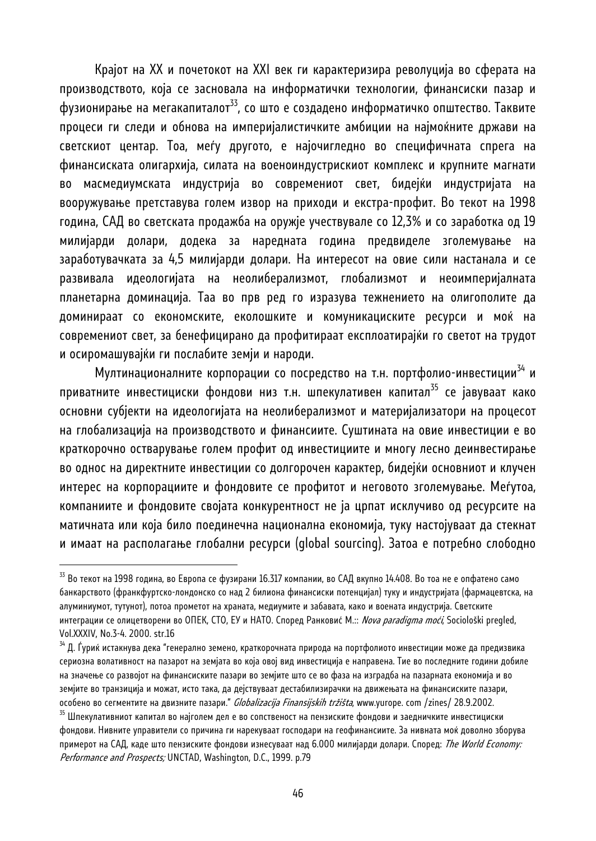Крајот на XX и почетокот на XXI век ги карактеризира револуција во сферата на производството, која се засновала на информатички технологии, финансиски пазар и фузионирање на мегакапиталот<sup>33</sup>, со што е создадено информатичко општество. Таквите процеси ги следи и обнова на империјалистичките амбиции на најмоќните држави на светскиот центар. Тоа, меѓу другото, е најочигледно во специфичната спрега на финансиската олигархија, силата на военоиндустрискиот комплекс и крупните магнати во масмедиумската индустрија во современиот свет, бидејќи индустријата на вооружување претставува голем извор на приходи и екстра-профит. Во текот на 1998 година, САД во светската продажба на оружје учествувале со 12,3% и со заработка од 19 милијарди долари, додека за наредната година предвиделе зголемување на заработувачката за 4,5 милијарди долари. На интересот на овие сили настанала и се развивала идеологијата на неолиберализмот, глобализмот и неоимперијалната планетарна доминација. Таа во прв ред го изразува тежнението на олигополите да доминираат со економските, еколошките и комуникациските ресурси и моќ на современиот свет, за бенефицирано да профитираат експлоатирајќи го светот на трудот и осиромашувајќи ги послабите земји и народи.

Мултинационалните корпорации со посредство на т.н. портфолио-инвестиции<sup>34</sup> и приватните инвестициски фондови низ т.н. шпекулативен капитал<sup>35</sup> се јавуваат како основни субјекти на идеологијата на неолиберализмот и материјализатори на процесот на глобализација на производството и финансиите. Суштината на овие инвестиции е во краткорочно остварување голем профит од инвестициите и многу лесно деинвестирање во однос на директните инвестиции со долгорочен карактер, бидејќи основниот и клучен интерес на корпорациите и фондовите се профитот и неговото зголемување. Меѓутоа, компаниите и фондовите својата конкурентност не ја црпат исклучиво од ресурсите на матичната или која било поединечна национална економија, туку настојуваат да стекнат и имаат на располагање глобални ресурси (global sourcing). Затоа е потребно слободно

 $^{\rm 33}$  Во текот на 1998 година, во Европа се фузирани 16.317 компании, во САД вкупно 14.408. Во тоа не е опфатено само банкарството (франкфуртско-лондонско со над 2 билиона финансиски потенцијал) туку и индустријата (фармацевтска, на алуминиумот, тутунот), потоа прометот на храната, медиумите и забавата, како и воената индустрија. Светските интеграции се олицетворени во ОПЕК, СТО, ЕУ и НАТО. Според Ранковиć М.:: Nova paradigma moći, Sociološki pregled, Vol.XXXIV, No.3-4. 2000. str.16

 $^{34}$  Д. Ѓуриќ истакнува дека "генерално земено, краткорочната природа на портфолиото инвестиции може да предизвика сериозна волативност на пазарот на земјата во која овој вид инвестиција е направена. Тие во последните години добиле на значење со развојот на финансиските пазари во земјите што се во фаза на изградба на пазарната економија и во земјите во транзиција и можат, исто така, да дејствуваат дестабилизирачки на движењата на финансиските пазари, особено во сегментите на двизните пазари." *Globalizacija Finansijskih tržišta*, www.yurope. com /zines/ 28.9.2002.<br><sup>35</sup> Шпекулативниот капитал во најголем дел е во сопственост на пензиските фондови и заедничките инвестиц

фондови. Нивните управители со причина ги нарекуваат господари на геофинансиите. За нивната моќ доволно зборува примерот на САД, каде што пензиските фондови изнесуваат над 6.000 милијарди долари. Според: The World Economy: Performance and Prospects; UNCTAD, Washington, D.C., 1999. p.79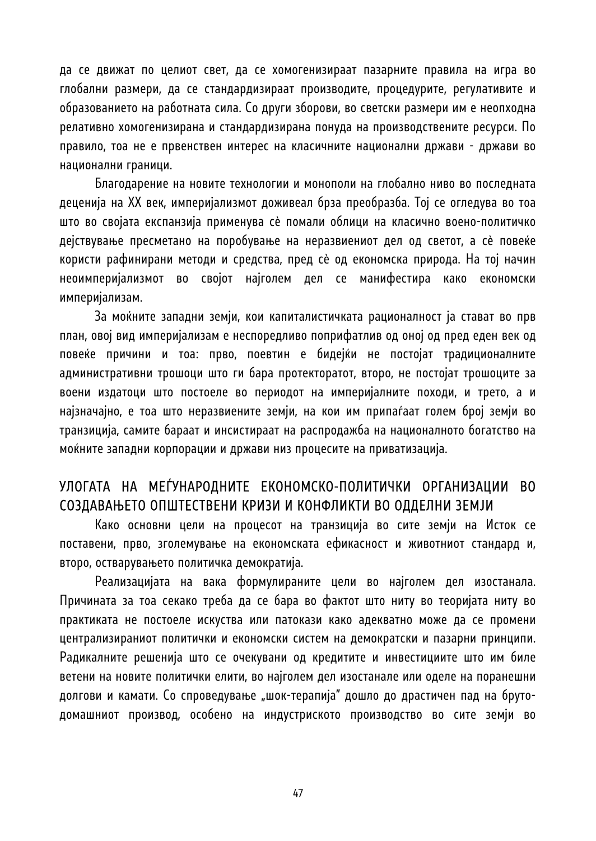да се движат по целиот свет, да се хомогенизираат пазарните правила на игра во глобални размери, да се стандардизираат производите, процедурите, регулативите и образованието на работната сила. Со други зборови, во светски размери им е неопходна релативно хомогенизирана и стандардизирана понуда на производствените ресурси. По правило, тоа не е првенствен интерес на класичните национални држави - држави во национални граници.

Благодарение на новите технологии и монополи на глобално ниво во последната деценија на XX век, империјализмот доживеал брза преобразба. Тој се огледува во тоа што во својата експанзија применува сè помали облици на класично воено-политичко дејствување пресметано на поробување на неразвиениот дел од светот, а сè повеќе користи рафинирани методи и средства, пред сè од економска природа. На тој начин неоимперијализмот во својот најголем дел се манифестира како економски империјализам.

За моќните западни земји, кои капиталистичката рационалност ја стават во прв план, овој вид империјализам е неспоредливо поприфатлив од оној од пред еден век од повеќе причини и тоа: прво, поевтин е бидејќи не постојат традиционалните административни трошоци што ги бара протекторатот, второ, не постојат трошоците за воени издатоци што постоеле во периодот на империјалните походи, и трето, а и најзначајно, е тоа што неразвиените земји, на кои им припаѓаат голем број земји во транзиција, самите бараат и инсистираат на распродажба на националното богатство на моќните западни корпорации и држави низ процесите на приватизација.

#### УЛОГАТА НА МЕЃУНАРОДНИТЕ ЕКОНОМСКО-ПОЛИТИЧКИ ОРГАНИЗАЦИИ ВО СОЗДАВАЊЕТО ОПШТЕСТВЕНИ КРИЗИ И КОНФЛИКТИ ВО ОДДЕЛНИ ЗЕМЈИ

Како основни цели на процесот на транзиција во сите земји на Исток се поставени, прво, зголемување на економската ефикасност и животниот стандард и, второ, остварувањето политичка демократија.

Реализацијата на вака формулираните цели во најголем дел изостанала. Причината за тоа секако треба да се бара во фактот што ниту во теоријата ниту во практиката не постоеле искуства или патокази како адекватно може да се промени централизираниот политички и економски систем на демократски и пазарни принципи. Радикалните решенија што се очекувани од кредитите и инвестициите што им биле ветени на новите политички елити, во најголем дел изостанале или оделе на поранешни долгови и камати. Со спроведување "шок-терапија" дошло до драстичен пад на брутодомашниот производ, особено на индустриското производство во сите земји во

47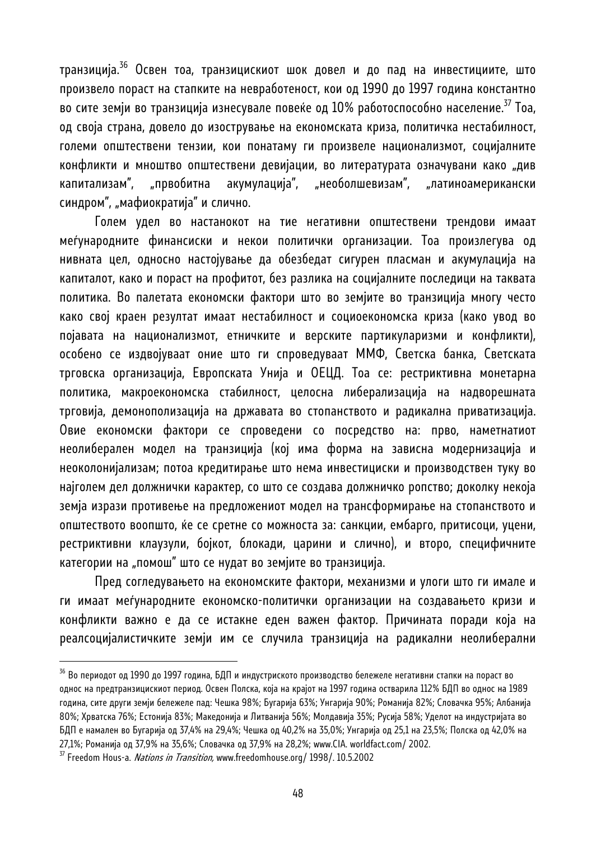транзиција.36 Освен тоа, транзицискиот шок довел и до пад на инвестициите, што произвело пораст на стапките на невработеност, кои од 1990 до 1997 година константно во сите земји во транзиција изнесувале повеќе од  $10\%$  работоспособно население.<sup>37</sup> Тоа, од своја страна, довело до изострување на економската криза, политичка нестабилност, големи општествени тензии, кои понатаму ги произвеле национализмот, социјалните конфликти и мноштво општествени девијации, во литературата означувани како "див капитализам", "првобитна акумулација", "необолшевизам", "латиноамерикански синдром", "мафиократија" и слично.

Голем удел во настанокот на тие негативни општествени трендови имаат меѓународните финансиски и некои политички организации. Тоа произлегува од нивната цел, односно настојување да обезбедат сигурен пласман и акумулација на капиталот, како и пораст на профитот, без разлика на социјалните последици на таквата политика. Во палетата економски фактори што во земјите во транзиција многу често како свој краен резултат имаат нестабилност и социоекономска криза (како увод во појавата на национализмот, етничките и верските партикуларизми и конфликти), особено се издвојуваат оние што ги спроведуваат ММФ, Светска банка, Светската трговска организација, Европската Унија и ОЕЦД. Тоа се: рестриктивна монетарна политика, макроекономска стабилност, целосна либерализација на надворешната трговија, демонополизација на државата во стопанството и радикална приватизација. Овие економски фактори се спроведени со посредство на: прво, наметнатиот неолиберален модел на транзиција (кој има форма на зависна модернизација и неоколонијализам; потоа кредитирање што нема инвестициски и производствен туку во најголем дел должнички карактер, со што се создава должничко ропство; доколку некоја земја изрази противење на предложениот модел на трансформирање на стопанството и општеството воопшто, ќе се сретне со можноста за: санкции, ембарго, притисоци, уцени, рестриктивни клаузули, бојкот, блокади, царини и слично), и второ, специфичните категории на "помош" што се нудат во земјите во транзиција.

Пред согледувањето на економските фактори, механизми и улоги што ги имале и ги имаат меѓународните економско-политички организации на создавањето кризи и конфликти важно е да се истакне еден важен фактор. Причината поради која на реалсоцијалистичките земји им се случила транзиција на радикални неолиберални

 $^{36}$  Во периодот од 1990 до 1997 година, БДП и индустриското производство бележеле негативни стапки на пораст во однос на предтранзицискиот период. Освен Полска, која на крајот на 1997 година остварила 112% БДП во однос на 1989 година, сите други земји бележеле пад: Чешка 98%; Бугарија 63%; Унгарија 90%; Романија 82%; Словачка 95%; Албанија 80%; Хрватска 76%; Естонија 83%; Македонија и Литванија 56%; Молдавија 35%; Русија 58%; Уделот на индустријата во БДП е намален во Бугарија од 37,4% на 29,4%; Чешка од 40,2% на 35,0%; Унгарија од 25,1 на 23,5%; Полска од 42,0% на 27,1%; Романија од 37,9% на 35,6%; Словачка од 37,9% на 28,2%; www.CIA. worldfact.com/ 2002.<br><sup>37</sup> Freedom Hous-a. *Nations in Transition*, www.freedomhouse.org/ 1998/. 10.5.2002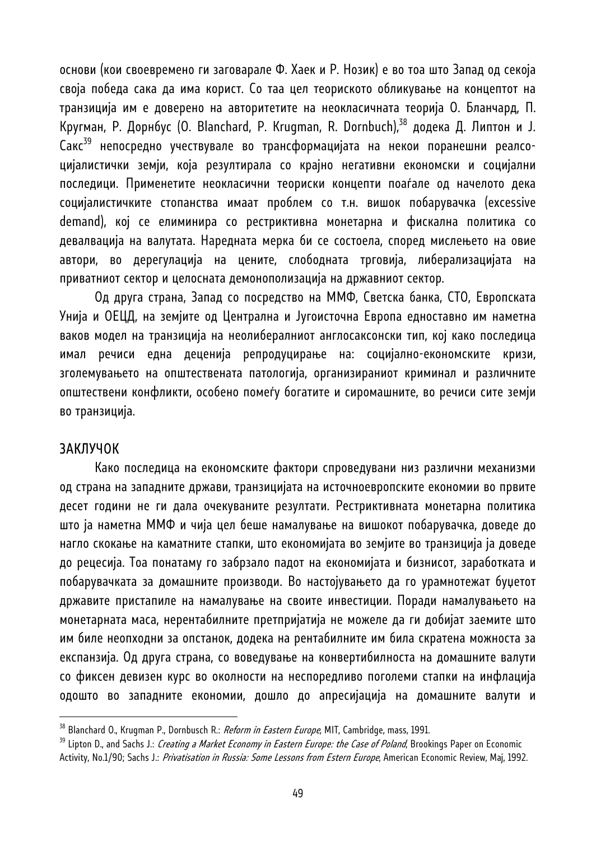основи (кои своевремено ги заговарале Ф. Хаек и Р. Нозик) е во тоа што Запад од секоја своја победа сака да има корист. Со таа цел теориското обликување на концептот на транзиција им е доверено на авторитетите на неокласичната теорија О. Бланчард, П. Кругман, Р. Дорнбус (О. Blanchard, Р. Krugman, R. Dornbuch),<sup>38</sup> додека Д. Липтон и Ј. Сакс39 непосредно учествувале во трансформацијата на некои поранешни реалсоцијалистички земји, која резултирала со крајно негативни економски и социјални последици. Применетите неокласични теориски концепти поаѓале од начелото дека социјалистичките стопанства имаат проблем со т.н. вишок побарувачка (excessive demand), кој се елиминира со рестриктивна монетарна и фискална политика со девалвација на валутата. Наредната мерка би се состоела, според мислењето на овие автори, во дерегулација на цените, слободната трговија, либерализацијата на приватниот сектор и целосната демонополизација на државниот сектор.

Од друга страна, Запад со посредство на ММФ, Светска банка, СТО, Европската Унија и ОЕЦД, на земјите од Централна и Југоисточна Европа едноставно им наметна ваков модел на транзиција на неолибералниот англосаксонски тип, кој како последица имал речиси една деценија репродуцирање на: социјално-економските кризи, зголемувањето на општествената патологија, организираниот криминал и различните општествени конфликти, особено помеѓу богатите и сиромашните, во речиси сите земји во транзиција.

#### ЗАКЛУЧОК

l

Како последица на економските фактори спроведувани низ различни механизми од страна на западните држави, транзицијата на источноевропските економии во првите десет години не ги дала очекуваните резултати. Рестриктивната монетарна политика што ја наметна ММФ и чија цел беше намалување на вишокот побарувачка, доведе до нагло скокање на каматните стапки, што економијата во земјите во транзиција ја доведе до рецесија. Тоа понатаму го забрзало падот на економијата и бизнисот, заработката и побарувачката за домашните производи. Во настојувањето да го урамнотежат буџетот државите пристапиле на намалување на своите инвестиции. Поради намалувањето на монетарната маса, нерентабилните претпријатија не можеле да ги добијат заемите што им биле неопходни за опстанок, додека на рентабилните им била скратена можноста за експанзија. Од друга страна, со воведување на конвертибилноста на домашните валути со фиксен девизен курс во околности на неспоредливо поголеми стапки на инфлација одошто во западните економии, дошло до апресијација на домашните валути и

<sup>&</sup>lt;sup>38</sup> Blanchard O., Krugman P., Dornbusch R.: *Reform in Eastern Europe*, MIT, Cambridge, mass, 1991.<br><sup>39</sup> Lipton D., and Sachs J.: *Creating a Market Economy in Eastern Europe: the Case of Poland*, Brookings Paper on Econo Activity, No.1/90; Sachs J.: Privatisation in Russia: Some Lessons from Estern Europe, American Economic Review, Maj, 1992.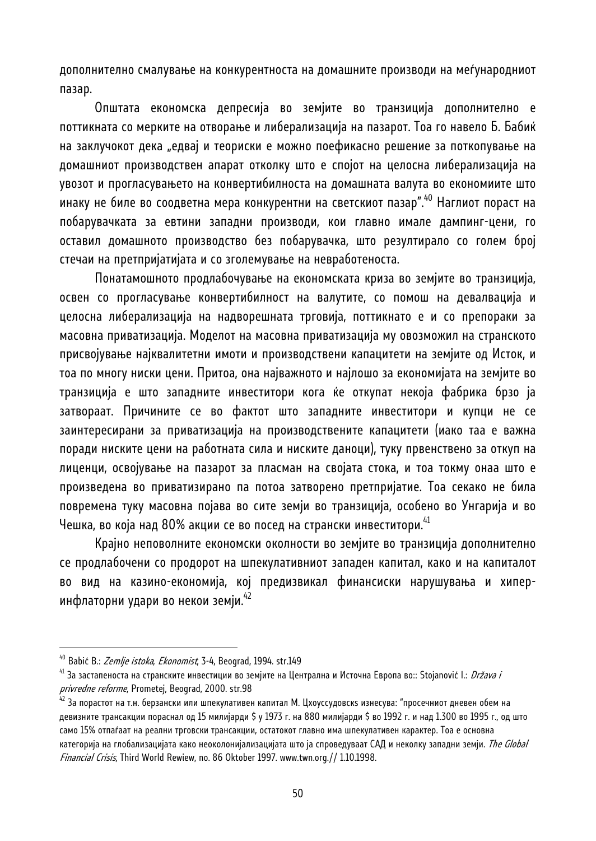дополнително смалување на конкурентноста на домашните производи на меѓународниот пазар.

Општата економска депресија во земјите во транзиција дополнително е поттикната со мерките на отворање и либерализација на пазарот. Тоа го навело Б. Бабиќ на заклучокот дека "едвај и теориски е можно поефикасно решение за поткопување на домашниот производствен апарат отколку што е спојот на целосна либерализација на увозот и прогласувањето на конвертибилноста на домашната валута во економиите што инаку не биле во соодветна мера конкурентни на светскиот пазар".<sup>40</sup> Наглиот пораст на побарувачката за евтини западни производи, кои главно имале дампинг-цени, го оставил домашното производство без побарувачка, што резултирало со голем број стечаи на претпријатијата и со зголемување на невработеноста.

Понатамошното продлабочување на економската криза во земјите во транзиција, освен со прогласување конвертибилност на валутите, со помош на девалвација и целосна либерализација на надворешната трговија, поттикнато е и со препораки за масовна приватизација. Моделот на масовна приватизација му овозможил на странското присвојување најквалитетни имоти и производствени капацитети на земјите од Исток, и тоа по многу ниски цени. Притоа, она најважното и најлошо за економијата на земјите во транзиција е што западните инвеститори кога ќе откупат некоја фабрика брзо ја затвораат. Причините се во фактот што западните инвеститори и купци не се заинтересирани за приватизација на производствените капацитети (иако таа е важна поради ниските цени на работната сила и ниските даноци), туку првенствено за откуп на лиценци, освојување на пазарот за пласман на својата стока, и тоа токму онаа што е произведена во приватизирано па потоа затворено претпријатие. Тоа секако не била повремена туку масовна појава во сите земји во транзиција, особено во Унгарија и во Чешка, во која над 80% акции се во посед на странски инвеститори.<sup>41</sup>

Крајно неповолните економски околности во земјите во транзиција дополнително се продлабочени со продорот на шпекулативниот западен капитал, како и на капиталот во вид на казино-економија, кој предизвикал финансиски нарушувања и хиперинфлаторни удари во некои земји.  $42$ 

<sup>&</sup>lt;sup>40</sup> Babić B.: *Zemlje istoka, Ekonomist*, 3-4, Beograd, 1994. str.149<br><sup>41</sup> За застапеноста на странските инвестиции во земјите на Централна и Источна Европа во:: Stojanović I.: *Država i privredne reforme*, Prometej, Beograd, 2000. str.98<br><sup>42</sup> За порастот на т.н. берзански или шпекулативен капитал М. Цхоуссудовскѕ изнесува: "просечниот дневен обем на

девизните трансакции пораснал од 15 милијарди \$ у 1973 г. на 880 милијарди \$ во 1992 г. и над 1.300 во 1995 г., од што само 15% отпаѓаат на реални трговски трансакции, остатокот главно има шпекулативен карактер. Тоа е основна категорија на глобализацијата како неоколонијализацијата што ја спроведуваат САД и неколку западни земји. *The Global* Financial Crisis, Third World Rewiew, no. 86 Oktober 1997. www.twn.org.// 1.10.1998.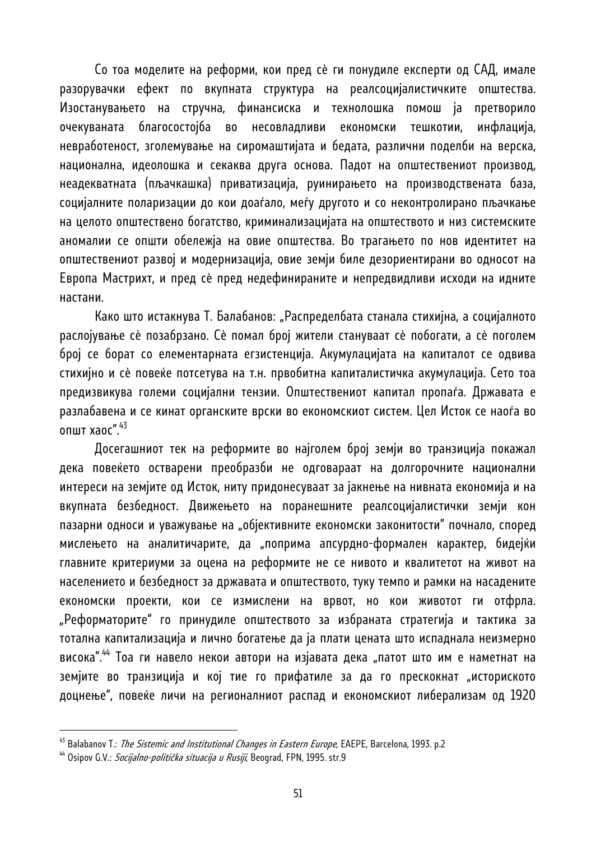Со тоа моделите на реформи, кои пред сè ги понудиле експерти од САД, имале разорувачки ефект по вкупната структура на реалсоцијалистичките општества. Изостанувањето на стручна, финансиска и технолошка помош ја претворило очекуваната благосостојба во несовладливи економски тешкотии, инфлација, невработеност, зголемување на сиромаштијата и бедата, различни поделби на верска, национална, идеолошка и секаква друга основа. Падот на општествениот производ, неадекватната (пљачкашка) приватизација, руинирањето на производствената база, социјалните поларизации до кои доаѓало, меѓу другото и со неконтролирано пљачкање на целото општествено богатство, криминализацијата на општеството и низ системските аномалии се општи обележја на овие општества. Во трагањето по нов идентитет на општествениот развој и модернизација, овие земји биле дезориентирани во односот на Европа Мастрихт, и пред сè пред недефинираните и непредвидливи исходи на идните настани.

Како што истакнува Т. Балабанов: "Распределбата станала стихијна, а социјалното раслојување сè позабрзано. Сè помал број жители стануваат сè побогати, а сè поголем број се борат со елементарната егзистенција. Акумулацијата на капиталот се одвива стихијно и сè повеќе потсетува на т.н. првобитна капиталистичка акумулација. Сето тоа предизвикува големи социјални тензии. Општествениот капитал пропаѓа. Државата е разлабавена и се кинат органските врски во економскиот систем. Цел Исток се наоѓа во општ хаос". $43$ 

Досегашниот тек на реформите во најголем број земји во транзиција покажал дека повеќето остварени преобразби не одговараат на долгорочните национални интереси на земјите од Исток, ниту придонесуваат за јакнење на нивната економија и на вкупната безбедност. Движењето на поранешните реалсоцијалистички земји кон пазарни односи и уважување на "објективните економски законитости" почнало, според мислењето на аналитичарите, да "поприма апсурдно-формален карактер, бидејќи главните критериуми за оцена на реформите не се нивото и квалитетот на живот на населението и безбедност за државата и општеството, туку темпо и рамки на насадените економски проекти, кои се измислени на врвот, но кои животот ги отфрла. "Реформаторите" го принудиле општеството за избраната стратегија и тактика за тотална капитализација и лично богатење да ја плати цената што испаднала неизмерно висока".<sup>44</sup> Тоа ги навело некои автори на изјавата дека "патот што им е наметнат на земјите во транзиција и кој тие го прифатиле за да го прескокнат "историското доцнење", повеќе личи на регионалниот распад и економскиот либерализам од 1920

<sup>&</sup>lt;sup>43</sup> Balabanov T.: *The Sistemic and Institutional Changes in Eastern Europe*, EAEPE, Barcelona, 1993. p.2<br><sup>44</sup> Osipov G.V.: *Socijalno-politička situacija u Rusiji*, Beograd, FPN, 1995. str.9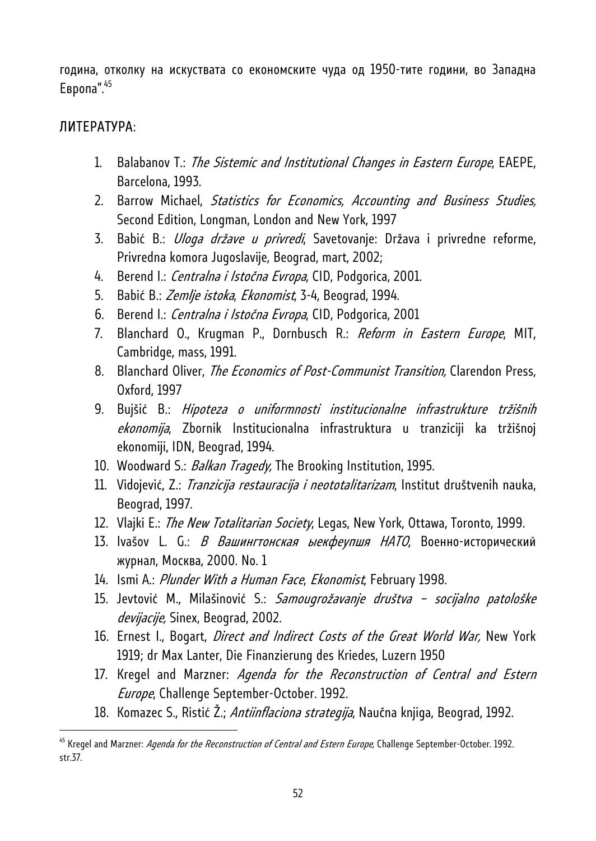година, отколку на искуствата со економските чуда од 1950-тите години, во Западна Европа". $45$ 

#### ЛИТЕРАТУРА:

- 1. Balabanov T.: *The Sistemic and Institutional Changes in Eastern Europe*, EAEPE, Barcelona, 1993.
- 2. Barrow Michael, Statistics for Economics, Accounting and Business Studies, Second Edition, Longman, London and New York, 1997
- 3. Babić B.: *Uloga države u privredi*, Savetovanje: Država i privredne reforme, Privredna komora Jugoslavije, Beograd, mart, 2002;
- 4. Berend I.: Centralna i Istočna Evropa, CID, Podgorica, 2001.
- 5. Babić B.: Zemlje istoka, Ekonomist, 3-4, Beograd, 1994.
- 6. Berend I.: Centralna i Istočna Evropa, CID, Podgorica, 2001
- 7. Blanchard O., Krugman P., Dornbusch R.: Reform in Eastern Europe, MIT, Cambridge, mass, 1991.
- 8. Blanchard Oliver, *The Economics of Post-Communist Transition*, Clarendon Press, Oxford, 1997
- 9. Bujšić B.: Hipoteza o uniformnosti institucionalne infrastrukture tržišnih ekonomija, Zbornik Institucionalna infrastruktura u tranziciji ka tržišnoj ekonomiji, IDN, Beograd, 1994.
- 10. Woodward S.: *Balkan Tragedy*, The Brooking Institution, 1995.
- 11. Vidojević, Z.: Tranzicija restauracija i neototalitarizam, Institut društvenih nauka, Beograd, 1997.
- 12. Vlajki E.: The New Totalitarian Society, Legas, New York, Ottawa, Toronto, 1999.
- 13. Ivašov L. G.: *В Вашингтонская ыекфеупшя НАТО*, Военно-исторический журнал, Mосква, 2000. No. 1
- 14. Ismi A.: Plunder With a Human Face, Ekonomist, February 1998.
- 15. Jevtović M., Milašinović S.: Samougrožavanje društva socijalno patološke devijacije, Sinex, Beograd, 2002.
- 16. Ernest I., Bogart, Direct and Indirect Costs of the Great World War, New York 1919; dr Max Lanter, Die Finanzierung des Kriedes, Luzern 1950
- 17. Kregel and Marzner: Agenda for the Reconstruction of Central and Estern Europe, Challenge September-October. 1992.
- 18. Komazec S., Ristić Ž.; Antiinflaciona strategija, Naučna knjiga, Beograd, 1992.

<sup>&</sup>lt;sup>45</sup> Kregel and Marzner: Agenda for the Reconstruction of Central and Estern Europe, Challenge September-October. 1992. str.37.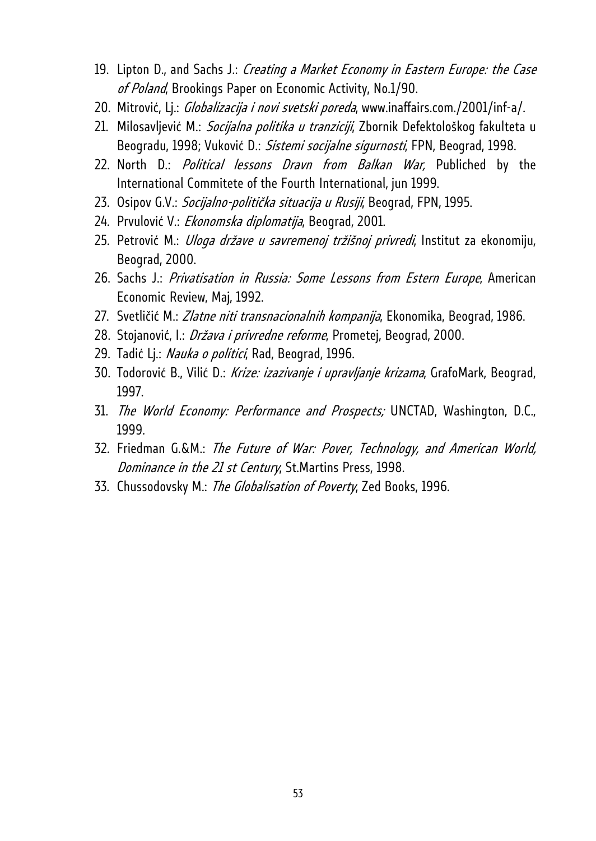- 19. Lipton D., and Sachs J.: Creating a Market Economy in Eastern Europe: the Case of Poland, Brookings Paper on Economic Activity, No.1/90.
- 20. Mitrović, Lj.: *Globalizacija i novi svetski poreda*, www.inaffairs.com./2001/inf-a/.
- 21. Milosavljević M.: Socijalna politika u tranziciji, Zbornik Defektološkog fakulteta u Beogradu, 1998; Vuković D.: Sistemi socijalne sigurnosti, FPN, Beograd, 1998.
- 22. North D.: *Political lessons Dravn from Balkan War*, Publiched by the International Commitete of the Fourth International, jun 1999.
- 23. Osipov G.V.: Socijalno-politička situacija u Rusiji, Beograd, FPN, 1995.
- 24. Prvulović V.: Ekonomska diplomatija, Beograd, 2001.
- 25. Petrović M.: *Uloga države u savremenoj tržišnoj privredi*, Institut za ekonomiju, Beograd, 2000.
- 26. Sachs J.: Privatisation in Russia: Some Lessons from Estern Europe, American Economic Review, Maj, 1992.
- 27. Svetličić M.: Zlatne niti transnacionalnih kompanija, Ekonomika, Beograd, 1986.
- 28. Stojanović, I.: Država i privredne reforme, Prometej, Beograd, 2000.
- 29. Tadić Lj.: Nauka o politici, Rad, Beograd, 1996.
- 30. Todorović B., Vilić D.: Krize: izazivanje i upravljanje krizama, GrafoMark, Beograd, 1997.
- 31. The World Economy: Performance and Prospects; UNCTAD, Washington, D.C., 1999.
- 32. Friedman G.&M.: The Future of War: Pover, Technology, and American World, Dominance in the 21 st Century, St.Martins Press, 1998.
- 33. Chussodovsky M.: The Globalisation of Poverty, Zed Books, 1996.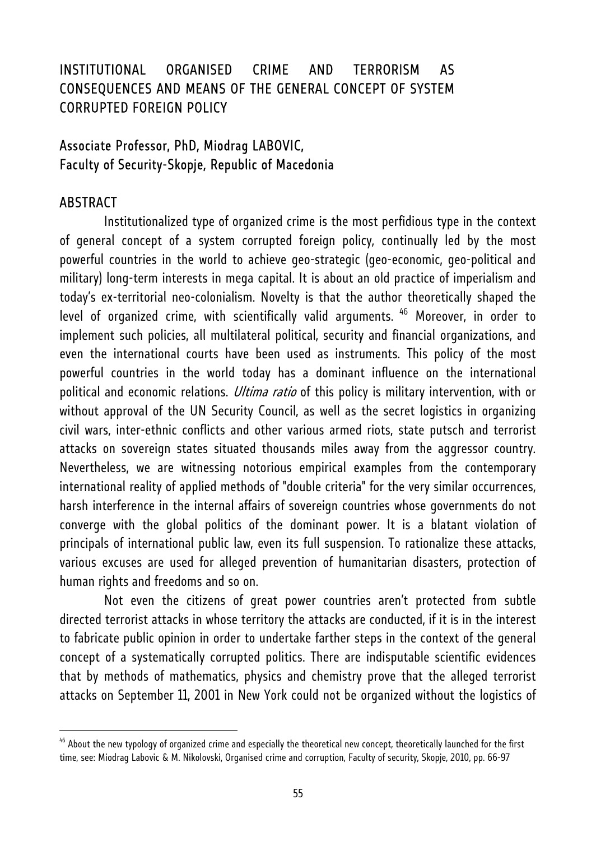### INSTITUTIONAL ORGANISED CRIME AND TERRORISM AS CONSEQUENCES AND MEANS OF THE GENERAL CONCEPT OF SYSTEM CORRUPTED FOREIGN POLICY

### Associate Professor, PhD, Miodrag LABOVIC, Faculty of Security-Skopje, Republic of Macedonia

#### ABSTRACT

l

 Institutionalized type of organized crime is the most perfidious type in the context of general concept of a system corrupted foreign policy, continually led by the most powerful countries in the world to achieve geo-strategic (geo-economic, geo-political and military) long-term interests in mega capital. It is about an old practice of imperialism and today's ex-territorial neo-colonialism. Novelty is that the author theoretically shaped the level of organized crime, with scientifically valid arguments. <sup>46</sup> Moreover, in order to implement such policies, all multilateral political, security and financial organizations, and even the international courts have been used as instruments. This policy of the most powerful countries in the world today has a dominant influence on the international political and economic relations. *Ultima ratio* of this policy is military intervention, with or without approval of the UN Security Council, as well as the secret logistics in organizing civil wars, inter-ethnic conflicts and other various armed riots, state putsch and terrorist attacks on sovereign states situated thousands miles away from the aggressor country. Nevertheless, we are witnessing notorious empirical examples from the contemporary international reality of applied methods of "double criteria" for the very similar occurrences, harsh interference in the internal affairs of sovereign countries whose governments do not converge with the global politics of the dominant power. It is a blatant violation of principals of international public law, even its full suspension. To rationalize these attacks, various excuses are used for alleged prevention of humanitarian disasters, protection of human rights and freedoms and so on.

 Not even the citizens of great power countries aren't protected from subtle directed terrorist attacks in whose territory the attacks are conducted, if it is in the interest to fabricate public opinion in order to undertake farther steps in the context of the general concept of a systematically corrupted politics. There are indisputable scientific evidences that by methods of mathematics, physics and chemistry prove that the alleged terrorist attacks on September 11, 2001 in New York could not be organized without the logistics of

<sup>&</sup>lt;sup>46</sup> About the new typology of organized crime and especially the theoretical new concept, theoretically launched for the first time, see: Miodrag Labovic & M. Nikolovski, Organised crime and corruption, Faculty of security, Skopje, 2010, pp. 66-97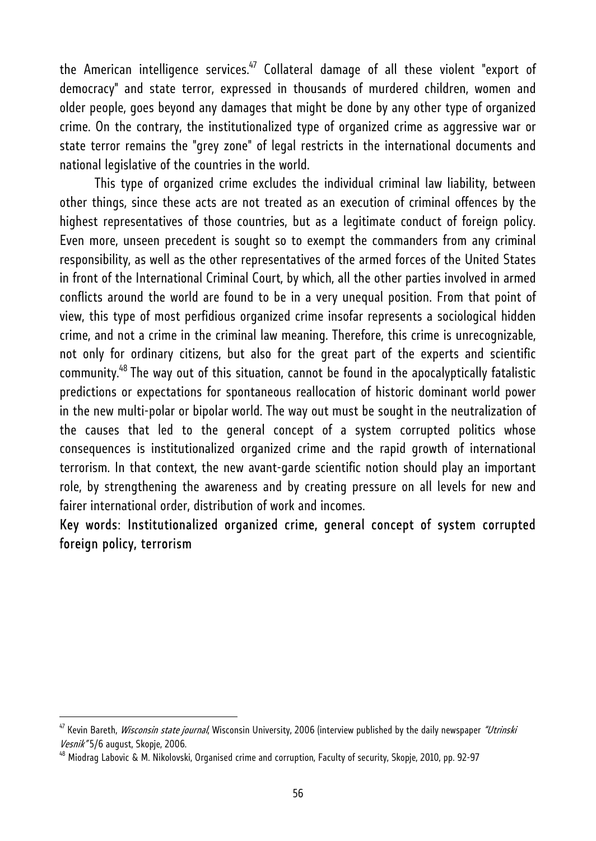the American intelligence services. $47$  Collateral damage of all these violent "export of democracy" and state terror, expressed in thousands of murdered children, women and older people, goes beyond any damages that might be done by any other type of organized crime. On the contrary, the institutionalized type of organized crime as aggressive war or state terror remains the "grey zone" of legal restricts in the international documents and national legislative of the countries in the world.

This type of organized crime excludes the individual criminal law liability, between other things, since these acts are not treated as an execution of criminal offences by the highest representatives of those countries, but as a legitimate conduct of foreign policy. Even more, unseen precedent is sought so to exempt the commanders from any criminal responsibility, as well as the other representatives of the armed forces of the United States in front of the International Criminal Court, by which, all the other parties involved in armed conflicts around the world are found to be in a very unequal position. From that point of view, this type of most perfidious organized crime insofar represents a sociological hidden crime, and not a crime in the criminal law meaning. Therefore, this crime is unrecognizable, not only for ordinary citizens, but also for the great part of the experts and scientific community.48 The way out of this situation, cannot be found in the apocalyptically fatalistic predictions or expectations for spontaneous reallocation of historic dominant world power in the new multi-polar or bipolar world. The way out must be sought in the neutralization of the causes that led to the general concept of a system corrupted politics whose consequences is institutionalized organized crime and the rapid growth of international terrorism. In that context, the new avant-garde scientific notion should play an important role, by strengthening the awareness and by creating pressure on all levels for new and fairer international order, distribution of work and incomes.

### Key words: Institutionalized organized crime, general concept of system corrupted foreign policy, terrorism

<sup>&</sup>lt;sup>47</sup> Kevin Bareth, *Wisconsin state journal*, Wisconsin University, 2006 (interview published by the daily newspaper *"Utrinski* Vesnik" 5/6 august, Skopje, 2006.<br><sup>48</sup> Miodrag Labovic & M. Nikolovski, Organised crime and corruption, Faculty of security, Skopje, 2010, pp. 92-97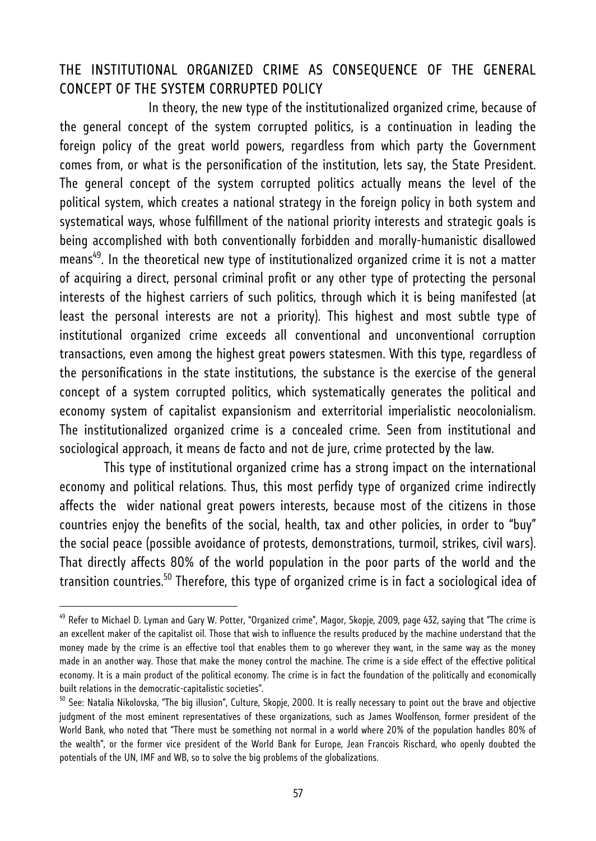### THE INSTITUTIONAL ORGANIZED CRIME AS CONSEQUENCE OF THE GENERAL CONCEPT OF THE SYSTEM CORRUPTED POLICY

 In theory, the new type of the institutionalized organized crime, because of the general concept of the system corrupted politics, is a continuation in leading the foreign policy of the great world powers, regardless from which party the Government comes from, or what is the personification of the institution, lets say, the State President. The general concept of the system corrupted politics actually means the level of the political system, which creates a national strategy in the foreign policy in both system and systematical ways, whose fulfillment of the national priority interests and strategic goals is being accomplished with both conventionally forbidden and morally-humanistic disallowed means<sup>49</sup>. In the theoretical new type of institutionalized organized crime it is not a matter of acquiring a direct, personal criminal profit or any other type of protecting the personal interests of the highest carriers of such politics, through which it is being manifested (at least the personal interests are not a priority). This highest and most subtle type of institutional organized crime exceeds all conventional and unconventional corruption transactions, even among the highest great powers statesmen. With this type, regardless of the personifications in the state institutions, the substance is the exercise of the general concept of a system corrupted politics, which systematically generates the political and economy system of capitalist expansionism and exterritorial imperialistic neocolonialism. The institutionalized organized crime is a concealed crime. Seen from institutional and sociological approach, it means de facto and not de jure, crime protected by the law.

 This type of institutional organized crime has a strong impact on the international economy and political relations. Thus, this most perfidy type of organized crime indirectly affects the wider national great powers interests, because most of the citizens in those countries enjoy the benefits of the social, health, tax and other policies, in order to "buy" the social peace (possible avoidance of protests, demonstrations, turmoil, strikes, civil wars). That directly affects 80% of the world population in the poor parts of the world and the transition countries.<sup>50</sup> Therefore, this type of organized crime is in fact a sociological idea of

<sup>&</sup>lt;sup>49</sup> Refer to Michael D. Lyman and Gary W. Potter, "Organized crime", Magor, Skopje, 2009, page 432, saying that "The crime is an excellent maker of the capitalist oil. Those that wish to influence the results produced by the machine understand that the money made by the crime is an effective tool that enables them to go wherever they want, in the same way as the money made in an another way. Those that make the money control the machine. The crime is a side effect of the effective political economy. It is a main product of the political economy. The crime is in fact the foundation of the politically and economically built relations in the democratic-capitalistic societies".

<sup>&</sup>lt;sup>50</sup> See: Natalia Nikolovska, "The big illusion", Culture, Skopje, 2000. It is really necessary to point out the brave and objective judgment of the most eminent representatives of these organizations, such as James Woolfenson, former president of the World Bank, who noted that "There must be something not normal in a world where 20% of the population handles 80% of the wealth", or the former vice president of the World Bank for Europe, Jean Francois Rischard, who openly doubted the potentials of the UN, IMF and WB, so to solve the big problems of the globalizations.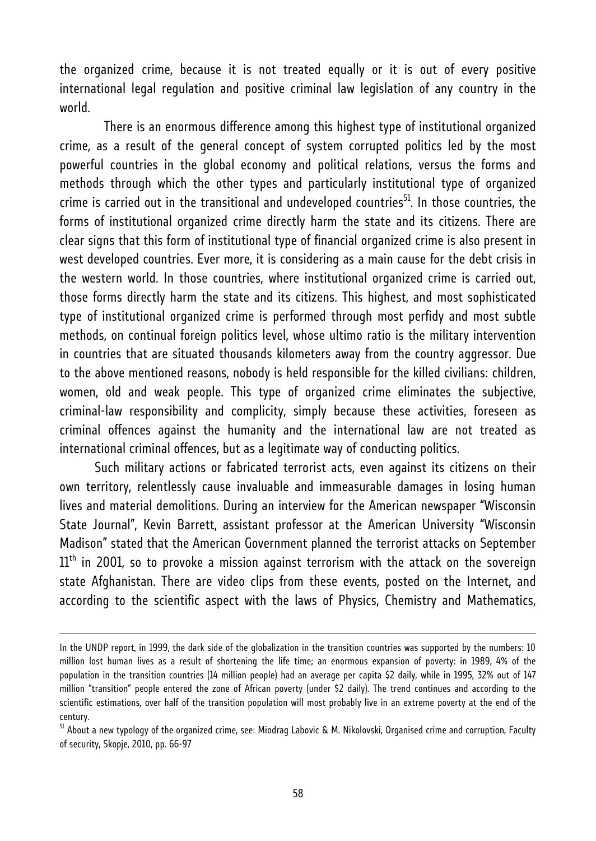the organized crime, because it is not treated equally or it is out of every positive international legal regulation and positive criminal law legislation of any country in the world.

 There is an enormous difference among this highest type of institutional organized crime, as a result of the general concept of system corrupted politics led by the most powerful countries in the global economy and political relations, versus the forms and methods through which the other types and particularly institutional type of organized crime is carried out in the transitional and undeveloped countries<sup>51</sup>. In those countries, the forms of institutional organized crime directly harm the state and its citizens. There are clear signs that this form of institutional type of financial organized crime is also present in west developed countries. Ever more, it is considering as a main cause for the debt crisis in the western world. In those countries, where institutional organized crime is carried out, those forms directly harm the state and its citizens. This highest, and most sophisticated type of institutional organized crime is performed through most perfidy and most subtle methods, on continual foreign politics level, whose ultimo ratio is the military intervention in countries that are situated thousands kilometers away from the country aggressor. Due to the above mentioned reasons, nobody is held responsible for the killed civilians: children, women, old and weak people. This type of organized crime eliminates the subjective, criminal-law responsibility and complicity, simply because these activities, foreseen as criminal offences against the humanity and the international law are not treated as international criminal offences, but as a legitimate way of conducting politics.

Such military actions or fabricated terrorist acts, even against its citizens on their own territory, relentlessly cause invaluable and immeasurable damages in losing human lives and material demolitions. During an interview for the American newspaper "Wisconsin State Journal", Kevin Barrett, assistant professor at the American University "Wisconsin Madison" stated that the American Government planned the terrorist attacks on September  $11<sup>th</sup>$  in 2001, so to provoke a mission against terrorism with the attack on the sovereign state Afghanistan. There are video clips from these events, posted on the Internet, and according to the scientific aspect with the laws of Physics, Chemistry and Mathematics,

In the UNDP report, in 1999, the dark side of the globalization in the transition countries was supported by the numbers: 10 million lost human lives as a result of shortening the life time; an enormous expansion of poverty: in 1989, 4% of the population in the transition countries (14 million people) had an average per capita \$2 daily, while in 1995, 32% out of 147 million "transition" people entered the zone of African poverty (under \$2 daily). The trend continues and according to the scientific estimations, over half of the transition population will most probably live in an extreme poverty at the end of the century.

<sup>&</sup>lt;sup>51</sup> About a new typology of the organized crime, see: Miodrag Labovic & M. Nikolovski, Organised crime and corruption, Faculty of security, Skopje, 2010, pp. 66-97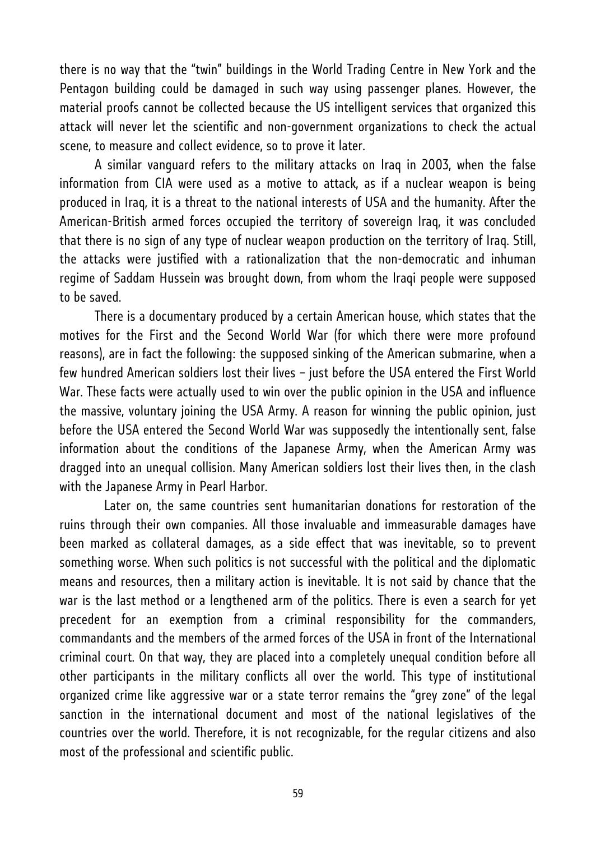there is no way that the "twin" buildings in the World Trading Centre in New York and the Pentagon building could be damaged in such way using passenger planes. However, the material proofs cannot be collected because the US intelligent services that organized this attack will never let the scientific and non-government organizations to check the actual scene, to measure and collect evidence, so to prove it later.

A similar vanguard refers to the military attacks on Iraq in 2003, when the false information from CIA were used as a motive to attack, as if a nuclear weapon is being produced in Iraq, it is a threat to the national interests of USA and the humanity. After the American-British armed forces occupied the territory of sovereign Iraq, it was concluded that there is no sign of any type of nuclear weapon production on the territory of Iraq. Still, the attacks were justified with a rationalization that the non-democratic and inhuman regime of Saddam Hussein was brought down, from whom the Iraqi people were supposed to be saved.

There is a documentary produced by a certain American house, which states that the motives for the First and the Second World War (for which there were more profound reasons), are in fact the following: the supposed sinking of the American submarine, when a few hundred American soldiers lost their lives – just before the USA entered the First World War. These facts were actually used to win over the public opinion in the USA and influence the massive, voluntary joining the USA Army. A reason for winning the public opinion, just before the USA entered the Second World War was supposedly the intentionally sent, false information about the conditions of the Japanese Army, when the American Army was dragged into an unequal collision. Many American soldiers lost their lives then, in the clash with the Japanese Army in Pearl Harbor.

 Later on, the same countries sent humanitarian donations for restoration of the ruins through their own companies. All those invaluable and immeasurable damages have been marked as collateral damages, as a side effect that was inevitable, so to prevent something worse. When such politics is not successful with the political and the diplomatic means and resources, then a military action is inevitable. It is not said by chance that the war is the last method or a lengthened arm of the politics. There is even a search for yet precedent for an exemption from a criminal responsibility for the commanders, commandants and the members of the armed forces of the USA in front of the International criminal court. On that way, they are placed into a completely unequal condition before all other participants in the military conflicts all over the world. This type of institutional organized crime like aggressive war or a state terror remains the "grey zone" of the legal sanction in the international document and most of the national legislatives of the countries over the world. Therefore, it is not recognizable, for the regular citizens and also most of the professional and scientific public.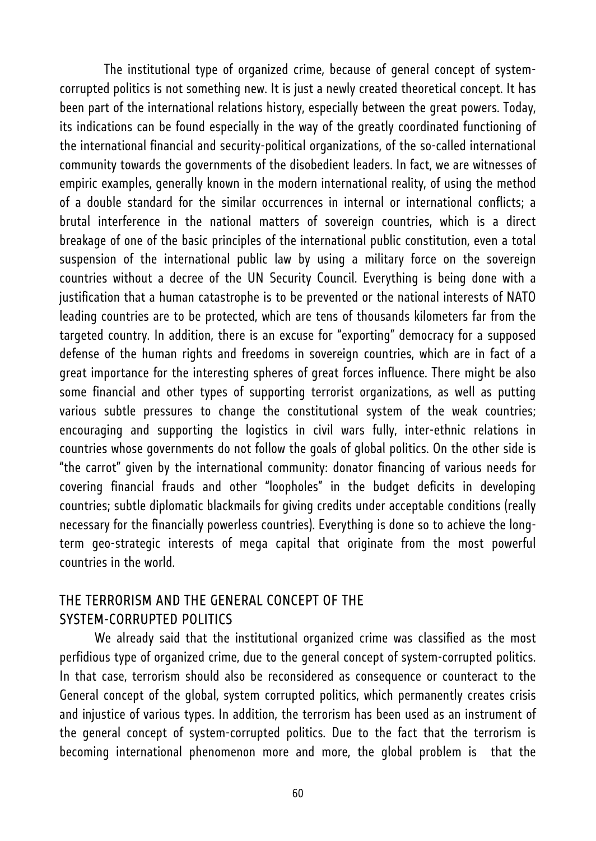The institutional type of organized crime, because of general concept of systemcorrupted politics is not something new. It is just a newly created theoretical concept. It has been part of the international relations history, especially between the great powers. Today, its indications can be found especially in the way of the greatly coordinated functioning of the international financial and security-political organizations, of the so-called international community towards the governments of the disobedient leaders. In fact, we are witnesses of empiric examples, generally known in the modern international reality, of using the method of a double standard for the similar occurrences in internal or international conflicts; a brutal interference in the national matters of sovereign countries, which is a direct breakage of one of the basic principles of the international public constitution, even a total suspension of the international public law by using a military force on the sovereign countries without a decree of the UN Security Council. Everything is being done with a justification that a human catastrophe is to be prevented or the national interests of NATO leading countries are to be protected, which are tens of thousands kilometers far from the targeted country. In addition, there is an excuse for "exporting" democracy for a supposed defense of the human rights and freedoms in sovereign countries, which are in fact of a great importance for the interesting spheres of great forces influence. There might be also some financial and other types of supporting terrorist organizations, as well as putting various subtle pressures to change the constitutional system of the weak countries; encouraging and supporting the logistics in civil wars fully, inter-ethnic relations in countries whose governments do not follow the goals of global politics. On the other side is "the carrot" given by the international community: donator financing of various needs for covering financial frauds and other "loopholes" in the budget deficits in developing countries; subtle diplomatic blackmails for giving credits under acceptable conditions (really necessary for the financially powerless countries). Everything is done so to achieve the longterm geo-strategic interests of mega capital that originate from the most powerful countries in the world.

#### THE TERRORISM AND THE GENERAL CONCEPT OF THE SYSTEM-CORRUPTED POLITICS

We already said that the institutional organized crime was classified as the most perfidious type of organized crime, due to the general concept of system-corrupted politics. In that case, terrorism should also be reconsidered as consequence or counteract to the General concept of the global, system corrupted politics, which permanently creates crisis and injustice of various types. In addition, the terrorism has been used as an instrument of the general concept of system-corrupted politics. Due to the fact that the terrorism is becoming international phenomenon more and more, the global problem is that the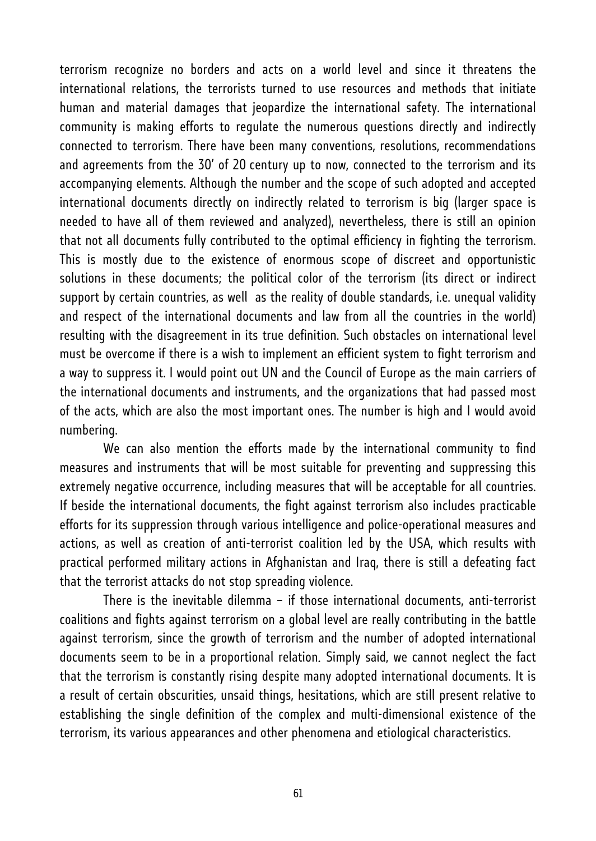terrorism recognize no borders and acts on a world level and since it threatens the international relations, the terrorists turned to use resources and methods that initiate human and material damages that jeopardize the international safety. The international community is making efforts to regulate the numerous questions directly and indirectly connected to terrorism. There have been many conventions, resolutions, recommendations and agreements from the 30' of 20 century up to now, connected to the terrorism and its accompanying elements. Although the number and the scope of such adopted and accepted international documents directly on indirectly related to terrorism is big (larger space is needed to have all of them reviewed and analyzed), nevertheless, there is still an opinion that not all documents fully contributed to the optimal efficiency in fighting the terrorism. This is mostly due to the existence of enormous scope of discreet and opportunistic solutions in these documents; the political color of the terrorism (its direct or indirect support by certain countries, as well as the reality of double standards, i.e. unequal validity and respect of the international documents and law from all the countries in the world) resulting with the disagreement in its true definition. Such obstacles on international level must be overcome if there is a wish to implement an efficient system to fight terrorism and a way to suppress it. I would point out UN and the Council of Europe as the main carriers of the international documents and instruments, and the organizations that had passed most of the acts, which are also the most important ones. The number is high and I would avoid numbering.

 We can also mention the efforts made by the international community to find measures and instruments that will be most suitable for preventing and suppressing this extremely negative occurrence, including measures that will be acceptable for all countries. If beside the international documents, the fight against terrorism also includes practicable efforts for its suppression through various intelligence and police-operational measures and actions, as well as creation of anti-terrorist coalition led by the USA, which results with practical performed military actions in Afghanistan and Iraq, there is still a defeating fact that the terrorist attacks do not stop spreading violence.

 There is the inevitable dilemma – if those international documents, anti-terrorist coalitions and fights against terrorism on a global level are really contributing in the battle against terrorism, since the growth of terrorism and the number of adopted international documents seem to be in a proportional relation. Simply said, we cannot neglect the fact that the terrorism is constantly rising despite many adopted international documents. It is a result of certain obscurities, unsaid things, hesitations, which are still present relative to establishing the single definition of the complex and multi-dimensional existence of the terrorism, its various appearances and other phenomena and etiological characteristics.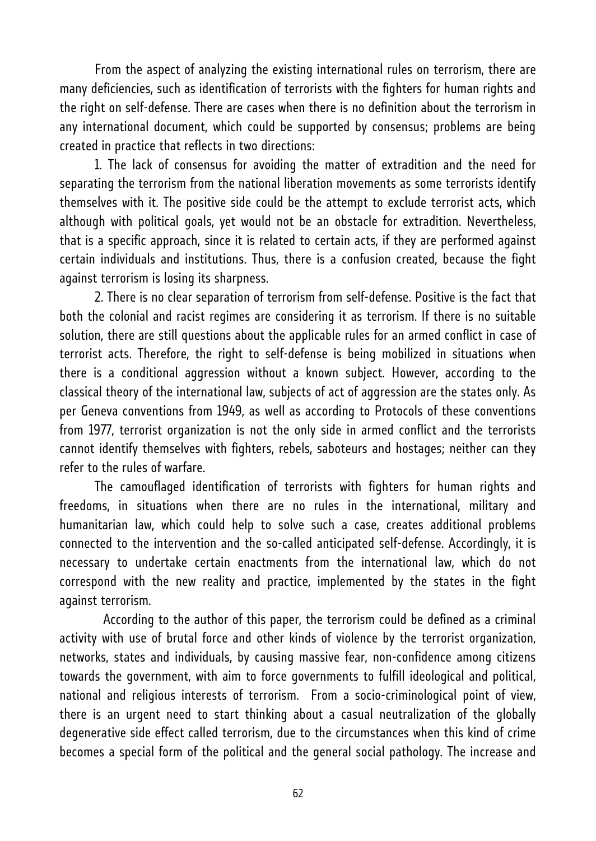From the aspect of analyzing the existing international rules on terrorism, there are many deficiencies, such as identification of terrorists with the fighters for human rights and the right on self-defense. There are cases when there is no definition about the terrorism in any international document, which could be supported by consensus; problems are being created in practice that reflects in two directions:

1. The lack of consensus for avoiding the matter of extradition and the need for separating the terrorism from the national liberation movements as some terrorists identify themselves with it. The positive side could be the attempt to exclude terrorist acts, which although with political goals, yet would not be an obstacle for extradition. Nevertheless, that is a specific approach, since it is related to certain acts, if they are performed against certain individuals and institutions. Thus, there is a confusion created, because the fight against terrorism is losing its sharpness.

2. There is no clear separation of terrorism from self-defense. Positive is the fact that both the colonial and racist regimes are considering it as terrorism. If there is no suitable solution, there are still questions about the applicable rules for an armed conflict in case of terrorist acts. Therefore, the right to self-defense is being mobilized in situations when there is a conditional aggression without a known subject. However, according to the classical theory of the international law, subjects of act of aggression are the states only. As per Geneva conventions from 1949, as well as according to Protocols of these conventions from 1977, terrorist organization is not the only side in armed conflict and the terrorists cannot identify themselves with fighters, rebels, saboteurs and hostages; neither can they refer to the rules of warfare.

The camouflaged identification of terrorists with fighters for human rights and freedoms, in situations when there are no rules in the international, military and humanitarian law, which could help to solve such a case, creates additional problems connected to the intervention and the so-called anticipated self-defense. Accordingly, it is necessary to undertake certain enactments from the international law, which do not correspond with the new reality and practice, implemented by the states in the fight against terrorism.

 According to the author of this paper, the terrorism could be defined as a criminal activity with use of brutal force and other kinds of violence by the terrorist organization, networks, states and individuals, by causing massive fear, non-confidence among citizens towards the government, with aim to force governments to fulfill ideological and political, national and religious interests of terrorism. From a socio-criminological point of view, there is an urgent need to start thinking about a casual neutralization of the globally degenerative side effect called terrorism, due to the circumstances when this kind of crime becomes a special form of the political and the general social pathology. The increase and

62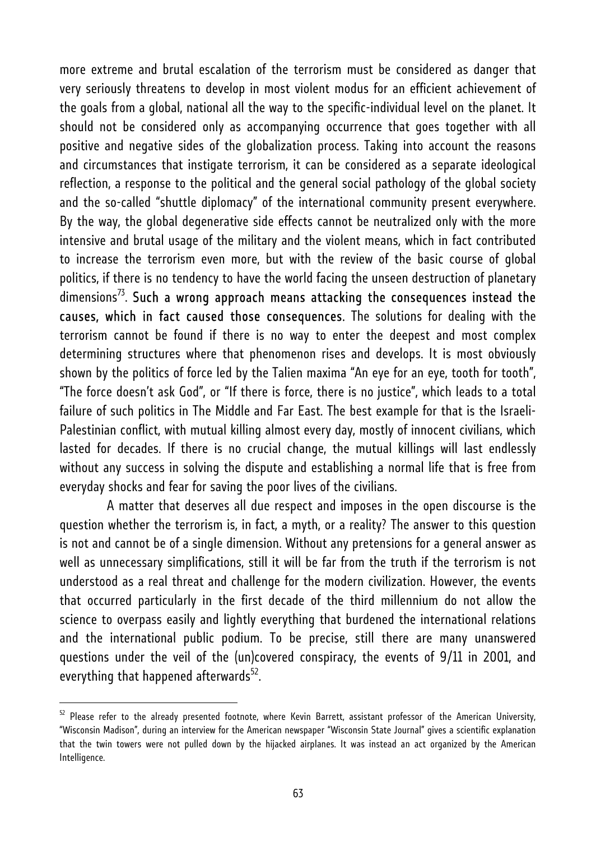more extreme and brutal escalation of the terrorism must be considered as danger that very seriously threatens to develop in most violent modus for an efficient achievement of the goals from a global, national all the way to the specific-individual level on the planet. It should not be considered only as accompanying occurrence that goes together with all positive and negative sides of the globalization process. Taking into account the reasons and circumstances that instigate terrorism, it can be considered as a separate ideological reflection, a response to the political and the general social pathology of the global society and the so-called "shuttle diplomacy" of the international community present everywhere. By the way, the global degenerative side effects cannot be neutralized only with the more intensive and brutal usage of the military and the violent means, which in fact contributed to increase the terrorism even more, but with the review of the basic course of global politics, if there is no tendency to have the world facing the unseen destruction of planetary  $dimensions<sup>73</sup>$ . Such a wrong approach means attacking the consequences instead the causes, which in fact caused those consequences. The solutions for dealing with the terrorism cannot be found if there is no way to enter the deepest and most complex determining structures where that phenomenon rises and develops. It is most obviously shown by the politics of force led by the Talien maxima "An eye for an eye, tooth for tooth", "The force doesn't ask God", or "If there is force, there is no justice", which leads to a total failure of such politics in The Middle and Far East. The best example for that is the Israeli-Palestinian conflict, with mutual killing almost every day, mostly of innocent civilians, which lasted for decades. If there is no crucial change, the mutual killings will last endlessly without any success in solving the dispute and establishing a normal life that is free from everyday shocks and fear for saving the poor lives of the civilians.

 A matter that deserves all due respect and imposes in the open discourse is the question whether the terrorism is, in fact, a myth, or a reality? The answer to this question is not and cannot be of a single dimension. Without any pretensions for a general answer as well as unnecessary simplifications, still it will be far from the truth if the terrorism is not understood as a real threat and challenge for the modern civilization. However, the events that occurred particularly in the first decade of the third millennium do not allow the science to overpass easily and lightly everything that burdened the international relations and the international public podium. To be precise, still there are many unanswered questions under the veil of the (un)covered conspiracy, the events of 9/11 in 2001, and everything that happened afterwards $52$ .

 $52$  Please refer to the already presented footnote, where Kevin Barrett, assistant professor of the American University, "Wisconsin Madison", during an interview for the American newspaper "Wisconsin State Journal" gives a scientific explanation that the twin towers were not pulled down by the hijacked airplanes. It was instead an act organized by the American Intelligence.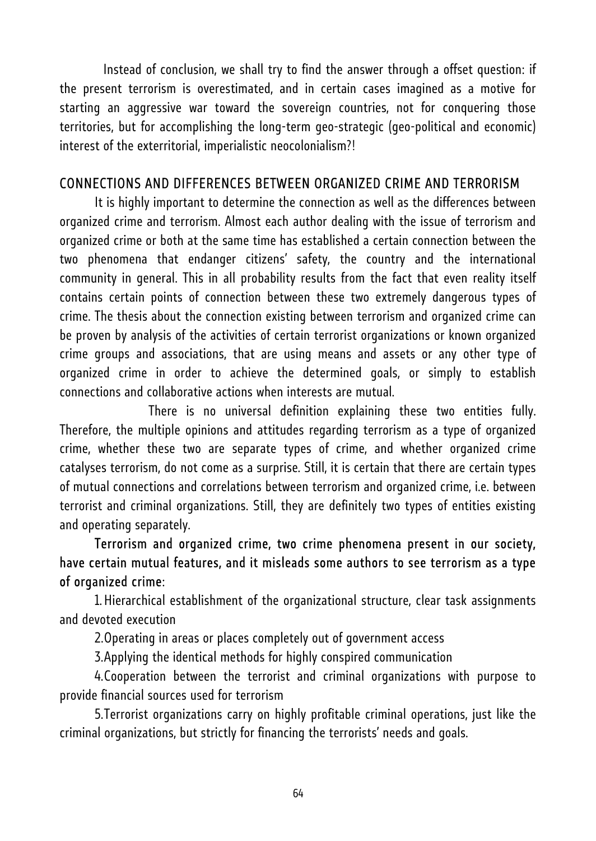Instead of conclusion, we shall try to find the answer through a offset question: if the present terrorism is overestimated, and in certain cases imagined as a motive for starting an aggressive war toward the sovereign countries, not for conquering those territories, but for accomplishing the long-term geo-strategic (geo-political and economic) interest of the exterritorial, imperialistic neocolonialism?!

#### CONNECTIONS AND DIFFERENCES BETWEEN ORGANIZED CRIME AND TERRORISM

It is highly important to determine the connection as well as the differences between organized crime and terrorism. Almost each author dealing with the issue of terrorism and organized crime or both at the same time has established a certain connection between the two phenomena that endanger citizens' safety, the country and the international community in general. This in all probability results from the fact that even reality itself contains certain points of connection between these two extremely dangerous types of crime. The thesis about the connection existing between terrorism and organized crime can be proven by analysis of the activities of certain terrorist organizations or known organized crime groups and associations, that are using means and assets or any other type of organized crime in order to achieve the determined goals, or simply to establish connections and collaborative actions when interests are mutual.

 There is no universal definition explaining these two entities fully. Therefore, the multiple opinions and attitudes regarding terrorism as a type of organized crime, whether these two are separate types of crime, and whether organized crime catalyses terrorism, do not come as a surprise. Still, it is certain that there are certain types of mutual connections and correlations between terrorism and organized crime, i.e. between terrorist and criminal organizations. Still, they are definitely two types of entities existing and operating separately.

Terrorism and organized crime, two crime phenomena present in our society, have certain mutual features, and it misleads some authors to see terrorism as a type of organized crime:

1.Hierarchical establishment of the organizational structure, clear task assignments and devoted execution

2.Operating in areas or places completely out of government access

3.Applying the identical methods for highly conspired communication

4.Cooperation between the terrorist and criminal organizations with purpose to provide financial sources used for terrorism

5.Terrorist organizations carry on highly profitable criminal operations, just like the criminal organizations, but strictly for financing the terrorists' needs and goals.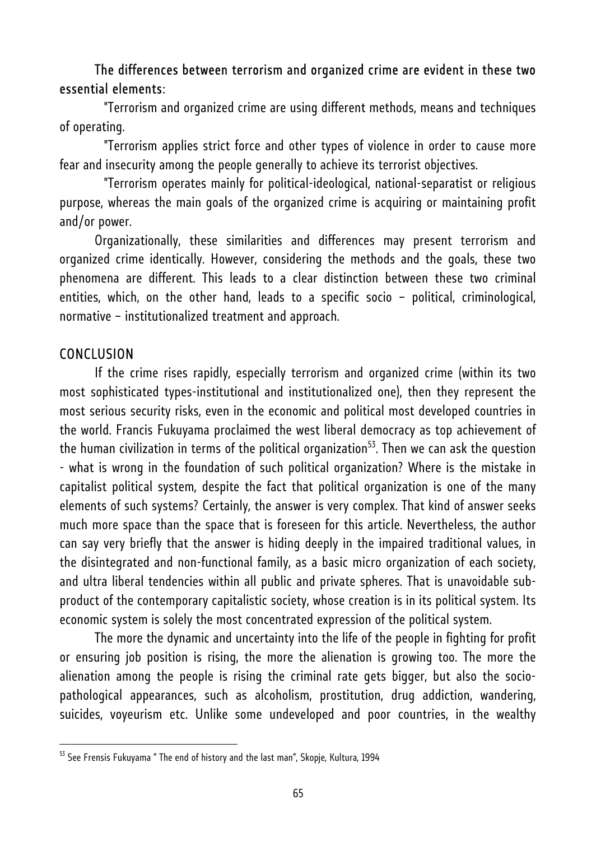#### The differences between terrorism and organized crime are evident in these two essential elements:

 "Terrorism and organized crime are using different methods, means and techniques of operating.

 "Terrorism applies strict force and other types of violence in order to cause more fear and insecurity among the people generally to achieve its terrorist objectives.

 "Terrorism operates mainly for political-ideological, national-separatist or religious purpose, whereas the main goals of the organized crime is acquiring or maintaining profit and/or power.

Organizationally, these similarities and differences may present terrorism and organized crime identically. However, considering the methods and the goals, these two phenomena are different. This leads to a clear distinction between these two criminal entities, which, on the other hand, leads to a specific socio – political, criminological, normative – institutionalized treatment and approach.

#### **CONCLUSION**

l

If the crime rises rapidly, especially terrorism and organized crime (within its two most sophisticated types-institutional and institutionalized one), then they represent the most serious security risks, even in the economic and political most developed countries in the world. Francis Fukuyama proclaimed the west liberal democracy as top achievement of the human civilization in terms of the political organization<sup>53</sup>. Then we can ask the question - what is wrong in the foundation of such political organization? Where is the mistake in capitalist political system, despite the fact that political organization is one of the many elements of such systems? Certainly, the answer is very complex. That kind of answer seeks much more space than the space that is foreseen for this article. Nevertheless, the author can say very briefly that the answer is hiding deeply in the impaired traditional values, in the disintegrated and non-functional family, as a basic micro organization of each society, and ultra liberal tendencies within all public and private spheres. That is unavoidable subproduct of the contemporary capitalistic society, whose creation is in its political system. Its economic system is solely the most concentrated expression of the political system.

The more the dynamic and uncertainty into the life of the people in fighting for profit or ensuring job position is rising, the more the alienation is growing too. The more the alienation among the people is rising the criminal rate gets bigger, but also the sociopathological appearances, such as alcoholism, prostitution, drug addiction, wandering, suicides, voyeurism etc. Unlike some undeveloped and poor countries, in the wealthy

<sup>&</sup>lt;sup>53</sup> See Frensis Fukuyama " The end of history and the last man", Skopje, Kultura, 1994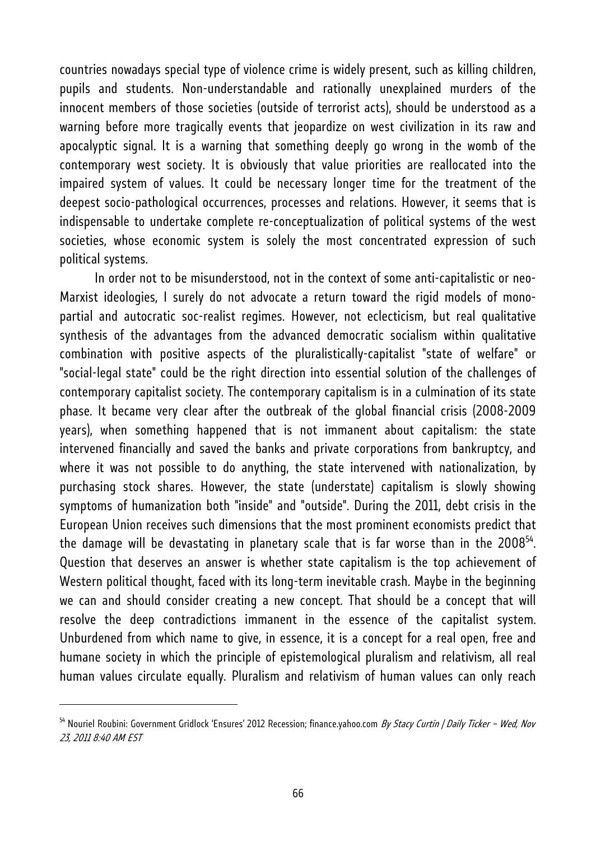countries nowadays special type of violence crime is widely present, such as killing children, pupils and students. Non-understandable and rationally unexplained murders of the innocent members of those societies (outside of terrorist acts), should be understood as a warning before more tragically events that jeopardize on west civilization in its raw and apocalyptic signal. It is a warning that something deeply go wrong in the womb of the contemporary west society. It is obviously that value priorities are reallocated into the impaired system of values. It could be necessary longer time for the treatment of the deepest socio-pathological occurrences, processes and relations. However, it seems that is indispensable to undertake complete re-conceptualization of political systems of the west societies, whose economic system is solely the most concentrated expression of such political systems.

In order not to be misunderstood, not in the context of some anti-capitalistic or neo-Marxist ideologies, I surely do not advocate a return toward the rigid models of monopartial and autocratic soc-realist regimes. However, not eclecticism, but real qualitative synthesis of the advantages from the advanced democratic socialism within qualitative combination with positive aspects of the pluralistically-capitalist "state of welfare" or "social-legal state" could be the right direction into essential solution of the challenges of contemporary capitalist society. The contemporary capitalism is in a culmination of its state phase. It became very clear after the outbreak of the global financial crisis (2008-2009 years), when something happened that is not immanent about capitalism: the state intervened financially and saved the banks and private corporations from bankruptcy, and where it was not possible to do anything, the state intervened with nationalization, by purchasing stock shares. However, the state (understate) capitalism is slowly showing symptoms of humanization both "inside" and "outside". During the 2011, debt crisis in the European Union receives such dimensions that the most prominent economists predict that the damage will be devastating in planetary scale that is far worse than in the 2008 $54$ . Question that deserves an answer is whether state capitalism is the top achievement of Western political thought, faced with its long-term inevitable crash. Maybe in the beginning we can and should consider creating a new concept. That should be a concept that will resolve the deep contradictions immanent in the essence of the capitalist system. Unburdened from which name to give, in essence, it is a concept for a real open, free and humane society in which the principle of epistemological pluralism and relativism, all real human values circulate equally. Pluralism and relativism of human values can only reach

<sup>&</sup>lt;sup>54</sup> Nouriel Roubini: Government Gridlock 'Ensures' 2012 Recession; finance.yahoo.com *By Stacy Curtin | Daily Ticker – Wed, Nov* 23, 2011 8:40 AM EST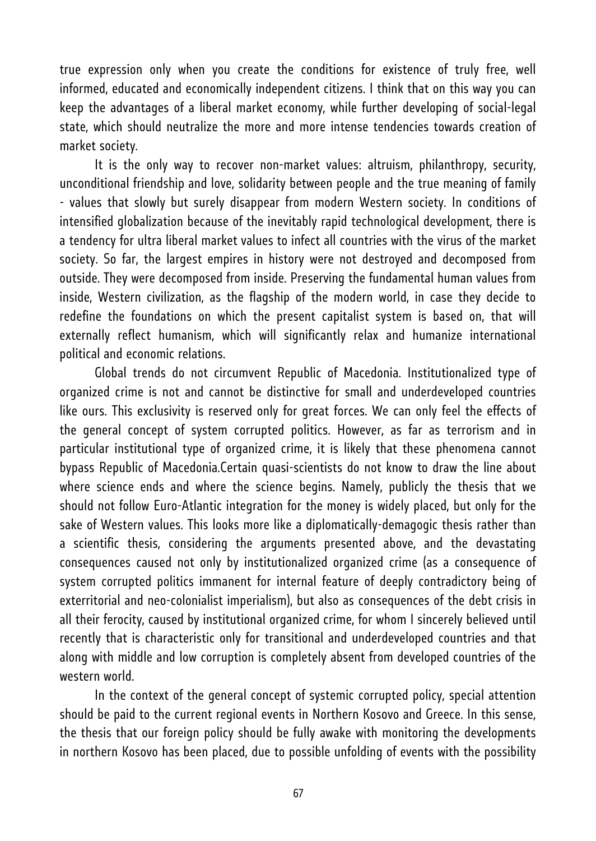true expression only when you create the conditions for existence of truly free, well informed, educated and economically independent citizens. I think that on this way you can keep the advantages of a liberal market economy, while further developing of social-legal state, which should neutralize the more and more intense tendencies towards creation of market society.

It is the only way to recover non-market values: altruism, philanthropy, security, unconditional friendship and love, solidarity between people and the true meaning of family - values that slowly but surely disappear from modern Western society. In conditions of intensified globalization because of the inevitably rapid technological development, there is a tendency for ultra liberal market values to infect all countries with the virus of the market society. So far, the largest empires in history were not destroyed and decomposed from outside. They were decomposed from inside. Preserving the fundamental human values from inside, Western civilization, as the flagship of the modern world, in case they decide to redefine the foundations on which the present capitalist system is based on, that will externally reflect humanism, which will significantly relax and humanize international political and economic relations.

Global trends do not circumvent Republic of Macedonia. Institutionalized type of organized crime is not and cannot be distinctive for small and underdeveloped countries like ours. This exclusivity is reserved only for great forces. We can only feel the effects of the general concept of system corrupted politics. However, as far as terrorism and in particular institutional type of organized crime, it is likely that these phenomena cannot bypass Republic of Macedonia.Certain quasi-scientists do not know to draw the line about where science ends and where the science begins. Namely, publicly the thesis that we should not follow Euro-Atlantic integration for the money is widely placed, but only for the sake of Western values. This looks more like a diplomatically-demagogic thesis rather than a scientific thesis, considering the arguments presented above, and the devastating consequences caused not only by institutionalized organized crime (as a consequence of system corrupted politics immanent for internal feature of deeply contradictory being of exterritorial and neo-colonialist imperialism), but also as consequences of the debt crisis in all their ferocity, caused by institutional organized crime, for whom I sincerely believed until recently that is characteristic only for transitional and underdeveloped countries and that along with middle and low corruption is completely absent from developed countries of the western world.

In the context of the general concept of systemic corrupted policy, special attention should be paid to the current regional events in Northern Kosovo and Greece. In this sense, the thesis that our foreign policy should be fully awake with monitoring the developments in northern Kosovo has been placed, due to possible unfolding of events with the possibility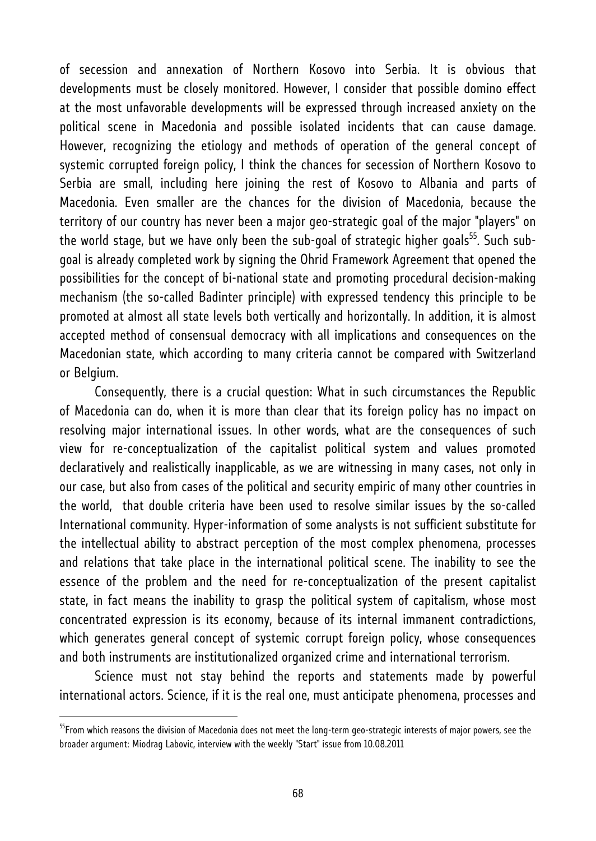of secession and annexation of Northern Kosovo into Serbia. It is obvious that developments must be closely monitored. However, I consider that possible domino effect at the most unfavorable developments will be expressed through increased anxiety on the political scene in Macedonia and possible isolated incidents that can cause damage. However, recognizing the etiology and methods of operation of the general concept of systemic corrupted foreign policy, I think the chances for secession of Northern Kosovo to Serbia are small, including here joining the rest of Kosovo to Albania and parts of Macedonia. Even smaller are the chances for the division of Macedonia, because the territory of our country has never been a major geo-strategic goal of the major "players" on the world stage, but we have only been the sub-goal of strategic higher goals<sup>55</sup>. Such subgoal is already completed work by signing the Ohrid Framework Agreement that opened the possibilities for the concept of bi-national state and promoting procedural decision-making mechanism (the so-called Badinter principle) with expressed tendency this principle to be promoted at almost all state levels both vertically and horizontally. In addition, it is almost accepted method of consensual democracy with all implications and consequences on the Macedonian state, which according to many criteria cannot be compared with Switzerland or Belgium.

Consequently, there is a crucial question: What in such circumstances the Republic of Macedonia can do, when it is more than clear that its foreign policy has no impact on resolving major international issues. In other words, what are the consequences of such view for re-conceptualization of the capitalist political system and values promoted declaratively and realistically inapplicable, as we are witnessing in many cases, not only in our case, but also from cases of the political and security empiric of many other countries in the world, that double criteria have been used to resolve similar issues by the so-called International community. Hyper-information of some analysts is not sufficient substitute for the intellectual ability to abstract perception of the most complex phenomena, processes and relations that take place in the international political scene. The inability to see the essence of the problem and the need for re-conceptualization of the present capitalist state, in fact means the inability to grasp the political system of capitalism, whose most concentrated expression is its economy, because of its internal immanent contradictions, which generates general concept of systemic corrupt foreign policy, whose consequences and both instruments are institutionalized organized crime and international terrorism.

Science must not stay behind the reports and statements made by powerful international actors. Science, if it is the real one, must anticipate phenomena, processes and

<sup>&</sup>lt;sup>55</sup>From which reasons the division of Macedonia does not meet the long-term geo-strategic interests of major powers, see the broader argument: Miodrag Labovic, interview with the weekly "Start" issue from 10.08.2011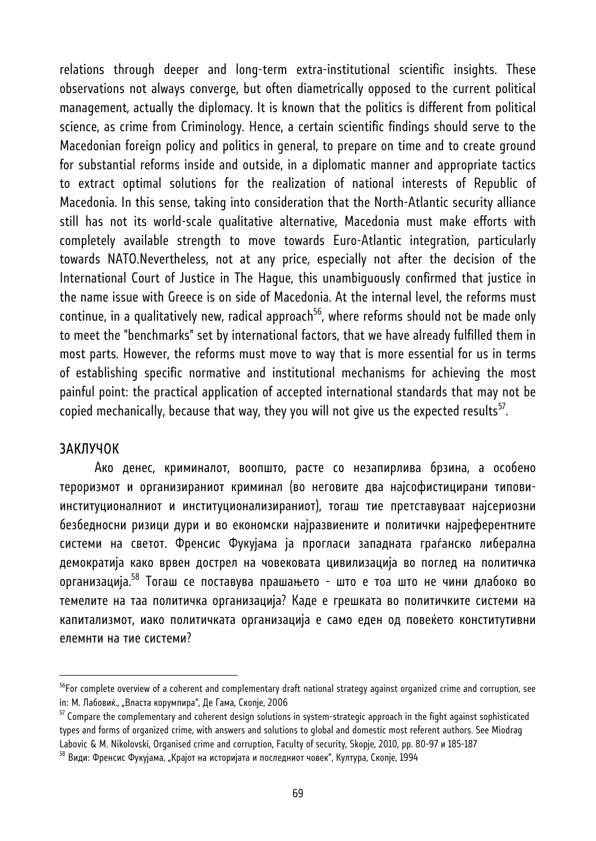relations through deeper and long-term extra-institutional scientific insights. These observations not always converge, but often diametrically opposed to the current political management, actually the diplomacy. It is known that the politics is different from political science, as crime from Criminology. Hence, a certain scientific findings should serve to the Macedonian foreign policy and politics in general, to prepare on time and to create ground for substantial reforms inside and outside, in a diplomatic manner and appropriate tactics to extract optimal solutions for the realization of national interests of Republic of Macedonia. In this sense, taking into consideration that the North-Atlantic security alliance still has not its world-scale qualitative alternative, Macedonia must make efforts with completely available strength to move towards Euro-Atlantic integration, particularly towards NATO.Nevertheless, not at any price, especially not after the decision of the International Court of Justice in The Hague, this unambiguously confirmed that justice in the name issue with Greece is on side of Macedonia. At the internal level, the reforms must continue, in a qualitatively new, radical approach<sup>56</sup>, where reforms should not be made only to meet the "benchmarks" set by international factors, that we have already fulfilled them in most parts. However, the reforms must move to way that is more essential for us in terms of establishing specific normative and institutional mechanisms for achieving the most painful point: the practical application of accepted international standards that may not be copied mechanically, because that way, they you will not give us the expected results<sup>57</sup>.

#### ЗАКЛУЧОК

l

Ако денес, криминалот, воопшто, расте со незапирлива брзина, а особено тероризмот и организираниот криминал (во неговите два најсофистицирани типовиинституционалниот и институционализираниот), тогаш тие претставуваат најсериозни безбедносни ризици дури и во економски најразвиените и политички најреферентните системи на светот. Френсис Фукујама ја прогласи западната граѓанско либерална демократија како врвен дострел на човековата цивилизација во поглед на политичка организација.58 Тогаш се поставува прашањето - што е тоа што не чини длабоко во темелите на таа политичка организација? Каде е грешката во политичките системи на капитализмот, иако политичката организација е само еден од повеќето конститутивни елемнти на тие системи?

<sup>&</sup>lt;sup>56</sup>For complete overview of a coherent and complementary draft national strategy against organized crime and corruption, see in: М. Лабовиќ., "Власта корумпира", Де Гама, Скопје, 2006<br><sup>57</sup> Compare the complementary and coherent design solutions in system-strategic approach in the fight against sophisticated

types and forms of organized crime, with answers and solutions to global and domestic most referent authors. See Miodrag Labovic & M. Nikolovski, Organised crime and corruption, Faculty of security, Skopje, 2010, pp. 80-97 и 185-187

 $^{58}$  Види: Френсис Фукујама, "Крајот на историјата и последниот човек", Култура, Скопје, 1994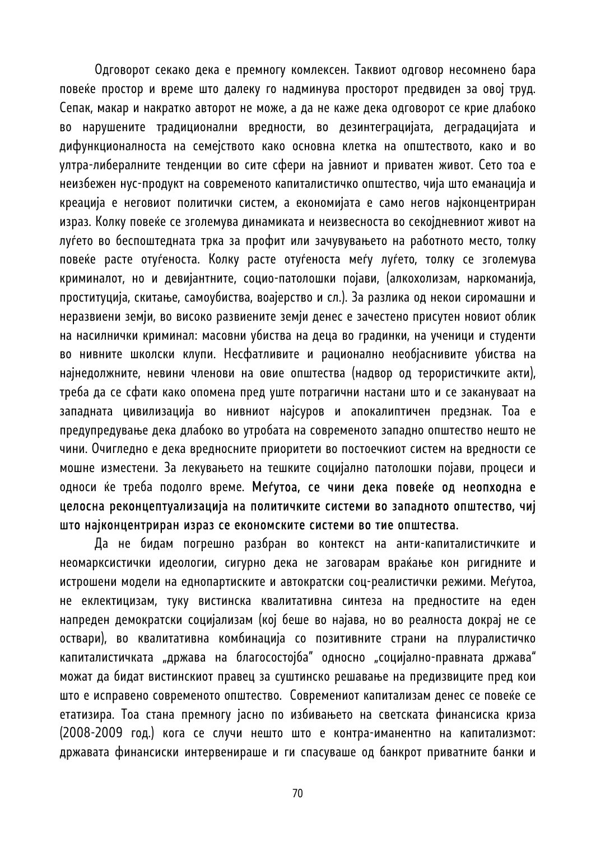Одговорот секако дека е премногу комлексен. Таквиот одговор несомнено бара повеќе простор и време што далеку го надминува просторот предвиден за овој труд. Сепак, макар и накратко авторот не може, а да не каже дека одговорот се крие длабоко во нарушените традиционални вредности, во дезинтеграцијата, деградацијата и дифункционалноста на семејството како основна клетка на општеството, како и во ултра-либералните тенденции во сите сфери на јавниот и приватен живот. Сето тоа е неизбежен нус-продукт на современото капиталистичко општество, чија што еманација и креација е неговиот политички систем, а економијата е само негов најконцентриран израз. Колку повеќе се зголемува динамиката и неизвесноста во секојдневниот живот на луѓето во беспоштедната трка за профит или зачувувањето на работното место, толку повеќе расте отуѓеноста. Колку расте отуѓеноста меѓу луѓето, толку се зголемува криминалот, но и девијантните, социо-патолошки појави, (алкохолизам, наркоманија, проституција, скитање, самоубиства, воајерство и сл.). За разлика од некои сиромашни и неразвиени земји, во високо развиените земји денес е зачестено присутен новиот облик на насилнички криминал: масовни убиства на деца во градинки, на ученици и студенти во нивните школски клупи. Несфатливите и рационално необјаснивите убиства на најнедолжните, невини членови на овие општества (надвор од терористичките акти), треба да се сфати како опомена пред уште потрагични настани што и се закануваат на западната цивилизација во нивниот најсуров и апокалиптичен предзнак. Тоа е предупредување дека длабоко во утробата на современото западно општество нешто не чини. Очигледно е дека вредносните приоритети во постоечкиот систем на вредности се мошне изместени. За лекувањето на тешките социјално патолошки појави, процеси и односи ќе треба подолго време. Меѓутоа, се чини дека повеќе од неопходна е целосна реконцептуализација на политичките системи во западното општество, чиј што најконцентриран израз се економските системи во тие општества.

Да не бидам погрешно разбран во контекст на анти-капиталистичките и неомарксистички идеологии, сигурно дека не заговарам враќање кон ригидните и истрошени модели на еднопартиските и автократски соц-реалистички режими. Меѓутоа, не еклектицизам, туку вистинска квалитативна синтеза на предностите на еден напреден демократски социјализам (кој беше во најава, но во реалноста докрај не се оствари), во квалитативна комбинација со позитивните страни на плуралистичко капиталистичката "држава на благосостојба" односно "социјално-правната држава" можат да бидат вистинскиот правец за суштинско решавање на предизвиците пред кои што е исправено современото општество. Современиот капитализам денес се повеќе се етатизира. Тоа стана премногу јасно по избивањето на светската финансиска криза (2008-2009 год.) кога се случи нешто што е контра-иманентно на капитализмот: државата финансиски интервенираше и ги спасуваше од банкрот приватните банки и

70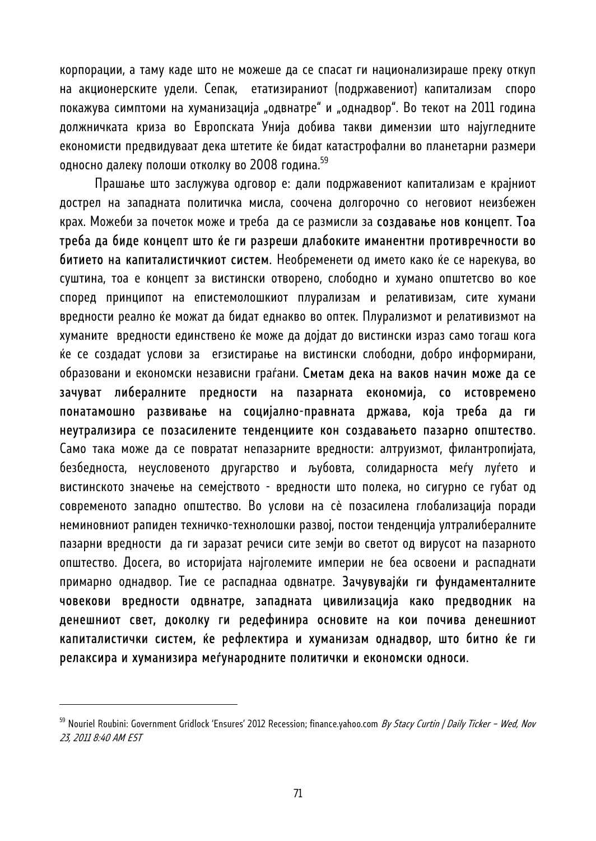корпорации, а таму каде што не можеше да се спасат ги национализираше преку откуп на акционерските удели. Сепак, етатизираниот (подржавениот) капитализам споро покажува симптоми на хуманизација "одвнатре" и "однадвор". Во текот на 2011 година должничката криза во Европската Унија добива такви димензии што најугледните економисти предвидуваат дека штетите ќе бидат катастрофални во планетарни размери односно далеку полоши отколку во 2008 година.<sup>59</sup>

Прашање што заслужува одговор е: дали подржавениот капитализам е крајниот дострел на западната политичка мисла, соочена долгорочно со неговиот неизбежен крах. Можеби за почеток може и треба да се размисли за создавање нов концепт. Тоа треба да биде концепт што ќе ги разреши длабоките иманентни противречности во битието на капиталистичкиот систем. Необременети од името како ќе се нарекува, во суштина, тоа е концепт за вистински отворено, слободно и хумано општетсво во кое според принципот на епистемолошкиот плурализам и релативизам, сите хумани вредности реално ќе можат да бидат еднакво во оптек. Плурализмот и релативизмот на хуманите вредности единствено ќе може да дојдат до вистински израз само тогаш кога ќе се создадат услови за егзистирање на вистински слободни, добро информирани, образовани и економски независни граѓани. Сметам дека на ваков начин може да се зачуват либералните предности на пазарната економија, со истовремено понатамошно развивање на социјално-правната држава, која треба да ги неутрализира се позасилените тенденциите кон создавањето пазарно општество. Само така може да се повратат непазарните вредности: алтруизмот, филантропијата, безбедноста, неусловеното другарство и љубовта, солидарноста меѓу луѓето и вистинското значење на семејството - вредности што полека, но сигурно се губат од современото западно општество. Во услови на сè позасилена глобализација поради неминовниот рапиден техничко-технолошки развој, постои тенденција ултралибералните пазарни вредности да ги заразат речиси сите земји во светот од вирусот на пазарното општество. Досега, во историјата најголемите империи не беа освоени и распаднати примарно однадвор. Тие се распаднаа одвнатре. Зачувувајќи ги фундаменталните човекови вредности одвнатре, западната цивилизација како предводник на денешниот свет, доколку ги редефинира основите на кои почива денешниот капиталистички систем, ќе рефлектира и хуманизам однадвор, што битно ќе ги релаксира и хуманизира меѓународните политички и економски односи.

<sup>&</sup>lt;sup>59</sup> Nouriel Roubini: Government Gridlock 'Ensures' 2012 Recession; finance.yahoo.com *By Stacy Curtin | Daily Ticker - Wed, Nov* 23, 2011 8:40 AM EST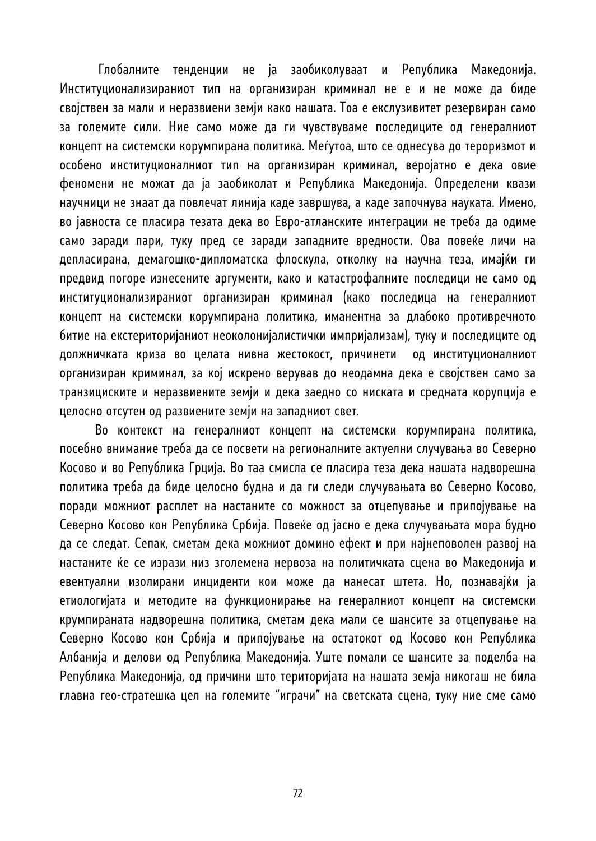Глобалните тенденции не ја заобиколуваат и Република Македонија. Институционализираниот тип на организиран криминал не е и не може да биде својствен за мали и неразвиени земји како нашата. Тоа е екслузивитет резервиран само за големите сили. Ние само може да ги чувствуваме последиците од генералниот концепт на системски корумпирана политика. Меѓутоа, што се однесува до тероризмот и особено институционалниот тип на организиран криминал, веројатно е дека овие феномени не можат да ја заобиколат и Република Македонија. Определени квази научници не знаат да повлечат линија каде завршува, а каде започнува науката. Имено, во јавноста се пласира тезата дека во Евро-атланските интеграции не треба да одиме само заради пари, туку пред се заради западните вредности. Ова повеќе личи на депласирана, демагошко-дипломатска флоскула, отколку на научна теза, имајќи ги предвид погоре изнесените аргументи, како и катастрофалните последици не само од институционализираниот организиран криминал (како последица на генералниот концепт на системски корумпирана политика, иманентна за длабоко противречното битие на екстериторијаниот неоколонијалистички импријализам), туку и последиците од должничката криза во целата нивна жестокост, причинети од институционалниот организиран криминал, за кој искрено верував до неодамна дека е својствен само за транзициските и неразвиените земји и дека заедно со ниската и средната корупција е целосно отсутен од развиените земји на западниот свет.

Во контекст на генералниот концепт на системски корумпирана политика, посебно внимание треба да се посвети на регионалните актуелни случувања во Северно Косово и во Република Грција. Во таа смисла се пласира теза дека нашата надворешна политика треба да биде целосно будна и да ги следи случувањата во Северно Косово, поради можниот расплет на настаните со можност за отцепување и припојување на Северно Косово кон Република Србија. Повеќе од јасно е дека случувањата мора будно да се следат. Сепак, сметам дека можниот домино ефект и при најнеповолен развој на настаните ќе се изрази низ зголемена нервоза на политичката сцена во Македонија и евентуални изолирани инциденти кои може да нанесат штета. Но, познавајќи ја етиологијата и методите на функционирање на генералниот концепт на системски крумпираната надворешна политика, сметам дека мали се шансите за отцепување на Северно Косово кон Србија и припојување на остатокот од Косово кон Република Албанија и делови од Република Македонија. Уште помали се шансите за поделба на Република Македонија, од причини што територијата на нашата земја никогаш не била главна гео-стратешка цел на големите "играчи" на светската сцена, туку ние сме само

72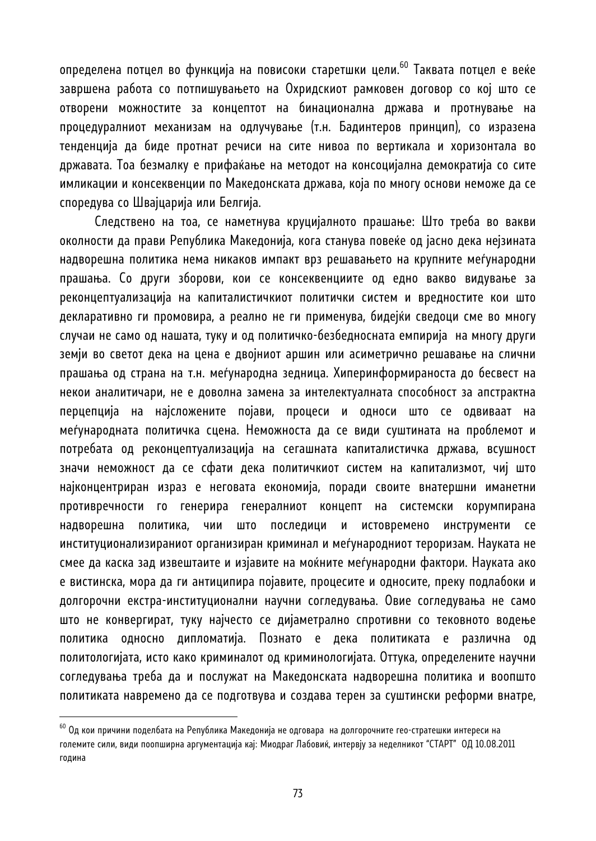определена потцел во функција на повисоки старетшки цели.<sup>60</sup> Таквата потцел е веќе завршена работа со потпишувањето на Охридскиот рамковен договор со кој што се отворени можностите за концептот на бинационална држава и протнување на процедуралниот механизам на одлучување (т.н. Бадинтеров принцип), со изразена тенденција да биде протнат речиси на сите нивоа по вертикала и хоризонтала во државата. Тоа безмалку е прифаќање на методот на консоцијална демократија со сите имликации и консеквенции по Македонската држава, која по многу основи неможе да се споредува со Швајцарија или Белгија.

Следствено на тоа, се наметнува круцијалното прашање: Што треба во вакви околности да прави Република Македонија, кога станува повеќе од јасно дека нејзината надворешна политика нема никаков импакт врз решавањето на крупните меѓународни прашања. Со други зборови, кои се консеквенциите од едно вакво видување за реконцептуализација на капиталистичкиот политички систем и вредностите кои што декларативно ги промовира, а реално не ги применува, бидејќи сведоци сме во многу случаи не само од нашата, туку и од политичко-безбедносната емпирија на многу други земји во светот дека на цена е двојниот аршин или асиметрично решавање на слични прашања од страна на т.н. меѓународна зедница. Хиперинформираноста до бесвест на некои аналитичари, не е доволна замена за интелектуалната способност за апстрактна перцепција на најсложените појави, процеси и односи што се одвиваат на меѓународната политичка сцена. Неможноста да се види суштината на проблемот и потребата од реконцептуализација на сегашната капиталистичка држава, всушност значи неможност да се сфати дека политичкиот систем на капитализмот, чиј што најконцентриран израз е неговата економија, поради своите внатершни иманетни противречности го генерира генералниот концепт на системски корумпирана надворешна политика, чии што последици и истовремено инструменти се институционализираниот организиран криминал и меѓународниот тероризам. Науката не смее да каска зад извештаите и изјавите на моќните меѓународни фактори. Науката ако е вистинска, мора да ги антиципира појавите, процесите и односите, преку подлабоки и долгорочни екстра-институционални научни согледувања. Овие согледувања не само што не конвергират, туку најчесто се дијаметрално спротивни со тековното водење политика односно дипломатија. Познато е дека политиката е различна од политологијата, исто како криминалот од криминологијата. Оттука, определените научни согледувања треба да и послужат на Македонската надворешна политика и воопшто политиката навремено да се подготвува и создава терен за суштински реформи внатре,

 $^{60}$  Од кои причини поделбата на Република Македонија не одговара на долгорочните гео-стратешки интереси на големите сили, види поопширна аргументација кај: Миодраг Лабовиќ, интервју за неделникот "СТАРТ" ОД 10.08.2011 година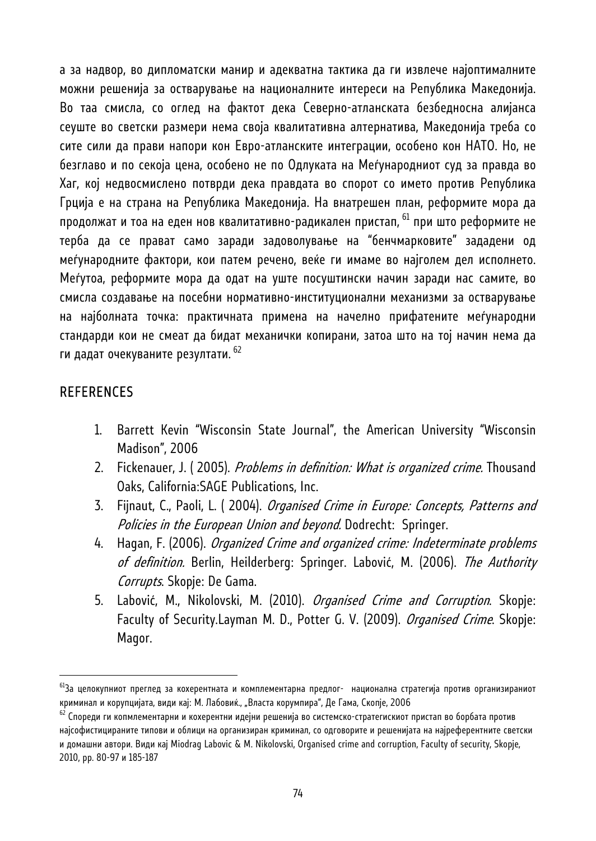а за надвор, во дипломатски манир и адекватна тактика да ги извлече најоптималните можни решенија за остварување на националните интереси на Република Македонија. Во таа смисла, со оглед на фактот дека Северно-атланската безбедносна алијанса сеуште во светски размери нема своја квалитативна алтернатива, Македонија треба со сите сили да прави напори кон Евро-атланските интеграции, особено кон НАТО. Но, не безглаво и по секоја цена, особено не по Одлуката на Меѓународниот суд за правда во Хаг, кој недвосмислено потврди дека правдата во спорот со името против Република Грција е на страна на Република Македонија. На внатрешен план, реформите мора да продолжат и тоа на еден нов квалитативно-радикален пристап, <sup>61</sup> при што реформите не терба да се прават само заради задоволување на "бенчмарковите" зададени од меѓународните фактори, кои патем речено, веќе ги имаме во најголем дел исполнето. Меѓутоа, реформите мора да одат на уште посуштински начин заради нас самите, во смисла создавање на посебни нормативно-институционални механизми за остварување на најболната точка: практичната примена на начелно прифатените меѓународни стандарди кои не смеат да бидат механички копирани, затоа што на тој начин нема да ги дадат очекуваните резултати. 62

#### **REFERENCES**

- 1. Barrett Kevin "Wisconsin State Journal", the American University "Wisconsin Madison", 2006
- 2. Fickenauer, J. (2005). Problems in definition: What is organized crime. Thousand Oaks, California:SAGE Publications, Inc.
- 3. Fijnaut, C., Paoli, L. (2004). Organised Crime in Europe: Concepts, Patterns and Policies in the European Union and beyond. Dodrecht: Springer.
- 4. Hagan, F. (2006). Organized Crime and organized crime: Indeterminate problems of definition. Berlin, Heilderberg: Springer. Labović, M. (2006). The Authority Corrupts. Skopje: De Gama.
- 5. Labović, M., Nikolovski, M. (2010). Organised Crime and Corruption. Skopje: Faculty of Security.Layman M. D., Potter G. V. (2009). Organised Crime. Skopje: Magor.

 $^{61}$ За целокупниот преглед за кохерентната и комплементарна предлог- национална стратегија против организираниот криминал и корупцијата, види кај: М. Лабовиќ., "Власта корумпира", Де Гама, Скопје, 2006<br><sup>62</sup> Спореди ги копмлементарни и кохерентни идејни решенија во системско-стратегискиот пристап во борбата против

најсофистицираните типови и облици на организиран криминал, со одговорите и решенијата на најреферентните светски и домашни автори. Види кај Miodrag Labovic & M. Nikolovski, Organised crime and corruption, Faculty of security, Skopje, 2010, pp. 80-97 и 185-187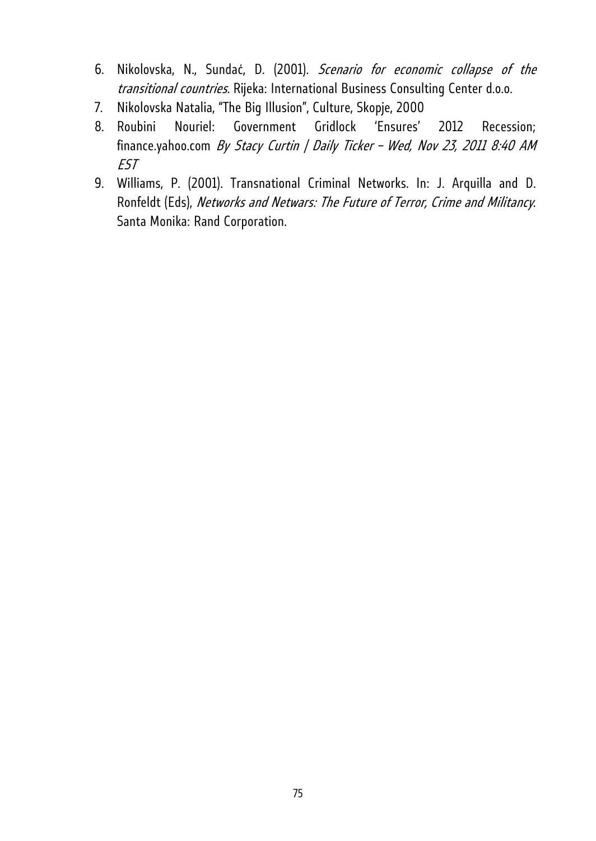- 6. Nikolovska, N., Sundać, D. (2001). Scenario for economic collapse of the transitional countries. Rijeka: International Business Consulting Center d.o.o.
- 7. Nikolovska Natalia, "The Big Illusion", Culture, Skopje, 2000
- 8. Roubini Nouriel: Government Gridlock 'Ensures' 2012 Recession; finance.yahoo.com By Stacy Curtin | Daily Ticker - Wed, Nov 23, 2011 8:40 AM EST
- 9. Williams, P. (2001). Transnational Criminal Networks. In: J. Arquilla and D. Ronfeldt (Eds), Networks and Netwars: The Future of Terror, Crime and Militancy. Santa Monika: Rand Corporation.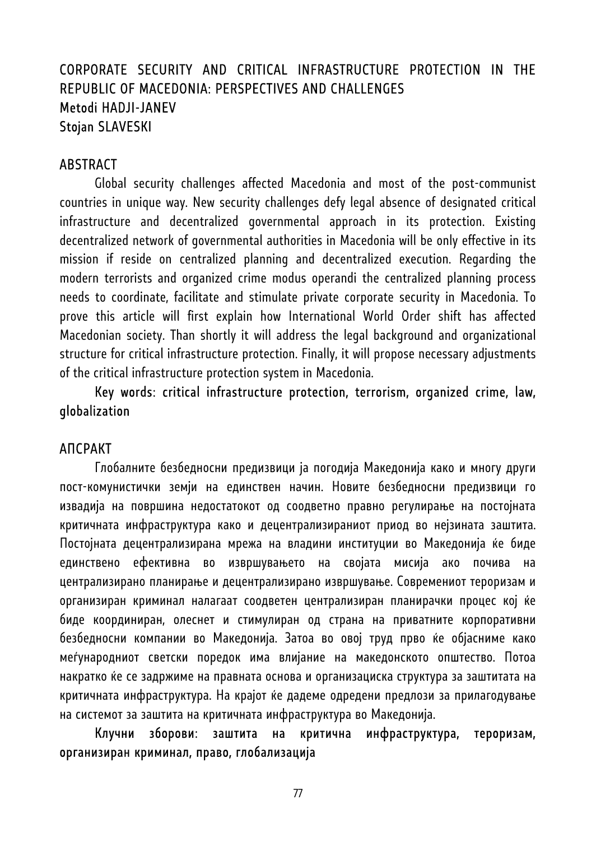# CORPORATE SECURITY AND CRITICAL INFRASTRUCTURE PROTECTION IN THE REPUBLIC OF MACEDONIA: PERSPECTIVES AND CHALLENGES Metodi HADJI-JANEV Stojan SLAVESKI

#### **ABSTRACT**

Global security challenges affected Macedonia and most of the post-communist countries in unique way. New security challenges defy legal absence of designated critical infrastructure and decentralized governmental approach in its protection. Existing decentralized network of governmental authorities in Macedonia will be only effective in its mission if reside on centralized planning and decentralized execution. Regarding the modern terrorists and organized crime modus operandi the centralized planning process needs to coordinate, facilitate and stimulate private corporate security in Macedonia. To prove this article will first explain how International World Order shift has affected Macedonian society. Than shortly it will address the legal background and organizational structure for critical infrastructure protection. Finally, it will propose necessary adjustments of the critical infrastructure protection system in Macedonia.

Key words: critical infrastructure protection, terrorism, organized crime, law, globalization

#### АПСРАКТ

Глобалните безбедносни предизвици ја погодија Македонија како и многу други пост-комунистички земји на единствен начин. Новите безбедносни предизвици го извадија на површина недостатокот од соодветно правно регулирање на постојната критичната инфраструктура како и децентрализираниот приод во нејзината заштита. Постојната децентрализирана мрежа на владини институции во Македонија ќе биде единствено ефективна во извршувањето на својата мисија ако почива на централизирано планирање и децентрализирано извршување. Современиот тероризам и организиран криминал налагаат соодветен централизиран планирачки процес кој ќе биде координиран, олеснет и стимулиран од страна на приватните корпоративни безбедносни компании во Македонија. Затоа во овој труд прво ќе објасниме како меѓународниот светски поредок има влијание на македонското општество. Потоа накратко ќе се задржиме на правната основа и организациска структура за заштитата на критичната инфраструктура. На крајот ќе дадеме одредени предлози за прилагодување на системот за заштита на критичната инфраструктура во Македонија.

Клучни зборови: заштита на критична инфраструктура, тероризам, организиран криминал, право, глобализација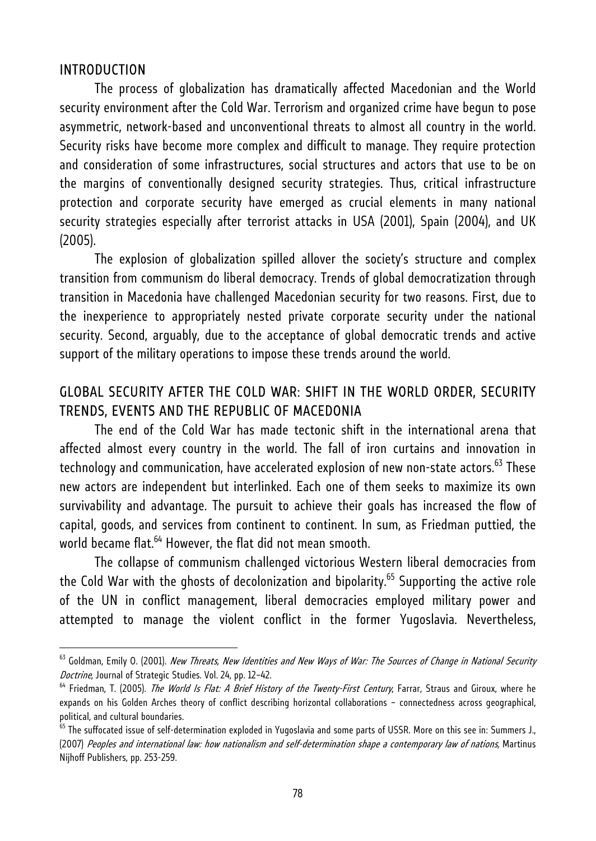#### INTRODUCTION

l

The process of globalization has dramatically affected Macedonian and the World security environment after the Cold War. Terrorism and organized crime have begun to pose asymmetric, network-based and unconventional threats to almost all country in the world. Security risks have become more complex and difficult to manage. They require protection and consideration of some infrastructures, social structures and actors that use to be on the margins of conventionally designed security strategies. Thus, critical infrastructure protection and corporate security have emerged as crucial elements in many national security strategies especially after terrorist attacks in USA (2001), Spain (2004), and UK (2005).

The explosion of globalization spilled allover the society's structure and complex transition from communism do liberal democracy. Trends of global democratization through transition in Macedonia have challenged Macedonian security for two reasons. First, due to the inexperience to appropriately nested private corporate security under the national security. Second, arguably, due to the acceptance of global democratic trends and active support of the military operations to impose these trends around the world.

# GLOBAL SECURITY AFTER THE COLD WAR: SHIFT IN THE WORLD ORDER, SECURITY TRENDS, EVENTS AND THE REPUBLIC OF MACEDONIA

The end of the Cold War has made tectonic shift in the international arena that affected almost every country in the world. The fall of iron curtains and innovation in technology and communication, have accelerated explosion of new non-state actors.<sup>63</sup> These new actors are independent but interlinked. Each one of them seeks to maximize its own survivability and advantage. The pursuit to achieve their goals has increased the flow of capital, goods, and services from continent to continent. In sum, as Friedman puttied, the world became flat.<sup>64</sup> However, the flat did not mean smooth.

The collapse of communism challenged victorious Western liberal democracies from the Cold War with the ghosts of decolonization and bipolarity.<sup>65</sup> Supporting the active role of the UN in conflict management, liberal democracies employed military power and attempted to manage the violent conflict in the former Yugoslavia. Nevertheless,

<sup>&</sup>lt;sup>63</sup> Goldman. Emily O. (2001). New Threats, New Identities and New Ways of War: The Sources of Change in National Security Doctrine, Journal of Strategic Studies. Vol. 24, pp. 12–42.<br><sup>64</sup> Friedman, T. (2005). *The World Is Flat: A Brief History of the Twenty-First Century*, Farrar, Straus and Giroux, where he

expands on his Golden Arches theory of conflict describing horizontal collaborations – connectedness across geographical, political, and cultural boundaries.

<sup>&</sup>lt;sup>65</sup> The suffocated issue of self-determination exploded in Yugoslavia and some parts of USSR. More on this see in: Summers J., (2007) Peoples and international law: how nationalism and self-determination shape a contemporary law of nations, Martinus Nijhoff Publishers, pp. 253-259.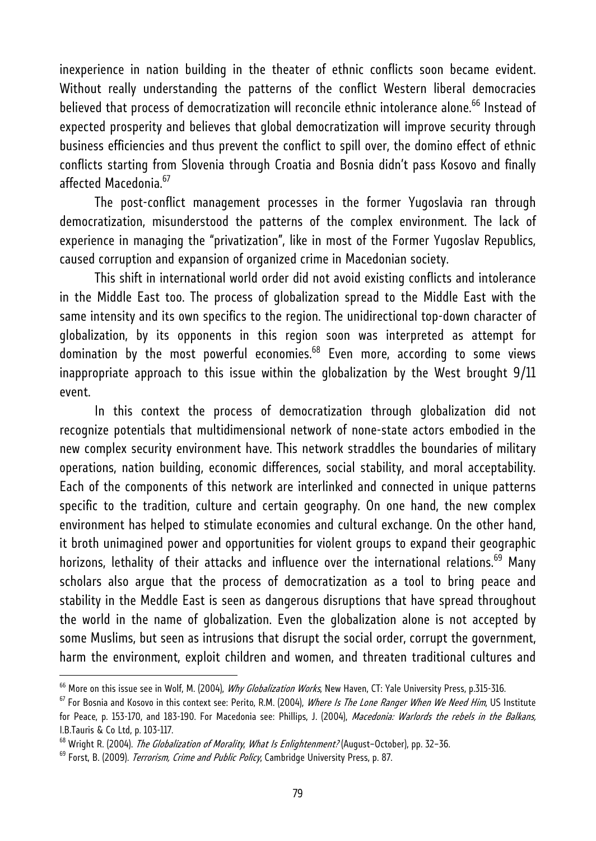inexperience in nation building in the theater of ethnic conflicts soon became evident. Without really understanding the patterns of the conflict Western liberal democracies believed that process of democratization will reconcile ethnic intolerance alone.<sup>66</sup> Instead of expected prosperity and believes that global democratization will improve security through business efficiencies and thus prevent the conflict to spill over, the domino effect of ethnic conflicts starting from Slovenia through Croatia and Bosnia didn't pass Kosovo and finally affected Macedonia.<sup>67</sup>

The post-conflict management processes in the former Yugoslavia ran through democratization, misunderstood the patterns of the complex environment. The lack of experience in managing the "privatization", like in most of the Former Yugoslav Republics, caused corruption and expansion of organized crime in Macedonian society.

This shift in international world order did not avoid existing conflicts and intolerance in the Middle East too. The process of globalization spread to the Middle East with the same intensity and its own specifics to the region. The unidirectional top-down character of globalization, by its opponents in this region soon was interpreted as attempt for domination by the most powerful economies. $68$  Even more, according to some views inappropriate approach to this issue within the globalization by the West brought 9/11 event.

In this context the process of democratization through globalization did not recognize potentials that multidimensional network of none-state actors embodied in the new complex security environment have. This network straddles the boundaries of military operations, nation building, economic differences, social stability, and moral acceptability. Each of the components of this network are interlinked and connected in unique patterns specific to the tradition, culture and certain geography. On one hand, the new complex environment has helped to stimulate economies and cultural exchange. On the other hand, it broth unimagined power and opportunities for violent groups to expand their geographic horizons, lethality of their attacks and influence over the international relations.<sup>69</sup> Many scholars also argue that the process of democratization as a tool to bring peace and stability in the Meddle East is seen as dangerous disruptions that have spread throughout the world in the name of globalization. Even the globalization alone is not accepted by some Muslims, but seen as intrusions that disrupt the social order, corrupt the government, harm the environment, exploit children and women, and threaten traditional cultures and

<sup>&</sup>lt;sup>66</sup> More on this issue see in Wolf, M. (2004), *Why Globalization Works*, New Haven, CT: Yale University Press, p.315-316.<br><sup>67</sup> For Bosnia and Kosovo in this context see: Perito, R.M. (2004), *Where Is The Lone Ranger Whe* 

for Peace, p. 153-170, and 183-190. For Macedonia see: Phillips, J. (2004), Macedonia: Warlords the rebels in the Balkans, I.B.Tauris & Co Ltd, p. 103-117.

<sup>&</sup>lt;sup>68</sup> Wright R. (2004). *The Globalization of Morality, What Is Enlightenment?* (August–October), pp. 32–36.<br><sup>69</sup> Forst, B. (2009). *Terrorism, Crime and Public Policy*, Cambridge University Press, p. 87.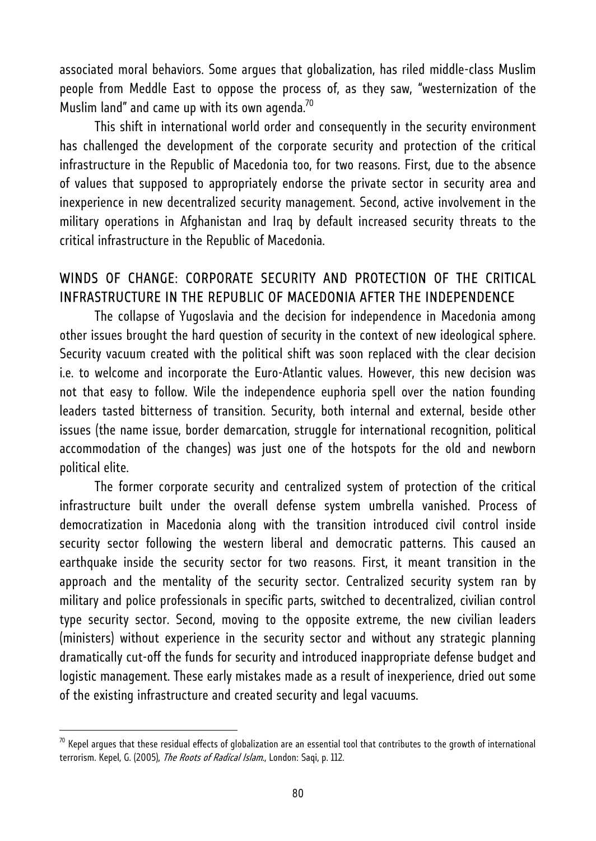associated moral behaviors. Some argues that globalization, has riled middle-class Muslim people from Meddle East to oppose the process of, as they saw, "westernization of the Muslim land" and came up with its own agenda.<sup>70</sup>

This shift in international world order and consequently in the security environment has challenged the development of the corporate security and protection of the critical infrastructure in the Republic of Macedonia too, for two reasons. First, due to the absence of values that supposed to appropriately endorse the private sector in security area and inexperience in new decentralized security management. Second, active involvement in the military operations in Afghanistan and Iraq by default increased security threats to the critical infrastructure in the Republic of Macedonia.

# WINDS OF CHANGE: CORPORATE SECURITY AND PROTECTION OF THE CRITICAL INFRASTRUCTURE IN THE REPUBLIC OF MACEDONIA AFTER THE INDEPENDENCE

The collapse of Yugoslavia and the decision for independence in Macedonia among other issues brought the hard question of security in the context of new ideological sphere. Security vacuum created with the political shift was soon replaced with the clear decision i.e. to welcome and incorporate the Euro-Atlantic values. However, this new decision was not that easy to follow. Wile the independence euphoria spell over the nation founding leaders tasted bitterness of transition. Security, both internal and external, beside other issues (the name issue, border demarcation, struggle for international recognition, political accommodation of the changes) was just one of the hotspots for the old and newborn political elite.

The former corporate security and centralized system of protection of the critical infrastructure built under the overall defense system umbrella vanished. Process of democratization in Macedonia along with the transition introduced civil control inside security sector following the western liberal and democratic patterns. This caused an earthquake inside the security sector for two reasons. First, it meant transition in the approach and the mentality of the security sector. Centralized security system ran by military and police professionals in specific parts, switched to decentralized, civilian control type security sector. Second, moving to the opposite extreme, the new civilian leaders (ministers) without experience in the security sector and without any strategic planning dramatically cut-off the funds for security and introduced inappropriate defense budget and logistic management. These early mistakes made as a result of inexperience, dried out some of the existing infrastructure and created security and legal vacuums.

 $^{70}$  Kepel argues that these residual effects of globalization are an essential tool that contributes to the growth of international terrorism. Kepel, G. (2005), The Roots of Radical Islam., London: Saqi, p. 112.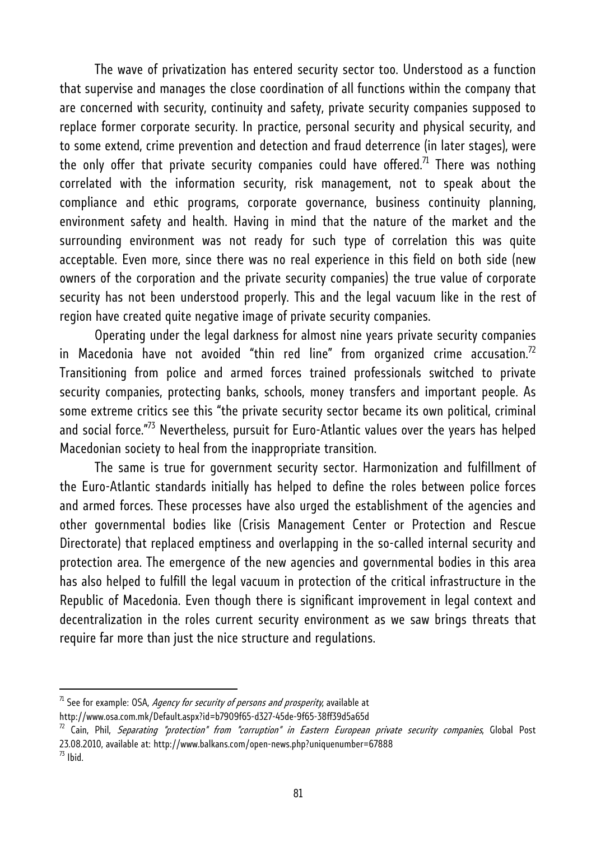The wave of privatization has entered security sector too. Understood as a function that supervise and manages the close coordination of all functions within the company that are concerned with security, continuity and safety, private security companies supposed to replace former corporate security. In practice, personal security and physical security, and to some extend, crime prevention and detection and fraud deterrence (in later stages), were the only offer that private security companies could have offered.<sup>71</sup> There was nothing correlated with the information security, risk management, not to speak about the compliance and ethic programs, corporate governance, business continuity planning, environment safety and health. Having in mind that the nature of the market and the surrounding environment was not ready for such type of correlation this was quite acceptable. Even more, since there was no real experience in this field on both side (new owners of the corporation and the private security companies) the true value of corporate security has not been understood properly. This and the legal vacuum like in the rest of region have created quite negative image of private security companies.

Operating under the legal darkness for almost nine years private security companies in Macedonia have not avoided "thin red line" from organized crime accusation.<sup>72</sup> Transitioning from police and armed forces trained professionals switched to private security companies, protecting banks, schools, money transfers and important people. As some extreme critics see this "the private security sector became its own political, criminal and social force."73 Nevertheless, pursuit for Euro-Atlantic values over the years has helped Macedonian society to heal from the inappropriate transition.

The same is true for government security sector. Harmonization and fulfillment of the Euro-Atlantic standards initially has helped to define the roles between police forces and armed forces. These processes have also urged the establishment of the agencies and other governmental bodies like (Crisis Management Center or Protection and Rescue Directorate) that replaced emptiness and overlapping in the so-called internal security and protection area. The emergence of the new agencies and governmental bodies in this area has also helped to fulfill the legal vacuum in protection of the critical infrastructure in the Republic of Macedonia. Even though there is significant improvement in legal context and decentralization in the roles current security environment as we saw brings threats that require far more than just the nice structure and regulations.

 $71$  See for example: OSA, Agency for security of persons and prosperity, available at

http://www.osa.com.mk/Default.aspx?id=b7909f65-d327-45de-9f65-38ff39d5a65d<br><sup>72</sup> Cain, Phil, *Separating "protection" from "corruption" in Eastern European private security companies*, Global Post 23.08.2010, available at: http://www.balkans.com/open-news.php?uniquenumber=67888  $^{73}$  Ibid.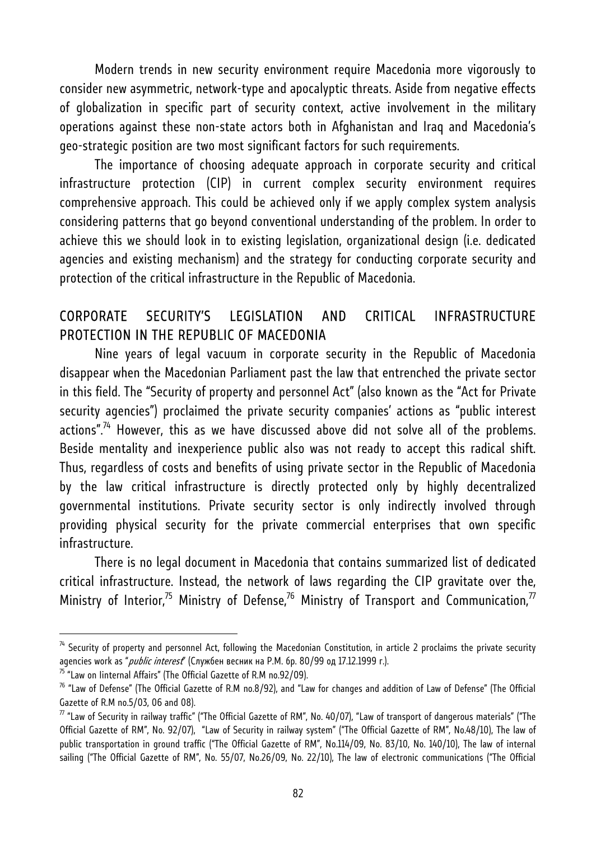Modern trends in new security environment require Macedonia more vigorously to consider new asymmetric, network-type and apocalyptic threats. Aside from negative effects of globalization in specific part of security context, active involvement in the military operations against these non-state actors both in Afghanistan and Iraq and Macedonia's geo-strategic position are two most significant factors for such requirements.

The importance of choosing adequate approach in corporate security and critical infrastructure protection (CIP) in current complex security environment requires comprehensive approach. This could be achieved only if we apply complex system analysis considering patterns that go beyond conventional understanding of the problem. In order to achieve this we should look in to existing legislation, organizational design (i.e. dedicated agencies and existing mechanism) and the strategy for conducting corporate security and protection of the critical infrastructure in the Republic of Macedonia.

## CORPORATE SECURITY'S LEGISLATION AND CRITICAL INFRASTRUCTURE PROTECTION IN THE REPUBLIC OF MACEDONIA

Nine years of legal vacuum in corporate security in the Republic of Macedonia disappear when the Macedonian Parliament past the law that entrenched the private sector in this field. The "Security of property and personnel Act" (also known as the "Act for Private security agencies") proclaimed the private security companies' actions as "public interest  $\arctan^{-7/4}$  However, this as we have discussed above did not solve all of the problems. Beside mentality and inexperience public also was not ready to accept this radical shift. Thus, regardless of costs and benefits of using private sector in the Republic of Macedonia by the law critical infrastructure is directly protected only by highly decentralized governmental institutions. Private security sector is only indirectly involved through providing physical security for the private commercial enterprises that own specific infrastructure.

There is no legal document in Macedonia that contains summarized list of dedicated critical infrastructure. Instead, the network of laws regarding the CIP gravitate over the, Ministry of Interior,<sup>75</sup> Ministry of Defense,<sup>76</sup> Ministry of Transport and Communication,<sup>77</sup>

 $74$  Security of property and personnel Act, following the Macedonian Constitution, in article 2 proclaims the private security agencies work as "*public interest*" (Службен весник на Р.М. бр. 80/99 од 17.12.1999 г.).<br><sup>75</sup> "Law on Iinternal Affairs" (The Official Gazette of R.M no.92/09).

 $76$  "Law of Defense" (The Official Gazette of R.M no.8/92), and "Law for changes and addition of Law of Defense" (The Official Gazette of R.M no.5/03, 06 and 08).

 $^7$  "Law of Security in railway traffic" ("The Official Gazette of RM", No. 40/07), "Law of transport of dangerous materials" ("The Official Gazette of RM", No. 92/07), "Law of Security in railway system" ("The Official Gazette of RM", No.48/10), The law of public transportation in ground traffic ("The Official Gazette of RM", No.114/09, No. 83/10, No. 140/10), The law of internal sailing ("The Official Gazette of RM", No. 55/07, No.26/09, No. 22/10), The law of electronic communications ("The Official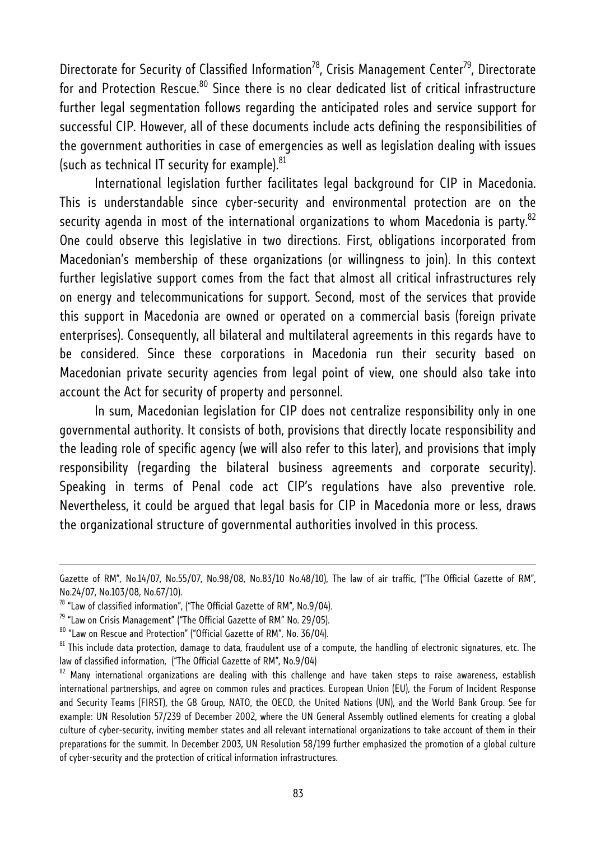Directorate for Security of Classified Information<sup>78</sup>, Crisis Management Center<sup>79</sup>, Directorate for and Protection Rescue.<sup>80</sup> Since there is no clear dedicated list of critical infrastructure further legal segmentation follows regarding the anticipated roles and service support for successful CIP. However, all of these documents include acts defining the responsibilities of the government authorities in case of emergencies as well as legislation dealing with issues (such as technical IT security for example). $81$ 

International legislation further facilitates legal background for CIP in Macedonia. This is understandable since cyber-security and environmental protection are on the security agenda in most of the international organizations to whom Macedonia is party.<sup>82</sup> One could observe this legislative in two directions. First, obligations incorporated from Macedonian's membership of these organizations (or willingness to join). In this context further legislative support comes from the fact that almost all critical infrastructures rely on energy and telecommunications for support. Second, most of the services that provide this support in Macedonia are owned or operated on a commercial basis (foreign private enterprises). Consequently, all bilateral and multilateral agreements in this regards have to be considered. Since these corporations in Macedonia run their security based on Macedonian private security agencies from legal point of view, one should also take into account the Act for security of property and personnel.

In sum, Macedonian legislation for CIP does not centralize responsibility only in one governmental authority. It consists of both, provisions that directly locate responsibility and the leading role of specific agency (we will also refer to this later), and provisions that imply responsibility (regarding the bilateral business agreements and corporate security). Speaking in terms of Penal code act CIP's regulations have also preventive role. Nevertheless, it could be argued that legal basis for CIP in Macedonia more or less, draws the organizational structure of governmental authorities involved in this process.

Gazette of RM", No.14/07, No.55/07, No.98/08, No.83/10 No.48/10), The law of air traffic, ("The Official Gazette of RM", No.24/07, No.103/08, No.67/10).

 $78$  "Law of classified information", ("The Official Gazette of RM", No.9/04).

<sup>&</sup>lt;sup>79</sup> "Law on Crisis Management" ("The Official Gazette of RM" No. 29/05).<br><sup>80</sup> "Law on Rescue and Protection" ("Official Gazette of RM", No. 36/04).

<sup>&</sup>lt;sup>81</sup> This include data protection, damage to data, fraudulent use of a compute, the handling of electronic signatures, etc. The law of classified information, ("The Official Gazette of RM", No.9/04)

 $82$  Many international organizations are dealing with this challenge and have taken steps to raise awareness, establish international partnerships, and agree on common rules and practices. European Union (EU), the Forum of Incident Response and Security Teams (FIRST), the G8 Group, NATO, the OECD, the United Nations (UN), and the World Bank Group. See for example: UN Resolution 57/239 of December 2002, where the UN General Assembly outlined elements for creating a global culture of cyber-security, inviting member states and all relevant international organizations to take account of them in their preparations for the summit. In December 2003, UN Resolution 58/199 further emphasized the promotion of a global culture of cyber-security and the protection of critical information infrastructures.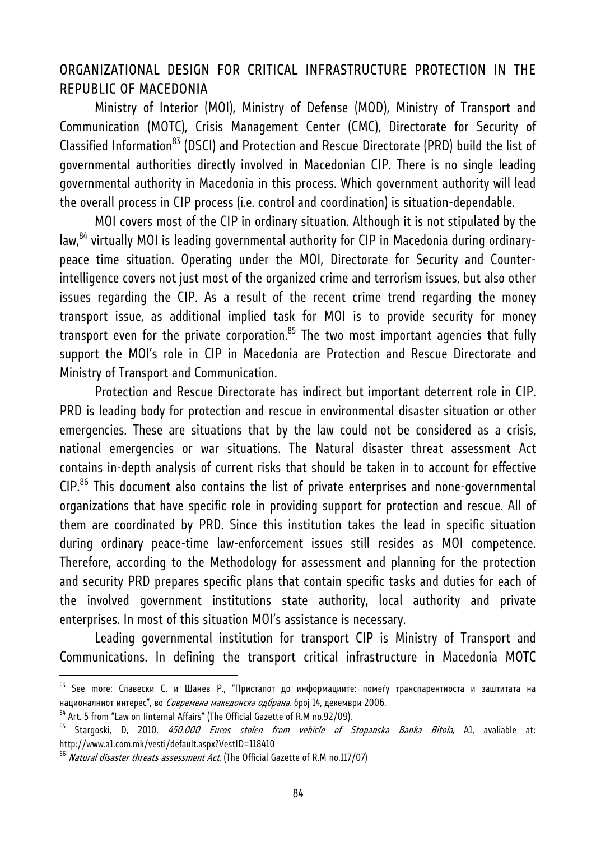## ORGANIZATIONAL DESIGN FOR CRITICAL INFRASTRUCTURE PROTECTION IN ТHE REPUBLIC OF MACEDONIA

Ministry of Interior (MOI), Ministry of Defense (MOD), Ministry of Transport and Communication (MOTC), Crisis Management Center (CMC), Directorate for Security of Classified Information<sup>83</sup> (DSCI) and Protection and Rescue Directorate (PRD) build the list of governmental authorities directly involved in Macedonian CIP. There is no single leading governmental authority in Macedonia in this process. Which government authority will lead the overall process in CIP process (i.e. control and coordination) is situation-dependable.

MOI covers most of the CIP in ordinary situation. Although it is not stipulated by the law,<sup>84</sup> virtually MOI is leading governmental authority for CIP in Macedonia during ordinarypeace time situation. Operating under the MOI, Directorate for Security and Counterintelligence covers not just most of the organized crime and terrorism issues, but also other issues regarding the CIP. As a result of the recent crime trend regarding the money transport issue, as additional implied task for MOI is to provide security for money transport even for the private corporation.<sup>85</sup> The two most important agencies that fully support the MOI's role in CIP in Macedonia are Protection and Rescue Directorate and Ministry of Transport and Communication.

Protection and Rescue Directorate has indirect but important deterrent role in CIP. PRD is leading body for protection and rescue in environmental disaster situation or other emergencies. These are situations that by the law could not be considered as a crisis, national emergencies or war situations. The Natural disaster threat assessment Act contains in-depth analysis of current risks that should be taken in to account for effective  $CIP<sup>86</sup>$  This document also contains the list of private enterprises and none-governmental organizations that have specific role in providing support for protection and rescue. All of them are coordinated by PRD. Since this institution takes the lead in specific situation during ordinary peace-time law-enforcement issues still resides as MOI competence. Therefore, according to the Methodology for assessment and planning for the protection and security PRD prepares specific plans that contain specific tasks and duties for each of the involved government institutions state authority, local authority and private enterprises. In most of this situation MOI's assistance is necessary.

Leading governmental institution for transport CIP is Ministry of Transport and Communications. In defining the transport critical infrastructure in Macedonia MOTC

<sup>&</sup>lt;sup>83</sup> See more: Славески С. и Шанев Р., "Пристапот до информациите: помеѓу транспарентноста и заштитата на националниот интерес", во *Современа македонска одбрана*, број 14, декември 2006.<br><sup>84</sup> Art. 5 from "Law on Iinternal Affairs" (The Official Gazette of R.M no.92/09).

<sup>&</sup>lt;sup>85</sup> Stargoski, D, 2010, 450.000 Euros stolen from vehicle of Stopanska Banka Bitola, A1, avaliable at: http://www.a1.com.mk/vesti/default.aspx?VestID=118410

<sup>&</sup>lt;sup>86</sup> Natural disaster threats assessment Act, (The Official Gazette of R.M no.117/07)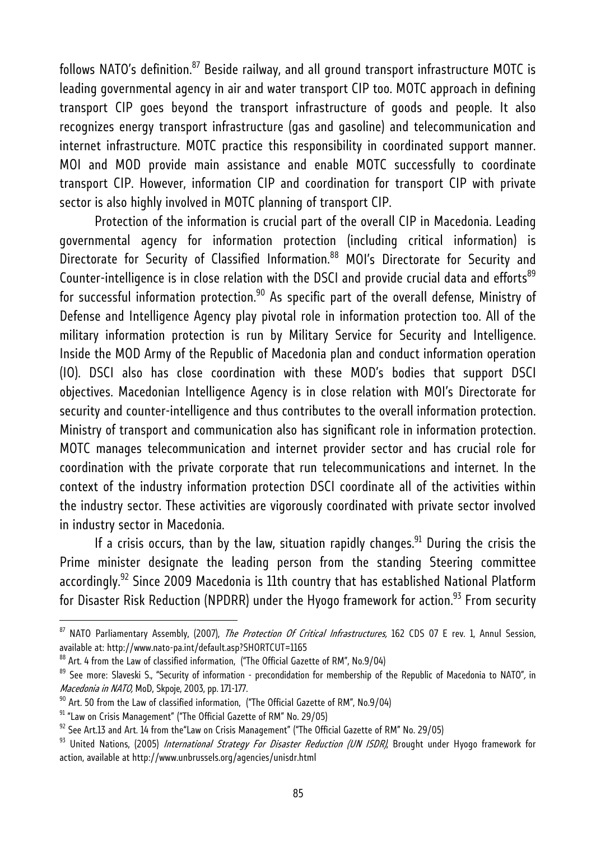follows NATO's definition.<sup>87</sup> Beside railway, and all ground transport infrastructure MOTC is leading governmental agency in air and water transport CIP too. MOTC approach in defining transport CIP goes beyond the transport infrastructure of goods and people. It also recognizes energy transport infrastructure (gas and gasoline) and telecommunication and internet infrastructure. MOTC practice this responsibility in coordinated support manner. MOI and MOD provide main assistance and enable MOTC successfully to coordinate transport CIP. However, information CIP and coordination for transport CIP with private sector is also highly involved in MOTC planning of transport CIP.

Protection of the information is crucial part of the overall CIP in Macedonia. Leading governmental agency for information protection (including critical information) is Directorate for Security of Classified Information.<sup>88</sup> MOI's Directorate for Security and Counter-intelligence is in close relation with the DSCI and provide crucial data and efforts<sup>89</sup> for successful information protection.<sup>90</sup> As specific part of the overall defense, Ministry of Defense and Intelligence Agency play pivotal role in information protection too. All of the military information protection is run by Military Service for Security and Intelligence. Inside the MOD Army of the Republic of Macedonia plan and conduct information operation (IO). DSCI also has close coordination with these MOD's bodies that support DSCI objectives. Macedonian Intelligence Agency is in close relation with MOI's Directorate for security and counter-intelligence and thus contributes to the overall information protection. Ministry of transport and communication also has significant role in information protection. MOTC manages telecommunication and internet provider sector and has crucial role for coordination with the private corporate that run telecommunications and internet. In the context of the industry information protection DSCI coordinate all of the activities within the industry sector. These activities are vigorously coordinated with private sector involved in industry sector in Macedonia.

If a crisis occurs, than by the law, situation rapidly changes.<sup>91</sup> During the crisis the Prime minister designate the leading person from the standing Steering committee accordingly.<sup>92</sup> Since 2009 Macedonia is 11th country that has established National Platform for Disaster Risk Reduction (NPDRR) under the Hyogo framework for action.<sup>93</sup> From security

<sup>&</sup>lt;sup>87</sup> NATO Parliamentary Assembly, (2007), *The Protection Of Critical Infrastructures*, 162 CDS 07 E rev. 1, Annul Session, available at: http://www.nato-pa.int/default.asp?SHORTCUT=1165

<sup>88</sup> Art. 4 from the Law of classified information, ("The Official Gazette of RM", No.9/04)

<sup>&</sup>lt;sup>89</sup> See more: Slaveski S., "Security of information - precondidation for membership of the Republic of Macedonia to NATO", in *Macedonia in NATO,* MoD, Skpoje, 2003, pp. 171-177.<br><sup>90</sup> Art. 50 from the Law of classified information, ("The Official Gazette of RM", No.9/04)<br><sup>91</sup> "Law on Crisis Management" ("The Official Gazette of RM" No. 29/05)

<sup>&</sup>lt;sup>92</sup> See Art.13 and Art. 14 from the"Law on Crisis Management" ("The Official Gazette of RM" No. 29/05)<br><sup>93</sup> United Nations, (2005) *International Strategy For Disaster Reduction (UN ISDR)*, Brought under Hyogo framework f action, available at http://www.unbrussels.org/agencies/unisdr.html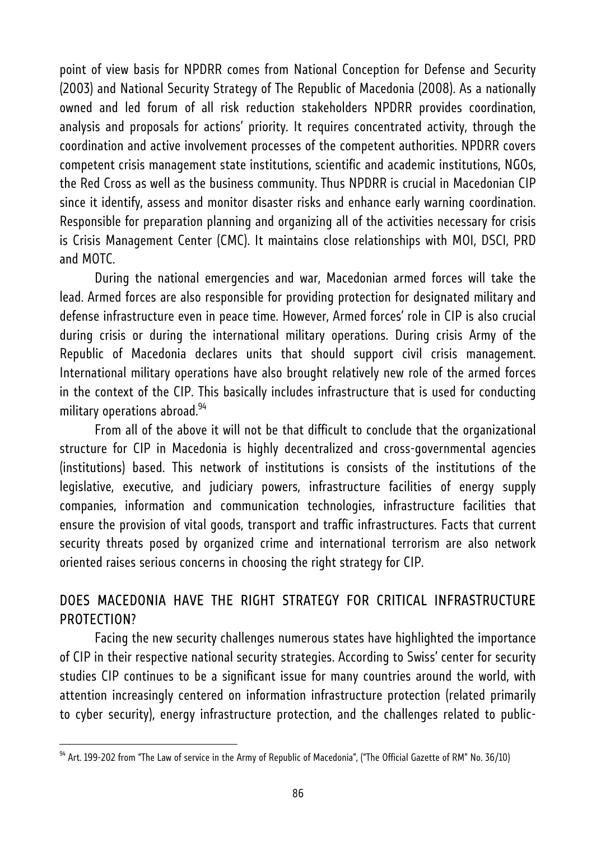point of view basis for NPDRR comes from National Conception for Defense and Security (2003) and National Security Strategy of The Republic of Macedonia (2008). As a nationally owned and led forum of all risk reduction stakeholders NPDRR provides coordination, analysis and proposals for actions' priority. It requires concentrated activity, through the coordination and active involvement processes of the competent authorities. NPDRR covers competent crisis management state institutions, scientific and academic institutions, NGOs, the Red Cross as well as the business community. Thus NPDRR is crucial in Macedonian CIP since it identify, assess and monitor disaster risks and enhance early warning coordination. Responsible for preparation planning and organizing all of the activities necessary for crisis is Crisis Management Center (CMC). It maintains close relationships with MOI, DSCI, PRD and MOTC.

During the national emergencies and war, Macedonian armed forces will take the lead. Armed forces are also responsible for providing protection for designated military and defense infrastructure even in peace time. However, Armed forces' role in CIP is also crucial during crisis or during the international military operations. During crisis Army of the Republic of Macedonia declares units that should support civil crisis management. International military operations have also brought relatively new role of the armed forces in the context of the CIP. This basically includes infrastructure that is used for conducting military operations abroad. $94$ 

From all of the above it will not be that difficult to conclude that the organizational structure for CIP in Macedonia is highly decentralized and cross-governmental agencies (institutions) based. This network of institutions is consists of the institutions of the legislative, executive, and judiciary powers, infrastructure facilities of energy supply companies, information and communication technologies, infrastructure facilities that ensure the provision of vital goods, transport and traffic infrastructures. Facts that current security threats posed by organized crime and international terrorism are also network oriented raises serious concerns in choosing the right strategy for CIP.

# DOES MACEDONIA HAVE THE RIGHT STRATEGY FOR CRITICAL INFRASTRUCTURE PROTECTION?

Facing the new security challenges numerous states have highlighted the importance of CIP in their respective national security strategies. According to Swiss' center for security studies CIP continues to be a significant issue for many countries around the world, with attention increasingly centered on information infrastructure protection (related primarily to cyber security), energy infrastructure protection, and the challenges related to public-

 $94$  Art. 199-202 from "The Law of service in the Army of Republic of Macedonia", ("The Official Gazette of RM" No. 36/10)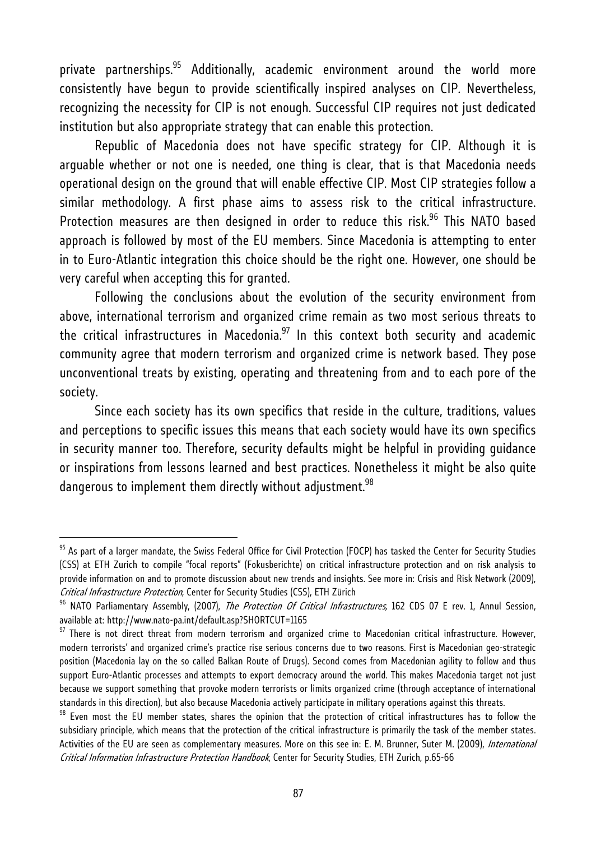private partnerships. $95$  Additionally, academic environment around the world more consistently have begun to provide scientifically inspired analyses on CIP. Nevertheless, recognizing the necessity for CIP is not enough. Successful CIP requires not just dedicated institution but also appropriate strategy that can enable this protection.

Republic of Macedonia does not have specific strategy for CIP. Although it is arguable whether or not one is needed, one thing is clear, that is that Macedonia needs operational design on the ground that will enable effective CIP. Most CIP strategies follow a similar methodology. A first phase aims to assess risk to the critical infrastructure. Protection measures are then designed in order to reduce this risk.<sup>96</sup> This NATO based approach is followed by most of the EU members. Since Macedonia is attempting to enter in to Euro-Atlantic integration this choice should be the right one. However, one should be very careful when accepting this for granted.

Following the conclusions about the evolution of the security environment from above, international terrorism and organized crime remain as two most serious threats to the critical infrastructures in Macedonia. $97$  In this context both security and academic community agree that modern terrorism and organized crime is network based. They pose unconventional treats by existing, operating and threatening from and to each pore of the society.

Since each society has its own specifics that reside in the culture, traditions, values and perceptions to specific issues this means that each society would have its own specifics in security manner too. Therefore, security defaults might be helpful in providing guidance or inspirations from lessons learned and best practices. Nonetheless it might be also quite dangerous to implement them directly without adjustment.<sup>98</sup>

<sup>&</sup>lt;sup>95</sup> As part of a larger mandate, the Swiss Federal Office for Civil Protection (FOCP) has tasked the Center for Security Studies (CSS) at ETH Zurich to compile "focal reports" (Fokusberichte) on critical infrastructure protection and on risk analysis to provide information on and to promote discussion about new trends and insights. See more in: Crisis and Risk Network (2009),

Critical Infrastructure Protection, Center for Security Studies (CSS), ETH Zürich<br><sup>96</sup> NATO Parliamentary Assembly, (2007), *The Protection Of Critical Infrastructures,* 162 CDS 07 E rev. 1, Annul Session, available at: http://www.nato-pa.int/default.asp?SHORTCUT=1165

 $97$  There is not direct threat from modern terrorism and organized crime to Macedonian critical infrastructure. However, modern terrorists' and organized crime's practice rise serious concerns due to two reasons. First is Macedonian geo-strategic position (Macedonia lay on the so called Balkan Route of Drugs). Second comes from Macedonian agility to follow and thus support Euro-Atlantic processes and attempts to export democracy around the world. This makes Macedonia target not just because we support something that provoke modern terrorists or limits organized crime (through acceptance of international standards in this direction), but also because Macedonia actively participate in military operations against this threats.<br><sup>98</sup> Even most the EU member states, shares the opinion that the protection of critical infrastruct

subsidiary principle, which means that the protection of the critical infrastructure is primarily the task of the member states. Activities of the EU are seen as complementary measures. More on this see in: E. M. Brunner, Suter M. (2009), International Critical Information Infrastructure Protection Handbook, Center for Security Studies, ETH Zurich, p.65-66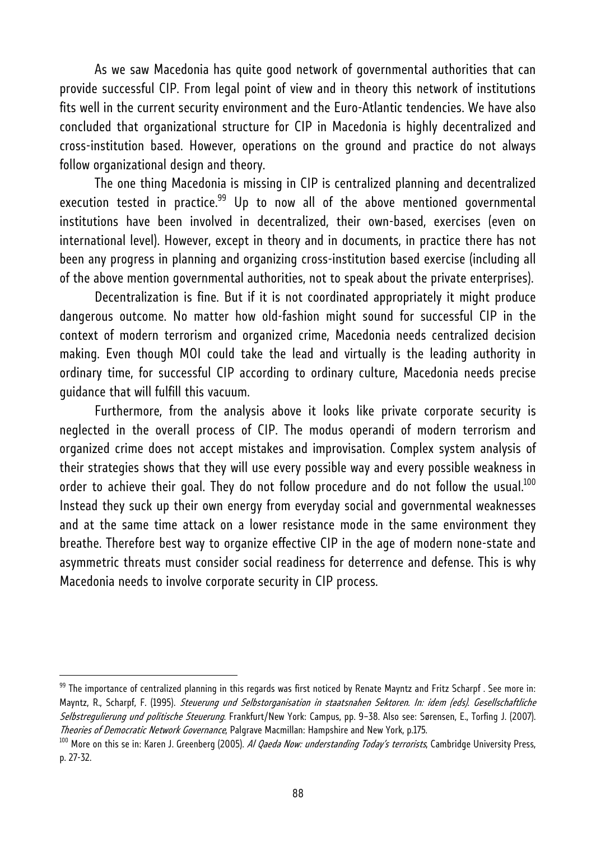As we saw Macedonia has quite good network of governmental authorities that can provide successful CIP. From legal point of view and in theory this network of institutions fits well in the current security environment and the Euro-Atlantic tendencies. We have also concluded that organizational structure for CIP in Macedonia is highly decentralized and cross-institution based. However, operations on the ground and practice do not always follow organizational design and theory.

The one thing Macedonia is missing in CIP is centralized planning and decentralized execution tested in practice. $99$  Up to now all of the above mentioned governmental institutions have been involved in decentralized, their own-based, exercises (even on international level). However, except in theory and in documents, in practice there has not been any progress in planning and organizing cross-institution based exercise (including all of the above mention governmental authorities, not to speak about the private enterprises).

Decentralization is fine. But if it is not coordinated appropriately it might produce dangerous outcome. No matter how old-fashion might sound for successful CIP in the context of modern terrorism and organized crime, Macedonia needs centralized decision making. Even though MOI could take the lead and virtually is the leading authority in ordinary time, for successful CIP according to ordinary culture, Macedonia needs precise guidance that will fulfill this vacuum.

Furthermore, from the analysis above it looks like private corporate security is neglected in the overall process of CIP. The modus operandi of modern terrorism and organized crime does not accept mistakes and improvisation. Complex system analysis of their strategies shows that they will use every possible way and every possible weakness in order to achieve their goal. They do not follow procedure and do not follow the usual.<sup>100</sup> Instead they suck up their own energy from everyday social and governmental weaknesses and at the same time attack on a lower resistance mode in the same environment they breathe. Therefore best way to organize effective CIP in the age of modern none-state and asymmetric threats must consider social readiness for deterrence and defense. This is why Macedonia needs to involve corporate security in CIP process.

<sup>99</sup> The importance of centralized planning in this regards was first noticed by Renate Mayntz and Fritz Scharpf. See more in: Mayntz, R., Scharpf, F. (1995). Steuerung und Selbstorganisation in staatsnahen Sektoren. In: idem (eds). Gesellschaftliche Selbstregulierung und politische Steuerung. Frankfurt/New York: Campus, pp. 9–38. Also see: Sørensen, E., Torfing J. (2007). T*heories of Democratic Network Governance*, Palgrave Macmillan: Hampshire and New York, p.175.<br><sup>100</sup> More on this se in: Karen J. Greenberg (2005). *Al Qaeda Now: understanding Today's terrorists,* Cambridge University Pr

p. 27-32.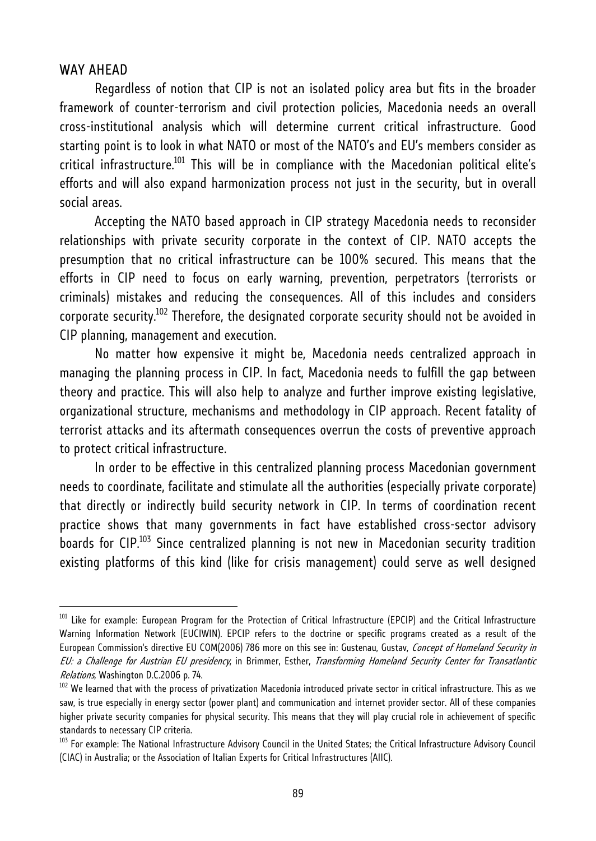#### WAY AHEAD

l

Regardless of notion that CIP is not an isolated policy area but fits in the broader framework of counter-terrorism and civil protection policies, Macedonia needs an overall cross-institutional analysis which will determine current critical infrastructure. Good starting point is to look in what NATO or most of the NATO's and EU's members consider as  $critical$  infrastructure.<sup>101</sup> This will be in compliance with the Macedonian political elite's efforts and will also expand harmonization process not just in the security, but in overall social areas.

Accepting the NATO based approach in CIP strategy Macedonia needs to reconsider relationships with private security corporate in the context of CIP. NATO accepts the presumption that no critical infrastructure can be 100% secured. This means that the efforts in CIP need to focus on early warning, prevention, perpetrators (terrorists or criminals) mistakes and reducing the consequences. All of this includes and considers corporate security.<sup>102</sup> Therefore, the designated corporate security should not be avoided in CIP planning, management and execution.

No matter how expensive it might be, Macedonia needs centralized approach in managing the planning process in CIP. In fact, Macedonia needs to fulfill the gap between theory and practice. This will also help to analyze and further improve existing legislative, organizational structure, mechanisms and methodology in CIP approach. Recent fatality of terrorist attacks and its aftermath consequences overrun the costs of preventive approach to protect critical infrastructure.

In order to be effective in this centralized planning process Macedonian government needs to coordinate, facilitate and stimulate all the authorities (especially private corporate) that directly or indirectly build security network in CIP. In terms of coordination recent practice shows that many governments in fact have established cross-sector advisory boards for  $\text{CIP}.^{103}$  Since centralized planning is not new in Macedonian security tradition existing platforms of this kind (like for crisis management) could serve as well designed

<sup>&</sup>lt;sup>101</sup> Like for example: European Program for the Protection of Critical Infrastructure (EPCIP) and the Critical Infrastructure Warning Information Network (EUCIWIN). EPCIP refers to the doctrine or specific programs created as a result of the European Commission's directive EU COM(2006) 786 more on this see in: Gustenau, Gustav, Concept of Homeland Security in EU: a Challenge for Austrian EU presidency, in Brimmer, Esther, Transforming Homeland Security Center for Transatlantic

Relations, Washington D.C.2006 p. 74.<br><sup>102</sup> We learned that with the process of privatization Macedonia introduced private sector in critical infrastructure. This as we saw, is true especially in energy sector (power plant) and communication and internet provider sector. All of these companies higher private security companies for physical security. This means that they will play crucial role in achievement of specific standards to necessary CIP criteria.

<sup>&</sup>lt;sup>103</sup> For example: The National Infrastructure Advisory Council in the United States; the Critical Infrastructure Advisory Council (CIAC) in Australia; or the Association of Italian Experts for Critical Infrastructures (AIIC).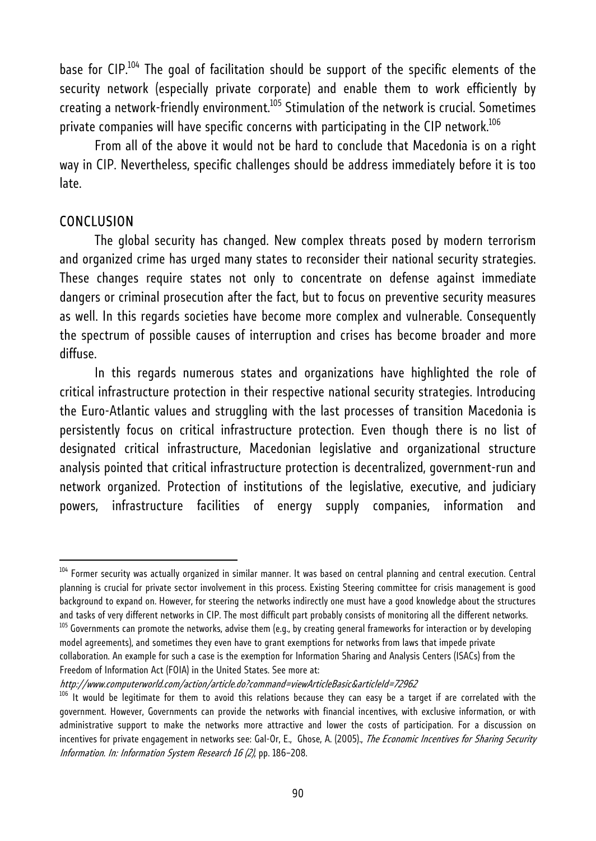base for  $\text{CIP.}^{104}$  The goal of facilitation should be support of the specific elements of the security network (especially private corporate) and enable them to work efficiently by creating a network-friendly environment. $105$  Stimulation of the network is crucial. Sometimes private companies will have specific concerns with participating in the CIP network.<sup>106</sup>

From all of the above it would not be hard to conclude that Macedonia is on a right way in CIP. Nevertheless, specific challenges should be address immediately before it is too late.

#### **CONCLUSION**

l

The global security has changed. New complex threats posed by modern terrorism and organized crime has urged many states to reconsider their national security strategies. These changes require states not only to concentrate on defense against immediate dangers or criminal prosecution after the fact, but to focus on preventive security measures as well. In this regards societies have become more complex and vulnerable. Consequently the spectrum of possible causes of interruption and crises has become broader and more diffuse.

In this regards numerous states and organizations have highlighted the role of critical infrastructure protection in their respective national security strategies. Introducing the Euro-Atlantic values and struggling with the last processes of transition Macedonia is persistently focus on critical infrastructure protection. Even though there is no list of designated critical infrastructure, Macedonian legislative and organizational structure analysis pointed that critical infrastructure protection is decentralized, government-run and network organized. Protection of institutions of the legislative, executive, and judiciary powers, infrastructure facilities of energy supply companies, information and

http://www.computerworld.com/action/article.do?command=viewArticleBasic&articleId=72962

 $104$  Former security was actually organized in similar manner. It was based on central planning and central execution. Central planning is crucial for private sector involvement in this process. Existing Steering committee for crisis management is good background to expand on. However, for steering the networks indirectly one must have a good knowledge about the structures and tasks of very different networks in CIP. The most difficult part probably consists of monitoring all the different networks.<br><sup>105</sup> Governments can promote the networks, advise them (e.g., by creating general frameworks

model agreements), and sometimes they even have to grant exemptions for networks from laws that impede private collaboration. An example for such a case is the exemption for Information Sharing and Analysis Centers (ISACs) from the Freedom of Information Act (FOIA) in the United States. See more at:

<sup>&</sup>lt;sup>106</sup> It would be legitimate for them to avoid this relations because they can easy be a target if are correlated with the government. However, Governments can provide the networks with financial incentives, with exclusive information, or with administrative support to make the networks more attractive and lower the costs of participation. For a discussion on incentives for private engagement in networks see: Gal-Or, E., Ghose, A. (2005)., The Economic Incentives for Sharing Security Information. In: Information System Research 16 (2), pp. 186–208.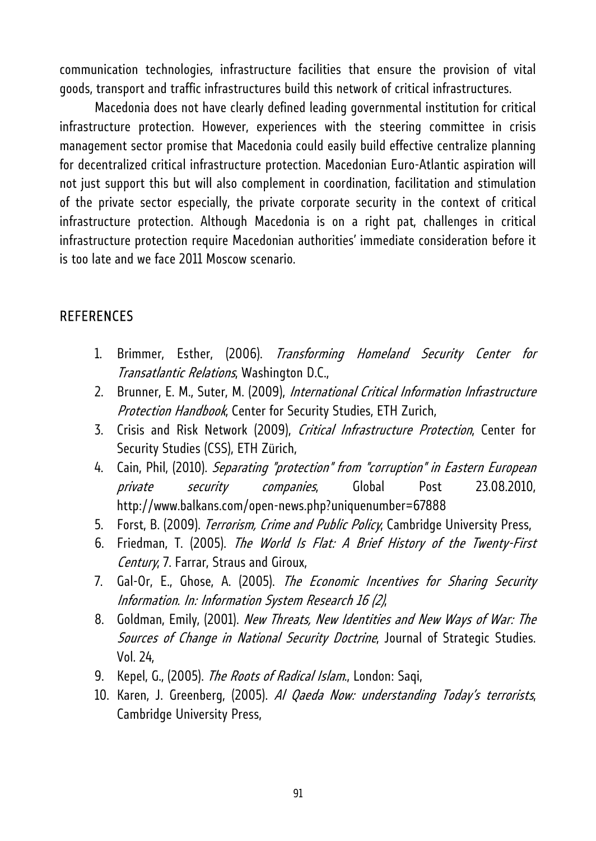communication technologies, infrastructure facilities that ensure the provision of vital goods, transport and traffic infrastructures build this network of critical infrastructures.

Macedonia does not have clearly defined leading governmental institution for critical infrastructure protection. However, experiences with the steering committee in crisis management sector promise that Macedonia could easily build effective centralize planning for decentralized critical infrastructure protection. Macedonian Euro-Atlantic aspiration will not just support this but will also complement in coordination, facilitation and stimulation of the private sector especially, the private corporate security in the context of critical infrastructure protection. Although Macedonia is on a right pat, challenges in critical infrastructure protection require Macedonian authorities' immediate consideration before it is too late and we face 2011 Moscow scenario.

## **REFERENCES**

- 1. Brimmer, Esther, (2006). Transforming Homeland Security Center for Transatlantic Relations, Washington D.C.,
- 2. Brunner, E. M., Suter, M. (2009), International Critical Information Infrastructure Protection Handbook, Center for Security Studies, ETH Zurich,
- 3. Crisis and Risk Network (2009), Critical Infrastructure Protection, Center for Security Studies (CSS), ETH Zürich,
- 4. Cain, Phil, (2010). Separating "protection" from "corruption" in Eastern European private security companies, Global Post 23.08.2010, http://www.balkans.com/open-news.php?uniquenumber=67888
- 5. Forst, B. (2009). *Terrorism, Crime and Public Policy*, Cambridge University Press,
- 6. Friedman, T. (2005). The World Is Flat: A Brief History of the Twenty-First Century, 7. Farrar, Straus and Giroux,
- 7. Gal-Or, E., Ghose, A. (2005). The Economic Incentives for Sharing Security Information. In: Information System Research 16 (2),
- 8. Goldman, Emily, (2001). New Threats, New Identities and New Ways of War: The Sources of Change in National Security Doctrine, Journal of Strategic Studies. Vol. 24,
- 9. Kepel, G., (2005). The Roots of Radical Islam., London: Saqi,
- 10. Karen, J. Greenberg, (2005). Al Qaeda Now: understanding Today's terrorists, Cambridge University Press,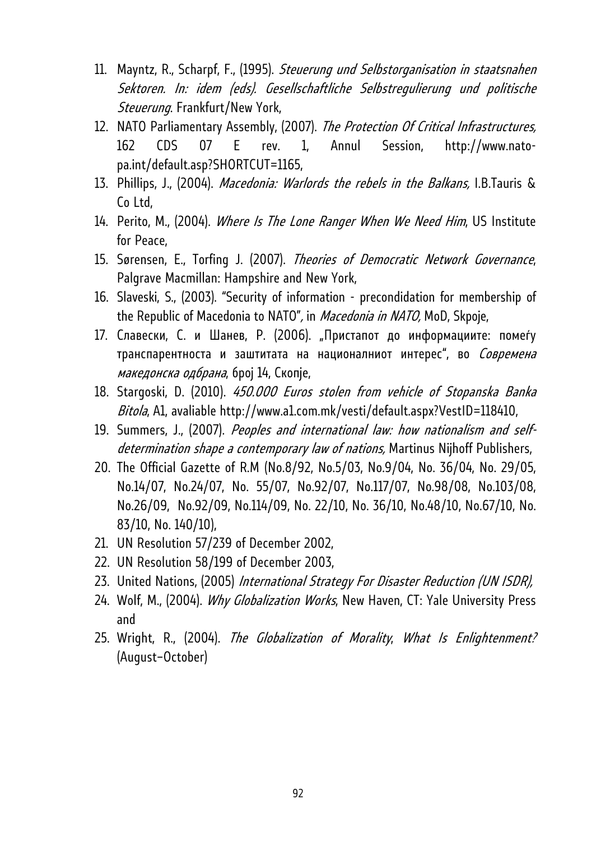- 11. Mayntz, R., Scharpf, F., (1995). Steuerung und Selbstorganisation in staatsnahen Sektoren. In: idem (eds). Gesellschaftliche Selbstregulierung und politische Steuerung. Frankfurt/New York,
- 12. NATO Parliamentary Assembly, (2007). The Protection Of Critical Infrastructures, 162 CDS 07 E rev. 1, Annul Session, http://www.natopa.int/default.asp?SHORTCUT=1165,
- 13. Phillips, J., (2004). Macedonia: Warlords the rebels in the Balkans, I.B.Tauris & Co Ltd,
- 14. Perito, M., (2004). Where Is The Lone Ranger When We Need Him, US Institute for Peace,
- 15. Sørensen, E., Torfing J. (2007). Theories of Democratic Network Governance, Palgrave Macmillan: Hampshire and New York,
- 16. Slaveski, S., (2003). "Security of information precondidation for membership of the Republic of Macedonia to NATO", in Macedonia in NATO, MoD, Skpoje,
- 17. Славески, С. и Шанев, Р. (2006). "Пристапот до информациите: помеѓу транспарентноста и заштитата на националниот интерес", во Современа македонска одбрана, број 14, Скопје,
- 18. Stargoski, D. (2010). 450.000 Euros stolen from vehicle of Stopanska Banka Bitola, A1, avaliable http://www.a1.com.mk/vesti/default.aspx?VestID=118410,
- 19. Summers, J., (2007). Peoples and international law: how nationalism and selfdetermination shape a contemporary law of nations, Martinus Nijhoff Publishers,
- 20. The Official Gazette of R.M (No.8/92, No.5/03, No.9/04, No. 36/04, No. 29/05, No.14/07, No.24/07, No. 55/07, No.92/07, No.117/07, No.98/08, No.103/08, No.26/09, No.92/09, No.114/09, No. 22/10, No. 36/10, No.48/10, No.67/10, No. 83/10, No. 140/10),
- 21. UN Resolution 57/239 of December 2002,
- 22. UN Resolution 58/199 of December 2003,
- 23. United Nations, (2005) International Strategy For Disaster Reduction (UN ISDR),
- 24. Wolf, M., (2004). Why Globalization Works, New Haven, CT: Yale University Press and
- 25. Wright, R., (2004). The Globalization of Morality, What Is Enlightenment? (August–October)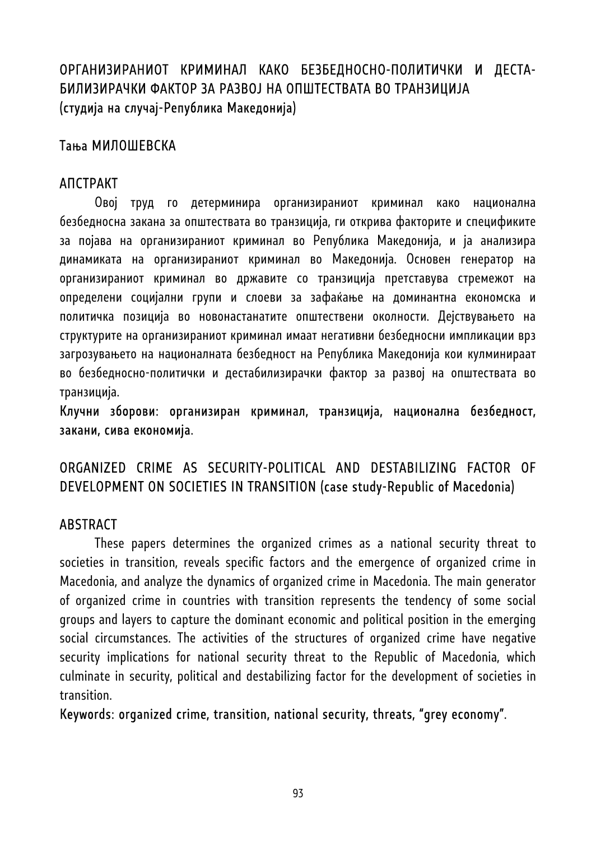# ОРГАНИЗИРАНИОТ КРИМИНАЛ КАКО БЕЗБЕДНОСНО-ПОЛИТИЧКИ И ДЕСТА-БИЛИЗИРАЧКИ ФАКТОР ЗА РАЗВОЈ НА ОПШТЕСТВАТА ВО ТРАНЗИЦИЈА (студија на случај-Република Македонија)

## Тања МИЛОШЕВСКА

### АПСТРАКТ

Овој труд го детерминира организираниот криминал како национална безбедносна закана за општествата во транзиција, ги открива факторите и спецификите за појава на организираниот криминал во Република Македонија, и ја анализира динамиката на организираниот криминал во Македонија. Основен генератор на организираниот криминал во државите со транзиција претставува стремежот на определени социјални групи и слоеви за зафаќање на доминантна економска и политичка позиција во новонастанатите општествени околности. Дејствувањето на структурите на организираниот криминал имаат негативни безбедносни импликации врз загрозувањето на националната безбедност на Република Македонија кои кулминираат во безбедносно-политички и дестабилизирачки фактор за развој на општествата во транзиција.

Клучни зборови: организиран криминал, транзиција, национална безбедност, закани, сива економија.

# ORGANIZED CRIME AS SECURITY-POLITICAL AND DESTABILIZING FACTOR OF DEVELOPMENT ON SOCIETIES IN TRANSITION (case study-Republic of Macedonia)

## **ABSTRACT**

These papers determines the organized crimes as a national security threat to societies in transition, reveals specific factors and the emergence of organized crime in Macedonia, and analyze the dynamics of organized crime in Macedonia. The main generator of organized crime in countries with transition represents the tendency of some social groups and layers to capture the dominant economic and political position in the emerging social circumstances. The activities of the structures of organized crime have negative security implications for national security threat to the Republic of Macedonia, which culminate in security, political and destabilizing factor for the development of societies in transition.

Keywords: organized crime, transition, national security, threats, "grey economy".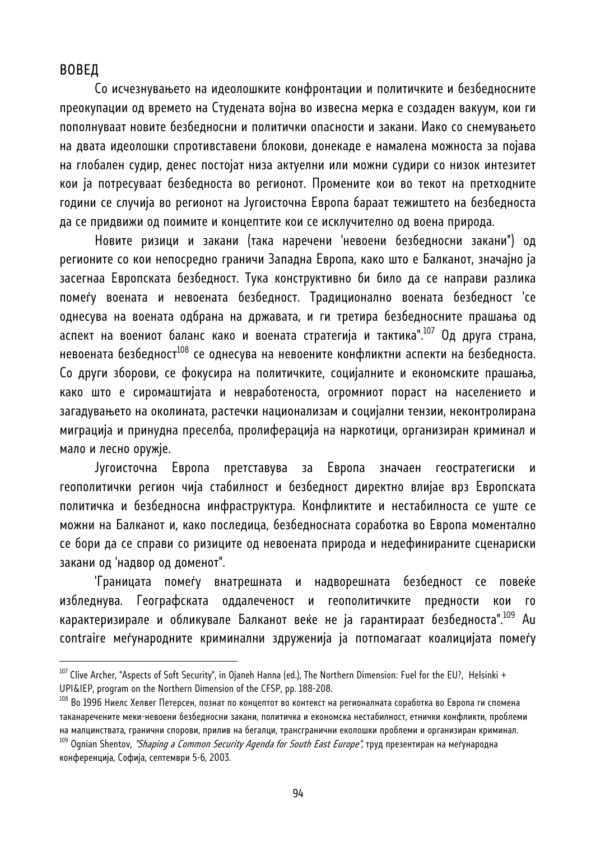#### ВОВЕД

l

Со исчезнувањето на идеолошките конфронтации и политичките и безбедносните преокупации од времето на Студената војна во извесна мерка е создаден вакуум, кои ги пополнуваат новите безбедносни и политички опасности и закани. Иако со снемувањето на двата идеолошки спротивставени блокови, донекаде е намалена можноста за појава на глобален судир, денес постојат низа актуелни или можни судири со низок интезитет кои ја потресуваат безбедноста во регионот. Промените кои во текот на претходните години се случија во регионот на Југоисточна Европа бараат тежиштето на безбедноста да се придвижи од поимите и концептите кои се исклучително од воена природа.

Новите ризици и закани (така наречени 'невоени безбедносни закани") од регионите со кои непосредно граничи Западна Европа, како што е Балканот, значајно ја засегнаа Европската безбедност. Тука конструктивно би било да се направи разлика помеѓу воената и невоената безбедност. Традиционално воената безбедност 'се однесува на воената одбрана на државата, и ги третира безбедносните прашања од аспект на воениот баланс како и воената стратегија и тактика".107 Од друга страна, невоената безбедност<sup>108</sup> се однесува на невоените конфликтни аспекти на безбедноста. Со други зборови, се фокусира на политичките, социјалните и економските прашања, како што е сиромаштијата и невработеноста, огромниот пораст на населението и загадувањето на околината, растечки национализам и социјални тензии, неконтролирана миграција и принудна преселба, пролиферација на наркотици, организиран криминал и мало и лесно оружје.

Југоисточна Европа претставува за Европа значаен геостратегиски и геополитички регион чија стабилност и безбедност директно влијае врз Европската политичка и безбедносна инфраструктура. Конфликтите и нестабилноста се уште се можни на Балканот и, како последица, безбедносната соработка во Европа моментално се бори да се справи со ризиците од невоената природа и недефинираните сценариски закани од 'надвор од доменот".

'Границата помеѓу внатрешната и надворешната безбедност се повеќе избледнува. Географската оддалеченост и геополитичките предности кои го карактеризирале и обликувале Балканот веќе не ја гарантираат безбедноста".109 Au contraire меѓународните криминални здруженија ја потпомагаат коалицијата помеѓу

 $^{107}$  Clive Archer, "Aspects of Soft Security", in Ojaneh Hanna (ed.), The Northern Dimension: Fuel for the EU?, Helsinki + UPI&IEP, program on the Northern Dimension of the CFSP, pp. 188-208.<br><sup>108</sup> Во 1996 Ниелс Хелвег Петерсен, познат по концептот во контекст на регионалната соработка во Европа ги спомена

таканаречените меки-невоени безбедносни закани, политичка и економска нестабилност, етнички конфликти, проблеми на малцинствата, гранични спорови, прилив на бегалци, трансгранични еколошки проблеми и организиран криминал.

 $^{109}$  Ognian Shentov, *"Shaping a Common Security Agenda for South East Europe",* труд презентиран на меѓународна конференција, Софија, септември 5-6, 2003.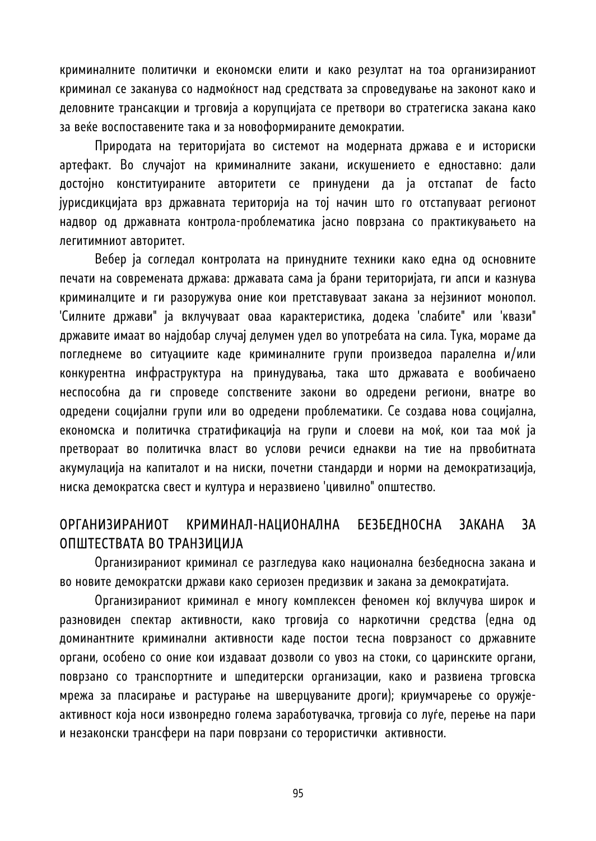криминалните политички и економски елити и како резултат на тоа организираниот криминал се заканува со надмоќност над средствата за спроведување на законот како и деловните трансакции и трговија а корупцијата се претвори во стратегиска закана како за веќе воспоставените така и за новоформираните демократии.

Природата на територијата во системот на модерната држава е и историски артефакт. Во случајот на криминалните закани, искушението е едноставно: дали достојно конституираните авторитети се принудени да ја отстапат de facto јурисдикцијата врз државната територија на тој начин што го отстапуваат регионот надвор од државната контрола-проблематика јасно поврзана со практикувањето на легитимниот авторитет.

Вебер ја согледал контролата на принудните техники како една од основните печати на современата држава: државата сама ја брани територијата, ги апси и казнува криминалците и ги разоружува оние кои претставуваат закана за нејзиниот монопол. 'Силните држави" ја вклучуваат оваа карактеристика, додека 'слабите" или 'квази" државите имаат во најдобар случај делумен удел во употребата на сила. Тука, мораме да погледнеме во ситуациите каде криминалните групи произведоа паралелна и/или конкурентна инфраструктура на принудувања, така што државата е вообичаено неспособна да ги спроведе сопствените закони во одредени региони, внатре во одредени социјални групи или во одредени проблематики. Се создава нова социјална, економска и политичка стратификација на групи и слоеви на моќ, кои таа моќ ја претвораат во политичка власт во услови речиси еднакви на тие на првобитната акумулација на капиталот и на ниски, почетни стандарди и норми на демократизација, ниска демократска свест и култура и неразвиено 'цивилно" општество.

## ОРГАНИЗИРАНИОТ КРИМИНАЛ-НАЦИОНАЛНА БЕЗБЕДНОСНА ЗАКАНА ЗА ОПШТЕСТВАТА ВО ТРАНЗИЦИЈА

Организираниот криминал се разгледува како национална безбедносна закана и во новите демократски држави како сериозен предизвик и закана за демократијата.

Организираниот криминал е многу комплексен феномен кој вклучува широк и разновиден спектар активности, како трговија со наркотични средства (една од доминантните криминални активности каде постои тесна поврзаност со државните органи, особено со оние кои издаваат дозволи со увоз на стоки, со царинските органи, поврзано со транспортните и шпедитерски организации, како и развиена трговска мрежа за пласирање и растурање на шверцуваните дроги); криумчарење со оружјеактивност која носи извонредно голема заработувачка, трговија со луѓе, перење на пари и незаконски трансфери на пари поврзани со терористички активности.

95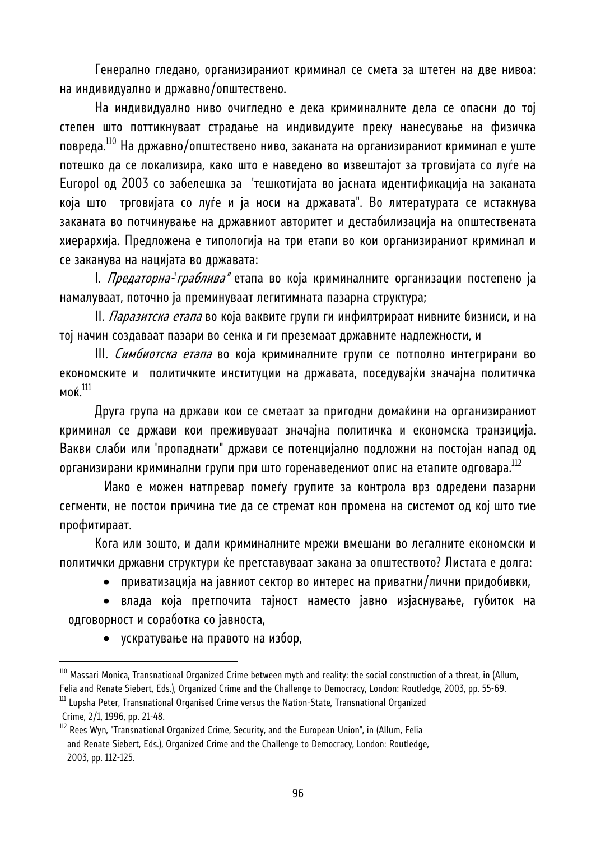Генерално гледано, организираниот криминал се смета за штетен на две нивоа: на индивидуално и државно/општествено.

На индивидуално ниво очигледно е дека криминалните дела се опасни до тој степен што поттикнуваат страдање на индивидуите преку нанесување на физичка повреда.110 На државно/општествено ниво, заканата на организираниот криминал е уште потешко да се локализира, како што е наведено во извештајот за трговијата со луѓе на Europol од 2003 со забелешка за 'тешкотијата во јасната идентификација на заканата која што трговијата со луѓе и ја носи на државата". Во литературата се истакнува заканата во потчинување на државниот авторитет и дестабилизација на општествената хиерархија. Предложена е типологија на три етапи во кои организираниот криминал и се заканува на нацијата во државата:

I. Предаторна-'граблива" етапа во која криминалните организации постепено ја намалуваат, поточно ја преминуваат легитимната пазарна структура;

II. *Паразитска етапа* во која ваквите групи ги инфилтрираат нивните бизниси, и на тој начин создаваат пазари во сенка и ги преземаат државните надлежности, и

III. Симбиотска етапа во која криминалните групи се потполно интегрирани во економските и политичките институции на државата, поседувајќи значајна политичка моќ.111

Друга група на држави кои се сметаат за пригодни домаќини на организираниот криминал се држави кои преживуваат значајна политичка и економска транзиција. Вакви слаби или 'пропаднати" држави се потенцијално подложни на постојан напад од организирани криминални групи при што горенаведениот опис на етапите одговара.<sup>112</sup>

 Иако е можен натпревар помеѓу групите за контрола врз одредени пазарни сегменти, не постои причина тие да се стремат кон промена на системот од кој што тие профитираат.

Кога или зошто, и дали криминалните мрежи вмешани во легалните економски и политички државни структури ќе претставуваат закана за општеството? Листата е долга:

• приватизација на јавниот сектор во интерес на приватни/лични придобивки,

• влада која претпочита тајност наместо јавно изјаснување, губиток на одговорност и соработка со јавноста,

• ускратување на правото на избор,

 $^{110}$  Massari Monica, Transnational Organized Crime between myth and reality: the social construction of a threat, in (Allum, Felia and Renate Siebert, Eds.), Organized Crime and the Challenge to Democracy, London: Routledge, 2003, pp. 55-69.<br><sup>111</sup> Lupsha Peter, Transnational Organised Crime versus the Nation-State, Transnational Organized

Crime, 2/1, 1996, pp. 21-48.

 $112$  Rees Wyn, "Transnational Organized Crime, Security, and the European Union", in (Allum, Felia and Renate Siebert, Eds.), Organized Crime and the Challenge to Democracy, London: Routledge, 2003, pp. 112-125.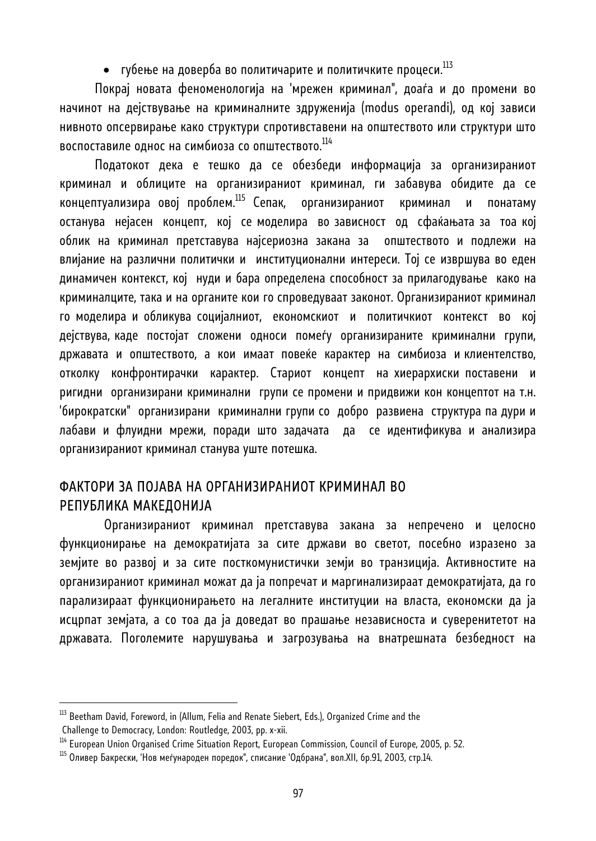• губење на доверба во политичарите и политичките процеси. $^{113}$ 

Покрај новата феноменологија на 'мрежен криминал", доаѓа и до промени во начинот на дејствување на криминалните здруженија (modus operandi), од кој зависи нивното опсервирање како структури спротивставени на општеството или структури што воспоставиле однос на симбиоза со општеството.<sup>114</sup>

Податокот дека е тешко да се обезбеди информација за организираниот криминал и облиците на организираниот криминал, ги забавува обидите да се концептуализира овој проблем.115 Сепак, организираниот криминал и понатаму останува нејасен концепт, кој се моделира во зависност од сфаќањата за тоа кој облик на криминал претставува најсериозна закана за општеството и подлежи на влијание на различни политички и институционални интереси. Тој се извршува во еден динамичен контекст, кој нуди и бара определена способност за прилагодување како на криминалците, така и на органите кои го спроведуваат законот. Организираниот криминал го моделира и обликува социјалниот, економскиот и политичкиот контекст во кој дејствува, каде постојат сложени односи помеѓу организираните криминални групи, државата и општеството, а кои имаат повеќе карактер на симбиоза и клиентелство, отколку конфронтирачки карактер. Стариот концепт на хиерархиски поставени и ригидни организирани криминални групи се промени и придвижи кон концептот на т.н. 'бирократски" организирани криминални групи со добро развиена структура па дури и лабави и флуидни мрежи, поради што задачата да се идентификува и анализира организираниот криминал станува уште потешка.

## ФАКТОРИ ЗА ПОЈАВА НА ОРГАНИЗИРАНИОТ КРИМИНАЛ ВО РЕПУБЛИКА МАКЕДОНИЈА

 Организираниот криминал претставува закана за непречено и целосно функционирање на демократијата за сите држави во светот, посебно изразено за земјите во развој и за сите посткомунистички земји во транзиција. Активностите на организираниот криминал можат да ја попречат и маргинализираат демократијата, да го парализираат функционирањето на легалните институции на власта, економски да ја исцрпат земјата, а со тоа да ја доведат во прашање независноста и суверенитетот на државата. Поголемите нарушувања и загрозувања на внатрешната безбедност на

 $^{113}$  Beetham David, Foreword, in (Allum, Felia and Renate Siebert, Eds.), Organized Crime and the Challenge to Democracy, London: Routledge, 2003, pp. x-xii.

<sup>&</sup>lt;sup>114</sup> European Union Organised Crime Situation Report, European Commission, Council of Europe, 2005, p. 52.

 $^{115}$  Оливер Бакрески, 'Нов меѓународен поредок", списание 'Одбрана", вол.XII, бр.91, 2003, стр.14.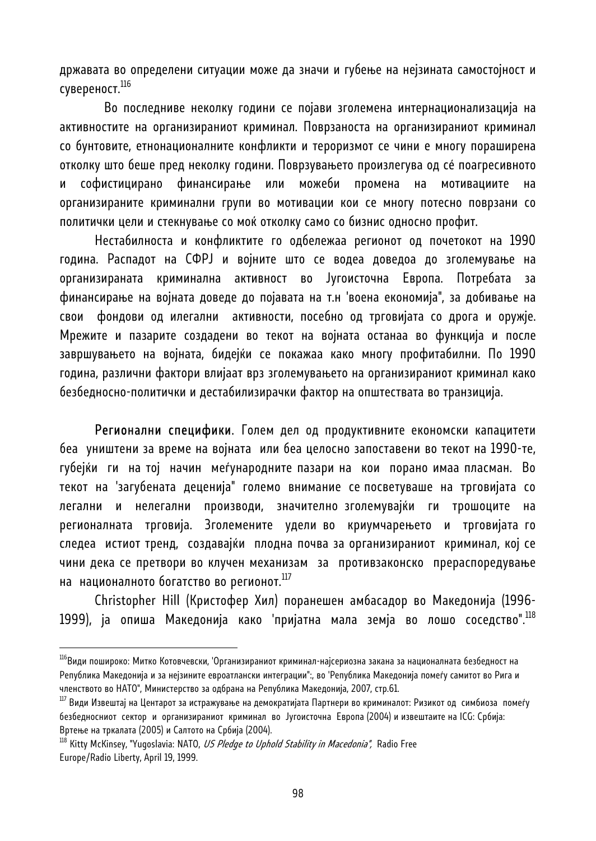државата во определени ситуации може да значи и губење на нејзината самостојност и сувереност.116

 Во последниве неколку години се појави зголемена интернационализација на активностите на организираниот криминал. Поврзаноста на организираниот криминал со бунтовите, етнонационалните конфликти и тероризмот се чини е многу пораширена отколку што беше пред неколку години. Поврзувањето произлегува од сé поагресивното и софистицирано финансирање или можеби промена на мотивациите на организираните криминални групи во мотивации кои се многу потесно поврзани со политички цели и стекнување со моќ отколку само со бизнис односно профит.

Нестабилноста и конфликтите го одбележаа регионот од почетокот на 1990 година. Распадот на СФРЈ и војните што се водеа доведоа до зголемување на организираната криминална активност во Југоисточна Европа. Потребата за финансирање на војната доведе до појавата на т.н 'воена економија", за добивање на свои фондови од илегални активности, посебно од трговијата со дрога и оружје. Мрежите и пазарите создадени во текот на војната останаа во функција и после завршувањето на војната, бидејќи се покажаа како многу профитабилни. По 1990 година, различни фактори влијаат врз зголемувањето на организираниот криминал како безбедносно-политички и дестабилизирачки фактор на општествата во транзиција.

Регионални специфики. Голем дел од продуктивните економски капацитети беа уништени за време на војната или беа целосно запоставени во текот на 1990-те, губејќи ги на тој начин меѓународните пазари на кои порано имаа пласман. Во текот на 'загубената деценија" големо внимание се посветуваше на трговијата со легални и нелегални производи, значително зголемувајќи ги трошоците на регионалната трговија. Зголемените удели во криумчарењето и трговијата го следеа истиот тренд, создавајќи плодна почва за организираниот криминал, кој се чини дека се претвори во клучен механизам за противзаконско прераспоредување на националното богатство во регионот.<sup>117</sup>

Christopher Hill (Кристофер Хил) поранешен амбасадор во Македонија (1996- 1999), ја опиша Македонија како 'пријатна мала земја во лошо соседство".<sup>118</sup>

 $^{\rm 116}$ Види пошироко: Митко Котовчевски, 'Организираниот криминал-најсериозна закана за националната безбедност на Република Македонија и за нејзините евроатлански интеграции":, во 'Република Македонија помеѓу самитот во Рига и

членството во НАТО", Министерство за одбрана на Република Македонија, 2007, стр.61.<br><sup>117</sup> Види Извештај на Центарот за истражување на демократијата Партнери во криминалот: Ризикот од симбиоза помеѓу безбедносниот сектор и организираниот криминал во Југоисточна Европа (2004) и извештаите на ICG: Србија: Вртење на тркалата (2005) и Салтото на Србија (2004).

<sup>&</sup>lt;sup>118</sup> Kitty McKinsey, "Yugoslavia: NATO, *US Pledge to Uphold Stability in Macedonia",* Radio Free Europe/Radio Liberty, April 19, 1999.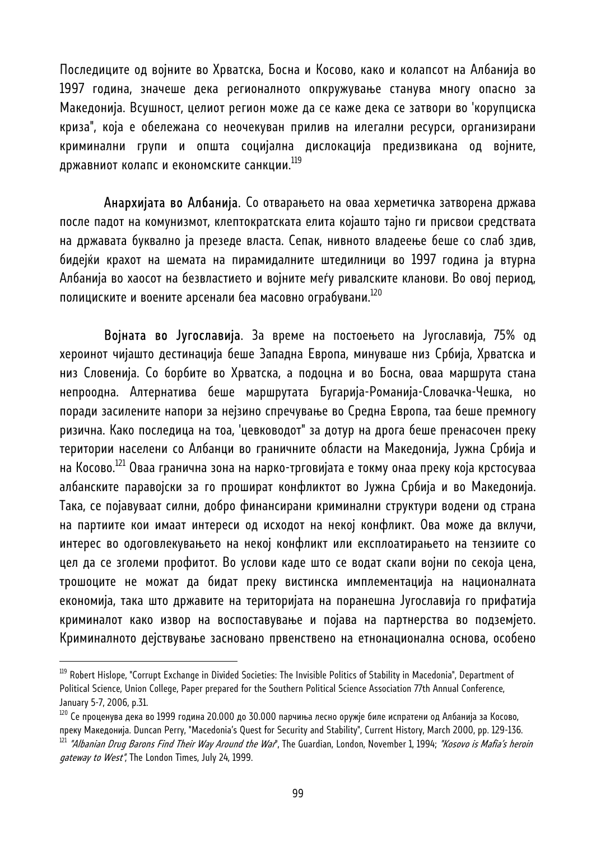Последиците од војните во Хрватска, Босна и Косово, како и колапсот на Албанија во 1997 година, значеше дека регионалното опкружување станува многу опасно за Македонија. Всушност, целиот регион може да се каже дека се затвори во 'корупциска криза", која е обележана со неочекуван прилив на илегални ресурси, организирани криминални групи и општа социјална дислокација предизвикана од војните, државниот колапс и економските санкции. $^{\rm 119}$ 

Анархијата во Албанија. Со отварањето на оваа херметичка затворена држава после падот на комунизмот, клептократската елита којашто тајно ги присвои средствата на државата буквално ја презеде власта. Сепак, нивното владеење беше со слаб здив, бидејќи крахот на шемата на пирамидалните штедилници во 1997 година ја втурна Албанија во хаосот на безвластието и војните меѓу ривалските кланови. Во овој период, полициските и воените арсенали беа масовно ограбувани.<sup>120</sup>

 Војната во Југославија. За време на постоењето на Југославија, 75% од хероинот чијашто дестинација беше Западна Европа, минуваше низ Србија, Хрватска и низ Словенија. Со борбите во Хрватска, а подоцна и во Босна, оваа маршрута стана непроодна. Алтернатива беше маршрутата Бугарија-Романија-Словачка-Чешка, но поради засилените напори за нејзино спречување во Средна Европа, таа беше премногу ризична. Како последица на тоа, 'цевководот" за дотур на дрога беше пренасочен преку територии населени со Албанци во граничните области на Македонија, Јужна Србија и на Косово.<sup>121</sup> Оваа гранична зона на нарко-трговијата е токму онаа преку која крстосуваа албанските паравојски за го прошират конфликтот во Јужна Србија и во Македонија. Така, се појавуваат силни, добро финансирани криминални структури водени од страна на партиите кои имаат интереси од исходот на некој конфликт. Ова може да вклучи, интерес во одоговлекувањето на некој конфликт или експлоатирањето на тензиите со цел да се зголеми профитот. Во услови каде што се водат скапи војни по секоја цена, трошоците не можат да бидат преку вистинска имплементација на националната економија, така што државите на територијата на поранешна Југославија го прифатија криминалот како извор на воспоставување и појава на партнерства во подземјето. Криминалното дејствување засновано првенствено на етнонационална основа, особено

 $^{\rm 119}$  Robert Hislope, "Corrupt Exchange in Divided Societies: The Invisible Politics of Stability in Macedonia", Department of Political Science, Union College, Paper prepared for the Southern Political Science Association 77th Annual Conference, January 5-7, 2006, p.31.

 $^{120}$  Се проценува дека во 1999 година 20.000 до 30.000 парчиња лесно оружје биле испратени од Албанија за Косово, преку Македонија. Duncan Perry, "Macedonia's Quest for Security and Stability", Current History, March 2000, pp. 129-136. <sup>121</sup> "Albanian Drug Barons Find Their Way Around the War", The Guardian, London, November 1, 1994; "Kosovo is Mafia's heroin gateway to West", The London Times, July 24, 1999.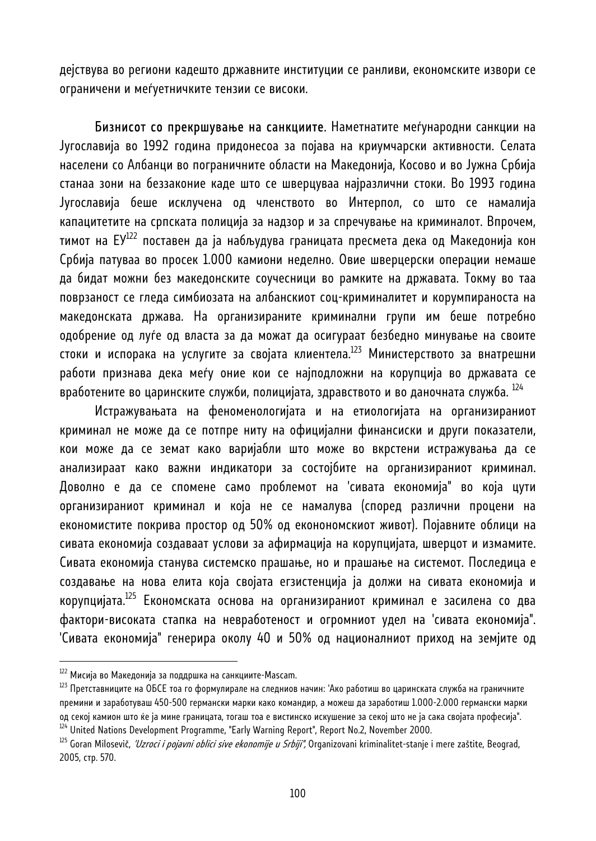дејствува во региони кадешто државните институции се ранливи, економските извори се ограничени и меѓуетничките тензии се високи.

Бизнисот со прекршување на санкциите. Наметнатите меѓународни санкции на Југославија во 1992 година придонесоа за појава на криумчарски активности. Селата населени со Албанци во пограничните области на Македонија, Косово и во Јужна Србија станаа зони на беззаконие каде што се шверцуваа најразлични стоки. Во 1993 година Југославија беше исклучена од членството во Интерпол, со што се намалија капацитетите на српската полиција за надзор и за спречување на криминалот. Впрочем, тимот на ЕУ<sup>122</sup> поставен да ја набљудува границата пресмета дека од Македонија кон Србија патуваа во просек 1.000 камиони неделно. Овие шверцерски операции немаше да бидат можни без македонските соучесници во рамките на државата. Токму во таа поврзаност се гледа симбиозата на албанскиот соц-криминалитет и корумпираноста на македонската држава. На организираните криминални групи им беше потребно одобрение од луѓе од власта за да можат да осигураат безбедно минување на своите стоки и испорака на услугите за својата клиентела.<sup>123</sup> Министерството за внатрешни работи признава дека меѓу оние кои се најподложни на корупција во државата се вработените во царинските служби, полицијата, здравството и во даночната служба.  $^{124}$ 

Истражувањата на феноменологијата и на етиологијата на организираниот криминал не може да се потпре ниту на официјални финансиски и други показатели, кои може да се земат како варијабли што може во вкрстени истражувања да се анализираат како важни индикатори за состојбите на организираниот криминал. Доволно е да се спомене само проблемот на 'сивата економија" во која цути организираниот криминал и која не се намалува (според различни процени на економистите покрива простор од 50% од еконономскиот живот). Појавните облици на сивата економија создаваат услови за афирмација на корупцијата, шверцот и измамите. Сивата економија станува системско прашање, но и прашање на системот. Последица е создавање на нова елита која својата егзистенција ја должи на сивата економија и корупцијата.125 Економската основа на организираниот криминал е засилена со два фактори-високата стапка на невработеност и огромниот удел на 'сивата економија". 'Сивата економија" генерира околу 40 и 50% од националниот приход на земјите од

 $122$  Мисија во Македонија за поддршка на санкциите-Mascam.

 $^{123}$  Претставниците на ОБСЕ тоа го формулирале на следниов начин: 'Ако работиш во царинската служба на граничните премини и заработуваш 450-500 германски марки како командир, а можеш да заработиш 1.000-2.000 германски марки од секој камион што ќе ја мине границата, тогаш тоа е вистинско искушение за секој што не ја сака својата професија".<br><sup>124</sup> United Nations Development Programme, "Early Warning Report", Report No.2, November 2000.<br><sup>125</sup> G

<sup>2005,</sup> стр. 570.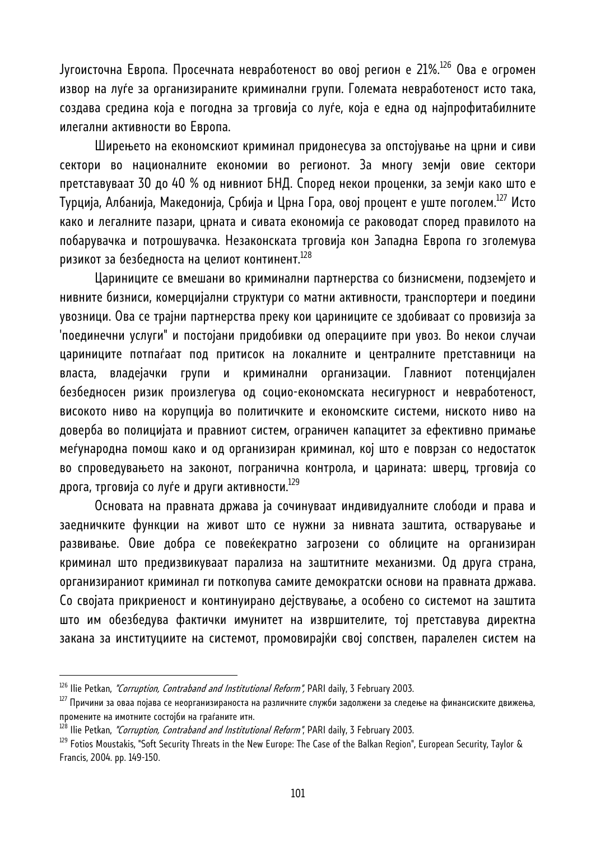Југоисточна Европа. Просечната невработеност во овој регион е 21%.126 Ова е огромен извор на луѓе за организираните криминални групи. Големата невработеност исто така, создава средина која е погодна за трговија со луѓе, која е една од најпрофитабилните илегални активности во Европа.

Ширењето на економскиот криминал придонесува за опстојување на црни и сиви сектори во националните економии во регионот. За многу земји овие сектори претставуваат 30 до 40 % од нивниот БНД. Според некои проценки, за земји како што е Турција, Албанија, Македонија, Србија и Црна Гора, овој процент е уште поголем.<sup>127</sup> Исто како и легалните пазари, црната и сивата економија се раководат според правилото на побарувачка и потрошувачка. Незаконската трговија кон Западна Европа го зголемува ризикот за безбедноста на целиот континент. $^{128}$ 

Цариниците се вмешани во криминални партнерства со бизнисмени, подземјето и нивните бизниси, комерцијални структури со матни активности, транспортери и поедини увозници. Ова се трајни партнерства преку кои цариниците се здобиваат со провизија за 'поединечни услуги" и постојани придобивки од операциите при увоз. Во некои случаи цариниците потпаѓаат под притисок на локалните и централните претставници на власта, владејачки групи и криминални организации. Главниот потенцијален безбедносен ризик произлегува од социо-економската несигурност и невработеност, високото ниво на корупција во политичките и економските системи, ниското ниво на доверба во полицијата и правниот систем, ограничен капацитет за ефективно примање меѓународна помош како и од организиран криминал, кој што е поврзан со недостаток во спроведувањето на законот, погранична контрола, и царината: шверц, трговија со дрога, трговија со луѓе и други активности. $^{129}$ 

Основата на правната држава ја сочинуваат индивидуалните слободи и права и заедничките функции на живот што се нужни за нивната заштита, остварување и развивање. Овие добра се повеќекратно загрозени со облиците на организиран криминал што предизвикуваат парализа на заштитните механизми. Од друга страна, организираниот криминал ги поткопува самите демократски основи на правната држава. Со својата прикриеност и континуирано дејствување, а особено со системот на заштита што им обезбедува фактички имунитет на извршителите, тој претставува директна закана за институциите на системот, промовирајќи свој сопствен, паралелен систем на

<sup>&</sup>lt;sup>126</sup> Ilie Petkan, *"Corruption, Contraband and Institutional Reform",* PARI daily, 3 February 2003.<br><sup>127</sup> Причини за оваа појава се неорганизираноста на различните служби задолжени за следење на финансиските движења, промените на имотните состојби на граѓаните итн.<br><sup>128</sup> Ilie Petkan, *"Corruption, Contraband and Institutional Reform"*, PARI daily, 3 February 2003.

<sup>&</sup>lt;sup>129</sup> Fotios Moustakis, "Soft Security Threats in the New Europe: The Case of the Balkan Region", European Security, Taylor & Francis, 2004. pp. 149-150.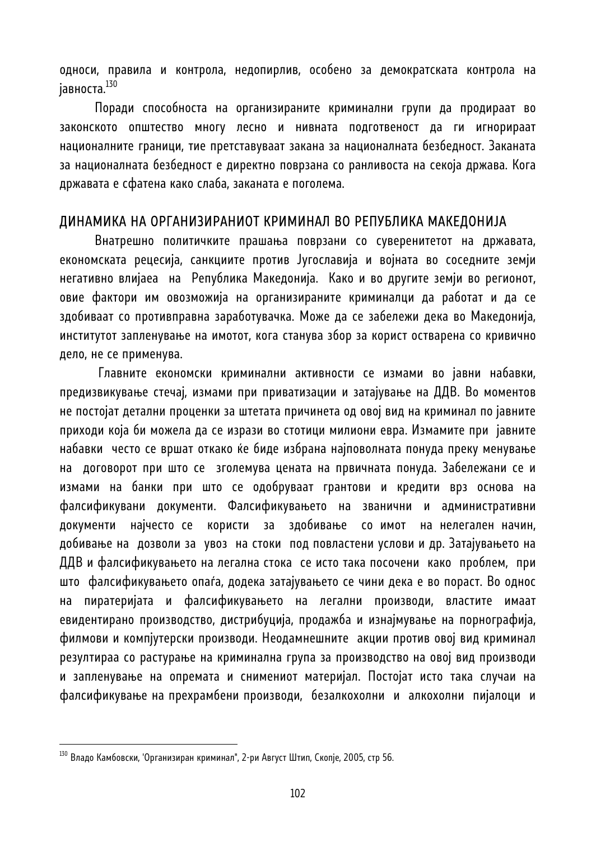односи, правила и контрола, недопирлив, особено за демократската контрола на јавноста.<sup>130</sup>

Поради способноста на организираните криминални групи да продираат во законското општество многу лесно и нивната подготвеност да ги игнорираат националните граници, тие претставуваат закана за националната безбедност. Заканата за националната безбедност е директно поврзана со ранливоста на секоја држава. Кога државата е сфатена како слаба, заканата е поголема.

#### ДИНАМИКА НА ОРГАНИЗИРАНИОТ КРИМИНАЛ ВО РЕПУБЛИКА МАКЕДОНИЈА

Внатрешно политичките прашања поврзани со суверенитетот на државата, економската рецесија, санкциите против Југославија и војната во соседните земји негативно влијаеа на Република Македонија. Како и во другите земји во регионот, овие фактори им овозможија на организираните криминалци да работат и да се здобиваат со противправна заработувачка. Може да се забележи дека во Македонија, институтот запленување на имотот, кога станува збор за корист остварена со кривично дело, не се применува.

 Главните економски криминални активности се измами во јавни набавки, предизвикување стечај, измами при приватизации и затајување на ДДВ. Во моментов не постојат детални проценки за штетата причинета од овој вид на криминал по јавните приходи која би можела да се изрази во стотици милиони евра. Измамите при јавните набавки често се вршат откако ќе биде избрана најповолната понуда преку менување на договорот при што се зголемува цената на првичната понуда. Забележани се и измами на банки при што се одобруваат грантови и кредити врз основа на фалсификувани документи. Фалсификувањето на званични и административни документи најчесто се користи за здобивање со имот на нелегален начин, добивање на дозволи за увоз на стоки под повластени услови и др. Затајувањето на ДДВ и фалсификувањето на легална стока се исто така посочени како проблем, при што фалсификувањето опаѓа, додека затајувањето се чини дека е во пораст. Во однос на пиратеријата и фалсификувањето на легални производи, властите имаат евидентирано производство, дистрибуција, продажба и изнајмување на порнографија, филмови и компјутерски производи. Неодамнешните акции против овој вид криминал резултираа со растурање на криминална група за производство на овој вид производи и запленување на опремата и снимениот материјал. Постојат исто така случаи на фалсификување на прехрамбени производи, безалкохолни и алкохолни пијалоци и

<sup>&</sup>lt;sup>130</sup> Владо Камбовски, 'Организиран криминал", 2-ри Август Штип, Скопје, 2005, стр 56.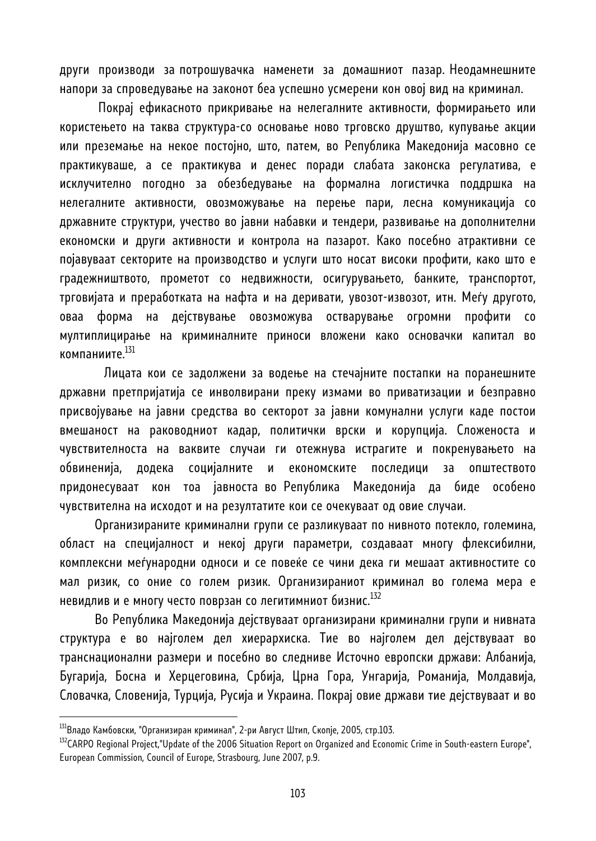други производи за потрошувачка наменети за домашниот пазар. Неодамнешните напори за спроведување на законот беа успешно усмерени кон овој вид на криминал.

 Покрај ефикасното прикривање на нелегалните активности, формирањето или користењето на таква структура-со основање ново трговско друштво, купување акции или преземање на некое постојно, што, патем, во Република Македонија масовно се практикуваше, а се практикува и денес поради слабата законска регулатива, е исклучително погодно за обезбедување на формална логистичка поддршка на нелегалните активности, овозможување на перење пари, лесна комуникација со државните структури, учество во јавни набавки и тендери, развивање на дополнителни економски и други активности и контрола на пазарот. Како посебно атрактивни се појавуваат секторите на производство и услуги што носат високи профити, како што е градежништвото, прометот со недвижности, осигурувањето, банките, транспортот, трговијата и преработката на нафта и на деривати, увозот-извозот, итн. Меѓу другото, оваа форма на дејствување овозможува остварување огромни профити со мултиплицирање на криминалните приноси вложени како основачки капитал во компаниите.131

 Лицата кои се задолжени за водење на стечајните постапки на поранешните државни претпријатија се инволвирани преку измами во приватизации и безправно присвојување на јавни средства во секторот за јавни комунални услуги каде постои вмешаност на раководниот кадар, политички врски и корупција. Сложеноста и чувствителноста на ваквите случаи ги отежнува истрагите и покренувањето на обвиненија, додека социјалните и економските последици за општеството придонесуваат кон тоа јавноста во Република Македонија да биде особено чувствителна на исходот и на резултатите кои се очекуваат од овие случаи.

Организираните криминални групи се разликуваат по нивното потекло, големина, област на специјалност и некој други параметри, создаваат многу флексибилни, комплексни меѓународни односи и се повеќе се чини дека ги мешаат активностите со мал ризик, со оние со голем ризик. Организираниот криминал во голема мера е невидлив и е многу често поврзан со легитимниот бизнис.<sup>132</sup>

Во Република Македонија дејствуваат организирани криминални групи и нивната структура е во најголем дел хиерархиска. Тие во најголем дел дејствуваат во транснационални размери и посебно во следниве Источно европски држави: Албанија, Бугарија, Босна и Херцеговина, Србија, Црна Гора, Унгарија, Романија, Молдавија, Словачка, Словенија, Турција, Русија и Украина. Покрај овие држави тие дејствуваат и во

<sup>&</sup>lt;sup>131</sup>Владо Камбовски, "Организиран криминал", 2-ри Август Штип, Скопје, 2005, стр.103.

<sup>&</sup>lt;sup>132</sup>CARPO Regional Project,"Update of the 2006 Situation Report on Organized and Economic Crime in South-eastern Europe", European Commission, Council of Europe, Strasbourg, June 2007, p.9.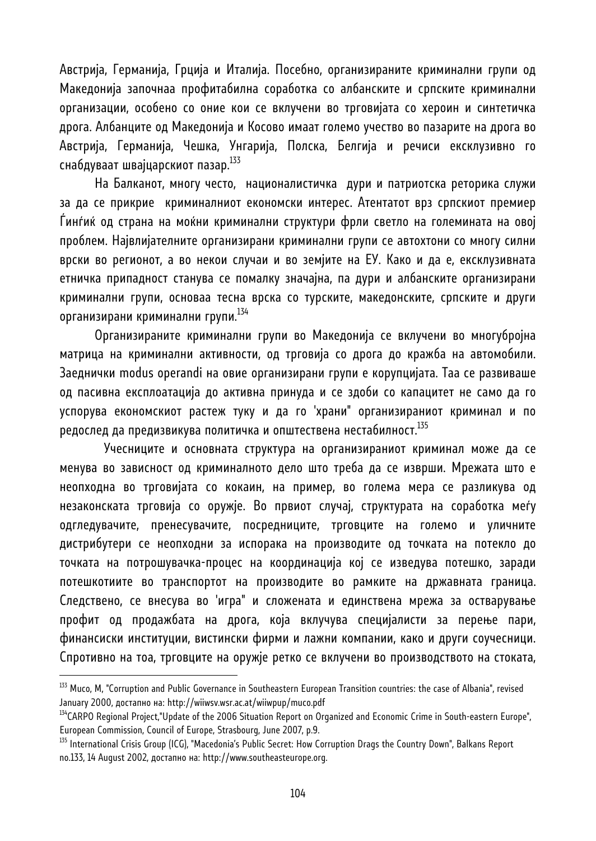Австрија, Германија, Грција и Италија. Посебно, организираните криминални групи од Македонија започнаа профитабилна соработка со албанските и српските криминални организации, особено со оние кои се вклучени во трговијата со хероин и синтетичка дрога. Албанците од Македонија и Косово имаат големо учество во пазарите на дрога во Австрија, Германија, Чешка, Унгарија, Полска, Белгија и речиси ексклузивно го снабдуваат швајцарскиот пазар.133

На Балканот, многу често, националистичка дури и патриотска реторика служи за да се прикрие криминалниот економски интерес. Атентатот врз српскиот премиер Ѓинѓиќ од страна на моќни криминални структури фрли светло на големината на овој проблем. Највлијателните организирани криминални групи се автохтони со многу силни врски во регионот, а во некои случаи и во земјите на ЕУ. Како и да е, ексклузивната етничка припадност станува се помалку значајна, па дури и албанските организирани криминални групи, основаа тесна врска со турските, македонските, српските и други организирани криминални групи.<sup>134</sup>

Организираните криминални групи во Македонија се вклучени во многубројна матрица на криминални активности, од трговија со дрога до кражба на автомобили. Заеднички modus operandi на овие организирани групи е корупцијата. Таа се развиваше од пасивна експлоатација до активна принуда и се здоби со капацитет не само да го успорува економскиот растеж туку и да го 'храни" организираниот криминал и по редослед да предизвикува политичка и општествена нестабилност.<sup>135</sup>

 Учесниците и основната структура на организираниот криминал може да се менува во зависност од криминалното дело што треба да се изврши. Мрежата што е неопходна во трговијата со кокаин, на пример, во голема мера се разликува од незаконската трговија со оружје. Во првиот случај, структурата на соработка меѓу одгледувачите, пренесувачите, посредниците, трговците на големо и уличните дистрибутери се неопходни за испорака на производите од точката на потекло до точката на потрошувачка-процес на координација кој се изведува потешко, заради потешкотиите во транспортот на производите во рамките на државната граница. Следствено, се внесува во 'игра" и сложената и единствена мрежа за остварување профит од продажбата на дрога, која вклучува специјалисти за перење пари, финансиски институции, вистински фирми и лажни компании, како и други соучесници. Спротивно на тоа, трговците на оружје ретко се вклучени во производството на стоката,

<sup>&</sup>lt;sup>133</sup> Muco, M, "Corruption and Public Governance in Southeastern European Transition countries: the case of Albania", revised January 2000, достапно на: http://wiiwsv.wsr.ac.at/wiiwpup/muco.pdf

 $^{134}$ CARPO Reqional Project,"Update of the 2006 Situation Report on Organized and Economic Crime in South-eastern Europe", European Commission, Council of Europe, Strasbourg, June 2007, p.9.<br><sup>135</sup> International Crisis Group (ICG), "Macedonia's Public Secret: How Corruption Drags the Country Down", Balkans Report

no.133, 14 August 2002, достапно на: http://www.southeasteurope.org.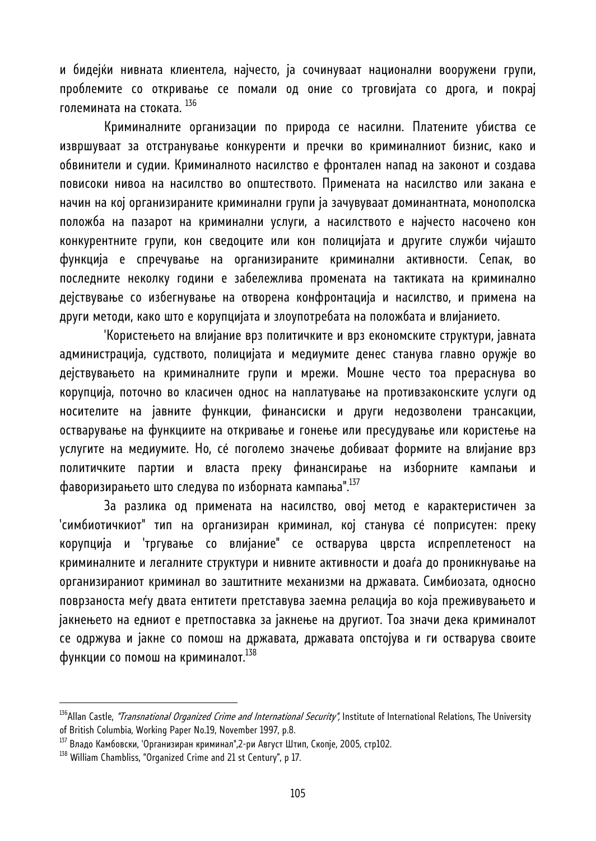и бидејќи нивната клиентела, најчесто, ја сочинуваат национални вооружени групи, проблемите со откривање се помали од оние со трговијата со дрога, и покрај големината на стоката. 136

 Криминалните организации по природа се насилни. Платените убиства се извршуваат за отстранување конкуренти и пречки во криминалниот бизнис, како и обвинители и судии. Криминалното насилство е фронтален напад на законот и создава повисоки нивоа на насилство во општеството. Примената на насилство или закана е начин на кој организираните криминални групи ја зачувуваат доминантната, монополска положба на пазарот на криминални услуги, а насилството е најчесто насочено кон конкурентните групи, кон сведоците или кон полицијата и другите служби чијашто функција е спречување на организираните криминални активности. Сепак, во последните неколку години е забележлива промената на тактиката на криминално дејствување со избегнување на отворена конфронтација и насилство, и примена на други методи, како што е корупцијата и злоупотребата на положбата и влијанието.

 'Користењето на влијание врз политичките и врз економските структури, јавната администрација, судството, полицијата и медиумите денес станува главно оружје во дејствувањето на криминалните групи и мрежи. Мошне често тоа прераснува во корупција, поточно во класичен однос на наплатување на противзаконските услуги од носителите на јавните функции, финансиски и други недозволени трансакции, остварување на функциите на откривање и гонење или пресудување или користење на услугите на медиумите. Но, сé поголемо значење добиваат формите на влијание врз политичките партии и власта преку финансирање на изборните кампањи и фаворизирањето што следува по изборната кампања".137

 За разлика од примената на насилство, овој метод е карактеристичен за 'симбиотичкиот" тип на организиран криминал, кој станува сé поприсутен: преку корупција и 'тргување со влијание" се остварува цврста испреплетеност на криминалните и легалните структури и нивните активности и доаѓа до проникнување на организираниот криминал во заштитните механизми на државата. Симбиозата, односно поврзаноста меѓу двата ентитети претставува заемна релација во која преживувањето и јакнењето на едниот е претпоставка за јакнење на другиот. Тоа значи дека криминалот се одржува и јакне со помош на државата, државата опстојува и ги остварува своите функции со помош на криминалот.<sup>138</sup>

<sup>&</sup>lt;sup>136</sup>Allan Castle, *"Transnational Organized Crime and International Security",* Institute of International Relations, The University of British Columbia, Working Paper No.19, November 1997, p.8.

<sup>&</sup>lt;sup>137</sup> Владо Камбовски, 'Организиран криминал",2-ри Август Штип, Скопје, 2005, стр102.<br><sup>138</sup> William Chambliss, "Organized Crime and 21 st Century", p 17.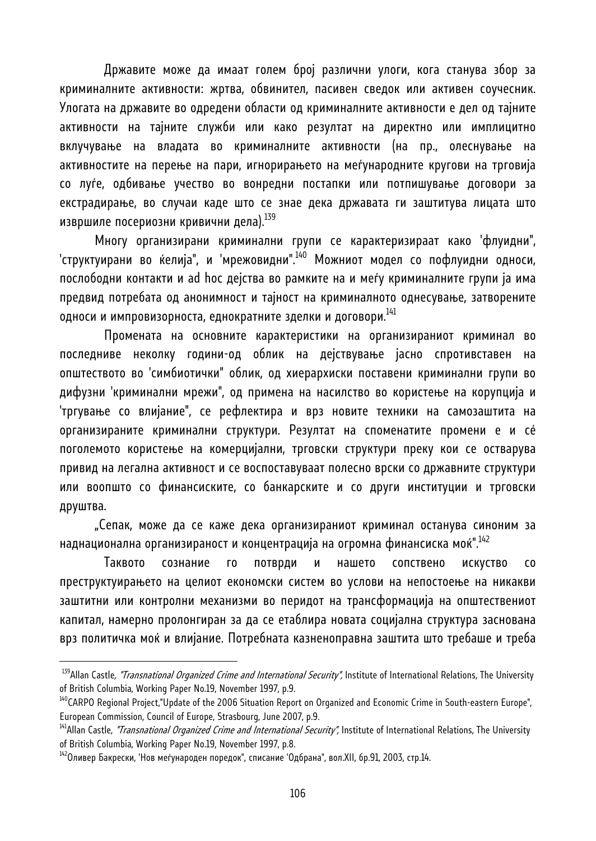Државите може да имаат голем број различни улоги, кога станува збор за криминалните активности: жртва, обвинител, пасивен сведок или активен соучесник. Улогата на државите во одредени области од криминалните активности е дел од тајните активности на тајните служби или како резултат на директно или имплицитно вклучување на владата во криминалните активности (на пр., олеснување на активностите на перење на пари, игнорирањето на меѓународните кругови на трговија со луѓе, одбивање учество во вонредни постапки или потпишување договори за екстрадирање, во случаи каде што се знае дека државата ги заштитува лицата што извршиле посериозни кривични дела).<sup>139</sup>

Многу организирани криминални групи се карактеризираат како 'флуидни", 'структуирани во ќелија", и 'мрежовидни".<sup>140</sup> Можниот модел со пофлуидни односи, послободни контакти и ad hoc дејства во рамките на и меѓу криминалните групи ја има предвид потребата од анонимност и тајност на криминалното однесување, затворените односи и импровизорноста, еднократните зделки и договори. $^{141}$ 

 Промената на основните карактеристики на организираниот криминал во последниве неколку години-од облик на дејствување јасно спротивставен на општеството во 'симбиотички" облик, од хиерархиски поставени криминални групи во дифузни 'криминални мрежи", од примена на насилство во користење на корупција и 'тргување со влијание", се рефлектира и врз новите техники на самозаштита на организираните криминални структури. Резултат на споменатите промени е и сé поголемото користење на комерцијални, трговски структури преку кои се остварува привид на легална активност и се воспоставуваат полесно врски со државните структури или воопшто со финансиските, со банкарските и со други институции и трговски друштва.

"Сепак, може да се каже дека организираниот криминал останува синоним за наднационална организираност и концентрација на огромна финансиска моќ".<sup>142</sup>

 Таквото сознание го потврди и нашето сопствено искуство со преструктуирањето на целиот економски систем во услови на непостоење на никакви заштитни или контролни механизми во перидот на трансформација на општествениот капитал, намерно пролонгиран за да се етаблира новата социјална структура заснована врз политичка моќ и влијание. Потребната казненоправна заштита што требаше и треба

<sup>&</sup>lt;sup>139</sup>Allan Castle, "Transnational Organized Crime and International Security", Institute of International Relations, The University of British Columbia, Working Paper No.19, November 1997, p.9.

<sup>&</sup>lt;sup>140</sup>CARPO Regional Project,"Update of the 2006 Situation Report on Organized and Economic Crime in South-eastern Europe", European Commission, Council of Europe, Strasbourg, June 2007, p.9.<br><sup>141</sup>Allan Castle, *"Transnational Organized Crime and International Security",* Institute of International Relations, The University

of British Columbia, Working Paper No.19, November 1997, p.8.

 $^{142}$ Оливер Бакрески, 'Нов меѓународен поредок", списание 'Одбрана", вол.XII, бр.91, 2003, стр.14.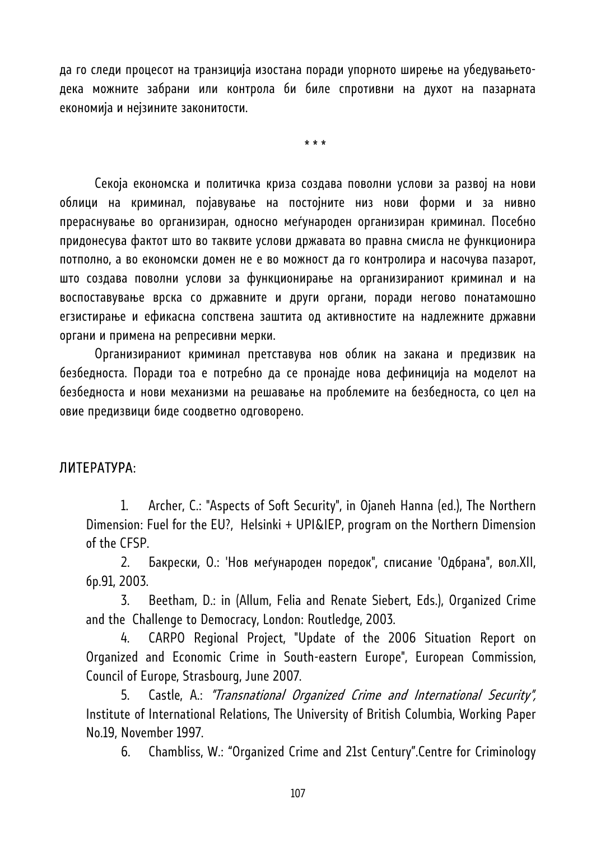да го следи процесот на транзиција изостана поради упорното ширење на убедувањетодека можните забрани или контрола би биле спротивни на духот на пазарната економија и нејзините законитости.

\* \* \*

Секоја економска и политичка криза создава поволни услови за развој на нови облици на криминал, појавување на постојните низ нови форми и за нивно прераснување во организиран, односно меѓународен организиран криминал. Посебно придонесува фактот што во таквите услови државата во правна смисла не функционира потполно, а во економски домен не е во можност да го контролира и насочува пазарот, што создава поволни услови за функционирање на организираниот криминал и на воспоставување врска со државните и други органи, поради негово понатамошно егзистирање и ефикасна сопствена заштита од активностите на надлежните државни органи и примена на репресивни мерки.

Организираниот криминал претставува нов облик на закана и предизвик на безбедноста. Поради тоа е потребно да се пронајде нова дефиниција на моделот на безбедноста и нови механизми на решавање на проблемите на безбедноста, со цел на овие предизвици биде соодветно одговорено.

#### ЛИТЕРАТУРА:

1. Archer, C.: "Aspects of Soft Security", in Ojaneh Hanna (ed.), The Northern Dimension: Fuel for the EU?, Helsinki + UPI&IEP, program on the Northern Dimension of the CFSP.

2. Бакрески, O.: 'Нов меѓународен поредок", списание 'Одбрана", вол.XII, бр.91, 2003.

3. Beetham, D.: in (Allum, Felia and Renate Siebert, Eds.), Organized Crime and the Challenge to Democracy, London: Routledge, 2003.

4. CARPO Regional Project, "Update of the 2006 Situation Report on Organized and Economic Crime in South-eastern Europe", European Commission, Council of Europe, Strasbourg, June 2007.

5. Castle, A.: "Transnational Organized Crime and International Security", Institute of International Relations, The University of British Columbia, Working Paper No.19, November 1997.

6. Chambliss, W.: "Organized Crime and 21st Century".Centre for Criminology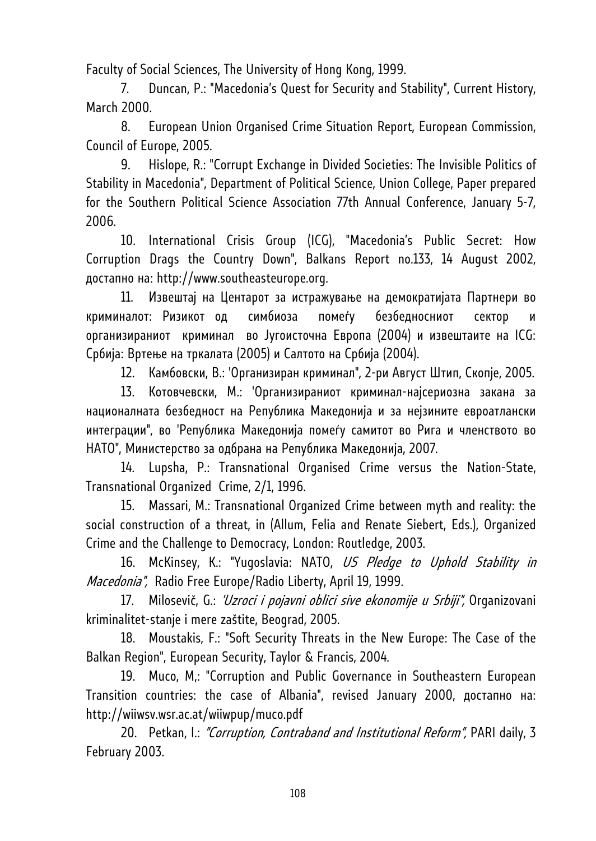Faculty of Social Sciences, The University of Hong Kong, 1999.

7. Duncan, P.: "Macedonia's Quest for Security and Stability", Current History, March 2000.

8. European Union Organised Crime Situation Report, European Commission, Council of Europe, 2005.

9. Hislope, R.: "Corrupt Exchange in Divided Societies: The Invisible Politics of Stability in Macedonia", Department of Political Science, Union College, Paper prepared for the Southern Political Science Association 77th Annual Conference, January 5-7, 2006.

10. International Crisis Group (ICG), "Macedonia's Public Secret: How Corruption Drags the Country Down", Balkans Report no.133, 14 August 2002, достапно на: http://www.southeasteurope.org.

11. Извештај на Центарот за истражување на демократијата Партнери во криминалот: Ризикот од симбиоза помеѓу безбедносниот сектор и организираниот криминал во Југоисточна Европа (2004) и извештаите на ICG: Србија: Вртење на тркалата (2005) и Салтото на Србија (2004).

12. Камбовски, В.: 'Организиран криминал", 2-ри Август Штип, Скопје, 2005.

13. Котовчевски, M.: 'Организираниот криминал-најсериозна закана за националната безбедност на Република Македонија и за нејзините евроатлански интеграции", во 'Република Македонија помеѓу самитот во Рига и членството во НАТО", Министерство за одбрана на Република Македонија, 2007.

14. Lupsha, P.: Transnational Organised Crime versus the Nation-State, Transnational Organized Crime, 2/1, 1996.

15. Massari, M.: Transnational Organized Crime between myth and reality: the social construction of a threat, in (Allum, Felia and Renate Siebert, Eds.), Organized Crime and the Challenge to Democracy, London: Routledge, 2003.

16. McKinsey, K.: "Yugoslavia: NATO, US Pledge to Uphold Stability in Macedonia", Radio Free Europe/Radio Liberty, April 19, 1999.

17. Milosevič, G.: 'Uzroci i pojavni oblici sive ekonomije u Srbiji", Organizovani kriminalitet-stanje i mere zaštite, Beograd, 2005.

18. Moustakis, F.: "Soft Security Threats in the New Europe: The Case of the Balkan Region", European Security, Taylor & Francis, 2004.

19. Muco, M,: "Corruption and Public Governance in Southeastern European Transition countries: the case of Albania", revised January 2000, достапно на: http://wiiwsv.wsr.ac.at/wiiwpup/muco.pdf

20. Petkan, I.: "Corruption, Contraband and Institutional Reform", PARI daily, 3 February 2003.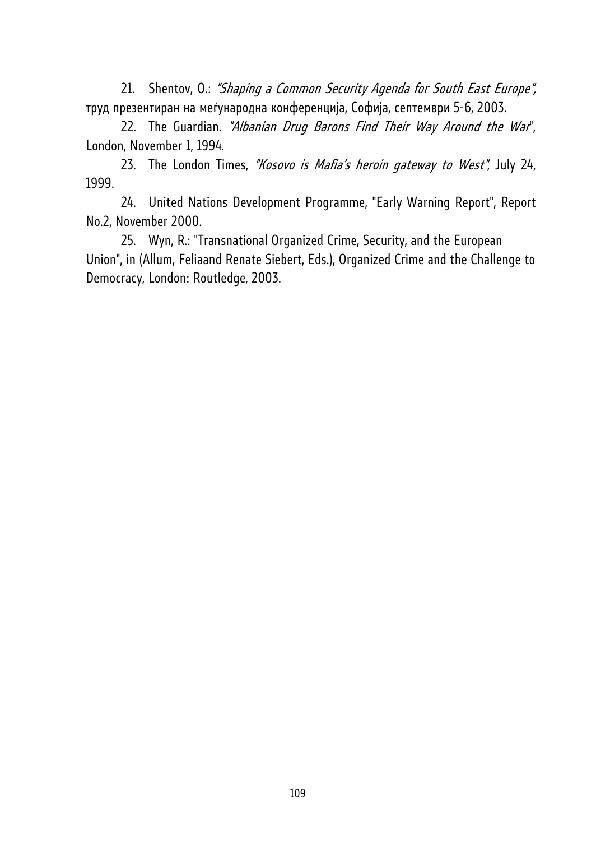21. Shentov, O.: "Shaping a Common Security Agenda for South East Europe", труд презентиран на меѓународна конференција, Софија, септември 5-6, 2003.

22. The Guardian. "Albanian Drug Barons Find Their Way Around the War", London, November 1, 1994.

23. The London Times, "Kosovo is Mafia's heroin gateway to West", July 24, 1999.

24. United Nations Development Programme, "Early Warning Report", Report No.2, November 2000.

25. Wyn, R.: "Transnational Organized Crime, Security, and the European Union", in (Allum, Feliaand Renate Siebert, Eds.), Organized Crime and the Challenge to Democracy, London: Routledge, 2003.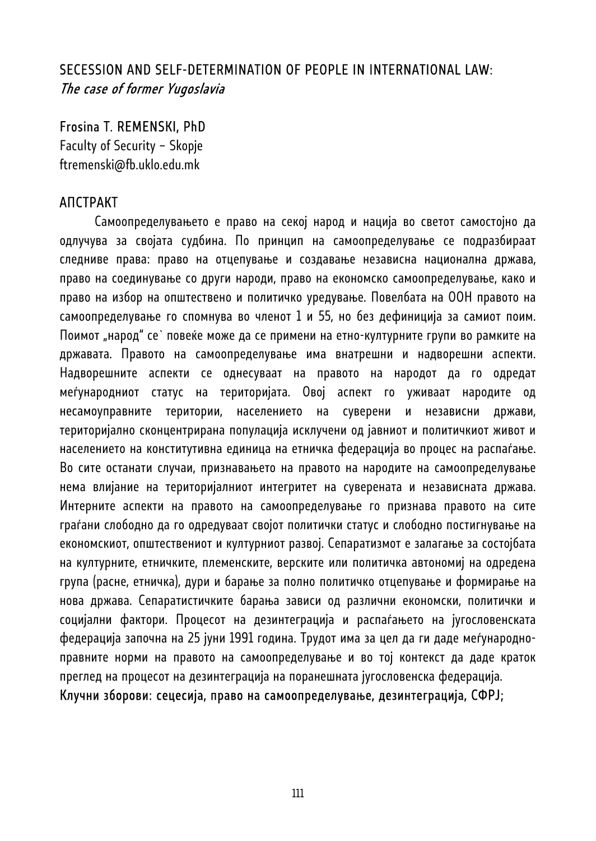## SECESSION AND SELF-DETERMINATION OF PEOPLE IN INTERNATIONAL LAW: The case of former Yugoslavia

### Frosina T. REMENSKI, PhD

Faculty of Security – Skopje ftremenski@fb.uklo.edu.mk

### АПСТРАКТ

Самоопределувањето е право на секој народ и нација во светот самостојно да одлучува за својата судбина. По принцип на самоопределување се подразбираат следниве права: право на отцепување и создавање независна национална држава, право на соединување со други народи, право на економско самоопределување, како и право на избор на општествено и политичко уредување. Повелбата на ООН правото на самоопределување го спомнува во членот 1 и 55, но без дефиниција за самиот поим. Поимот "народ" се` повеќе може да се примени на етно-културните групи во рамките на државата. Правото на самоопределување има внатрешни и надворешни аспекти. Надворешните аспекти се однесуваат на правото на народот да го одредат меѓународниот статус на територијата. Овој аспект го уживаат народите од несамоуправните територии, населението на суверени и независни држави, територијално сконцентрирана популација исклучени од јавниот и политичкиот живот и населението на конститутивна единица на етничка федерација во процес на распаѓање. Во сите останати случаи, признавањето на правото на народите на самоопределување нема влијание на територијалниот интегритет на суверената и независната држава. Интерните аспекти на правото на самоопределување го признава правото на сите граѓани слободно да го одредуваат својот политички статус и слободно постигнување на економскиот, општествениот и културниот развој. Сепаратизмот е залагање за состојбата на културните, етничките, племенските, верските или политичка автономиј на одредена група (расне, етничка), дури и барање за полно политичко отцепување и формирање на нова држава. Сепаратистичките барања зависи од различни економски, политички и социјални фактори. Процесот на дезинтеграција и распаѓањето на југословенската федерација започна на 25 јуни 1991 година. Трудот има за цел да ги даде меѓународноправните норми на правото на самоопределување и во тој контекст да даде краток преглед на процесот на дезинтеграција на поранешната југословенска федерација.

Клучни зборови: сецесија, право на самоопределување, дезинтеграција, СФРЈ;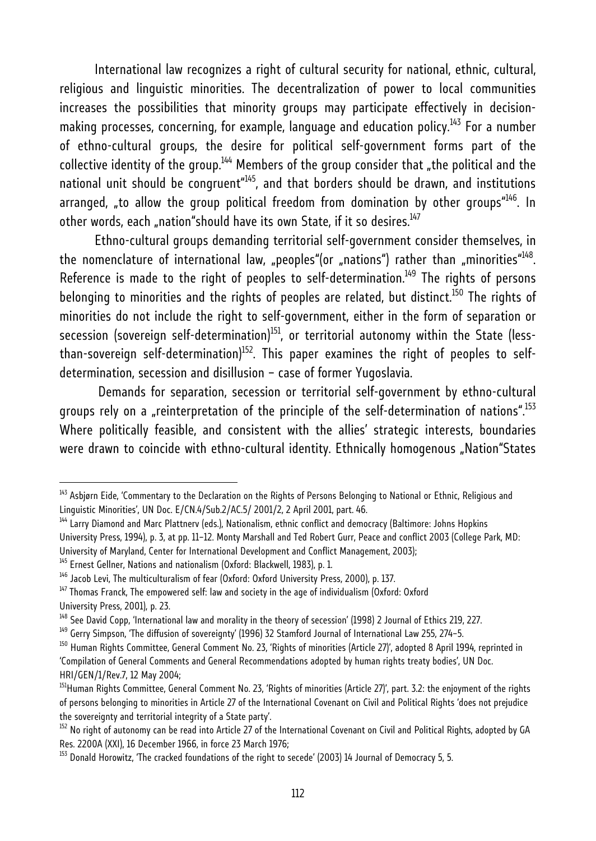International law recognizes a right of cultural security for national, ethnic, cultural, religious and linguistic minorities. The decentralization of power to local communities increases the possibilities that minority groups may participate effectively in decisionmaking processes, concerning, for example, language and education policy.<sup>143</sup> For a number of ethno-cultural groups, the desire for political self-government forms part of the collective identity of the group.<sup>144</sup> Members of the group consider that "the political and the national unit should be congruent<sup> $445$ </sup>, and that borders should be drawn, and institutions arranged, "to allow the group political freedom from domination by other groups<sup>"146</sup>. In other words, each "nation"should have its own State, if it so desires. $147$ 

Ethno-cultural groups demanding territorial self-government consider themselves, in the nomenclature of international law, "peoples"(or "nations") rather than "minorities" $148$ . Reference is made to the right of peoples to self-determination.<sup>149</sup> The rights of persons belonging to minorities and the rights of peoples are related, but distinct.<sup>150</sup> The rights of minorities do not include the right to self-government, either in the form of separation or secession (sovereign self-determination)<sup>151</sup>, or territorial autonomy within the State (lessthan-sovereign self-determination)<sup>152</sup>. This paper examines the right of peoples to selfdetermination, secession and disillusion – case of former Yugoslavia.

 Demands for separation, secession or territorial self-government by ethno-cultural groups rely on a "reinterpretation of the principle of the self-determination of nations".<sup>153</sup> Where politically feasible, and consistent with the allies' strategic interests, boundaries were drawn to coincide with ethno-cultural identity. Ethnically homogenous "Nation"States

<sup>&</sup>lt;sup>143</sup> Asbjørn Eide, 'Commentary to the Declaration on the Rights of Persons Belonging to National or Ethnic, Religious and Linguistic Minorities', UN Doc. E/CN.4/Sub.2/AC.5/ 2001/2, 2 April 2001, part. 46.

<sup>&</sup>lt;sup>144</sup> Larry Diamond and Marc Plattnerv (eds.), Nationalism, ethnic conflict and democracy (Baltimore: Johns Hopkins

University Press, 1994), p. 3, at pp. 11–12. Monty Marshall and Ted Robert Gurr, Peace and conflict 2003 (College Park, MD:

University of Maryland, Center for International Development and Conflict Management, 2003);<br><sup>145</sup> Ernest Gellner, Nations and nationalism (Oxford: Blackwell, 1983), p. 1.

<sup>&</sup>lt;sup>146</sup> Jacob Levi, The multiculturalism of fear (Oxford: Oxford University Press, 2000), p. 137.

<sup>147</sup> Thomas Franck, The empowered self: law and society in the age of individualism (Oxford: Oxford University Press, 2001), p. 23.

<sup>&</sup>lt;sup>148</sup> See David Copp, 'International law and morality in the theory of secession' (1998) 2 Journal of Ethics 219, 227.<br><sup>149</sup> Gerry Simpson, 'The diffusion of sovereignty' (1996) 32 Stamford Journal of International Law 255

<sup>&</sup>lt;sup>150</sup> Human Rights Committee, General Comment No. 23, 'Rights of minorities (Article 27)', adopted 8 April 1994, reprinted in 'Compilation of General Comments and General Recommendations adopted by human rights treaty bodies', UN Doc.

HRI/GEN/1/Rev.7, 12 May 2004;

<sup>&</sup>lt;sup>151</sup>Human Rights Committee, General Comment No. 23, 'Rights of minorities (Article 27)', part. 3.2: the enjoyment of the rights of persons belonging to minorities in Article 27 of the International Covenant on Civil and Political Rights 'does not prejudice the sovereignty and territorial integrity of a State party'.

<sup>&</sup>lt;sup>152</sup> No right of autonomy can be read into Article 27 of the International Covenant on Civil and Political Rights, adopted by GA<br>Res. 2200A (XXI), 16 December 1966, in force 23 March 1976;

<sup>&</sup>lt;sup>153</sup> Donald Horowitz, 'The cracked foundations of the right to secede' (2003) 14 Journal of Democracy 5, 5.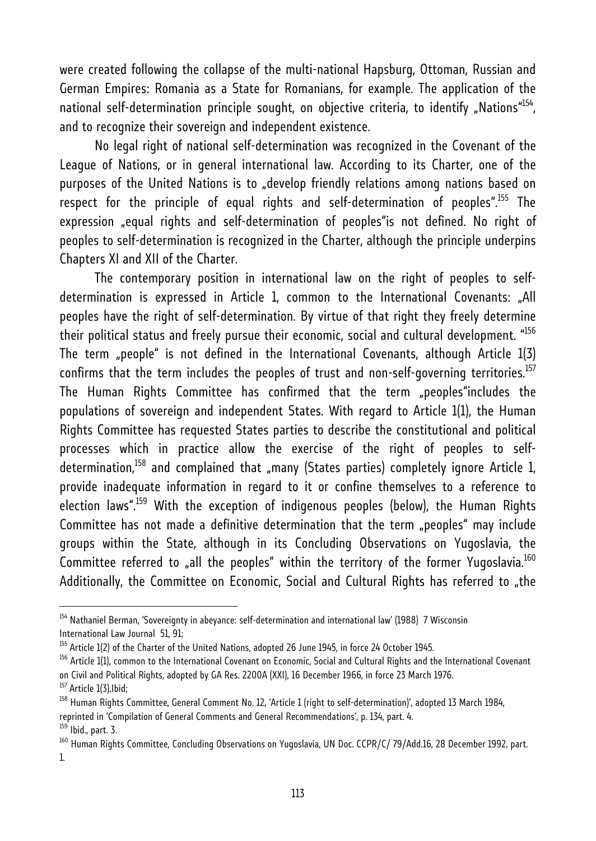were created following the collapse of the multi-national Hapsburg, Ottoman, Russian and German Empires: Romania as a State for Romanians, for example. The application of the national self-determination principle sought, on objective criteria, to identify "Nations"<sup>154</sup>, and to recognize their sovereign and independent existence.

No legal right of national self-determination was recognized in the Covenant of the League of Nations, or in general international law. According to its Charter, one of the purposes of the United Nations is to "develop friendly relations among nations based on respect for the principle of equal rights and self-determination of peoples".<sup>155</sup> The expression "equal rights and self-determination of peoples"is not defined. No right of peoples to self-determination is recognized in the Charter, although the principle underpins Chapters XI and XII of the Charter.

The contemporary position in international law on the right of peoples to selfdetermination is expressed in Article 1, common to the International Covenants: "All peoples have the right of self-determination. By virtue of that right they freely determine their political status and freely pursue their economic, social and cultural development. "<sup>156</sup> The term "people" is not defined in the International Covenants, although Article  $1(3)$ confirms that the term includes the peoples of trust and non-self-governing territories.<sup>157</sup> The Human Rights Committee has confirmed that the term "peoples"includes the populations of sovereign and independent States. With regard to Article 1(1), the Human Rights Committee has requested States parties to describe the constitutional and political processes which in practice allow the exercise of the right of peoples to selfdetermination,<sup>158</sup> and complained that "many (States parties) completely ignore Article 1, provide inadequate information in regard to it or confine themselves to a reference to election laws".<sup>159</sup> With the exception of indigenous peoples (below), the Human Rights Committee has not made a definitive determination that the term "peoples" may include groups within the State, although in its Concluding Observations on Yugoslavia, the Committee referred to "all the peoples" within the territory of the former Yugoslavia.<sup>160</sup> Additionally, the Committee on Economic, Social and Cultural Rights has referred to "the

<sup>&</sup>lt;sup>154</sup> Nathaniel Berman, 'Sovereignty in abeyance: self-determination and international law' (1988) 7 Wisconsin International Law Journal 51, 91;

<sup>&</sup>lt;sup>155</sup> Article 1(2) of the Charter of the United Nations, adopted 26 June 1945, in force 24 October 1945.<br><sup>156</sup> Article 1(1). common to the International Covenant on Economic, Social and Cultural Rights and the Internationa on Civil and Political Rights, adopted by GA Res. 2200A (XXI), 16 December 1966, in force 23 March 1976.<br><sup>157</sup> Article 1(3),Ibid;

<sup>&</sup>lt;sup>158</sup> Human Rights Committee, General Comment No. 12, 'Article 1 (right to self-determination)', adopted 13 March 1984, reprinted in 'Compilation of General Comments and General Recommendations', p. 134, part. 4.  $159$  Ibid., part. 3.

<sup>&</sup>lt;sup>160</sup> Human Rights Committee, Concluding Observations on Yugoslavia, UN Doc. CCPR/C/ 79/Add.16, 28 December 1992, part. 1.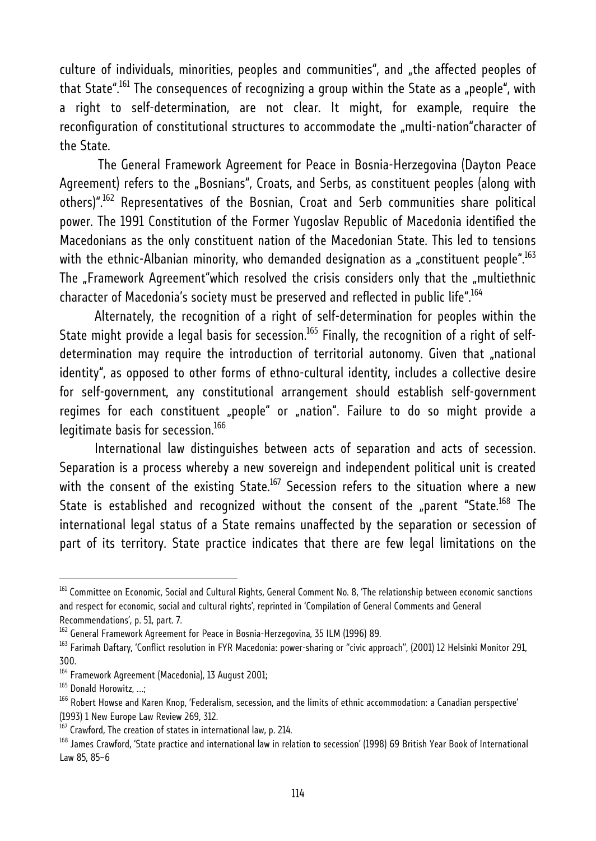culture of individuals, minorities, peoples and communities", and "the affected peoples of that State".<sup>161</sup> The consequences of recognizing a group within the State as a "people", with a right to self-determination, are not clear. It might, for example, require the reconfiguration of constitutional structures to accommodate the "multi-nation"character of the State.

 The General Framework Agreement for Peace in Bosnia-Herzegovina (Dayton Peace Agreement) refers to the "Bosnians", Croats, and Serbs, as constituent peoples (along with others)".162 Representatives of the Bosnian, Croat and Serb communities share political power. The 1991 Constitution of the Former Yugoslav Republic of Macedonia identified the Macedonians as the only constituent nation of the Macedonian State. This led to tensions with the ethnic-Albanian minority, who demanded designation as a "constituent people".<sup>163</sup> The "Framework Agreement"which resolved the crisis considers only that the "multiethnic character of Macedonia's society must be preserved and reflected in public life".164

Alternately, the recognition of a right of self-determination for peoples within the State might provide a legal basis for secession.<sup>165</sup> Finally, the recognition of a right of selfdetermination may require the introduction of territorial autonomy. Given that "national identity", as opposed to other forms of ethno-cultural identity, includes a collective desire for self-government, any constitutional arrangement should establish self-government regimes for each constituent "people" or "nation". Failure to do so might provide a legitimate basis for secession.<sup>166</sup>

International law distinguishes between acts of separation and acts of secession. Separation is a process whereby a new sovereign and independent political unit is created with the consent of the existing State.<sup>167</sup> Secession refers to the situation where a new State is established and recognized without the consent of the "parent "State.<sup>168</sup> The international legal status of a State remains unaffected by the separation or secession of part of its territory. State practice indicates that there are few legal limitations on the

<sup>&</sup>lt;sup>161</sup> Committee on Economic, Social and Cultural Rights, General Comment No. 8, 'The relationship between economic sanctions and respect for economic, social and cultural rights', reprinted in 'Compilation of General Comments and General Recommendations', p. 51, part. 7.

<sup>&</sup>lt;sup>162</sup> General Framework Agreement for Peace in Bosnia-Herzegovina, 35 ILM (1996) 89.

<sup>&</sup>lt;sup>163</sup> Farimah Daftary, 'Conflict resolution in FYR Macedonia: power-sharing or "civic approach", (2001) 12 Helsinki Monitor 291, 300.

<sup>&</sup>lt;sup>164</sup> Framework Agreement (Macedonia), 13 August 2001;

<sup>&</sup>lt;sup>165</sup> Donald Horowitz, ...;

<sup>&</sup>lt;sup>166</sup> Robert Howse and Karen Knop, 'Federalism, secession, and the limits of ethnic accommodation: a Canadian perspective' (1993) 1 New Europe Law Review 269, 312.

<sup>167</sup> Crawford, The creation of states in international law, p. 214.

<sup>&</sup>lt;sup>168</sup> James Crawford, 'State practice and international law in relation to secession' (1998) 69 British Year Book of International Law 85, 85–6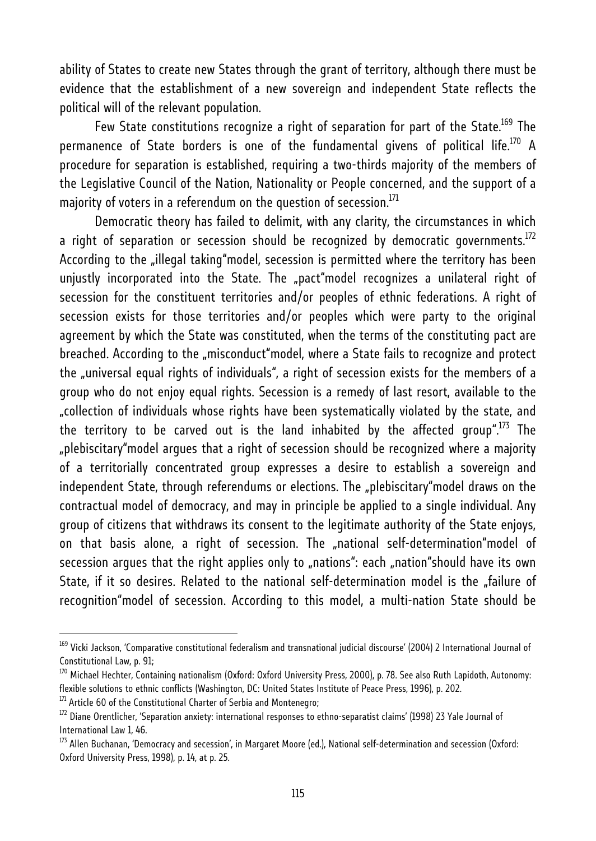ability of States to create new States through the grant of territory, although there must be evidence that the establishment of a new sovereign and independent State reflects the political will of the relevant population.

Few State constitutions recognize a right of separation for part of the State.<sup>169</sup> The permanence of State borders is one of the fundamental givens of political life.<sup>170</sup> A procedure for separation is established, requiring a two-thirds majority of the members of the Legislative Council of the Nation, Nationality or People concerned, and the support of a majority of voters in a referendum on the question of secession. $^{171}$ 

Democratic theory has failed to delimit, with any clarity, the circumstances in which a right of separation or secession should be recognized by democratic governments.<sup>172</sup> According to the "illegal taking"model, secession is permitted where the territory has been unjustly incorporated into the State. The "pact"model recognizes a unilateral right of secession for the constituent territories and/or peoples of ethnic federations. A right of secession exists for those territories and/or peoples which were party to the original agreement by which the State was constituted, when the terms of the constituting pact are breached. According to the "misconduct"model, where a State fails to recognize and protect the "universal equal rights of individuals", a right of secession exists for the members of a group who do not enjoy equal rights. Secession is a remedy of last resort, available to the "collection of individuals whose rights have been systematically violated by the state, and the territory to be carved out is the land inhabited by the affected group".<sup>173</sup> The "plebiscitary"model argues that a right of secession should be recognized where a majority of a territorially concentrated group expresses a desire to establish a sovereign and independent State, through referendums or elections. The "plebiscitary"model draws on the contractual model of democracy, and may in principle be applied to a single individual. Any group of citizens that withdraws its consent to the legitimate authority of the State enjoys, on that basis alone, a right of secession. The "national self-determination"model of secession argues that the right applies only to "nations": each "nation"should have its own State, if it so desires. Related to the national self-determination model is the "failure of recognition"model of secession. According to this model, a multi-nation State should be

<sup>&</sup>lt;sup>169</sup> Vicki Jackson, 'Comparative constitutional federalism and transnational iudicial discourse' (2004) 2 International Journal of Constitutional Law, p. 91;

 $^{170}$  Michael Hechter, Containing nationalism (Oxford: Oxford University Press, 2000), p. 78. See also Ruth Lapidoth, Autonomy: flexible solutions to ethnic conflicts (Washington, DC: United States Institute of Peace Press, 1996), p. 202.<br><sup>171</sup> Article 60 of the Constitutional Charter of Serbia and Montenegro;

 $172$  Diane Orentlicher, 'Separation anxiety: international responses to ethno-separatist claims' (1998) 23 Yale Journal of International Law 1, 46.

<sup>&</sup>lt;sup>173</sup> Allen Buchanan, 'Democracy and secession', in Margaret Moore (ed.), National self-determination and secession (Oxford: Oxford University Press, 1998), p. 14, at p. 25.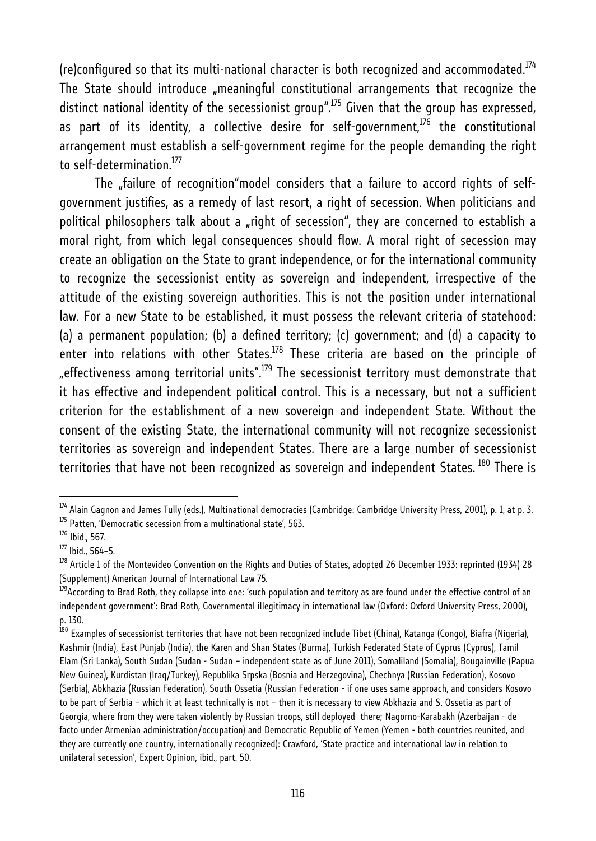(re)configured so that its multi-national character is both recognized and accommodated.<sup>174</sup> The State should introduce "meaningful constitutional arrangements that recognize the distinct national identity of the secessionist group".<sup>175</sup> Given that the group has expressed, as part of its identity, a collective desire for self-qovernment, $176$  the constitutional arrangement must establish a self-government regime for the people demanding the right to self-determination.<sup>177</sup>

The "failure of recognition"model considers that a failure to accord rights of selfgovernment justifies, as a remedy of last resort, a right of secession. When politicians and political philosophers talk about a "right of secession", they are concerned to establish a moral right, from which legal consequences should flow. A moral right of secession may create an obligation on the State to grant independence, or for the international community to recognize the secessionist entity as sovereign and independent, irrespective of the attitude of the existing sovereign authorities. This is not the position under international law. For a new State to be established, it must possess the relevant criteria of statehood: (a) a permanent population; (b) a defined territory; (c) government; and (d) a capacity to enter into relations with other States.<sup>178</sup> These criteria are based on the principle of "effectiveness among territorial units".<sup>179</sup> The secessionist territory must demonstrate that it has effective and independent political control. This is a necessary, but not a sufficient criterion for the establishment of a new sovereign and independent State. Without the consent of the existing State, the international community will not recognize secessionist territories as sovereign and independent States. There are a large number of secessionist territories that have not been recognized as sovereign and independent States. <sup>180</sup> There is

 $^{174}$  Alain Gagnon and James Tully (eds.), Multinational democracies (Cambridge: Cambridge University Press, 2001), p. 1, at p. 3. 175 Patten, 'Democratic secession from a multinational state', 563.

<sup>176</sup> Ibid., 567.

 $177$  Ibid., 564-5.

 $^{178}$  Article 1 of the Montevideo Convention on the Rights and Duties of States, adopted 26 December 1933: reprinted (1934) 28 (Supplement) American Journal of International Law 75.

<sup>&</sup>lt;sup>179</sup>According to Brad Roth, they collapse into one: 'such population and territory as are found under the effective control of an independent government': Brad Roth, Governmental illegitimacy in international law (Oxford: Oxford University Press, 2000), p. 130.

<sup>&</sup>lt;sup>i80</sup> Examples of secessionist territories that have not been recognized include Tibet (China), Katanga (Congo), Biafra (Nigeria), Kashmir (India), East Punjab (India), the Karen and Shan States (Burma), Turkish Federated State of Cyprus (Cyprus), Tamil Elam (Sri Lanka), South Sudan (Sudan - Sudan – independent state as of June 2011), Somaliland (Somalia), Bougainville (Papua New Guinea), Kurdistan (Iraq/Turkey), Republika Srpska (Bosnia and Herzegovina), Chechnya (Russian Federation), Kosovo (Serbia), Abkhazia (Russian Federation), South Ossetia (Russian Federation - if one uses same approach, and considers Kosovo to be part of Serbia – which it at least technically is not – then it is necessary to view Abkhazia and S. Ossetia as part of Georgia, where from they were taken violently by Russian troops, still deployed there; Nagorno-Karabakh (Azerbaijan - de facto under Armenian administration/occupation) and Democratic Republic of Yemen (Yemen - both countries reunited, and they are currently one country, internationally recognized): Crawford, 'State practice and international law in relation to unilateral secession', Expert Opinion, ibid., part. 50.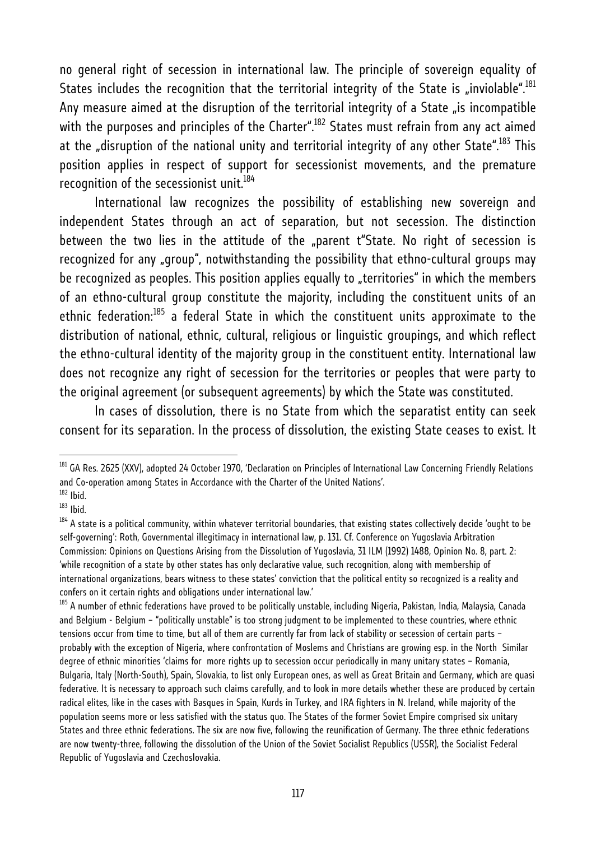no general right of secession in international law. The principle of sovereign equality of States includes the recognition that the territorial integrity of the State is "inviolable".<sup>181</sup> Any measure aimed at the disruption of the territorial integrity of a State "is incompatible with the purposes and principles of the Charter".<sup>182</sup> States must refrain from any act aimed at the "disruption of the national unity and territorial integrity of any other State".<sup>183</sup> This position applies in respect of support for secessionist movements, and the premature recognition of the secessionist unit.<sup>184</sup>

International law recognizes the possibility of establishing new sovereign and independent States through an act of separation, but not secession. The distinction between the two lies in the attitude of the "parent t"State. No right of secession is recognized for any "group", notwithstanding the possibility that ethno-cultural groups may be recognized as peoples. This position applies equally to "territories" in which the members of an ethno-cultural group constitute the majority, including the constituent units of an ethnic federation:<sup>185</sup> a federal State in which the constituent units approximate to the distribution of national, ethnic, cultural, religious or linguistic groupings, and which reflect the ethno-cultural identity of the majority group in the constituent entity. International law does not recognize any right of secession for the territories or peoples that were party to the original agreement (or subsequent agreements) by which the State was constituted.

In cases of dissolution, there is no State from which the separatist entity can seek consent for its separation. In the process of dissolution, the existing State ceases to exist. It

<sup>&</sup>lt;sup>181</sup> GA Res. 2625 (XXV), adopted 24 October 1970, 'Declaration on Principles of International Law Concerning Friendly Relations and Co-operation among States in Accordance with the Charter of the United Nations'.<br><sup>182</sup> Ibid.

<sup>183</sup> Ibid.

<sup>&</sup>lt;sup>184</sup> A state is a political community, within whatever territorial boundaries, that existing states collectively decide 'ought to be self-governing': Roth, Governmental illegitimacy in international law, p. 131. Cf. Conference on Yugoslavia Arbitration Commission: Opinions on Questions Arising from the Dissolution of Yugoslavia, 31 ILM (1992) 1488, Opinion No. 8, part. 2: 'while recognition of a state by other states has only declarative value, such recognition, along with membership of international organizations, bears witness to these states' conviction that the political entity so recognized is a reality and confers on it certain rights and obligations under international law.'

<sup>&</sup>lt;sup>185</sup> A number of ethnic federations have proved to be politically unstable, including Nigeria, Pakistan, India, Malaysia, Canada and Belgium - Belgium – "politically unstable" is too strong judgment to be implemented to these countries, where ethnic tensions occur from time to time, but all of them are currently far from lack of stability or secession of certain parts – probably with the exception of Nigeria, where confrontation of Moslems and Christians are growing esp. in the North Similar degree of ethnic minorities 'claims for more rights up to secession occur periodically in many unitary states – Romania, Bulgaria, Italy (North-South), Spain, Slovakia, to list only European ones, as well as Great Britain and Germany, which are quasi federative. It is necessary to approach such claims carefully, and to look in more details whether these are produced by certain radical elites, like in the cases with Basques in Spain, Kurds in Turkey, and IRA fighters in N. Ireland, while majority of the population seems more or less satisfied with the status quo. The States of the former Soviet Empire comprised six unitary States and three ethnic federations. The six are now five, following the reunification of Germany. The three ethnic federations are now twenty-three, following the dissolution of the Union of the Soviet Socialist Republics (USSR), the Socialist Federal Republic of Yugoslavia and Czechoslovakia.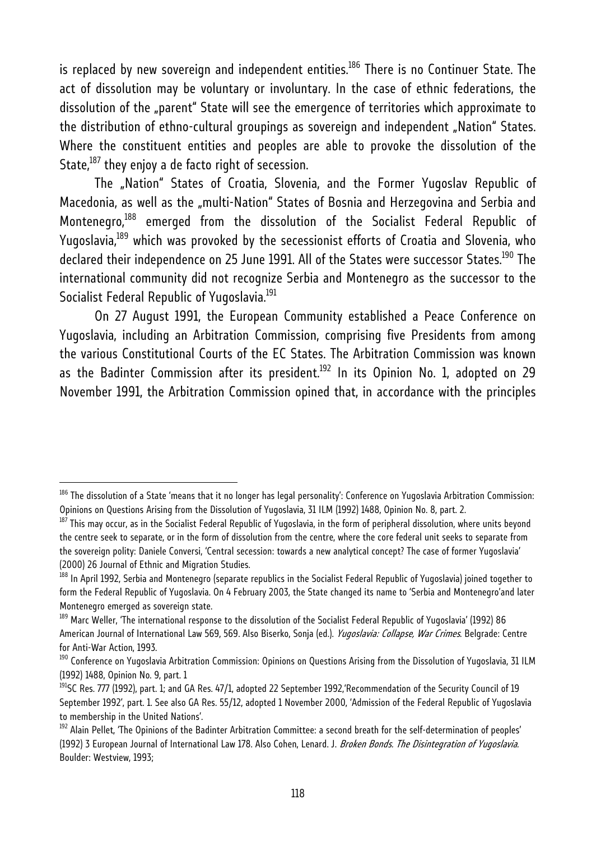is replaced by new sovereign and independent entities.<sup>186</sup> There is no Continuer State. The act of dissolution may be voluntary or involuntary. In the case of ethnic federations, the dissolution of the "parent" State will see the emergence of territories which approximate to the distribution of ethno-cultural groupings as sovereign and independent "Nation" States. Where the constituent entities and peoples are able to provoke the dissolution of the State, $187$  they enjoy a de facto right of secession.

The "Nation" States of Croatia, Slovenia, and the Former Yugoslav Republic of Macedonia, as well as the "multi-Nation" States of Bosnia and Herzegovina and Serbia and Montenegro,<sup>188</sup> emerged from the dissolution of the Socialist Federal Republic of Yugoslavia,<sup>189</sup> which was provoked by the secessionist efforts of Croatia and Slovenia, who declared their independence on 25 June 1991. All of the States were successor States.<sup>190</sup> The international community did not recognize Serbia and Montenegro as the successor to the Socialist Federal Republic of Yugoslavia.<sup>191</sup>

On 27 August 1991, the European Community established a Peace Conference on Yugoslavia, including an Arbitration Commission, comprising five Presidents from among the various Constitutional Courts of the EC States. The Arbitration Commission was known as the Badinter Commission after its president. $192$  In its Opinion No. 1, adopted on 29 November 1991, the Arbitration Commission opined that, in accordance with the principles

 $^{186}$  The dissolution of a State 'means that it no longer has legal personality': Conference on Yugoslavia Arbitration Commission: Opinions on Questions Arising from the Dissolution of Yugoslavia, 31 ILM (1992) 1488, Opinion No. 8, part. 2.

 $^{187}$  This may occur, as in the Socialist Federal Republic of Yugoslavia, in the form of peripheral dissolution, where units beyond the centre seek to separate, or in the form of dissolution from the centre, where the core federal unit seeks to separate from the sovereign polity: Daniele Conversi, 'Central secession: towards a new analytical concept? The case of former Yugoslavia' (2000) 26 Journal of Ethnic and Migration Studies.

<sup>&</sup>lt;sup>188</sup> In April 1992, Serbia and Montenegro (separate republics in the Socialist Federal Republic of Yugoslavia) joined together to form the Federal Republic of Yugoslavia. On 4 February 2003, the State changed its name to 'Serbia and Montenegro'and later Montenegro emerged as sovereign state.

<sup>&</sup>lt;sup>189</sup> Marc Weller, 'The international response to the dissolution of the Socialist Federal Republic of Yugoslavia' (1992) 86 American Journal of International Law 569, 569. Also Biserko, Sonja (ed.). *Yugoslavia: Collapse, War Crimes*. Belgrade: Centre for Anti-War Action, 1993.

<sup>&</sup>lt;sup>190</sup> Conference on Yugoslavia Arbitration Commission: Opinions on Questions Arising from the Dissolution of Yugoslavia, 31 ILM (1992) 1488, Opinion No. 9, part. 1

<sup>&</sup>lt;sup>191</sup>SC Res. 777 (1992), part. 1; and GA Res. 47/1, adopted 22 September 1992,'Recommendation of the Security Council of 19 September 1992', part. 1. See also GA Res. 55/12, adopted 1 November 2000, 'Admission of the Federal Republic of Yugoslavia to membership in the United Nations'.

<sup>&</sup>lt;sup>192</sup> Alain Pellet, 'The Opinions of the Badinter Arbitration Committee: a second breath for the self-determination of peoples' (1992) 3 European Journal of International Law 178. Also Cohen, Lenard. J. Broken Bonds. The Disintegration of Yugoslavia. Boulder: Westview, 1993;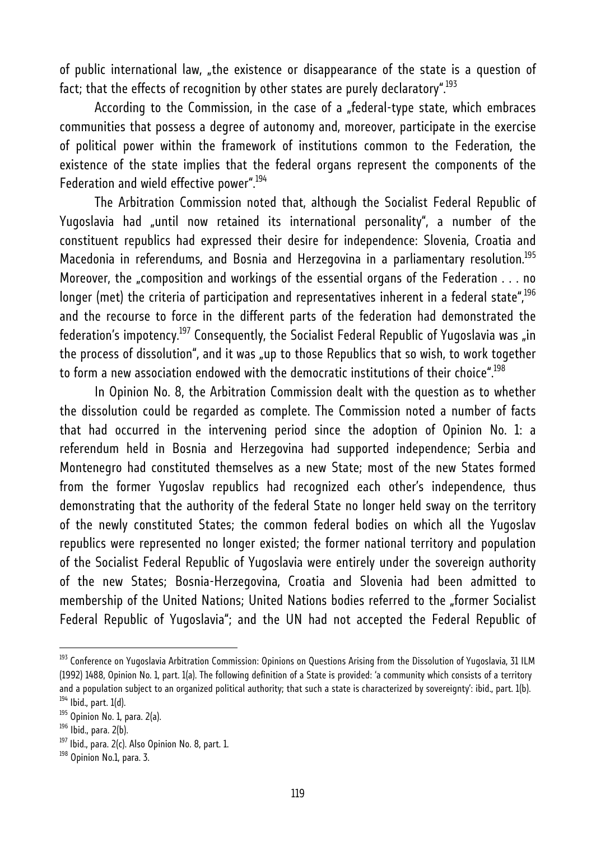of public international law, "the existence or disappearance of the state is a question of fact; that the effects of recognition by other states are purely declaratory".<sup>193</sup>

According to the Commission, in the case of a "federal-type state, which embraces communities that possess a degree of autonomy and, moreover, participate in the exercise of political power within the framework of institutions common to the Federation, the existence of the state implies that the federal organs represent the components of the Federation and wield effective power".<sup>194</sup>

The Arbitration Commission noted that, although the Socialist Federal Republic of Yugoslavia had "until now retained its international personality", a number of the constituent republics had expressed their desire for independence: Slovenia, Croatia and Macedonia in referendums, and Bosnia and Herzegovina in a parliamentary resolution.<sup>195</sup> Moreover, the "composition and workings of the essential organs of the Federation . . . no longer (met) the criteria of participation and representatives inherent in a federal state",<sup>196</sup> and the recourse to force in the different parts of the federation had demonstrated the federation's impotency.<sup>197</sup> Consequently, the Socialist Federal Republic of Yugoslavia was "in the process of dissolution", and it was "up to those Republics that so wish, to work together to form a new association endowed with the democratic institutions of their choice".<sup>198</sup>

In Opinion No. 8, the Arbitration Commission dealt with the question as to whether the dissolution could be regarded as complete. The Commission noted a number of facts that had occurred in the intervening period since the adoption of Opinion No. 1: a referendum held in Bosnia and Herzegovina had supported independence; Serbia and Montenegro had constituted themselves as a new State; most of the new States formed from the former Yugoslav republics had recognized each other's independence, thus demonstrating that the authority of the federal State no longer held sway on the territory of the newly constituted States; the common federal bodies on which all the Yugoslav republics were represented no longer existed; the former national territory and population of the Socialist Federal Republic of Yugoslavia were entirely under the sovereign authority of the new States; Bosnia-Herzegovina, Croatia and Slovenia had been admitted to membership of the United Nations; United Nations bodies referred to the "former Socialist Federal Republic of Yugoslavia"; and the UN had not accepted the Federal Republic of

<sup>&</sup>lt;sup>193</sup> Conference on Yugoslavia Arbitration Commission: Opinions on Questions Arising from the Dissolution of Yugoslavia, 31 ILM (1992) 1488, Opinion No. 1, part. 1(a). The following definition of a State is provided: 'a community which consists of a territory and a population subject to an organized political authority; that such a state is characterized by sovereignty': ibid., part. 1(b).<br><sup>194</sup> Ibid., part. 1(d).

<sup>&</sup>lt;sup>195</sup> Opinion No. 1, para. 2(a).

 $196$  Ibid., para. 2(b).

 $197$  Ibid., para. 2(c). Also Opinion No. 8, part. 1.

<sup>&</sup>lt;sup>198</sup> Opinion No.1, para. 3.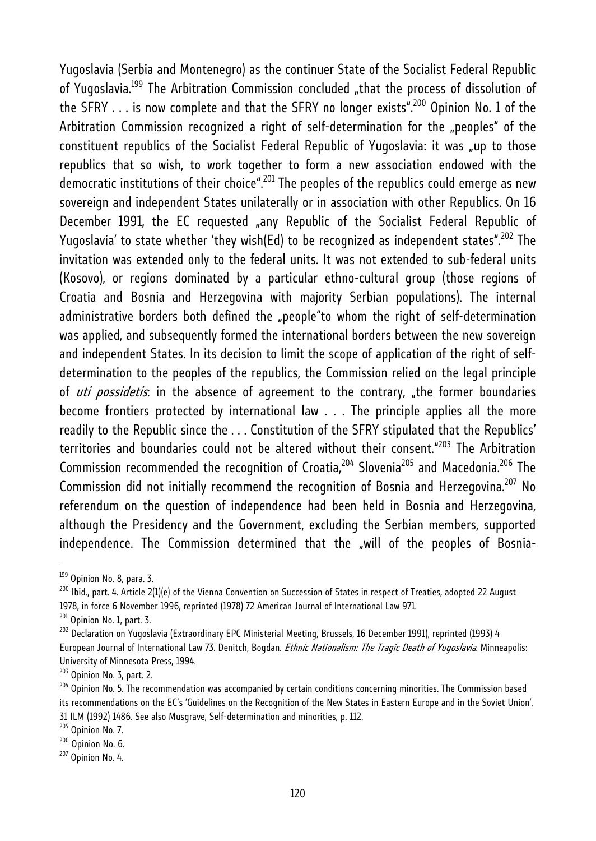Yugoslavia (Serbia and Montenegro) as the continuer State of the Socialist Federal Republic of Yugoslavia.<sup>199</sup> The Arbitration Commission concluded "that the process of dissolution of the SFRY  $\ldots$  is now complete and that the SFRY no longer exists".<sup>200</sup> Opinion No. 1 of the Arbitration Commission recognized a right of self-determination for the "peoples" of the constituent republics of the Socialist Federal Republic of Yugoslavia: it was "up to those republics that so wish, to work together to form a new association endowed with the democratic institutions of their choice".<sup>201</sup> The peoples of the republics could emerge as new sovereign and independent States unilaterally or in association with other Republics. On 16 December 1991, the EC requested "any Republic of the Socialist Federal Republic of Yugoslavia' to state whether 'they wish(Ed) to be recognized as independent states".<sup>202</sup> The invitation was extended only to the federal units. It was not extended to sub-federal units (Kosovo), or regions dominated by a particular ethno-cultural group (those regions of Croatia and Bosnia and Herzegovina with majority Serbian populations). The internal administrative borders both defined the "people"to whom the right of self-determination was applied, and subsequently formed the international borders between the new sovereign and independent States. In its decision to limit the scope of application of the right of selfdetermination to the peoples of the republics, the Commission relied on the legal principle of *uti possidetis*: in the absence of agreement to the contrary, "the former boundaries become frontiers protected by international law . . . The principle applies all the more readily to the Republic since the . . . Constitution of the SFRY stipulated that the Republics' territories and boundaries could not be altered without their consent."<sup>203</sup> The Arbitration Commission recommended the recognition of Croatia,  $204$  Slovenia $205$  and Macedonia.  $206$  The Commission did not initially recommend the recognition of Bosnia and Herzegovina.<sup>207</sup> No referendum on the question of independence had been held in Bosnia and Herzegovina, although the Presidency and the Government, excluding the Serbian members, supported independence. The Commission determined that the "will of the peoples of Bosnia-

<sup>&</sup>lt;sup>199</sup> Opinion No. 8, para. 3.

 $^{200}$  Ibid., part. 4. Article 2(1)(e) of the Vienna Convention on Succession of States in respect of Treaties, adopted 22 August 1978, in force 6 November 1996, reprinted (1978) 72 American Journal of International Law 971.

 $201$  Opinion No. 1, part. 3.

<sup>&</sup>lt;sup>202</sup> Declaration on Yugoslavia (Extraordinary EPC Ministerial Meeting, Brussels, 16 December 1991), reprinted (1993) 4 European Journal of International Law 73. Denitch, Bogdan. *Ethnic Nationalism: The Tragic Death of Yugoslavia*. Minneapolis: University of Minnesota Press, 1994.

<sup>&</sup>lt;sup>203</sup> Opinion No. 3, part. 2.<br><sup>204</sup> Opinion No. 5. The recommendation was accompanied by certain conditions concerning minorities. The Commission based its recommendations on the EC's 'Guidelines on the Recognition of the New States in Eastern Europe and in the Soviet Union',

<sup>31</sup> ILM (1992) 1486. See also Musgrave, Self-determination and minorities, p. 112.<br><sup>205</sup> Opinion No. 7.

 $\frac{206}{207}$  Opinion No. 6.<br> $\frac{207}{207}$  Opinion No. 4.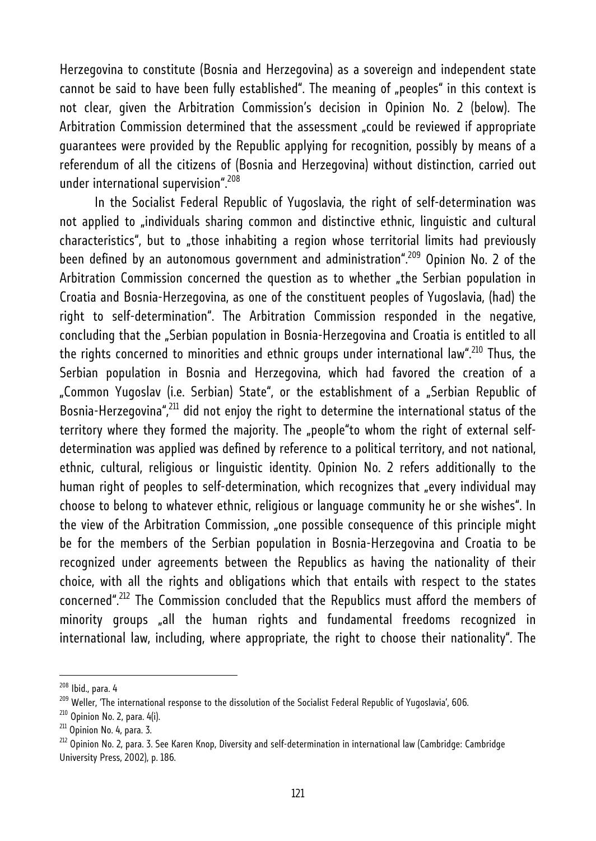Herzegovina to constitute (Bosnia and Herzegovina) as a sovereign and independent state cannot be said to have been fully established". The meaning of "peoples" in this context is not clear, given the Arbitration Commission's decision in Opinion No. 2 (below). The Arbitration Commission determined that the assessment "could be reviewed if appropriate guarantees were provided by the Republic applying for recognition, possibly by means of a referendum of all the citizens of (Bosnia and Herzegovina) without distinction, carried out under international supervision".<sup>208</sup>

In the Socialist Federal Republic of Yugoslavia, the right of self-determination was not applied to "individuals sharing common and distinctive ethnic, linguistic and cultural characteristics", but to "those inhabiting a region whose territorial limits had previously been defined by an autonomous government and administration".<sup>209</sup> Opinion No. 2 of the Arbitration Commission concerned the question as to whether "the Serbian population in Croatia and Bosnia-Herzegovina, as one of the constituent peoples of Yugoslavia, (had) the right to self-determination". The Arbitration Commission responded in the negative, concluding that the "Serbian population in Bosnia-Herzegovina and Croatia is entitled to all the rights concerned to minorities and ethnic groups under international law".<sup>210</sup> Thus, the Serbian population in Bosnia and Herzegovina, which had favored the creation of a "Common Yugoslav (i.e. Serbian) State", or the establishment of a "Serbian Republic of Bosnia-Herzegovina",<sup>211</sup> did not enjoy the right to determine the international status of the territory where they formed the majority. The "people"to whom the right of external selfdetermination was applied was defined by reference to a political territory, and not national, ethnic, cultural, religious or linguistic identity. Opinion No. 2 refers additionally to the human right of peoples to self-determination, which recognizes that "every individual may choose to belong to whatever ethnic, religious or language community he or she wishes". In the view of the Arbitration Commission, "one possible consequence of this principle might be for the members of the Serbian population in Bosnia-Herzegovina and Croatia to be recognized under agreements between the Republics as having the nationality of their choice, with all the rights and obligations which that entails with respect to the states concerned".212 The Commission concluded that the Republics must afford the members of minority groups "all the human rights and fundamental freedoms recognized in international law, including, where appropriate, the right to choose their nationality". The

<sup>&</sup>lt;sup>208</sup> Ibid., para. 4<br><sup>209</sup> Weller, 'The international response to the dissolution of the Socialist Federal Republic of Yugoslavia', 606.<br><sup>210</sup> Opinion No. 2, para. 4(i).

 $211$  Opinion No. 4, para. 3.

 $^{212}$  Opinion No. 2, para. 3. See Karen Knop, Diversity and self-determination in international law (Cambridge: Cambridge University Press, 2002), p. 186.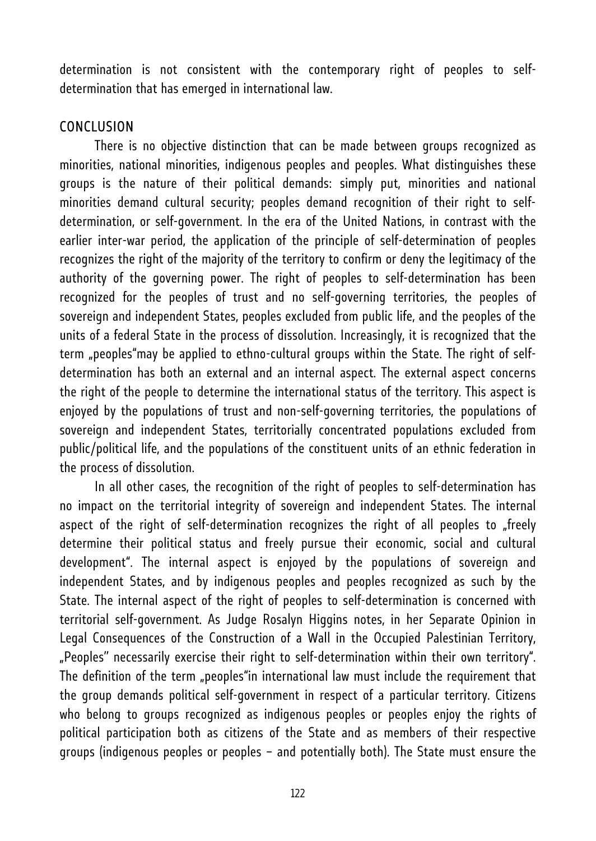determination is not consistent with the contemporary right of peoples to selfdetermination that has emerged in international law.

### **CONCLUSION**

There is no objective distinction that can be made between groups recognized as minorities, national minorities, indigenous peoples and peoples. What distinguishes these groups is the nature of their political demands: simply put, minorities and national minorities demand cultural security; peoples demand recognition of their right to selfdetermination, or self-government. In the era of the United Nations, in contrast with the earlier inter-war period, the application of the principle of self-determination of peoples recognizes the right of the majority of the territory to confirm or deny the legitimacy of the authority of the governing power. The right of peoples to self-determination has been recognized for the peoples of trust and no self-governing territories, the peoples of sovereign and independent States, peoples excluded from public life, and the peoples of the units of a federal State in the process of dissolution. Increasingly, it is recognized that the term "peoples"may be applied to ethno-cultural groups within the State. The right of selfdetermination has both an external and an internal aspect. The external aspect concerns the right of the people to determine the international status of the territory. This aspect is enjoyed by the populations of trust and non-self-governing territories, the populations of sovereign and independent States, territorially concentrated populations excluded from public/political life, and the populations of the constituent units of an ethnic federation in the process of dissolution.

In all other cases, the recognition of the right of peoples to self-determination has no impact on the territorial integrity of sovereign and independent States. The internal aspect of the right of self-determination recognizes the right of all peoples to "freely determine their political status and freely pursue their economic, social and cultural development". The internal aspect is enjoyed by the populations of sovereign and independent States, and by indigenous peoples and peoples recognized as such by the State. The internal aspect of the right of peoples to self-determination is concerned with territorial self-government. As Judge Rosalyn Higgins notes, in her Separate Opinion in Legal Consequences of the Construction of a Wall in the Occupied Palestinian Territory, "Peoples'' necessarily exercise their right to self-determination within their own territory". The definition of the term "peoples"in international law must include the requirement that the group demands political self-government in respect of a particular territory. Citizens who belong to groups recognized as indigenous peoples or peoples enjoy the rights of political participation both as citizens of the State and as members of their respective groups (indigenous peoples or peoples – and potentially both). The State must ensure the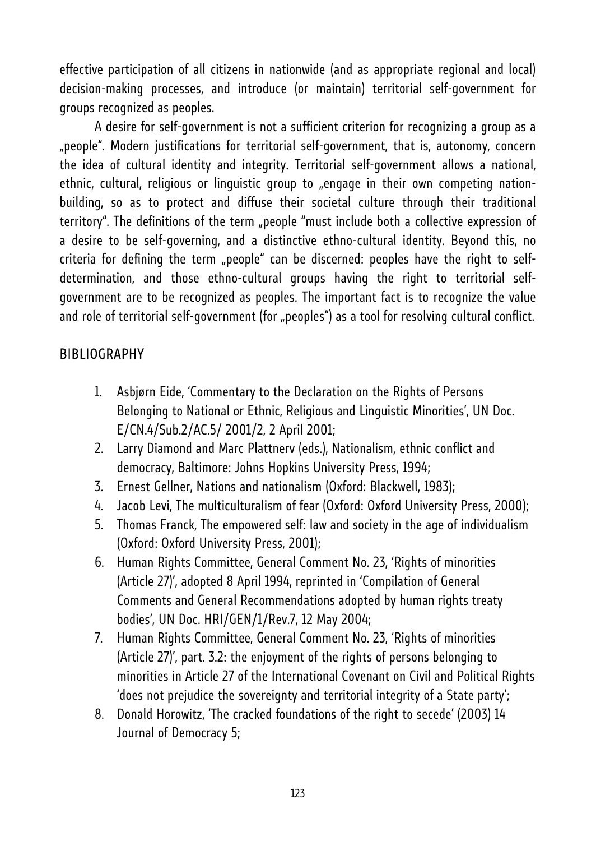effective participation of all citizens in nationwide (and as appropriate regional and local) decision-making processes, and introduce (or maintain) territorial self-government for groups recognized as peoples.

A desire for self-government is not a sufficient criterion for recognizing a group as a "people". Modern justifications for territorial self-government, that is, autonomy, concern the idea of cultural identity and integrity. Territorial self-government allows a national, ethnic, cultural, religious or linguistic group to "engage in their own competing nationbuilding, so as to protect and diffuse their societal culture through their traditional territory". The definitions of the term "people "must include both a collective expression of a desire to be self-governing, and a distinctive ethno-cultural identity. Beyond this, no criteria for defining the term "people" can be discerned: peoples have the right to selfdetermination, and those ethno-cultural groups having the right to territorial selfgovernment are to be recognized as peoples. The important fact is to recognize the value and role of territorial self-qovernment (for "peoples") as a tool for resolving cultural conflict.

# **BIBLIOGRAPHY**

- 1. Asbjørn Eide, 'Commentary to the Declaration on the Rights of Persons Belonging to National or Ethnic, Religious and Linguistic Minorities', UN Doc. E/CN.4/Sub.2/AC.5/ 2001/2, 2 April 2001;
- 2. Larry Diamond and Marc Plattnerv (eds.), Nationalism, ethnic conflict and democracy, Baltimore: Johns Hopkins University Press, 1994;
- 3. Ernest Gellner, Nations and nationalism (Oxford: Blackwell, 1983);
- 4. Jacob Levi, The multiculturalism of fear (Oxford: Oxford University Press, 2000);
- 5. Thomas Franck, The empowered self: law and society in the age of individualism (Oxford: Oxford University Press, 2001);
- 6. Human Rights Committee, General Comment No. 23, 'Rights of minorities (Article 27)', adopted 8 April 1994, reprinted in 'Compilation of General Comments and General Recommendations adopted by human rights treaty bodies', UN Doc. HRI/GEN/1/Rev.7, 12 May 2004;
- 7. Human Rights Committee, General Comment No. 23, 'Rights of minorities (Article 27)', part. 3.2: the enjoyment of the rights of persons belonging to minorities in Article 27 of the International Covenant on Civil and Political Rights 'does not prejudice the sovereignty and territorial integrity of a State party';
- 8. Donald Horowitz, 'The cracked foundations of the right to secede' (2003) 14 Journal of Democracy 5;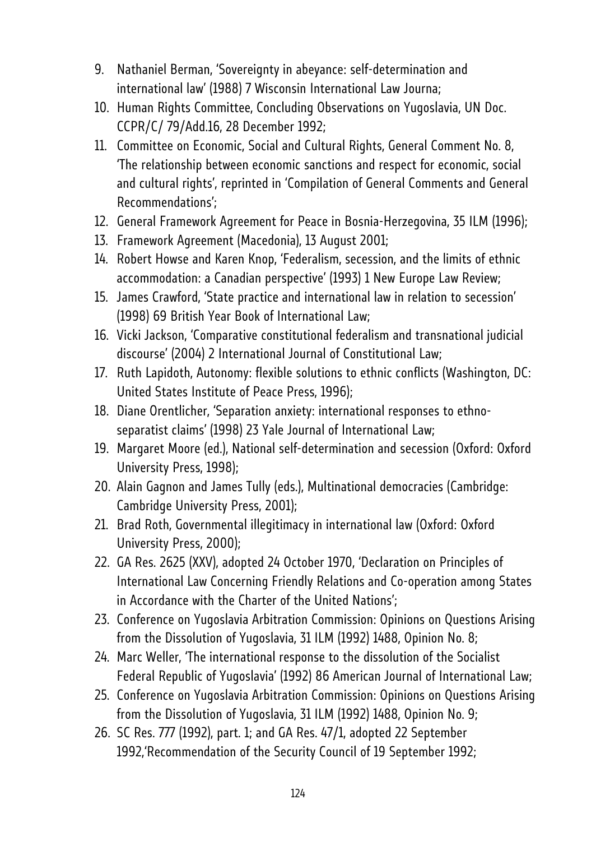- 9. Nathaniel Berman, 'Sovereignty in abeyance: self-determination and international law' (1988) 7 Wisconsin International Law Journa;
- 10. Human Rights Committee, Concluding Observations on Yugoslavia, UN Doc. CCPR/C/ 79/Add.16, 28 December 1992;
- 11. Committee on Economic, Social and Cultural Rights, General Comment No. 8, 'The relationship between economic sanctions and respect for economic, social and cultural rights', reprinted in 'Compilation of General Comments and General Recommendations';
- 12. General Framework Agreement for Peace in Bosnia-Herzegovina, 35 ILM (1996);
- 13. Framework Agreement (Macedonia), 13 August 2001;
- 14. Robert Howse and Karen Knop, 'Federalism, secession, and the limits of ethnic accommodation: a Canadian perspective' (1993) 1 New Europe Law Review;
- 15. James Crawford, 'State practice and international law in relation to secession' (1998) 69 British Year Book of International Law;
- 16. Vicki Jackson, 'Comparative constitutional federalism and transnational judicial discourse' (2004) 2 International Journal of Constitutional Law;
- 17. Ruth Lapidoth, Autonomy: flexible solutions to ethnic conflicts (Washington, DC: United States Institute of Peace Press, 1996);
- 18. Diane Orentlicher, 'Separation anxiety: international responses to ethnoseparatist claims' (1998) 23 Yale Journal of International Law;
- 19. Margaret Moore (ed.), National self-determination and secession (Oxford: Oxford University Press, 1998);
- 20. Alain Gagnon and James Tully (eds.), Multinational democracies (Cambridge: Cambridge University Press, 2001);
- 21. Brad Roth, Governmental illegitimacy in international law (Oxford: Oxford University Press, 2000);
- 22. GA Res. 2625 (XXV), adopted 24 October 1970, 'Declaration on Principles of International Law Concerning Friendly Relations and Co-operation among States in Accordance with the Charter of the United Nations';
- 23. Conference on Yugoslavia Arbitration Commission: Opinions on Questions Arising from the Dissolution of Yugoslavia, 31 ILM (1992) 1488, Opinion No. 8;
- 24. Marc Weller, 'The international response to the dissolution of the Socialist Federal Republic of Yugoslavia' (1992) 86 American Journal of International Law;
- 25. Conference on Yugoslavia Arbitration Commission: Opinions on Questions Arising from the Dissolution of Yugoslavia, 31 ILM (1992) 1488, Opinion No. 9;
- 26. SC Res. 777 (1992), part. 1; and GA Res. 47/1, adopted 22 September 1992,'Recommendation of the Security Council of 19 September 1992;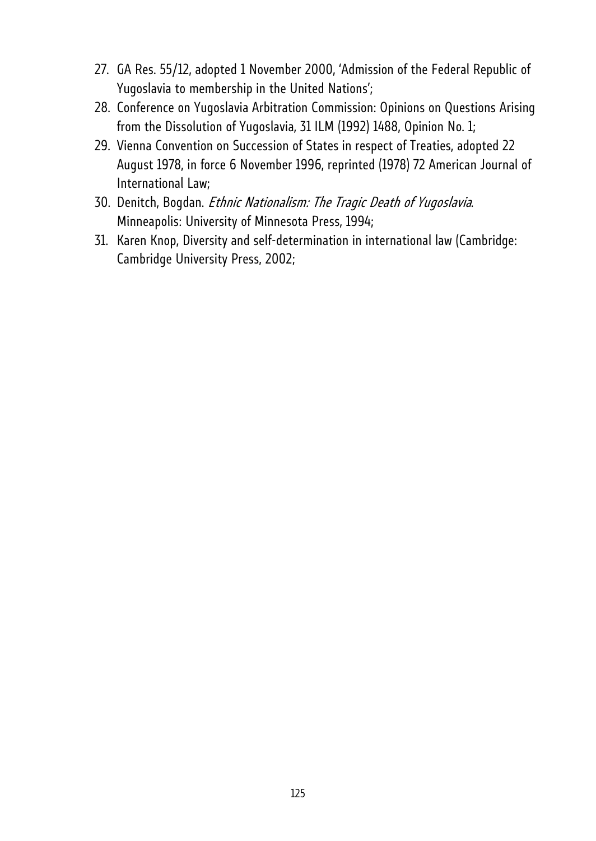- 27. GA Res. 55/12, adopted 1 November 2000, 'Admission of the Federal Republic of Yugoslavia to membership in the United Nations';
- 28. Conference on Yugoslavia Arbitration Commission: Opinions on Questions Arising from the Dissolution of Yugoslavia, 31 ILM (1992) 1488, Opinion No. 1;
- 29. Vienna Convention on Succession of States in respect of Treaties, adopted 22 August 1978, in force 6 November 1996, reprinted (1978) 72 American Journal of International Law;
- 30. Denitch, Bogdan. Ethnic Nationalism: The Tragic Death of Yugoslavia. Minneapolis: University of Minnesota Press, 1994;
- 31. Karen Knop, Diversity and self-determination in international law (Cambridge: Cambridge University Press, 2002;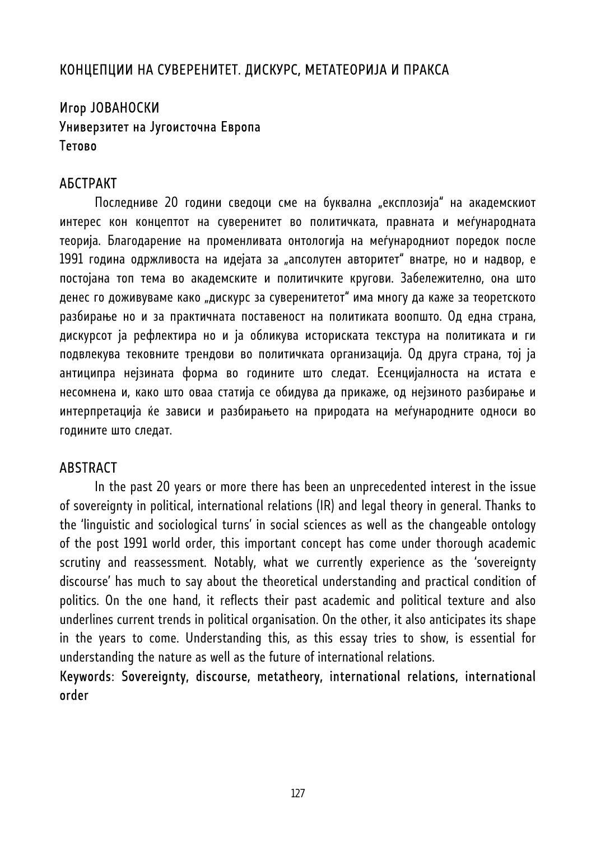# КОНЦЕПЦИИ НА СУВЕРЕНИТЕТ. ДИСКУРС, МЕТАТЕОРИЈА И ПРАКСА

# Игор ЈОВАНОСКИ Универзитет на Југоисточна Европа Тетово

### АБСТРАКТ

Последниве 20 години сведоци сме на буквална "експлозија" на академскиот интерес кон концептот на суверенитет во политичката, правната и меѓународната теорија. Благодарение на променливата онтологија на меѓународниот поредок после 1991 година одржливоста на идејата за "апсолутен авторитет" внатре, но и надвор, е постојана топ тема во академските и политичките кругови. Забележително, она што денес го доживуваме како "дискурс за суверенитетот" има многу да каже за теоретското разбирање но и за практичната поставеност на политиката воопшто. Од една страна, дискурсот ја рефлектира но и ја обликува историската текстура на политиката и ги подвлекува тековните трендови во политичката организација. Од друга страна, тој ја антиципра нејзината форма во годините што следат. Есенцијалноста на истата е несомнена и, како што оваа статија се обидува да прикаже, од нејзиното разбирање и интерпретација ќе зависи и разбирањето на природата на меѓународните односи во годините што следат.

## **ABSTRACT**

In the past 20 years or more there has been an unprecedented interest in the issue of sovereignty in political, international relations (IR) and legal theory in general. Thanks to the 'linguistic and sociological turns' in social sciences as well as the changeable ontology of the post 1991 world order, this important concept has come under thorough academic scrutiny and reassessment. Notably, what we currently experience as the 'sovereignty discourse' has much to say about the theoretical understanding and practical condition of politics. On the one hand, it reflects their past academic and political texture and also underlines current trends in political organisation. On the other, it also anticipates its shape in the years to come. Understanding this, as this essay tries to show, is essential for understanding the nature as well as the future of international relations.

## Keywords: Sovereignty, discourse, metatheory, international relations, international order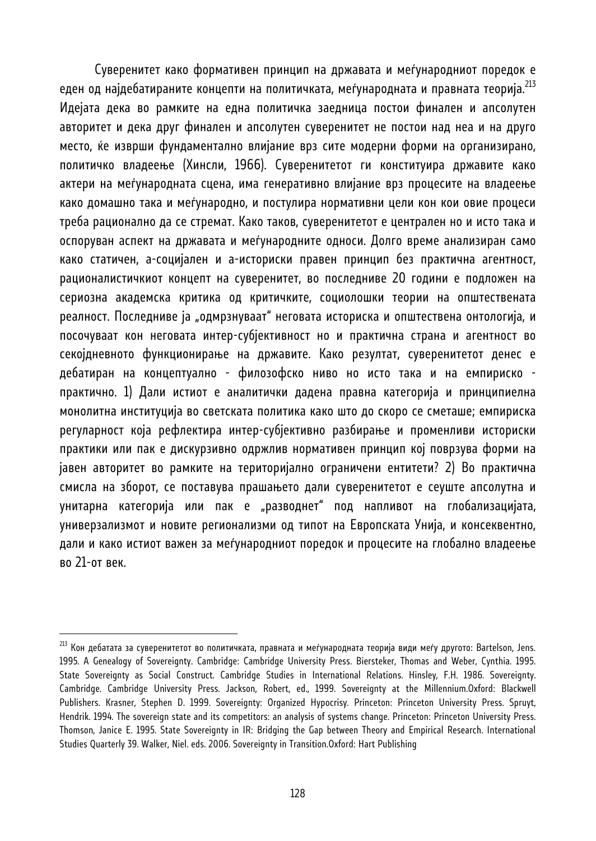Суверенитет како формативен принцип на државата и меѓународниот поредок е еден од најдебатираните концепти на политичката, меѓународната и правната теорија.<sup>213</sup> Идејата дека во рамките на една политичка заедница постои финален и апсолутен авторитет и дека друг финален и апсолутен суверенитет не постои над неа и на друго место, ќе изврши фундаментално влијание врз сите модерни форми на организирано, политичко владеење (Хинсли, 1966). Суверенитетот ги конституира државите како актери на меѓународната сцена, има генеративно влијание врз процесите на владеење како домашно така и меѓународно, и постулира нормативни цели кон кои овие процеси треба рационално да се стремат. Како таков, суверенитетот е централен но и исто така и оспоруван аспект на државата и меѓународните односи. Долго време анализиран само како статичен, а-социјален и а-историски правен принцип без практична агентност, рационалистичкиот концепт на суверенитет, во последниве 20 години е подложен на сериозна академска критика од критичките, социолошки теории на општествената реалност. Последниве ја "одмрзнуваат" неговата историска и општествена онтологија, и посочуваат кон неговата интер-субјективност но и практична страна и агентност во секојдневното функционирање на државите. Како резултат, суверенитетот денес е дебатиран на концептуално - филозофско ниво но исто така и на емпириско практично. 1) Дали истиот е аналитички дадена правна категорија и принципиелна монолитна институција во светската политика како што до скоро се сметаше; емпириска регуларност која рефлектира интер-субјективно разбирање и променливи историски практики или пак е дискурзивно одржлив нормативен принцип кој поврзува форми на јавен авторитет во рамките на територијално ограничени ентитети? 2) Во практична смисла на зборот, се поставува прашањето дали суверенитетот е сеуште апсолутна и унитарна категорија или пак е "разводнет" под напливот на глобализацијата, универзализмот и новите регионализми од типот на Европската Унија, и консеквентно, дали и како истиот важен за меѓународниот поредок и процесите на глобално владеење во 21-от век.

 $^{213}$  Кон дебатата за суверенитетот во политичката, правната и меѓународната теорија види меѓу другото: Bartelson, Jens. 1995. A Genealogy of Sovereignty. Cambridge: Cambridge University Press. Biersteker, Thomas and Weber, Cynthia. 1995. State Sovereignty as Social Construct. Cambridge Studies in International Relations. Hinsley, F.H. 1986. Sovereignty. Cambridge. Cambridge University Press. Jackson, Robert, ed., 1999. Sovereignty at the Millennium.Oxford: Blackwell Publishers. Krasner, Stephen D. 1999. Sovereignty: Organized Hypocrisy. Princeton: Princeton University Press. Spruyt, Hendrik. 1994. The sovereign state and its competitors: an analysis of systems change. Princeton: Princeton University Press. Thomson, Janice E. 1995. State Sovereignty in IR: Bridging the Gap between Theory and Empirical Research. International Studies Quarterly 39. Walker, Niel. eds. 2006. Sovereignty in Transition.Oxford: Hart Publishing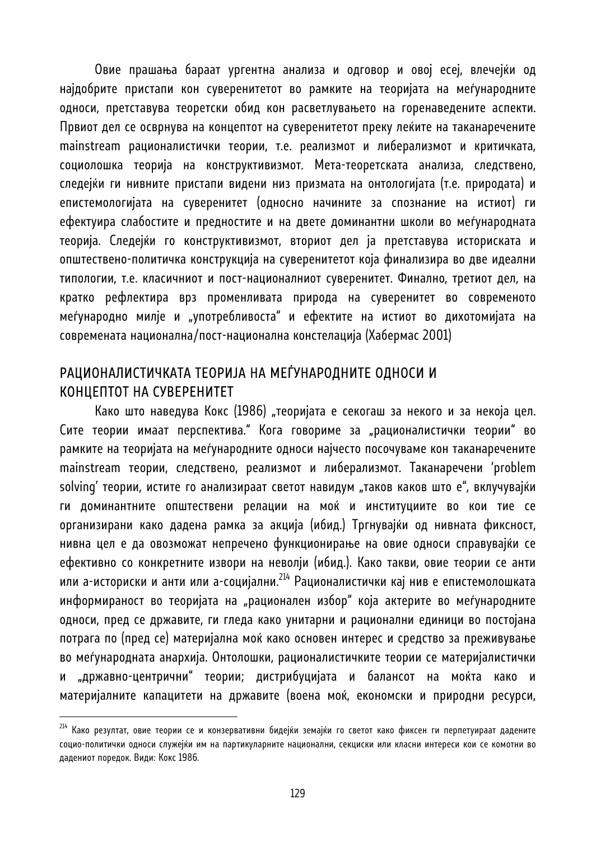Овие прашања бараат ургентна анализа и одговор и овој есеј, влечејќи од најдобрите пристапи кон суверенитетот во рамките на теоријата на меѓународните односи, претставува теоретски обид кон расветлувањето на горенаведените аспекти. Првиот дел се осврнува на концептот на суверенитетот преку леќите на таканаречените mainstream рационалистички теории, т.е. реализмот и либерализмот и критичката, социолошка теорија на конструктивизмот. Мета-теоретската анализа, следствено, следејќи ги нивните пристапи видени низ призмата на онтологијата (т.е. природата) и епистемологијата на суверенитет (односно начините за спознание на истиот) ги ефектуира слабостите и предностите и на двете доминантни школи во меѓународната теорија. Следејќи го конструктивизмот, вториот дел ја претставува историската и општествено-политичка конструкција на суверенитетот која финализира во две идеални типологии, т.е. класичниот и пост-националниот суверенитет. Финално, третиот дел, на кратко рефлектира врз променливата природа на суверенитет во современото меѓународно милје и "употребливоста" и ефектите на истиот во дихотомијата на современата национална/пост-национална констелација (Хабермас 2001)

# РАЦИОНАЛИСТИЧКАТА ТЕОРИЈА НА МЕЃУНАРОДНИТЕ ОДНОСИ И КОНЦЕПТОТ НА СУВЕРЕНИТЕТ

Како што наведува Кокс (1986) "теоријата е секогаш за некого и за некоја цел. Сите теории имаат перспектива." Кога говориме за "рационалистички теории" во рамките на теоријата на меѓународните односи најчесто посочуваме кон таканаречените mainstream теории, следствено, реализмот и либерализмот. Таканаречени 'problem solving' теории, истите го анализираат светот навидум "таков каков што е", вклучувајќи ги доминантните општествени релации на моќ и институциите во кои тие се организирани како дадена рамка за акција (ибид.) Тргнувајќи од нивната фиксност, нивна цел е да овозможат непречено функционирање на овие односи справувајќи се ефективно со конкретните извори на неволји (ибид.). Како такви, овие теории се анти или а-историски и анти или а-социјални.<sup>214</sup> Рационалистички кај нив е епистемолошката информираност во теоријата на "рационален избор" која актерите во меѓународните односи, пред се државите, ги гледа како унитарни и рационални единици во постојана потрага по (пред се) материјална моќ како основен интерес и средство за преживување во меѓународната анархија. Онтолошки, рационалистичките теории се материјалистички и "државно-центрични" теории; дистрибуцијата и балансот на моќта како и материјалните капацитети на државите (воена моќ, економски и природни ресурси,

 $^{214}$  Како резултат, овие теории се и конзервативни бидејќи земајќи го светот како фиксен ги перпетуираат дадените социо-политички односи служејќи им на партикуларните национални, секциски или класни интереси кои се комотни во дадениот поредок. Види: Кокс 1986.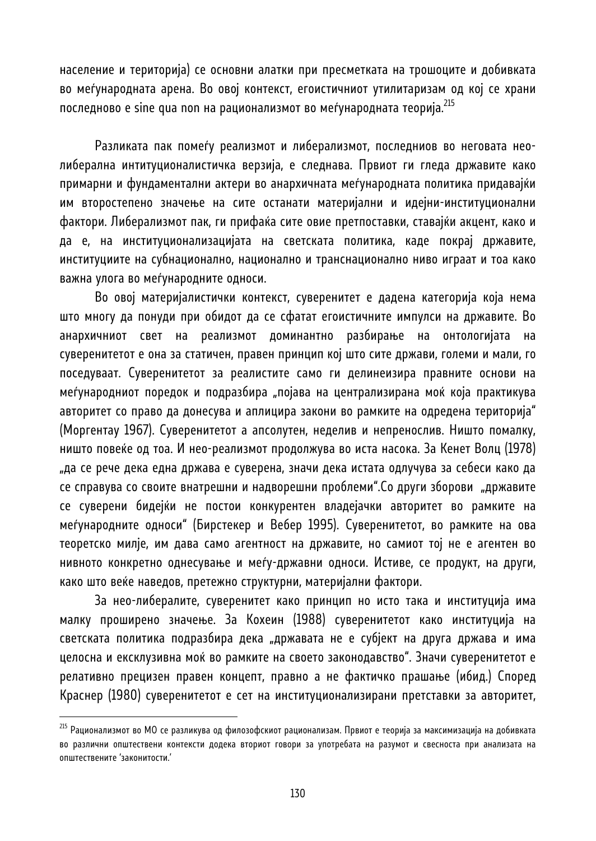население и територија) се основни алатки при пресметката на трошоците и добивката во меѓународната арена. Во овој контекст, егоистичниот утилитаризам од кој се храни последново е sine qua non на рационализмот во меѓународната теорија.<sup>215</sup>

Разликата пак помеѓу реализмот и либерализмот, последниов во неговата неолиберална интитуционалистичка верзија, е следнава. Првиот ги гледа државите како примарни и фундаментални актери во анархичната меѓународната политика придавајќи им второстепено значење на сите останати материјални и идејни-институционални фактори. Либерализмот пак, ги прифаќа сите овие претпоставки, ставајќи акцент, како и да е, на институционализацијата на светската политика, каде покрај државите, институциите на субнационално, национално и транснационално ниво играат и тоа како важна улога во меѓународните односи.

Во овој материјалистички контекст, суверенитет е дадена категорија која нема што многу да понуди при обидот да се сфатат егоистичните импулси на државите. Во анархичниот свет на реализмот доминантно разбирање на онтологијата на суверенитетот е она за статичен, правен принцип кој што сите држави, големи и мали, го поседуваат. Суверенитетот за реалистите само ги делинеизира правните основи на меѓународниот поредок и подразбира "појава на централизирана моќ која практикува авторитет со право да донесува и аплицира закони во рамките на одредена територија" (Моргентау 1967). Суверенитетот а апсолутен, неделив и непренослив. Ништо помалку, ништо повеќе од тоа. И нео-реализмот продолжува во иста насока. За Кенет Волц (1978) "да се рече дека една држава е суверена, значи дека истата одлучува за себеси како да се справува со своите внатрешни и надворешни проблеми". Со други зборови "државите се суверени бидејќи не постои конкурентен владејачки авторитет во рамките на меѓународните односи" (Бирстекер и Вебер 1995). Суверенитетот, во рамките на ова теоретско милје, им дава само агентност на државите, но самиот тој не е агентен во нивното конкретно однесување и меѓу-државни односи. Истиве, се продукт, на други, како што веќе наведов, претежно структурни, материјални фактори.

За нео-либералите, суверенитет како принцип но исто така и институција има малку проширено значење. За Кохеин (1988) суверенитетот како институција на светската политика подразбира дека "државата не е субјект на друга држава и има целосна и ексклузивна моќ во рамките на своето законодавство". Значи суверенитетот е релативно прецизен правен концепт, правно а не фактичко прашање (ибид.) Според Краснер (1980) суверенитетот е сет на институционализирани претставки за авторитет,

<sup>&</sup>lt;sup>215</sup> Рационализмот во МО се разликува од филозофскиот рационализам. Првиот е теорија за максимизација на добивката во различни општествени контексти додека вториот говори за употребата на разумот и свесноста при анализата на општествените 'законитости.'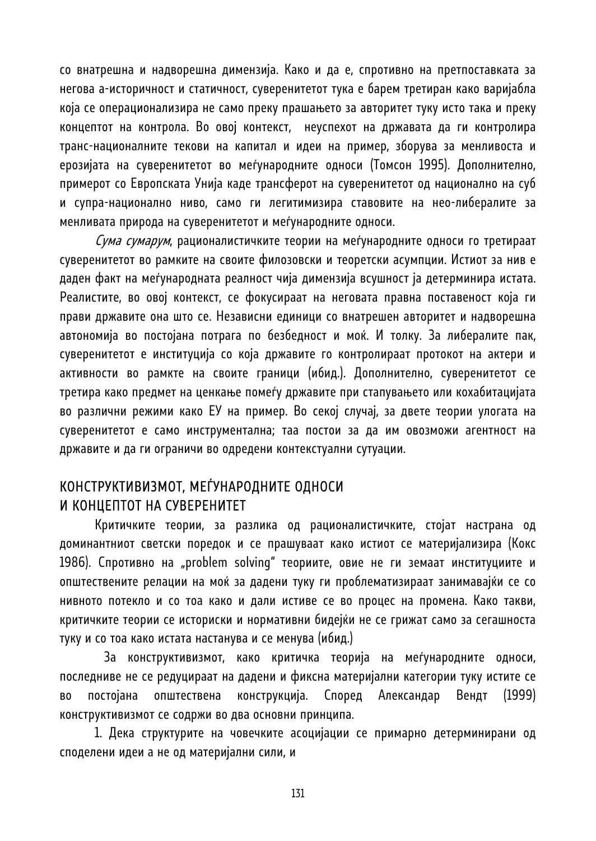со внатрешна и надворешна димензија. Како и да е, спротивно на претпоставката за негова а-историчност и статичност, суверенитетот тука е барем третиран како варијабла која се операционализира не само преку прашањето за авторитет туку исто така и преку концептот на контрола. Во овој контекст, неуспехот на државата да ги контролира транс-националните текови на капитал и идеи на пример, зборува за менливоста и ерозијата на суверенитетот во меѓународните односи (Томсон 1995). Дополнително, примерот со Европската Унија каде трансферот на суверенитетот од национално на суб и супра-национално ниво, само ги легитимизира ставовите на нео-либералите за менливата природа на суверенитетот и меѓународните односи.

Сума сумарум, рационалистичките теории на меѓународните односи го третираат суверенитетот во рамките на своите филозовски и теоретски асумпции. Истиот за нив е даден факт на меѓународната реалност чија димензија всушност ја детерминира истата. Реалистите, во овој контекст, се фокусираат на неговата правна поставеност која ги прави државите она што се. Независни единици со внатрешен авторитет и надворешна автономија во постојана потрага по безбедност и моќ. И толку. За либералите пак, суверенитетот е институција со која државите го контролираат протокот на актери и активности во рамкте на своите граници (ибид.). Дополнително, суверенитетот се третира како предмет на ценкање помеѓу државите при стапувањето или кохабитацијата во различни режими како ЕУ на пример. Во секој случај, за двете теории улогата на суверенитетот е само инструментална; таа постои за да им овозможи агентност на државите и да ги ограничи во одредени контекстуални сутуации.

# КОНСТРУКТИВИЗМОТ, МЕЃУНАРОДНИТЕ ОДНОСИ И КОНЦЕПТОТ НА СУВЕРЕНИТЕТ

Критичките теории, за разлика од рационалистичките, стојат настрана од доминантниот светски поредок и се прашуваат како истиот се материјализира (Кокс 1986). Спротивно на "problem solving" теориите, овие не ги земаат институциите и општествените релации на моќ за дадени туку ги проблематизираат занимавајќи се со нивното потекло и со тоа како и дали истиве се во процес на промена. Како такви, критичките теории се историски и нормативни бидејќи не се грижат само за сегашноста туку и со тоа како истата настанува и се менува (ибид.)

 За конструктивизмот, како критичка теорија на меѓународните односи, последниве не се редуцираат на дадени и фиксна материјални категории туку истите се во постојана општествена конструкција. Според Александар Вендт (1999) конструктивизмот се содржи во два основни принципа.

1. Дека структурите на човечките асоцијации се примарно детерминирани од споделени идеи а не од материјални сили, и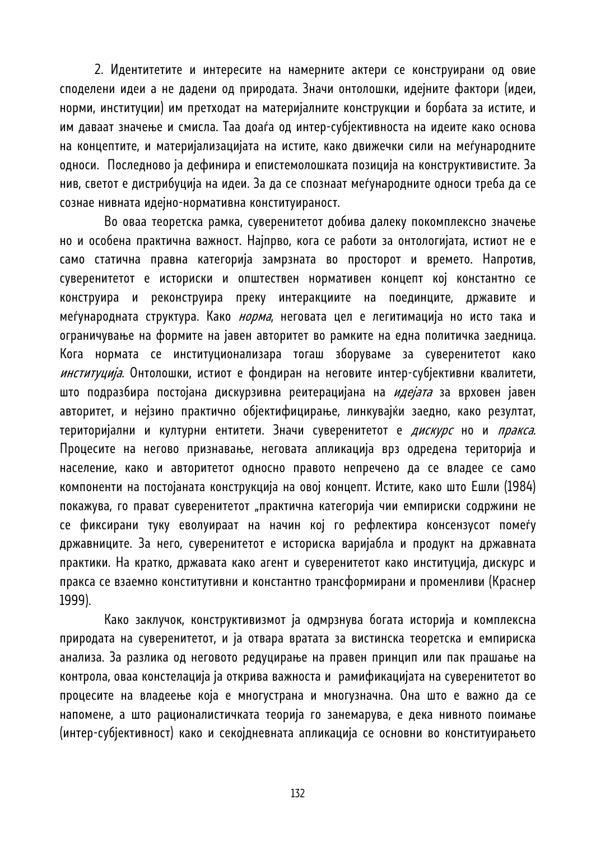2. Идентитетите и интересите на намерните актери се конструирани од овие споделени идеи а не дадени од природата. Значи онтолошки, идејните фактори (идеи, норми, институции) им претходат на материјалните конструкции и борбата за истите, и им даваат значење и смисла. Таа доаѓа од интер-субјективноста на идеите како основа на концептите, и материјализацијата на истите, како движечки сили на меѓународните односи. Последново ја дефинира и епистемолошката позиција на конструктивистите. За нив, светот е дистрибуција на идеи. За да се спознаат меѓународните односи треба да се сознае нивната идејно-нормативна конституираност.

 Во оваа теоретска рамка, суверенитетот добива далеку покомплексно значење но и особена практична важност. Најпрво, кога се работи за онтологијата, истиот не е само статична правна категорија замрзната во просторот и времето. Напротив, суверенитетот е историски и општествен нормативен концепт кој константно се конструира и реконструира преку интеракциите на поединците, државите и меѓународната структура. Како *норма*, неговата цел е легитимација но исто така и ограничување на формите на јавен авторитет во рамките на една политичка заедница. Кога нормата се институционализара тогаш зборуваме за суверенитетот како институција. Онтолошки, истиот е фондиран на неговите интер-субјективни квалитети, што подразбира постојана дискурзивна реитерацијана на *идејата* за врховен јавен авторитет, и нејзино практично објектифицирање, линкувајќи заедно, како резултат, територијални и културни ентитети. Значи суверенитетот е *дискурс* но и *пракса*. Процесите на негово признавање, неговата апликација врз одредена територија и население, како и авторитетот односно правото непречено да се владее се само компоненти на постојаната конструкција на овој концепт. Истите, како што Ешли (1984) покажува, го прават суверенитетот "практична категорија чии емпириски содржини не се фиксирани туку еволуираат на начин кој го рефлектира консензусот помеѓу државниците. За него, суверенитетот е историска варијабла и продукт на државната практики. На кратко, државата како агент и суверенитетот како институција, дискурс и пракса се взаемно конститутивни и константно трансформирани и променливи (Краснер 1999).

 Како заклучок, конструктивизмот ја одмрзнува богата историја и комплексна природата на суверенитетот, и ја отвара вратата за вистинска теоретска и емпириска анализа. За разлика од неговото редуцирање на правен принцип или пак прашање на контрола, оваа констелација ја открива важноста и рамификацијата на суверенитетот во процесите на владеење која е многустрана и многузначна. Она што е важно да се напомене, а што рационалистичката теорија го занемарува, е дека нивното поимање (интер-субјективност) како и секојдневната апликација се основни во конституирањето

132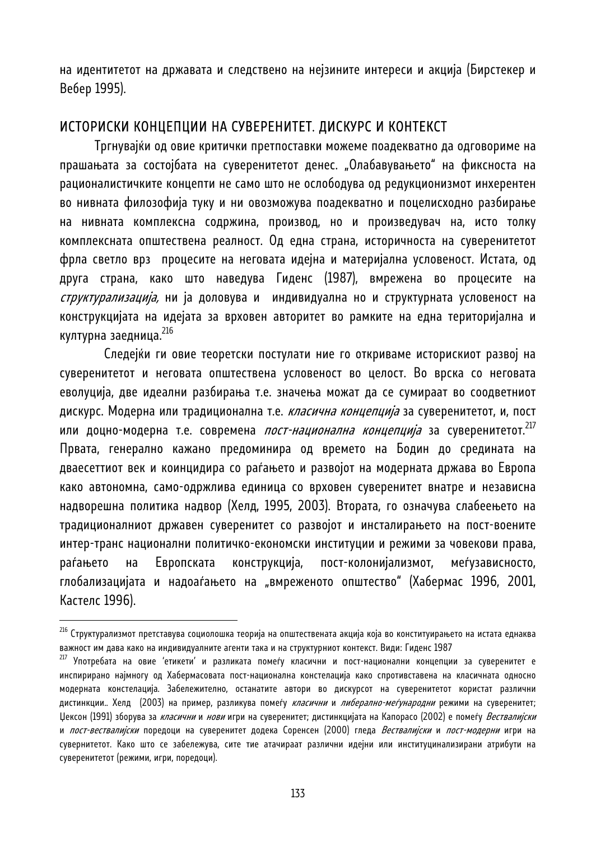на идентитетот на државата и следствено на нејзините интереси и акција (Бирстекер и Вебер 1995).

## ИСТОРИСКИ КОНЦЕПЦИИ НА СУВЕРЕНИТЕТ. ДИСКУРС И КОНТЕКСТ

Тргнувајќи од овие критички претпоставки можеме поадекватно да одговориме на прашањата за состојбата на суверенитетот денес. "Олабавувањето" на фиксноста на рационалистичките концепти не само што не ослободува од редукционизмот инхерентен во нивната филозофија туку и ни овозможува поадекватно и поцелисходно разбирање на нивната комплексна содржина, производ, но и произведувач на, исто толку комплексната општествена реалност. Од една страна, историчноста на суверенитетот фрла светло врз процесите на неговата идејна и материјална условеност. Истата, од друга страна, како што наведува Гиденс (1987), вмрежена во процесите на *структурализација,* ни ја доловува и индивидуална но и структурната условеност на конструкцијата на идејата за врховен авторитет во рамките на една територијална и културна заедница.<sup>216</sup>

 Следејќи ги овие теоретски постулати ние го откриваме историскиот развој на суверенитетот и неговата општествена условеност во целост. Во врска со неговата еволуција, две идеални разбирања т.е. значења можат да се сумираат во соодветниот дискурс. Модерна или традиционална т.е. *класична концепција* за суверенитетот, и, пост или доцно-модерна т.е. современа *пост-национална концепција* за суверенитетот.<sup>217</sup> Првата, генерално кажано предоминира од времето на Бодин до средината на дваесеттиот век и коинцидира со раѓањето и развојот на модерната држава во Европа како автономна, само-одржлива единица со врховен суверенитет внатре и независна надворешна политика надвор (Хелд, 1995, 2003). Втората, го означува слабеењето на традиционалниот државен суверенитет со развојот и инсталирањето на пост-воените интер-транс национални политичко-економски институции и режими за човекови права, раѓањето на Европската конструкција, пост-колонијализмот, меѓузависносто, глобализацијата и надоаѓањето на "вмреженото општество" (Хабермас 1996, 2001, Кастелс 1996).

 $^{216}$  Структурализмот претставува социолошка теорија на општествената акција која во конституирањето на истата еднаква

важност им дава како на индивидуалните агенти така и на структурниот контекст. Види: Гиденс 1987<br><sup>217</sup> Употребата на овие *'етикети' и разликата помеѓу класични и п*ост-национални концепции за суверенитет е инспирирано најмногу од Хабермасовата пост-национална констелација како спротивставена на класичната односно модерната констелација. Забележително, останатите автори во дискурсот на суверенитетот користат различни дистинкции.. Хелд (2003) на пример, разликува помеѓу *класични и либерално-меѓународни* режими на суверенитет; Џексон (1991) зборува за класични и нови игри на суверенитет; дистинкцијата на Капорасо (2002) е помеѓу Вествалијски и *пост-вествалијски* поредоци на суверенитет додека Соренсен (2000) гледа *Вествалијски* и *пост-модерни* игри на сувернитетот. Како што се забележува, сите тие атачираат различни идејни или институцинализирани атрибути на суверенитетот (режими, игри, поредоци).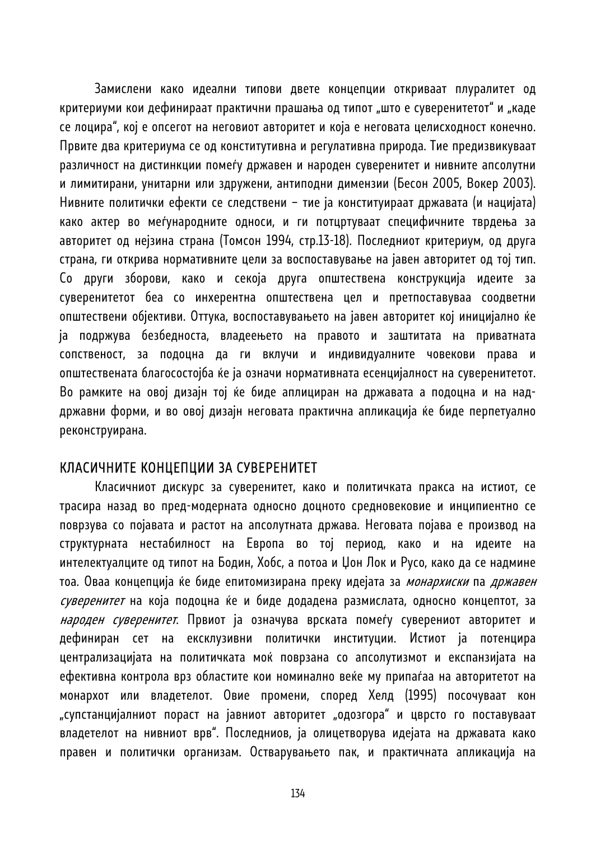Замислени како идеални типови двете концепции откриваат плуралитет од критериуми кои дефинираат практични прашања од типот "што е суверенитетот" и "каде се лоцира", кој е опсегот на неговиот авторитет и која е неговата целисходност конечно. Првите два критериума се од конститутивна и регулативна природа. Тие предизвикуваат различност на дистинкции помеѓу државен и народен суверенитет и нивните апсолутни и лимитирани, унитарни или здружени, антиподни димензии (Бесон 2005, Вокер 2003). Нивните политички ефекти се следствени – тие ја конституираат државата (и нацијата) како актер во меѓународните односи, и ги потцртуваат специфичните тврдења за авторитет од нејзина страна (Томсон 1994, стр.13-18). Последниот критериум, од друга страна, ги открива нормативните цели за воспоставување на јавен авторитет од тој тип. Со други зборови, како и секоја друга општествена конструкција идеите за суверенитетот беа со инхерентна општествена цел и претпоставуваа соодветни општествени објективи. Оттука, воспоставувањето на јавен авторитет кој иницијално ќе ја подржува безбедноста, владеењето на правото и заштитата на приватната сопственост, за подоцна да ги вклучи и индивидуалните човекови права и општествената благосостојба ќе ја означи нормативната есенцијалност на суверенитетот. Во рамките на овој дизајн тој ќе биде аплициран на државата а подоцна и на наддржавни форми, и во овој дизајн неговата практична апликација ќе биде перпетуално реконструирана.

#### КЛАСИЧНИТЕ КОНЦЕПЦИИ ЗА СУВЕРЕНИТЕТ

Класичниот дискурс за суверенитет, како и политичката пракса на истиот, се трасира назад во пред-модерната односно доцното средновековие и инципиентно се поврзува со појавата и растот на апсолутната држава. Неговата појава е производ на структурната нестабилност на Европа во тој период, како и на идеите на интелектуалците од типот на Бодин, Хобс, а потоа и Џон Лок и Русо, како да се надмине тоа. Оваа концепција ќе биде епитомизирана преку идејата за монархиски па државен суверенитет на која подоцна ќе и биде додадена размислата, односно концептот, за народен суверенитет. Првиот ја означува врската помеѓу суверениот авторитет и дефиниран сет на ексклузивни политички институции. Истиот ја потенцира централизацијата на политичката моќ поврзана со апсолутизмот и експанзијата на ефективна контрола врз областите кои номинално веќе му припаѓаа на авторитетот на монархот или владетелот. Овие промени, според Хелд (1995) посочуваат кон "супстанцијалниот пораст на јавниот авторитет "одозгора" и цврсто го поставуваат владетелот на нивниот врв". Последниов, ја олицетворува идејата на државата како правен и политички организам. Остварувањето пак, и практичната апликација на

134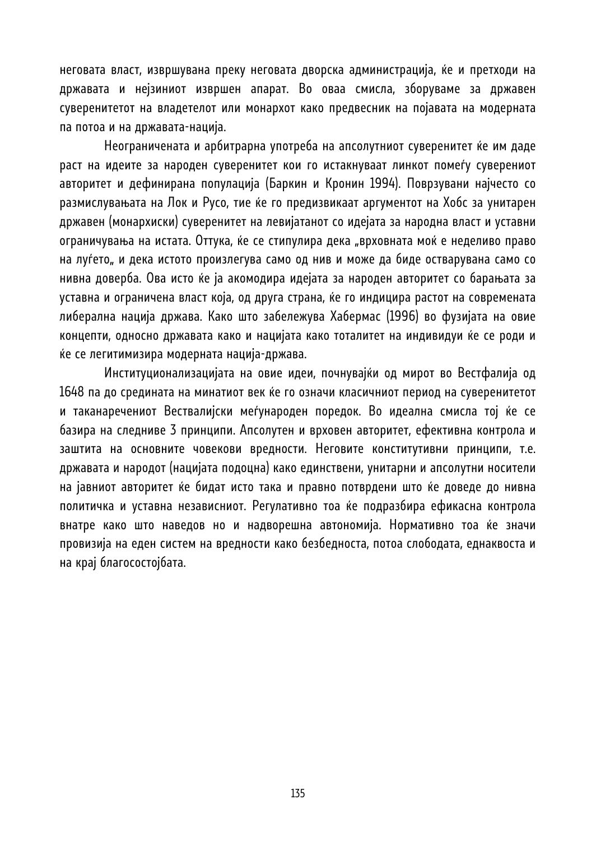неговата власт, извршувана преку неговата дворска администрација, ќе и претходи на државата и нејзиниот извршен апарат. Во оваа смисла, зборуваме за државен суверенитетот на владетелот или монархот како предвесник на појавата на модерната па потоа и на државата-нација.

 Неограничената и арбитрарна употреба на апсолутниот суверенитет ќе им даде раст на идеите за народен суверенитет кои го истакнуваат линкот помеѓу суверениот авторитет и дефинирана популација (Баркин и Кронин 1994). Поврзувани најчесто со размислувањата на Лок и Русо, тие ќе го предизвикаат аргументот на Хобс за унитарен државен (монархиски) суверенитет на левијатанот со идејата за народна власт и уставни ограничувања на истата. Оттука, ќе се стипулира дека "врховната моќ е неделиво право на луѓето" и дека истото произлегува само од нив и може да биде остварувана само со нивна доверба. Ова исто ќе ја акомодира идејата за народен авторитет со барањата за уставна и ограничена власт која, од друга страна, ќе го индицира растот на современата либерална нација држава. Како што забележува Хабермас (1996) во фузијата на овие концепти, односно државата како и нацијата како тоталитет на индивидуи ќе се роди и ќе се легитимизира модерната нација-држава.

 Институционализацијата на овие идеи, почнувајќи од мирот во Вестфалија од 1648 па до средината на минатиот век ќе го означи класичниот период на суверенитетот и таканаречениот Вествалијски меѓународен поредок. Во идеална смисла тој ќе се базира на следниве 3 принципи. Апсолутен и врховен авторитет, ефективна контрола и заштита на основните човекови вредности. Неговите конститутивни принципи, т.е. државата и народот (нацијата подоцна) како единствени, унитарни и апсолутни носители на јавниот авторитет ќе бидат исто така и правно потврдени што ќе доведе до нивна политичка и уставна независниот. Регулативно тоа ќе подразбира ефикасна контрола внатре како што наведов но и надворешна автономија. Нормативно тоа ќе значи провизија на еден систем на вредности како безбедноста, потоа слободата, еднаквоста и на крај благосостојбата.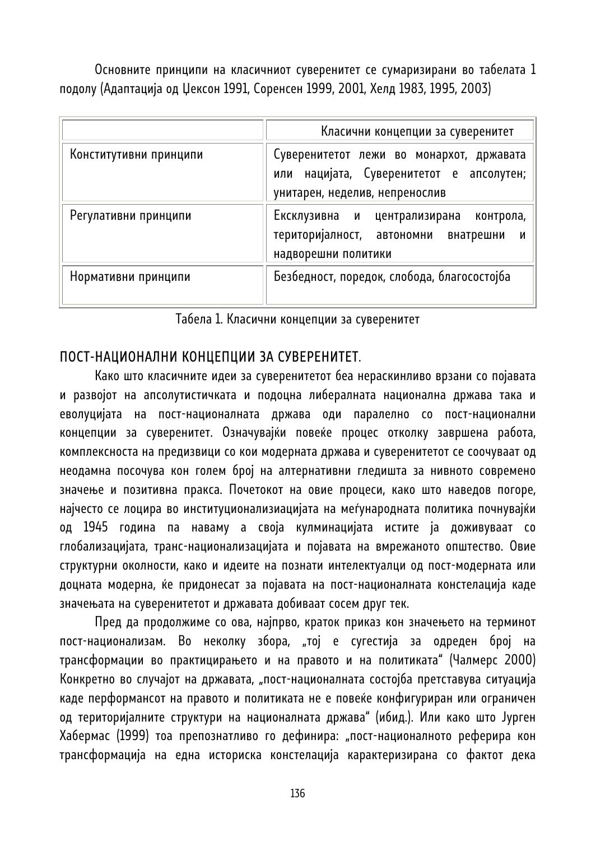Основните принципи на класичниот суверенитет се сумаризирани во табелата 1 подолу (Адаптација од Џексон 1991, Соренсен 1999, 2001, Хелд 1983, 1995, 2003)

|                        | Класични концепции за суверенитет                                                                                      |
|------------------------|------------------------------------------------------------------------------------------------------------------------|
| Конститутивни принципи | Суверенитетот лежи во монархот, државата<br>или нацијата, Суверенитетот е апсолутен;<br>унитарен, неделив, непренослив |
| Регулативни принципи   | Ексклузивна и централизирана<br>контрола,<br>територијалност, автономни внатрешни<br>И<br>надворешни политики          |
| Нормативни принципи    | Безбедност, поредок, слобода, благосостојба                                                                            |

Табела 1. Класични концепции за суверенитет

## ПОСТ-НАЦИОНАЛНИ КОНЦЕПЦИИ ЗА СУВЕРЕНИТЕТ.

Како што класичните идеи за суверенитетот беа нераскинливо врзани со појавата и развојот на апсолутистичката и подоцна либералната национална држава така и еволуцијата на пост-националната држава оди паралелно со пост-национални концепции за суверенитет. Означувајќи повеќе процес отколку завршена работа, комплексноста на предизвици со кои модерната држава и суверенитетот се соочуваат од неодамна посочува кон голем број на алтернативни гледишта за нивното современо значење и позитивна пракса. Почетокот на овие процеси, како што наведов погоре, најчесто се лоцира во институционализиацијата на меѓународната политика почнувајќи од 1945 година па наваму а своја кулминацијата истите ја доживуваат со глобализацијата, транс-национализацијата и појавата на вмрежаното општество. Овие структурни околности, како и идеите на познати интелектуалци од пост-модерната или доцната модерна, ќе придонесат за појавата на пост-националната констелација каде значењата на суверенитетот и државата добиваат сосем друг тек.

Пред да продолжиме со ова, најпрво, краток приказ кон значењето на терминот пост-национализам. Во неколку збора, "тој е сугестија за одреден број на трансформации во практицирањето и на правото и на политиката" (Чалмерс 2000) Конкретно во случајот на државата, "пост-националната состојба претставува ситуација каде перформансот на правото и политиката не е повеќе конфигуриран или ограничен од територијалните структури на националната држава" (ибид.). Или како што Јурген Хабермас (1999) тоа препознатливо го дефинира: "пост-националното реферира кон трансформација на една историска констелација карактеризирана со фактот дека

136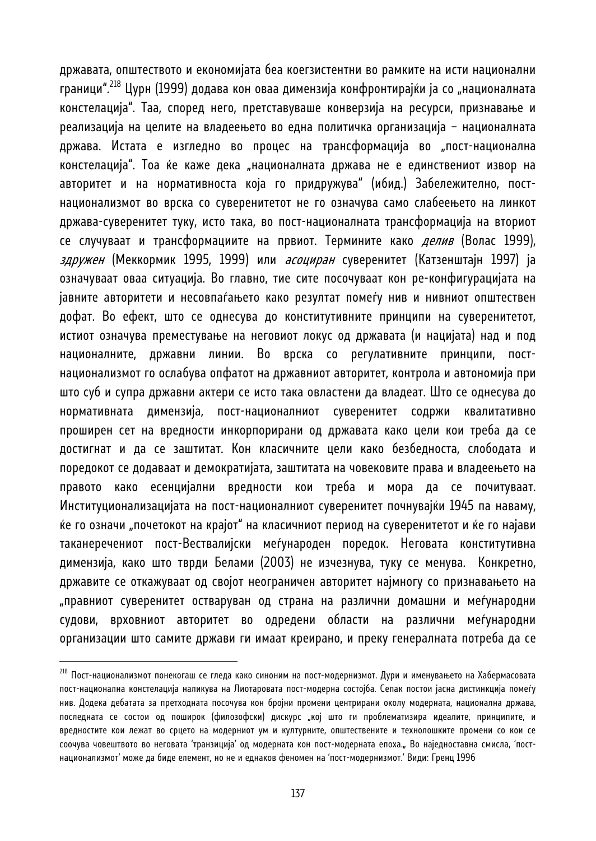државата, општеството и економијата беа коегзистентни во рамките на исти национални граници".<sup>218</sup> Цурн (1999) додава кон оваа димензија конфронтирајќи ја со "националната констелација". Таа, според него, претставуваше конверзија на ресурси, признавање и реализација на целите на владеењето во една политичка организација – националната држава. Истата е изгледно во процес на трансформација во "пост-национална констелација". Тоа ќе каже дека "националната држава не е единствениот извор на авторитет и на нормативноста која го придружува" (ибид.) Забележително, постнационализмот во врска со суверенитетот не го означува само слабеењето на линкот држава-суверенитет туку, исто така, во пост-националната трансформација на вториот се случуваат и трансформациите на првиот. Термините како *делив* (Волас 1999), *здружен* (Меккормик 1995, 1999) или *асоциран* суверенитет (Катзенштајн 1997) ја означуваат оваа ситуација. Во главно, тие сите посочуваат кон ре-конфигурацијата на јавните авторитети и несовпаѓањето како резултат помеѓу нив и нивниот општествен дофат. Во ефект, што се однесува до конститутивните принципи на суверенитетот, истиот означува преместување на неговиот локус од државата (и нацијата) над и под националните, државни линии. Во врска со регулативните принципи, постнационализмот го ослабува опфатот на државниот авторитет, контрола и автономија при што суб и супра државни актери се исто така овластени да владеат. Што се однесува до нормативната димензија, пост-националниот суверенитет содржи квалитативно проширен сет на вредности инкорпорирани од државата како цели кои треба да се достигнат и да се заштитат. Кон класичните цели како безбедноста, слободатa и поредокот се додаваат и демократијата, заштитата на човековите права и владеењето на правото како есенцијални вредности кои треба и мора да се почитуваат. Институционализацијата на пост-националниот суверенитет почнувајќи 1945 па наваму, ќе го означи "почетокот на крајот" на класичниот период на суверенитетот и ќе го најави таканеречениот пост-Вествалијски меѓународен поредок. Неговата конститутивна димензија, како што тврди Белами (2003) не изчезнува, туку се менува. Конкретно, државите се откажуваат од својот неограничен авторитет најмногу со признавањето на "правниот суверенитет остваруван од страна на различни домашни и меѓународни судови, врховниот авторитет во одредени области на различни меѓународни организации што самите држави ги имаат креирано, и преку генералната потреба да се

<sup>&</sup>lt;sup>218</sup> Пост-национализмот понекогаш се гледа како синоним на пост-модернизмот. Дури и именувањето на Хабермасовата пост-национална констелација наликува на Лиотаровата пост-модерна состојба. Сепак постои јасна дистинкција помеѓу нив. Додека дебатата за претходната посочува кон бројни промени центрирани околу модерната, национална држава, последната се состои од поширок (филозофски) дискурс "кој што ги проблематизира идеалите, принципите, и вредностите кои лежат во срцето на модерниот ум и културните, општествените и технолошките промени со кои се соочува човештвото во неговата 'транзиција' од модерната кон пост-модерната епоха." Во наједноставна смисла, 'постнационализмот' може да биде елемент, но не и еднаков феномен на 'пост-модернизмот.' Види: Гренц 1996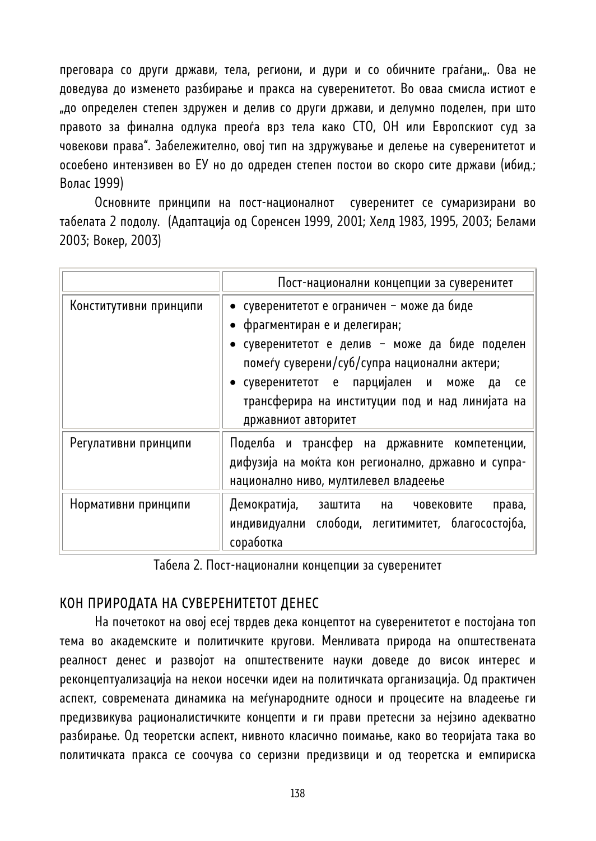преговара со други држави, тела, региони, и дури и со обичните граѓани". Ова не доведува до изменето разбирање и пракса на суверенитетот. Во оваа смисла истиот е "до определен степен здружен и делив со други држави, и делумно поделен, при што правото за финална одлука преоѓа врз тела како СТО, ОН или Европскиот суд за човекови права". Забележително, овој тип на здружување и делење на суверенитетот и осоебено интензивен во ЕУ но до одреден степен постои во скоро сите држави (ибид.; Волас 1999)

Основните принципи на пост-националнот суверенитет се сумаризирани во табелата 2 подолу. (Адаптација од Соренсен 1999, 2001; Хелд 1983, 1995, 2003; Белами 2003; Вокер, 2003)

|                        | Пост-национални концепции за суверенитет                                                                                                                                                                                                                                                                |
|------------------------|---------------------------------------------------------------------------------------------------------------------------------------------------------------------------------------------------------------------------------------------------------------------------------------------------------|
| Конститутивни принципи | • суверенитетот е ограничен - може да биде<br>• фрагментиран е и делегиран;<br>• суверенитетот е делив – може да биде поделен<br>помеѓу суверени/суб/супра национални актери;<br>• суверенитетот е парцијален и може да<br>ce<br>трансферира на институции под и над линијата на<br>државниот авторитет |
| Регулативни принципи   | Поделба и трансфер на државните компетенции,<br>дифузија на моќта кон регионално, државно и супра-<br>национално ниво, мултилевел владеење                                                                                                                                                              |
| Нормативни принципи    | Демократија, заштита на<br>човековите<br>права,<br>индивидуални слободи, легитимитет, благосостојба,<br>соработка                                                                                                                                                                                       |

Табела 2. Пост-национални концепции за суверенитет

# КОН ПРИРОДАТА НА СУВЕРЕНИТЕТОТ ДЕНЕС

На почетокот на овој есеј тврдев дека концептот на суверенитетот е постојана топ тема во академските и политичките кругови. Менливата природа на општествената реалност денес и развојот на општествените науки доведе до висок интерес и реконцептуализација на некои носечки идеи на политичката организација. Од практичен аспект, современата динамика на меѓународните односи и процесите на владеење ги предизвикува рационалистичките концепти и ги прави претесни за нејзино адекватно разбирање. Од теоретски аспект, нивното класично поимање, како во теоријата така во политичката пракса се соочува со серизни предизвици и од теоретска и емпириска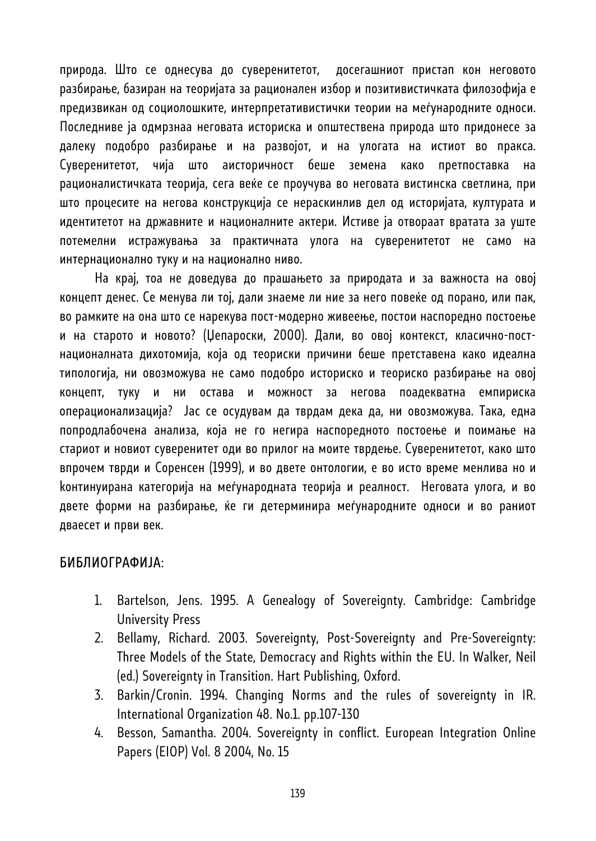природа. Што се однесува до суверенитетот, досегашниот пристап кон неговото разбирање, базиран на теоријата за рационален избор и позитивистичката филозофија е предизвикан од социолошките, интерпретативистички теории на меѓународните односи. Последниве ја одмрзнаа неговата историска и општествена природа што придонесе за далеку подобро разбирање и на развојот, и на улогата на истиот во пракса. Суверенитетот, чија што аисторичност беше земена како претпоставка на рационалистичката теорија, сега веќе се проучува во неговата вистинска светлина, при што процесите на негова конструкција се нераскинлив дел од историјата, културата и идентитетот на државните и националните актери. Истиве ја отвораат вратата за уште потемелни истражувања за практичната улога на суверенитетот не само на интернационално туку и на национално ниво.

На крај, тоа не доведува до прашањето за природата и за важноста на овој концепт денес. Се менува ли тој, дали знаеме ли ние за него повеќе од порано, или пак, во рамките на она што се нарекува пост-модерно живеење, постои наспоредно постоење и на старото и новото? (Џепароски, 2000). Дали, во овој контекст, класично-постнационалната дихотомија, која од теориски причини беше претставена како идеална типологија, ни овозможува не само подобро историско и теориско разбирање на овој концепт, туку и ни остава и можност за негова поадекватна емпириска операционализација? Јас се осудувам да тврдам дека да, ни овозможува. Така, една попродлабочена анализа, која не го негира наспоредното постоење и поимање на стариот и новиот суверенитет оди во прилог на моите тврдење. Суверенитетот, како што впрочем тврди и Соренсен (1999), и во двете онтологии, е во исто време менлива но и kонтинуирана категорија на меѓународната теорија и реалност. Неговата улога, и во двете форми на разбирање, ќе ги детерминира меѓународните односи и во раниот дваесет и први век.

### БИБЛИОГРАФИЈА:

- 1. Bartelson, Jens. 1995. A Genealogy of Sovereignty. Cambridge: Cambridge University Press
- 2. Bellamy, Richard. 2003. Sovereignty, Post-Sovereignty and Pre-Sovereignty: Three Models of the State, Democracy and Rights within the EU. In Walker, Neil (ed.) Sovereignty in Transition. Hart Publishing, Oxford.
- 3. Barkin/Cronin. 1994. Changing Norms and the rules of sovereignty in IR. International Organization 48. No.1. pp.107-130
- 4. Besson, Samantha. 2004. Sovereignty in conflict. European Integration Online Papers (EIOP) Vol. 8 2004, No. 15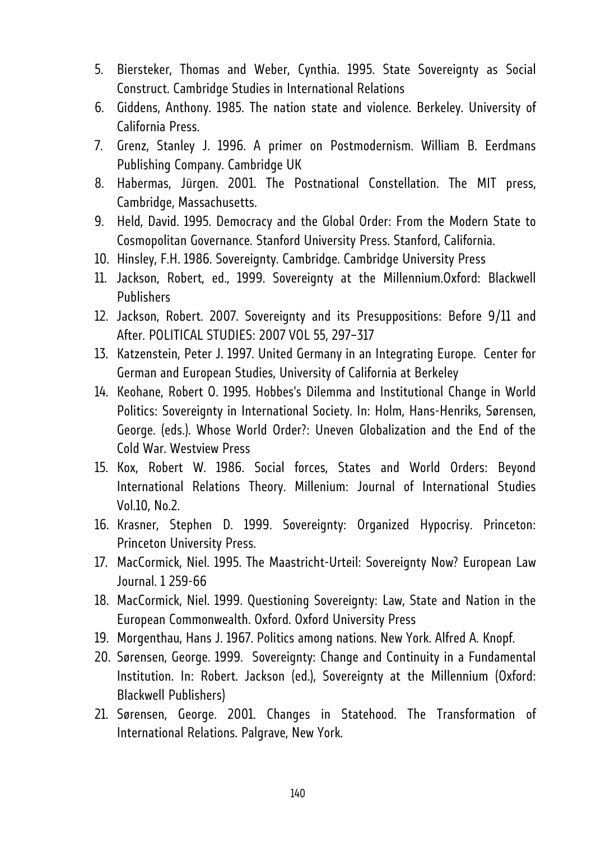- 5. Biersteker, Thomas and Weber, Cynthia. 1995. State Sovereignty as Social Construct. Cambridge Studies in International Relations
- 6. Giddens, Anthony. 1985. The nation state and violence. Berkeley. University of California Press.
- 7. Grenz, Stanley J. 1996. A primer on Postmodernism. William B. Eerdmans Publishing Company. Cambridge UK
- 8. Habermas, Jürgen. 2001. The Postnational Constellation. The MIT press, Cambridge, Massachusetts.
- 9. Held, David. 1995. Democracy and the Global Order: From the Modern State to Cosmopolitan Governance. Stanford University Press. Stanford, California.
- 10. Hinsley, F.H. 1986. Sovereignty. Cambridge. Cambridge University Press
- 11. Jackson, Robert, ed., 1999. Sovereignty at the Millennium.Oxford: Blackwell Publishers
- 12. Jackson, Robert. 2007. Sovereignty and its Presuppositions: Before 9/11 and After. POLITICAL STUDIES: 2007 VOL 55, 297–317
- 13. Katzenstein, Peter J. 1997. United Germany in an Integrating Europe. Center for German and European Studies, University of California at Berkeley
- 14. Keohane, Robert O. 1995. Hobbes's Dilemma and Institutional Change in World Politics: Sovereignty in International Society. In: Holm, Hans-Henriks, Sørensen, George. (eds.). Whose World Order?: Uneven Globalization and the End of the Cold War. Westview Press
- 15. Kox, Robert W. 1986. Social forces, States and World Orders: Beyond International Relations Theory. Millenium: Journal of International Studies Vol.10, No.2.
- 16. Krasner, Stephen D. 1999. Sovereignty: Organized Hypocrisy. Princeton: Princeton University Press.
- 17. MacCormick, Niel. 1995. The Maastricht-Urteil: Sovereignty Now? European Law Journal. 1 259-66
- 18. MacCormick, Niel. 1999. Questioning Sovereignty: Law, State and Nation in the European Commonwealth. Oxford. Oxford University Press
- 19. Morgenthau, Hans J. 1967. Politics among nations. New York. Alfred A. Knopf.
- 20. Sørensen, George. 1999. Sovereignty: Change and Continuity in a Fundamental Institution. In: Robert. Jackson (ed.), Sovereignty at the Millennium (Oxford: Blackwell Publishers)
- 21. Sørensen, George. 2001. Changes in Statehood. The Transformation of International Relations. Palgrave, New York.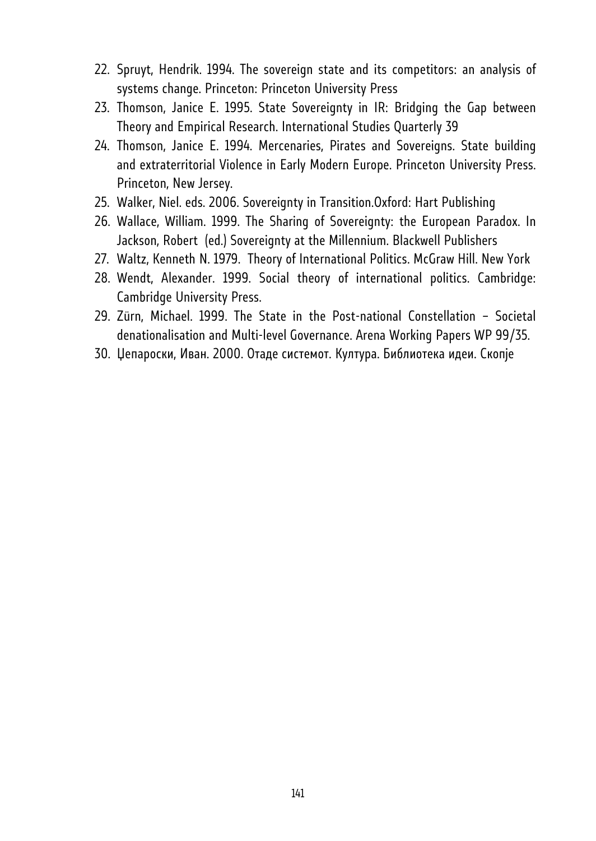- 22. Spruyt, Hendrik. 1994. The sovereign state and its competitors: an analysis of systems change. Princeton: Princeton University Press
- 23. Thomson, Janice E. 1995. State Sovereignty in IR: Bridging the Gap between Theory and Empirical Research. International Studies Quarterly 39
- 24. Thomson, Janice E. 1994. Mercenaries, Pirates and Sovereigns. State building and extraterritorial Violence in Early Modern Europe. Princeton University Press. Princeton, New Jersey.
- 25. Walker, Niel. eds. 2006. Sovereignty in Transition.Oxford: Hart Publishing
- 26. Wallace, William. 1999. The Sharing of Sovereignty: the European Paradox. In Jackson, Robert (ed.) Sovereignty at the Millennium. Blackwell Publishers
- 27. Waltz, Kenneth N. 1979. Theory of International Politics. McGraw Hill. New York
- 28. Wendt, Alexander. 1999. Social theory of international politics. Cambridge: Cambridge University Press.
- 29. Zürn, Michael. 1999. The State in the Post-national Constellation Societal denationalisation and Multi-level Governance. Arena Working Papers WP 99/35.
- 30. Џепароски, Иван. 2000. Отаде системот. Култура. Библиотека идеи. Скопје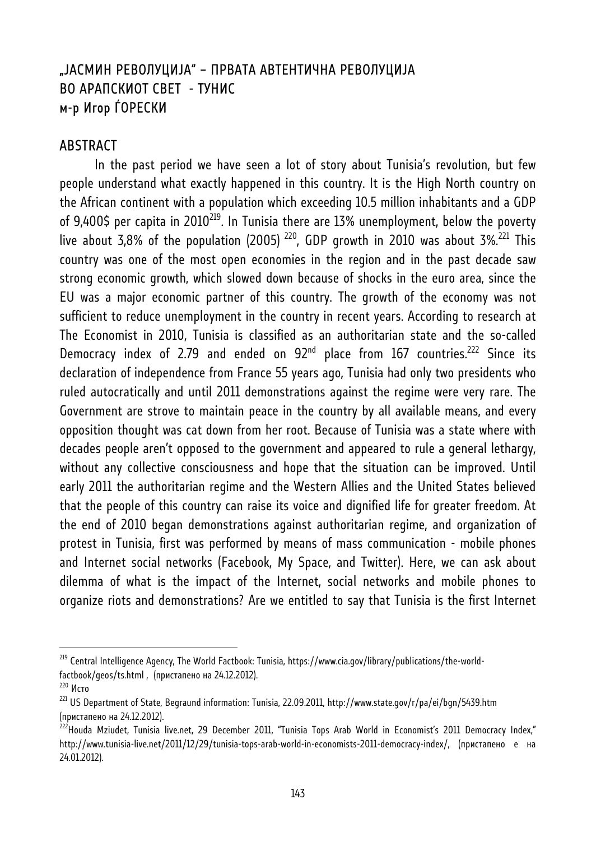# "ЈАСМИН РЕВОЛУЦИЈА" – ПРВАТА АВТЕНТИЧНА РЕВОЛУЦИЈА ВО АРАПСКИОТ СВЕТ - ТУНИС м-р Игор ЃОРЕСКИ

#### ABSTRACT

In the past period we have seen a lot of story about Tunisia's revolution, but few people understand what exactly happened in this country. It is the High North country on the African continent with a population which exceeding 10.5 million inhabitants and a GDP of 9,400\$ per capita in 2010<sup>219</sup>. In Tunisia there are 13% unemployment, below the poverty live about 3,8% of the population (2005)<sup>220</sup>, GDP growth in 2010 was about 3%.<sup>221</sup> This country was one of the most open economies in the region and in the past decade saw strong economic growth, which slowed down because of shocks in the euro area, since the EU was a major economic partner of this country. The growth of the economy was not sufficient to reduce unemployment in the country in recent years. According to research at The Economist in 2010, Tunisia is classified as an authoritarian state and the so-called Democracy index of 2.79 and ended on  $92<sup>nd</sup>$  place from 167 countries.<sup>222</sup> Since its declaration of independence from France 55 years ago, Tunisia had only two presidents who ruled autocratically and until 2011 demonstrations against the regime were very rare. The Government are strove to maintain peace in the country by all available means, and every opposition thought was cat down from her root. Because of Tunisia was a state where with decades people aren't opposed to the government and appeared to rule a general lethargy, without any collective consciousness and hope that the situation can be improved. Until early 2011 the authoritarian regime and the Western Allies and the United States believed that the people of this country can raise its voice and dignified life for greater freedom. At the end of 2010 began demonstrations against authoritarian regime, and organization of protest in Tunisia, first was performed by means of mass communication - mobile phones and Internet social networks (Facebook, My Space, and Twitter). Here, we can ask about dilemma of what is the impact of the Internet, social networks and mobile phones to organize riots and demonstrations? Are we entitled to say that Tunisia is the first Internet

<sup>&</sup>lt;sup>219</sup> Central Intelligence Agency, The World Factbook: Tunisia, https://www.cia.gov/library/publications/the-worldfactbook/geos/ts.html , (пристапено на 24.12.2012).<br><sup>220</sup> Исто

 $^{221}$  US Department of State, Begraund information: Tunisia, 22.09.2011, http://www.state.gov/r/pa/ei/bgn/5439.htm (пристапено на 24.12.2012).

 $^{222}$ Houda Mziudet, Tunisia live.net, 29 December 2011, "Tunisia Tops Arab World in Economist's 2011 Democracy Index," http://www.tunisia-live.net/2011/12/29/tunisia-tops-arab-world-in-economists-2011-democracy-index/, (пристапено е на 24.01.2012).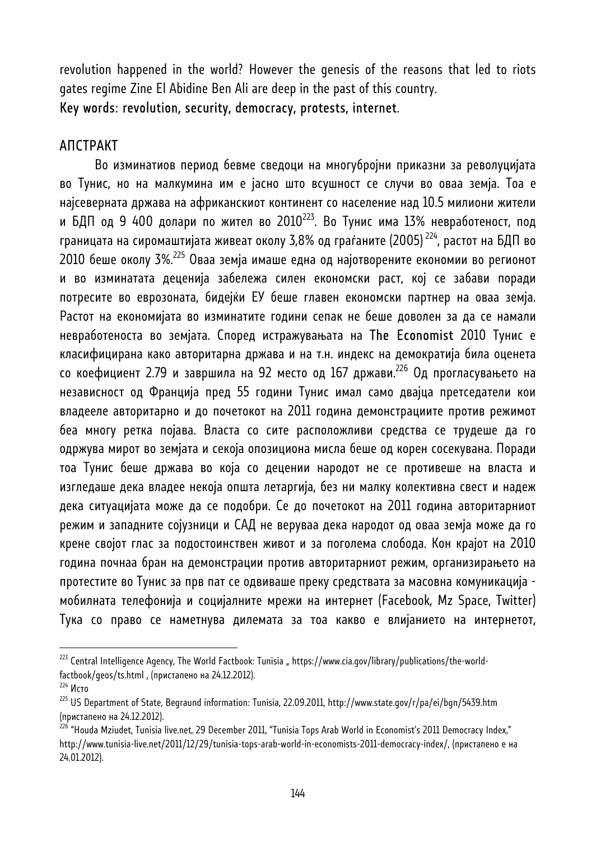revolution happened in the world? However the genesis of the reasons that led to riots gates regime Zine El Abidine Ben Ali are deep in the past of this country.

Key words: revolution, security, democracy, protests, internet.

## АПСТРАКТ

Во изминатиов период бевме сведоци на многубројни приказни за револуцијата во Тунис, но на малкумина им е јасно што всушност се случи во оваа земја. Тоа е најсеверната држава на африканскиот континент со население над 10.5 милиони жители и БДП од 9 400 долари по жител во 2010<sup>223</sup>. Во Тунис има 13% невработеност, под границата на сиромаштијата живеат околу 3,8% од граѓаните (2005)<sup>224</sup>, растот на БДП во 2010 беше околу 3%.<sup>225</sup> Оваа земја имаше една од најотворените економии во регионот и во изминатата деценија забележа силен економски раст, кој се забави поради потресите во еврозоната, бидејќи ЕУ беше главен економски партнер на оваа земја. Растот на економијата во изминатите години сепак не беше доволен за да се намали невработеноста во земјата. Според истражувањата на The Economist 2010 Тунис е класифицирана како авторитарна држава и на т.н. индекс на демократија била оценета со коефициент 2.79 и завршила на 92 место од 167 држави.<sup>226</sup> Од прогласувањето на независност од Франција пред 55 години Тунис имал само двајца претседатели кои владееле авторитарно и до почетокот на 2011 година демонстрациите против режимот беа многу ретка појава. Власта со сите расположливи средства се трудеше да го одржува мирот во земјата и секоја опозициона мисла беше од корен сосекувана. Поради тоа Тунис беше држава во која со децении народот не се противеше на власта и изгледаше дека владее некоја општа летаргија, без ни малку колективна свест и надеж дека ситуацијата може да се подобри. Се до почетокот на 2011 година авторитарниот режим и западните сојузници и САД не веруваа дека народот од оваа земја може да го крене својот глас за подостоинствен живот и за поголема слобода. Кон крајот на 2010 година почнаа бран на демонстрации против авторитарниот режим, организирањето на протестите во Тунис за прв пат се одвиваше преку средствата за масовна комуникација мобилната телефонија и социјалните мрежи на интернет (Facebook, Mz Space, Twitter) Тука со право се наметнува дилемата за тоа какво е влијанието на интернетот,

 $^{223}$  Central Intelligence Agency, The World Factbook: Tunisia " https://www.cia.gov/library/publications/the-worldfactbook/geos/ts.html , (пристапено на 24.12.2012).

<sup>224</sup> Исто

<sup>225</sup> US Department of State, Begraund information: Tunisia, 22.09.2011, http://www.state.gov/r/pa/ei/bgn/5439.htm (пристапено на 24.12.2012).

<sup>&</sup>lt;sup>226</sup> "Houda Mziudet, Tunisia live.net, 29 December 2011, "Tunisia Tops Arab World in Economist's 2011 Democracy Index," http://www.tunisia-live.net/2011/12/29/tunisia-tops-arab-world-in-economists-2011-democracy-index/, (пристапено е на 24.01.2012).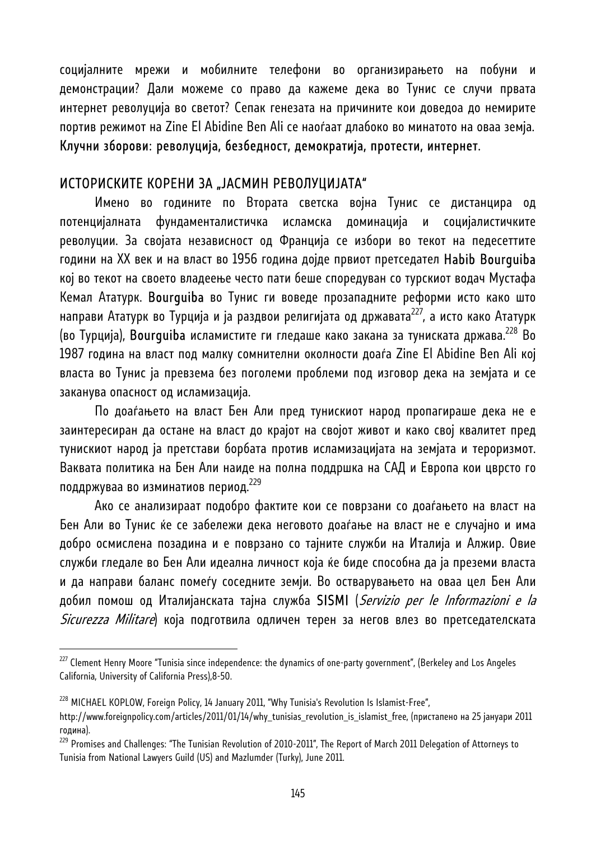социјалните мрежи и мобилните телефони во организирањето на побуни и демонстрации? Дали можеме со право да кажеме дека во Тунис се случи првата интернет револуција во светот? Сепак генезата на причините кои доведоа до немирите портив режимот на Zine El Abidine Ben Ali се наоѓаат длабоко во минатото на оваа земја. Клучни зборови: револуција, безбедност, демократија, протести, интернет.

## ИСТОРИСКИТЕ КОРЕНИ ЗА "ЈАСМИН РЕВОЛУЦИЈАТА"

Имено во годините по Втората светска војна Тунис се дистанцира од потенцијалната фундаменталистичка исламска доминација и социјалистичките револуции. За својата независност од Франција се избори во текот на педесеттите години на ХХ век и на власт во 1956 година дојде првиот претседател Habib Bourguiba кој во текот на своето владеење често пати беше споредуван со турскиот водач Мустафа Кемал Ататурк. Bourguiba во Тунис ги воведе прозападните реформи исто како што направи Ататурк во Турција и ја раздвои религијата од државата<sup>227</sup>, а исто како Ататурк (во Турција), Bourguiba исламистите ги гледаше како закана за туниската држава.<sup>228</sup> Во 1987 година на власт под малку сомнителни околности доаѓа Zine El Abidine Ben Ali кој власта во Тунис ја превзема без поголеми проблеми под изговор дека на земјата и се заканува опасност од исламизација.

По доаѓањето на власт Бен Али пред тунискиот народ пропагираше дека не е заинтересиран да остане на власт до крајот на својот живот и како свој квалитет пред тунискиот народ ја претстави борбата против исламизацијата на земјата и тероризмот. Ваквата политика на Бен Али наиде на полна поддршка на САД и Европа кои цврсто го поддржуваа во изминатиов период.229

Ако се анализираат подобро фактите кои се поврзани со доаѓањето на власт на Бен Али во Тунис ќе се забележи дека неговото доаѓање на власт не е случајно и има добро осмислена позадина и е поврзано со тајните служби на Италија и Алжир. Овие служби гледале во Бен Али идеална личност која ќе биде способна да ја преземи власта и да направи баланс помеѓу соседните земји. Во остварувањето на оваа цел Бен Али добил помош од Италијанската тајна служба SISMI (*Servizio per le Informazioni e la Sicurezza Militare*) која подготвила одличен терен за негов влез во претседателската

 $^{227}$  Clement Henry Moore "Tunisia since independence: the dynamics of one-party government", (Berkeley and Los Angeles California, University of California Press),8-50.

<sup>&</sup>lt;sup>228</sup> MICHAEL KOPLOW, Foreign Policy, 14 January 2011, "Why Tunisia's Revolution Is Islamist-Free",

http://www.foreignpolicy.com/articles/2011/01/14/why\_tunisias\_revolution\_is\_islamist\_free, (пристапено на 25 јануари 2011 година).

<sup>&</sup>lt;sup>229</sup> Promises and Challenges: "The Tunisian Revolution of 2010-2011", The Report of March 2011 Delegation of Attorneys to Tunisia from National Lawyers Guild (US) and Mazlumder (Turky), June 2011.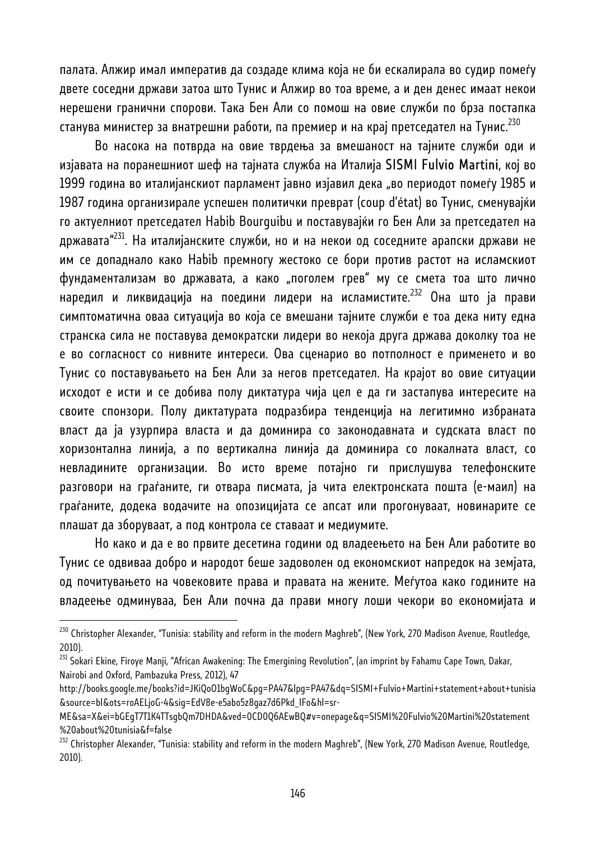палата. Алжир имал императив да создаде клима која не би ескалирала во судир помеѓу двете соседни држави затоа што Тунис и Алжир во тоа време, а и ден денес имаат некои нерешени гранични спорови. Така Бен Али со помош на овие служби по брза постапка станува министер за внатрешни работи, па премиер и на крај претседател на Тунис.<sup>230</sup>

Во насока на потврда на овие тврдења за вмешаност на тајните служби оди и изјавата на поранешниот шеф на тајната служба на Италија SISMI Fulvio Martini, кој во 1999 година во италијанскиот парламент јавно изјавил дека "во периодот помеѓу 1985 и 1987 година организирале успешен политички преврат (coup d'état) во Тунис, сменувајќи го актуелниот претседател Habib Bourguibu и поставувајќи го Бен Али за претседател на државата"<sup>231</sup>. На италијанските служби, но и на некои од соседните арапски држави не им се допаднало како Habib премногу жестоко се бори против растот на исламскиот фундаментализам во државата, а како "поголем грев" му се смета тоа што лично наредил и ликвидација на поедини лидери на исламистите.<sup>232</sup> Она што ја прави симптоматична оваа ситуација во која се вмешани тајните служби е тоа дека ниту една странска сила не поставува демократски лидери во некоја друга држава доколку тоа не е во согласност со нивните интереси. Ова сценарио во потполност е применето и во Тунис со поставувањето на Бен Али за негов претседател. На крајот во овие ситуации исходот е исти и се добива полу диктатура чија цел е да ги застапува интересите на своите спонзори. Полу диктатурата подразбира тенденција на легитимно избраната власт да ја узурпира власта и да доминира со законодавната и судската власт по хоризонтална линија, а по вертикална линија да доминира со локалната власт, со невладините организации. Во исто време потајно ги прислушува телефонските разговори на граѓаните, ги отвара писмата, ја чита електронската пошта (е-маил) на граѓаните, додека водачите на опозицијата се апсат или прогонуваат, новинарите се плашат да зборуваат, а под контрола се ставаат и медиумите.

Но како и да е во првите десетина години од владеењето на Бен Али работите во Тунис се одвиваа добро и народот беше задоволен од економскиот напредок на земјата, од почитувањето на човековите права и правата на жените. Меѓутоа како годините на владеење одминуваа, Бен Али почна да прави многу лоши чекори во економијата и

<sup>&</sup>lt;sup>230</sup> Christopher Alexander, "Tunisia: stability and reform in the modern Maghreb", (New York, 270 Madison Avenue, Routledge, 2010).

<sup>&</sup>lt;sup>231</sup> Sokari Ekine, Firoye Manji, "African Awakening: The Emergining Revolution", (an imprint by Fahamu Cape Town, Dakar, Nairobi and Oxford, Pambazuka Press, 2012), 47

http://books.google.me/books?id=JKiQoO1bgWoC&pg=PA47&lpg=PA47&dq=SISMI+Fulvio+Martini+statement+about+tunisia &source=bl&ots=roAELjoG-4&sig=EdV8e-e5abo5z8gaz7d6Pkd\_lFo&hl=sr-

ME&sa=X&ei=bGEgT7T1K4TTsgbQm7DHDA&ved=0CD0Q6AEwBQ#v=onepage&q=SISMI%20Fulvio%20Martini%20statement %20about%20tunisia&f=false

<sup>&</sup>lt;sup>232</sup> Christopher Alexander, "Tunisia: stability and reform in the modern Maghreb", (New York, 270 Madison Avenue, Routledge, 2010).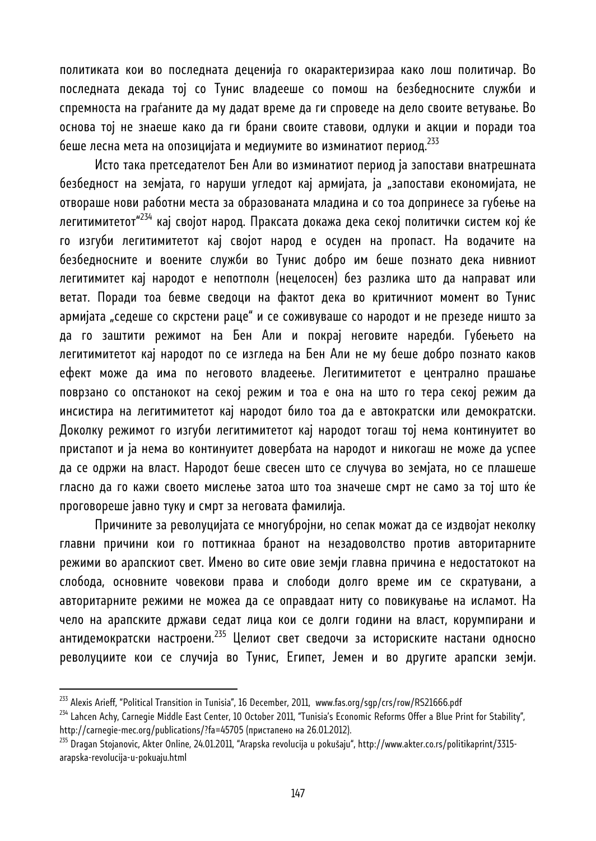политиката кои во последната деценија го окарактеризираа како лош политичар. Во последната декада тој со Тунис владееше со помош на безбедносните служби и спремноста на граѓаните да му дадат време да ги спроведе на дело своите ветување. Во основа тој не знаеше како да ги брани своите ставови, одлуки и акции и поради тоа беше лесна мета на опозицијата и медиумите во изминатиот период.<sup>233</sup>

Исто така претседателот Бен Али во изминатиот период ја запостави внатрешната безбедност на земјата, го наруши угледот кај армијата, ја "запостави економијата, не отвораше нови работни места за образованата младина и со тоа допринесе за губење на легитимитетот"<sup>234</sup> кај својот народ. Праксата докажа дека секој политички систем кој ќе го изгуби легитимитетот кај својот народ е осуден на пропаст. На водачите на безбедносните и воените служби во Тунис добро им беше познато дека нивниот легитимитет кај народот е непотполн (нецелосен) без разлика што да направат или ветат. Поради тоа бевме сведоци на фактот дека во критичниот момент во Тунис армијата "седеше со скрстени раце" и се соживуваше со народот и не презеде ништо за да го заштити режимот на Бен Али и покрај неговите наредби. Губењето на легитимитетот кај народот по се изгледа на Бен Али не му беше добро познато каков ефект може да има по неговото владеење. Легитимитетот е централно прашање поврзано со опстанокот на секој режим и тоа е она на што го тера секој режим да инсистира на легитимитетот кај народот било тоа да е автократски или демократски. Доколку режимот го изгуби легитимитетот кај народот тогаш тој нема континуитет во пристапот и ја нема во континуитет довербата на народот и никогаш не може да успее да се одржи на власт. Народот беше свесен што се случува во земјата, но се плашеше гласно да го кажи своето мислење затоа што тоа значеше смрт не само за тој што ќе проговореше јавно туку и смрт за неговата фамилија.

Причините за револуцијата се многубројни, но сепак можат да се издвојат неколку главни причини кои го поттикнаа бранот на незадоволство против авторитарните режими во арапскиот свет. Имено во сите овие земји главна причина е недостатокот на слобода, основните човекови права и слободи долго време им се скратувани, а авторитарните режими не можеа да се оправдаат ниту со повикување на исламот. На чело на арапските држави седат лица кои се долги години на власт, корумпирани и антидемократски настроени.<sup>235</sup> Целиот свет сведочи за историските настани односно револуциите кои се случија во Тунис, Египет, Јемен и во другите арапски земји.

<sup>&</sup>lt;sup>233</sup> Alexis Arieff, "Political Transition in Tunisia", 16 December, 2011, www.fas.org/sgp/crs/row/RS21666.pdf

<sup>&</sup>lt;sup>234</sup> Lahcen Achy, Carnegie Middle East Center, 10 October 2011, "Tunisia's Economic Reforms Offer a Blue Print for Stability", http://carnegie-mec.org/publications/?fa=45705 (пристапено на 26.01.2012).<br><sup>235</sup> Dragan Stojanovic, Akter Online, 24.01.2011, "Arapska revolucija u pokušaju", http://www.akter.co.rs/politikaprint/3315-

arapska-revolucija-u-pokuaju.html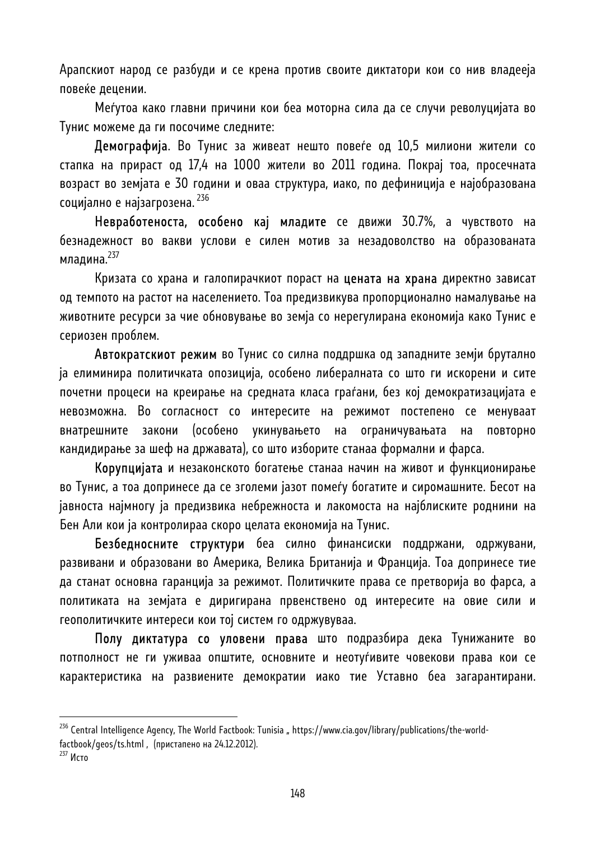Арапскиот народ се разбуди и се крена против своите диктатори кои со нив владееја повеќе децении.

Меѓутоа како главни причини кои беа моторна сила да се случи револуцијата во Тунис можеме да ги посочиме следните:

Демографија. Во Тунис за живеат нешто повеѓе од 10,5 милиони жители со стапка на прираст од 17,4 на 1000 жители во 2011 година. Покрај тоа, просечната возраст во земјата е 30 години и оваа структура, иако, по дефиниција е најобразована социјално е најзагрозена. 236

Невработеноста, особено кај младите се движи 30.7%, а чувството на безнадежност во вакви услови е силен мотив за незадоволство на образованата младина. $^{237}$ 

Кризата со храна и галопирачкиот пораст на цената на храна директно зависат од темпото на растот на населението. Тоа предизвикува пропорционално намалување на животните ресурси за чие обновување во земја со нерегулирана економија како Тунис е сериозен проблем.

Автократскиот режим во Тунис со силна поддршка од западните земји брутално ја елиминира политичката опозиција, особено либералната со што ги искорени и сите почетни процеси на креирање на средната класа граѓани, без кој демократизацијата е невозможна. Во согласност со интересите на режимот постепено се менуваат внатрешните закони (особено укинувањето на ограничувањата на повторно кандидирање за шеф на државата), со што изборите станаа формални и фарса.

Корупцијата и незаконското богатење станаа начин на живот и функционирање во Тунис, а тоа допринесе да се зголеми јазот помеѓу богатите и сиромашните. Бесот на јавноста најмногу ја предизвика небрежноста и лакомоста на најблиските роднини на Бен Али кои ја контролираа скоро целата економија на Тунис.

Безбедносните структури беа силно финансиски поддржани, одржувани, развивани и образовани во Америка, Велика Британија и Франција. Тоа допринесе тие да станат основна гаранција за режимот. Политичките права се претворија во фарса, а политиката на земјата е диригирана првенствено од интересите на овие сили и геополитичките интереси кои тој систем го одржувуваа.

Полу диктатура со уловени права што подразбира дека Тунижаните во потполност не ги уживаа општите, основните и неотуѓивите човекови права кои се карактеристика на развиените демократии иако тие Уставно беа загарантирани.

<sup>&</sup>lt;sup>236</sup> Central Intelligence Agency, The World Factbook: Tunisia " https://www.cia.gov/library/publications/the-world-

factbook/geos/ts.html , (пристапено на 24.12.2012).

<sup>237</sup> Исто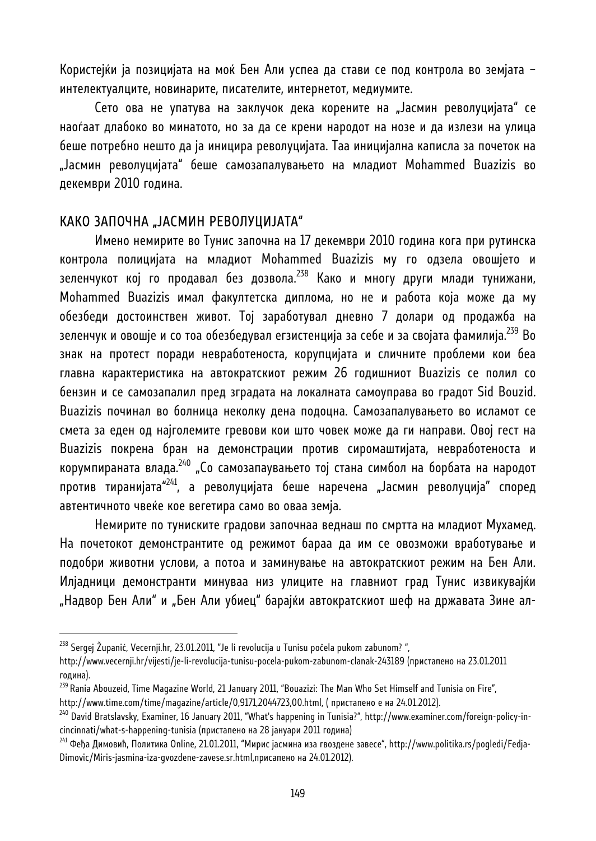Користејќи ја позицијата на моќ Бен Али успеа да стави се под контрола во земјата – интелектуалците, новинарите, писателите, интернетот, медиумите.

Сето ова не упатува на заклучок дека корените на "Јасмин револуцијата" се наоѓаат длабоко во минатото, но за да се крени народот на нозе и да излези на улица беше потребно нешто да ја иницира револуцијата. Таа иницијална каписла за почеток на "Јасмин револуцијата" беше самозапалувањето на младиот Mohammed Buazizis во декември 2010 година.

#### КАКО ЗАПОЧНА "ЈАСМИН РЕВОЛУЦИЈАТА"

Имено немирите во Тунис започна на 17 декември 2010 година кога при рутинска контрола полицијата на младиот Mohammed Buazizis му го одзела овошјето и зеленчукот кој го продавал без дозвола.<sup>238</sup> Како и многу други млади тунижани, Mohammed Buazizis имал факултетска диплома, но не и работа која може да му обезбеди достоинствен живот. Тој заработувал дневно 7 долари од продажба на зеленчук и овошје и со тоа обезбедувал егзистенција за себе и за својата фамилија.<sup>239</sup> Во знак на протест поради невработеноста, корупцијата и сличните проблеми кои беа главна карактеристика на автократскиот режим 26 годишниот Buazizis се полил со бензин и се самозапалил пред зградата на локалната самоуправа во градот Sid Bouzid. Buazizis починал во болница неколку дена подоцна. Самозапалувањето во исламот се смета за еден од најголемите гревови кои што човек може да ги направи. Овој гест на Buazizis покрена бран на демонстрации против сиромаштијата, невработеноста и корумпираната влада.<sup>240</sup> "Со самозапаувањето тој стана симбол на борбата на народот против тиранијата<sup>"241</sup>, а револуцијата беше наречена "Јасмин револуција" според автентичното чвеќе кое вегетира само во оваа земја.

Немирите по туниските градови започнаа веднаш по смртта на младиот Мухамед. На почетокот демонстрантите од режимот бараа да им се овозможи вработување и подобри животни услови, а потоа и заминување на автократскиот режим на Бен Али. Илјадници демонстранти минуваа низ улиците на главниот град Тунис извикувајќи "Надвор Бен Али" и "Бен Али убиец" барајќи автократскиот шеф на државата Зине ал-

<sup>&</sup>lt;sup>238</sup> Sergej Županić, Vecernji.hr, 23.01.2011, "Je li revolucija u Tunisu počela pukom zabunom?",

http://www.vecernji.hr/vijesti/je-li-revolucija-tunisu-pocela-pukom-zabunom-clanak-243189 (пристапено на 23.01.2011 година).

<sup>&</sup>lt;sup>239</sup> Rania Abouzeid, Time Magazine World, 21 January 2011, "Bouazizi: The Man Who Set Himself and Tunisia on Fire",

http://www.time.com/time/magazine/article/0,9171,2044723,00.html, ( пристапено е на 24.01.2012).

<sup>&</sup>lt;sup>240</sup> David Bratslavsky, Examiner, 16 January 2011, "What's happening in Tunisia?", http://www.examiner.com/foreign-policy-incincinnati/what-s-happening-tunisia (пристапено на 28 јануари 2011 година)

<sup>&</sup>lt;sup>241</sup> Феђа Димовић, Политика Online, 21.01.2011, "Мирис јасмина иза гвоздене завесе", http://www.politika.rs/pogledi/Fedja-Dimovic/Miris-jasmina-iza-gvozdene-zavese.sr.html,присапено на 24.01.2012).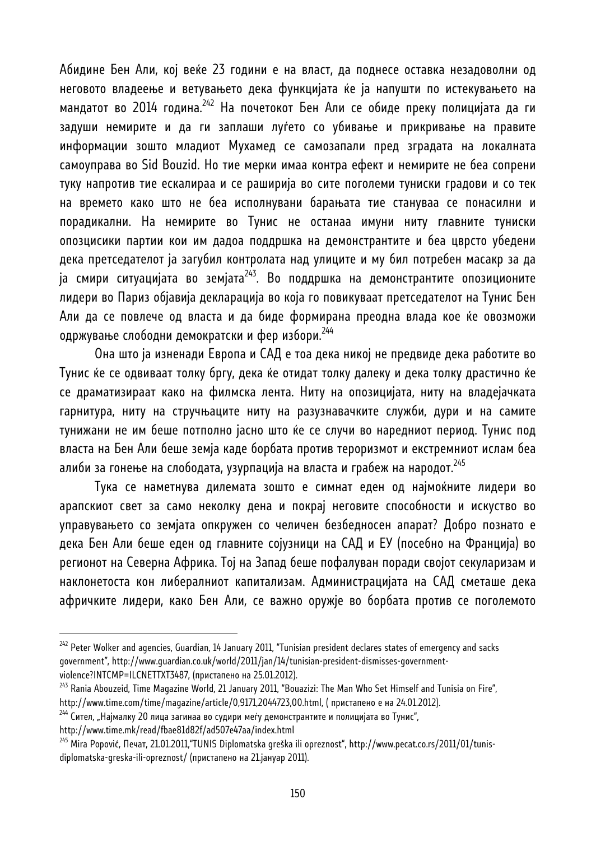Абидине Бен Али, кој веќе 23 години е на власт, да поднесе оставка незадоволни од неговото владеење и ветувањето дека функцијата ќе ја напушти по истекувањето на мандатот во 2014 година.<sup>242</sup> На почетокот Бен Али се обиде преку полицијата да ги задуши немирите и да ги заплаши луѓето со убивање и прикривање на правите информации зошто младиот Мухамед се самозапали пред зградата на локалната самоуправа во Sid Bouzid. Но тие мерки имаа контра ефект и немирите не беа сопрени туку напротив тие ескалираа и се раширија во сите поголеми туниски градови и со тек на времето како што не беа исполнувани барањата тие стануваа се понасилни и порадикални. На немирите во Тунис не останаа имуни ниту главните туниски опозцисики партии кои им дадоа поддршка на демонстрантите и беа цврсто убедени дека претседателот ја загубил контролата над улиците и му бил потребен масакр за да ја смири ситуацијата во земјата<sup>243</sup>. Во поддршка на демонстрантите опозиционите лидери во Париз објавија декларација во која го повикуваат претседателот на Тунис Бен Али да се повлече од власта и да биде формирана преодна влада кое ќе овозможи одржување слободни демократски и фер избори.244

Она што ја изненади Европа и САД е тоа дека никој не предвиде дека работите во Тунис ќе се одвиваат толку бргу, дека ќе отидат толку далеку и дека толку драстично ќе се драматизираат како на филмска лента. Ниту на опозицијата, ниту на владејачката гарнитура, ниту на стручњаците ниту на разузнавачките служби, дури и на самите тунижани не им беше потполно јасно што ќе се случи во наредниот период. Тунис под власта на Бен Али беше земја каде борбата против тероризмот и екстремниот ислам беа алиби за гонење на слободата, узурпација на власта и грабеж на народот.<sup>245</sup>

Тука се наметнува дилемата зошто е симнат еден од најмоќните лидери во арапскиот свет за само неколку дена и покрај неговите способности и искуство во управувањето со земјата опкружен со челичен безбедносен апарат? Добро познато е дека Бен Али беше еден од главните сојузници на САД и ЕУ (посебно на Франција) во регионот на Северна Африка. Тој на Запад беше пофалуван поради својот секуларизам и наклонетоста кон либералниот капитализам. Администрацијата на САД сметаше дека афричките лидери, како Бен Али, се важно оружје во борбата против се поголемото

http://www.time.mk/read/fbae81d82f/ad507e47aa/index.html

 $242$  Peter Wolker and agencies, Guardian, 14 January 2011, "Tunisian president declares states of emergency and sacks government", http://www.guardian.co.uk/world/2011/jan/14/tunisian-president-dismisses-governmentviolence?INTCMP=ILCNETTXT3487, (пристапено на 25.01.2012).<br><sup>243</sup> Rania Abouzeid, Time Magazine World, 21 January 2011, "Bouazizi: The Man Who Set Himself and Tunisia on Fire",

http://www.time.com/time/magazine/article/0,9171,2044723,00.html, ( пристапено е на 24.01.2012).

 $^{244}$  Сител, "Најмалку 20 лица загинаа во судири меѓу демонстрантите и полицијата во Тунис",

<sup>&</sup>lt;sup>245</sup> Mira Popović, Печат, 21.01.2011, TUNIS Diplomatska greška ili opreznost", http://www.pecat.co.rs/2011/01/tunisdiplomatska-greska-ili-opreznost/ (пристапено на 21.јануар 2011).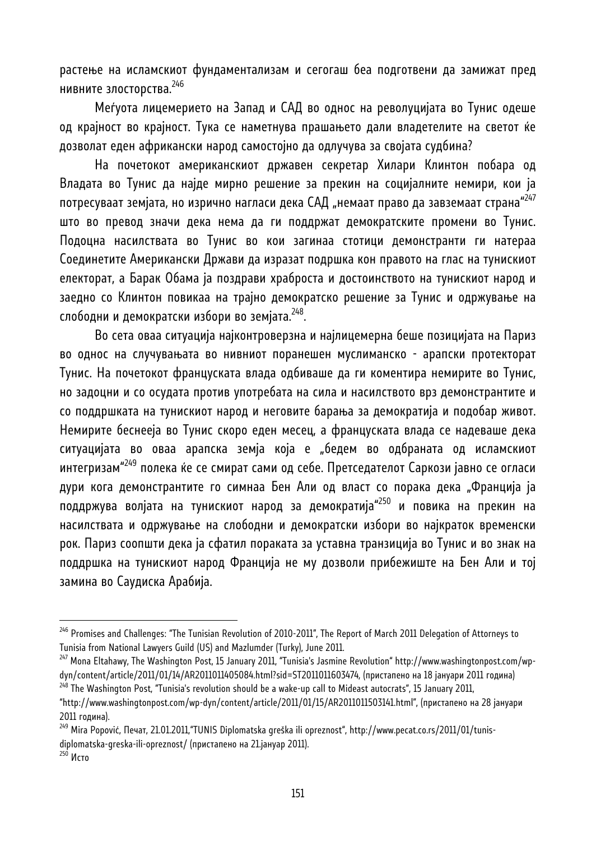растење на исламскиот фундаментализам и сегогаш беа подготвени да замижат пред нивните злосторства.<sup>246</sup>

Меѓуота лицемерието на Запад и САД во однос на револуцијата во Тунис одеше од крајност во крајност. Тука се наметнува прашањето дали владетелите на светот ќе дозволат еден африкански народ самостојно да одлучува за својата судбина?

На почетокот американскиот државен секретар Хилари Клинтон побара од Владата во Тунис да најде мирно решение за прекин на социјалните немири, кои ја потресуваат земјата, но изрично нагласи дека САД "немаат право да завземаат страна"<sup>247</sup> што во превод значи дека нема да ги поддржат демократските промени во Тунис. Подоцна насилствата во Тунис во кои загинаа стотици демонстранти ги натераа Соединетите Американски Држави да изразат подршка кон правото на глас на тунискиот електорат, а Барак Обама ја поздрави храброста и достоинството на тунискиот народ и заедно со Клинтон повикаа на трајно демократско решение за Тунис и одржување на слободни и демократски избори во земјата.<sup>248</sup>.

Во сета оваа ситуација најконтроверзна и најлицемерна беше позицијата на Париз во однос на случувањата во нивниот поранешен муслиманско - арапски протекторат Тунис. На почетокот француската влада одбиваше да ги коментира немирите во Тунис, но задоцни и со осудата против употребата на сила и насилството врз демонстрантите и со поддршката на тунискиот народ и неговите барања за демократија и подобар живот. Немирите беснееја во Тунис скоро еден месец, а француската влада се надеваше дека ситуацијата во оваа арапска земја која е "бедем во одбраната од исламскиот интегризам"<sup>249</sup> полека ќе се смират сами од себе. Претседателот Саркози јавно се огласи дури кога демонстрантите го симнаа Бен Али од власт со порака дека "Франција ја поддржува волјата на тунискиот народ за демократија"250 и повика на прекин на насилствата и одржување на слободни и демократски избори во најкраток временски рок. Париз соопшти дека ја сфатил пораката за уставна транзиција во Тунис и во знак на поддршка на тунискиот народ Франција не му дозволи прибежиште на Бен Али и тој замина во Саудиска Арабија.

<sup>&</sup>lt;sup>246</sup> Promises and Challenges: "The Tunisian Revolution of 2010-2011", The Report of March 2011 Delegation of Attorneys to Tunisia from National Lawyers Guild (US) and Mazlumder (Turky), June 2011.

<sup>247</sup> Mona Eltahawy, The Washington Post, 15 January 2011, "Tunisia's Jasmine Revolution" http://www.washingtonpost.com/wpdyn/content/article/2011/01/14/AR2011011405084.html?sid=ST2011011603474, (пристапено на 18 јануари 2011 година)<br><sup>248</sup> The Washington Post, "Tunisia's revolution should be a wake-up call to Mideast autocrats", 15 January 2

<sup>&</sup>quot;http://www.washingtonpost.com/wp-dyn/content/article/2011/01/15/AR2011011503141.html", (пристапено на 28 јануари 2011 година).

<sup>&</sup>lt;sup>249</sup> Mira Popović, Печат, 21.01.2011,"TUNIS Diplomatska greška ili opreznost", http://www.pecat.co.rs/2011/01/tunisdiplomatska-greska-ili-opreznost/ (пристапено на 21.јануар 2011).<br><sup>250</sup> Исто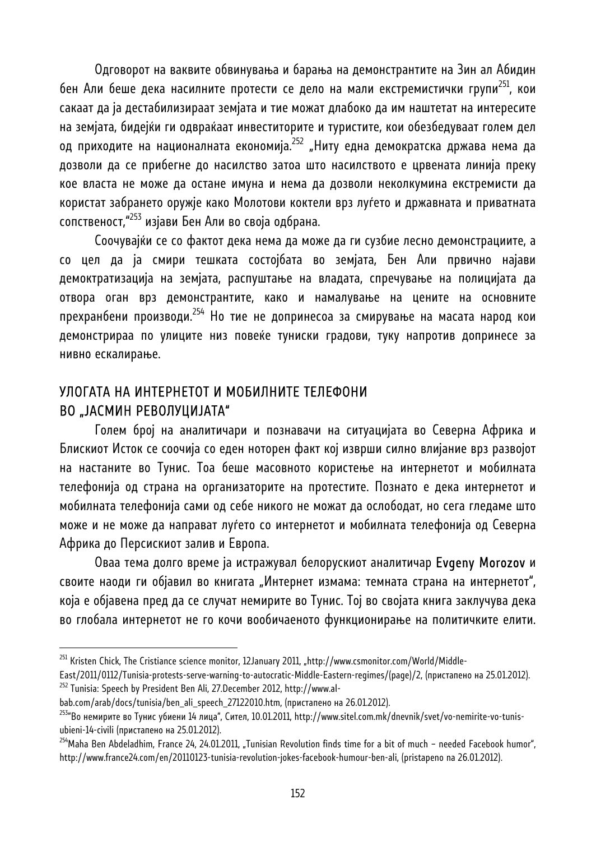Одговорот на ваквите обвинувања и барања на демонстрантите на Зин ал Абидин бен Али беше дека насилните протести се дело на мали екстремистички групи<sup>251</sup>, кои сакаат да ја дестабилизираат земјата и тие можат длабоко да им наштетат на интересите на земјата, бидејќи ги одвраќаат инвеститорите и туристите, кои обезбедуваат голем дел од приходите на националната економија.<sup>252</sup> "Ниту една демократска држава нема да дозволи да се прибегне до насилство затоа што насилството е црвената линија преку кое власта не може да остане имуна и нема да дозволи неколкумина екстремисти да користат забрането оружје како Молотови коктели врз луѓето и државната и приватната сопственост,"253 изјави Бен Али во своја одбрана.

Соочувајќи се со фактот дека нема да може да ги сузбие лесно демонстрациите, а со цел да ја смири тешката состојбата во земјата, Бен Али првично најави демоктратизација на земјата, распуштање на владата, спречување на полицијата да отвора оган врз демонстрантите, како и намалување на цените на основните прехранбени производи.254 Но тие не допринесоа за смирување на масата народ кои демонстрираа по улиците низ повеќе туниски градови, туку напротив допринесе за нивно ескалирање.

## УЛОГАТА НА ИНТЕРНЕТОТ И МОБИЛНИТЕ ТЕЛЕФОНИ ВО "ЈАСМИН РЕВОЛУЦИЈАТА"

Голем број на аналитичари и познавачи на ситуацијата во Северна Африка и Блискиот Исток се соочија со еден ноторен факт кој изврши силно влијание врз развојот на настаните во Тунис. Тоа беше масовното користење на интернетот и мобилната телефонија од страна на организаторите на протестите. Познато е дека интернетот и мобилната телефонија сами од себе никого не можат да ослободат, но сега гледаме што може и не може да направат луѓето со интернетот и мобилната телефонија од Северна Африка до Персискиот залив и Европа.

Оваа тема долго време ја истражувал белорускиот аналитичар Evgeny Morozov и своите наоди ги објавил во книгата "Интернет измама: темната страна на интернетот", која е објавена пред да се случат немирите во Тунис. Тој во својата книга заклучува дека во глобала интернетот не го кочи вообичаеното функционирање на политичките елити.

<sup>&</sup>lt;sup>251</sup> Kristen Chick, The Cristiance science monitor, 12January 2011, "http://www.csmonitor.com/World/Middle-

East/2011/0112/Tunisia-protests-serve-warning-to-autocratic-Middle-Eastern-regimes/(page)/2, (пристапено на 25.01.2012).<br><sup>252</sup> Tunisia: Speech by President Ben Ali, 27.December 2012, http://www.al-

bab.com/arab/docs/tunisia/ben\_ali\_speech\_27122010.htm, (пристапено на 26.01.2012).

<sup>&</sup>lt;sup>253</sup>"Во немирите во Тунис убиени 14 лица", Сител, 10.01.2011, http://www.sitel.com.mk/dnevnik/svet/vo-nemirite-vo-tunisubieni-14-civili (пристапено на 25.01.2012).

<sup>&</sup>lt;sup>254</sup>Maha Ben Abdeladhim, France 24, 24.01.2011, "Tunisian Revolution finds time for a bit of much – needed Facebook humor", http://www.france24.com/en/20110123-tunisia-revolution-jokes-facebook-humour-ben-ali, (pristapeno na 26.01.2012).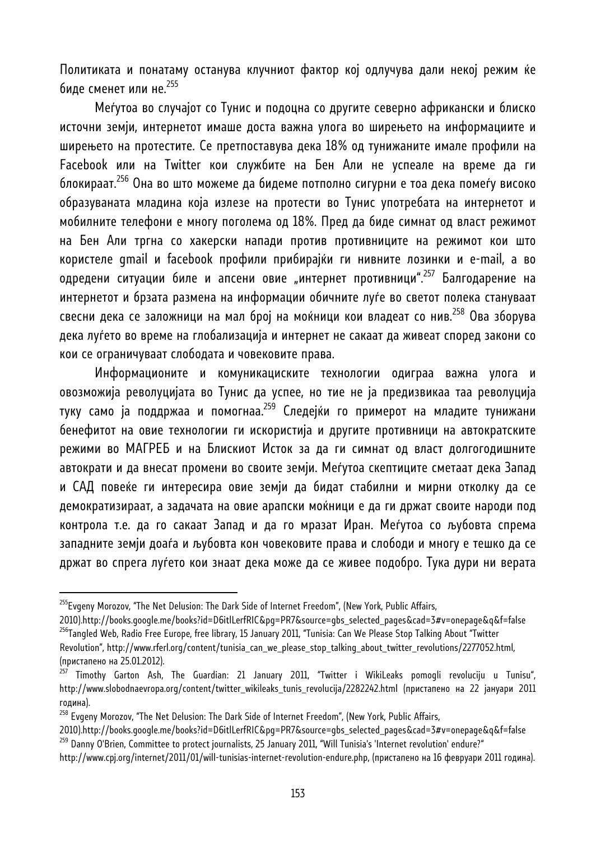Политиката и понатаму останува клучниот фактор кој одлучува дали некој режим ќе биде сменет или не. 255

Меѓутоа во случајот со Тунис и подоцна со другите северно африкански и блиско источни земји, интернетот имаше доста важна улога во ширењето на информациите и ширењето на протестите. Се претпоставува дека 18% од тунижаните имале профили на Facebook или на Twitter кои службите на Бен Али не успеале на време да ги блокираат.256 Она во што можеме да бидеме потполно сигурни е тоа дека помеѓу високо образуваната младина која излезе на протести во Тунис употребата на интернетот и мобилните телефони е многу поголема од 18%. Пред да биде симнат од власт режимот на Бен Али тргна со хакерски напади против противниците на режимот кои што користеле gmail и facebook профили прибирајќи ги нивните лозинки и е-mail, а во одредени ситуации биле и апсени овие "интернет противници".<sup>257</sup> Балгодарение на интернетот и брзата размена на информации обичните луѓе во светот полека стануваат свесни дека се заложници на мал број на моќници кои владеат со нив.<sup>258</sup> Ова зборува дека луѓето во време на глобализација и интернет не сакаат да живеат според закони со кои се ограничуваат слободата и човековите права.

Информационите и комуникациските технологии одиграа важна улога и овозможија револуцијата во Тунис да успее, но тие не ја предизвикаа таа револуција туку само ја поддржаа и помогнаа.<sup>259</sup> Следејќи го примерот на младите тунижани бенефитот на овие технологии ги искористија и другите противници на автократските режими во МАГРЕБ и на Блискиот Исток за да ги симнат од власт долгогодишните автократи и да внесат промени во своите земји. Меѓутоа скептиците сметаат дека Запад и САД повеќе ги интересира овие земји да бидат стабилни и мирни отколку да се демократизираат, а задачата на овие арапски моќници е да ги држат своите народи под контрола т.е. да го сакаат Запад и да го мразат Иран. Меѓутоа со љубовта спрема западните земји доаѓа и љубовта кон човековите права и слободи и многу е тешко да се држат во спрега луѓето кои знаат дека може да се живее подобро. Тука дури ни верата

<sup>&</sup>lt;sup>255</sup>Evgeny Morozov, "The Net Delusion: The Dark Side of Internet Freedom", (New York, Public Affairs,

<sup>2010).</sup>http://books.google.me/books?id=D6itlLerfRIC&pg=PR7&source=gbs\_selected\_pages&cad=3#v=onepage&q&f=false <sup>256</sup>Tangled Web, Radio Free Europe, free library, 15 January 2011, "Tunisia: Can We Please Stop Talking About "Twitter Revolution", http://www.rferl.org/content/tunisia\_can\_we\_please\_stop\_talking\_about\_twitter\_revolutions/2277052.html,

<sup>(</sup>пристапено на 25.01.2012).

<sup>&</sup>lt;sup>257</sup> Timothy Garton Ash, The Guardian: 21 January 2011, "Twitter i WikiLeaks pomogli revoluciju u Tunisu", http://www.slobodnaevropa.org/content/twitter\_wikileaks\_tunis\_revolucija/2282242.html (пристапено на 22 јануари 2011 година).

<sup>&</sup>lt;sup>258</sup> Evgeny Morozov, "The Net Delusion: The Dark Side of Internet Freedom", (New York, Public Affairs,

<sup>2010).</sup>http://books.google.me/books?id=D6itlLerfRIC&pg=PR7&source=gbs\_selected\_pages&cad=3#v=onepage&q&f=false <sup>259</sup> Danny O'Brien, Committee to protect journalists, 25 January 2011, "Will Tunisia's 'Internet revolution' endure?"

http://www.cpj.org/internet/2011/01/will-tunisias-internet-revolution-endure.php, (пристапено на 16 февруари 2011 година).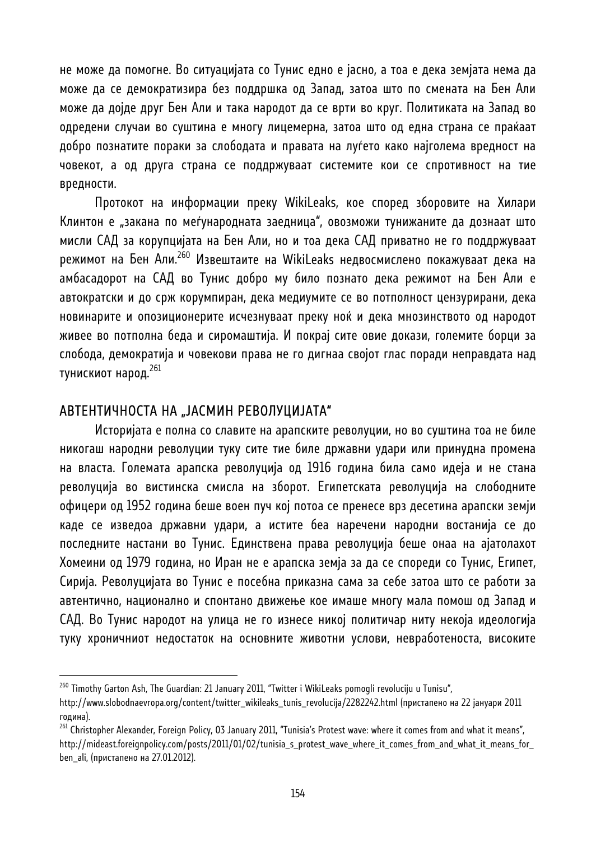не може да помогне. Во ситуацијата со Тунис едно е јасно, а тоа е дека земјата нема да може да се демократизира без поддршка од Запад, затоа што по смената на Бен Али може да дојде друг Бен Али и така народот да се врти во круг. Политиката на Запад во одредени случаи во суштина е многу лицемерна, затоа што од една страна се праќаат добро познатите пораки за слободата и правата на луѓето како најголема вредност на човекот, а од друга страна се поддржуваат системите кои се спротивност на тие вредности.

Протокот на информации преку WikiLeaks, кое според зборовите на Хилари Клинтон е "закана по меѓународната заедница", овозможи тунижаните да дознаат што мисли САД за корупцијата на Бен Али, но и тоа дека САД приватно не го поддржуваат режимот на Бен Али.<sup>260</sup> Извештаите на WikiLeaks недвосмислено покажуваат дека на амбасадорот на САД во Тунис добро му било познато дека режимот на Бен Али е автократски и до срж корумпиран, дека медиумите се во потполност цензурирани, дека новинарите и опозиционерите исчезнуваат преку ноќ и дека мнозинството од народот живее во потполна беда и сиромаштија. И покрај сите овие докази, големите борци за слобода, демократија и човекови права не го дигнаа својот глас поради неправдата над тунискиот народ. 261

#### АВТЕНТИЧНОСТА НА "ЈАСМИН РЕВОЛУЦИЈАТА"

l

Историјата е полна со славите на арапските револуции, но во суштина тоа не биле никогаш народни револуции туку сите тие биле државни удари или принудна промена на власта. Големата арапска револуција од 1916 година била само идеја и не стана револуција во вистинска смисла на зборот. Египетската револуција на слободните офицери од 1952 година беше воен пуч кој потоа се пренесе врз десетина арапски земји каде се изведоа државни удари, а истите беа наречени народни востанија се до последните настани во Тунис. Единствена права револуција беше онаа на ајатолахот Хомеини од 1979 година, но Иран не е арапска земја за да се спореди со Тунис, Египет, Сирија. Револуцијата во Тунис е посебна приказна сама за себе затоа што се работи за автентично, национално и спонтано движење кое имаше многу мала помош од Запад и САД. Во Тунис народот на улица не го изнесе никој политичар ниту некоја идеологија туку хроничниот недостаток на основните животни услови, невработеноста, високите

<sup>&</sup>lt;sup>260</sup> Timothy Garton Ash, The Guardian: 21 January 2011, "Twitter i WikiLeaks pomogli revoluciju u Tunisu",

http://www.slobodnaevropa.org/content/twitter\_wikileaks\_tunis\_revolucija/2282242.html (пристапено на 22 јануари 2011 година).

<sup>&</sup>lt;sup>261</sup> Christopher Alexander, Foreign Policy, 03 January 2011, "Tunisia's Protest wave: where it comes from and what it means", http://mideast.foreignpolicy.com/posts/2011/01/02/tunisia\_s\_protest\_wave\_where\_it\_comes\_from\_and\_what\_it\_means\_for\_ ben\_ali, (пристапено на 27.01.2012).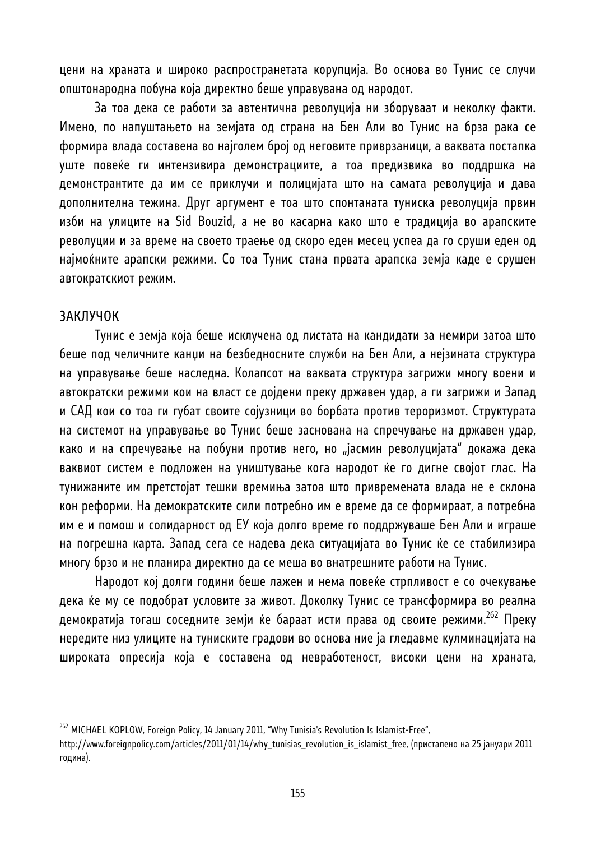цени на храната и широко распространетата корупција. Во основа во Тунис се случи општонародна побуна која директно беше управувана од народот.

За тоа дека се работи за автентична револуција ни зборуваат и неколку факти. Имено, по напуштањето на земјата од страна на Бен Али во Тунис на брза рака се формира влада составена во најголем број од неговите приврзаници, а ваквата постапка уште повеќе ги интензивира демонстрациите, а тоа предизвика во поддршка на демонстрантите да им се приклучи и полицијата што на самата револуција и дава дополнителна тежина. Друг аргумент е тоа што спонтаната туниска револуција првин изби на улиците на Sid Bouzid, а не во касарна како што е традиција во арапските револуции и за време на своето траење од скоро еден месец успеа да го сруши еден од најмоќните арапски режими. Со тоа Тунис стана првата арапска земја каде е срушен автократскиот режим.

#### ЗАКЛУЧОК

l

Тунис е земја која беше исклучена од листата на кандидати за немири затоа што беше под челичните канџи на безбедносните служби на Бен Али, а нејзината структура на управување беше наследна. Колапсот на ваквата структура загрижи многу воени и автократски режими кои на власт се дојдени преку државен удар, а ги загрижи и Запад и САД кои со тоа ги губат своите сојузници во борбата против тероризмот. Структурата на системот на управување во Тунис беше заснована на спречување на државен удар, како и на спречување на побуни против него, но "јасмин револуцијата" докажа дека ваквиот систем е подложен на уништување кога народот ќе го дигне својот глас. На тунижаните им претстојат тешки времиња затоа што привремената влада не е склона кон реформи. На демократските сили потребно им е време да се формираат, а потребна им е и помош и солидарност од ЕУ која долго време го поддржуваше Бен Али и играше на погрешна карта. Запад сега се надева дека ситуацијата во Тунис ќе се стабилизира многу брзо и не планира директно да се меша во внатрешните работи на Тунис.

Народот кој долги години беше лажен и нема повеќе стрпливост е со очекување дека ќе му се подобрат условите за живот. Доколку Тунис се трансформира во реална демократија тогаш соседните земји ќе бараат исти права од своите режими.262 Преку нередите низ улиците на туниските градови во основа ние ја гледавме кулминацијата на широката опресија која е составена од невработеност, високи цени на храната,

<sup>&</sup>lt;sup>262</sup> MICHAEL KOPLOW, Foreign Policy, 14 January 2011, "Why Tunisia's Revolution Is Islamist-Free",

http://www.foreignpolicy.com/articles/2011/01/14/why\_tunisias\_revolution\_is\_islamist\_free, (пристапено на 25 јануари 2011 година).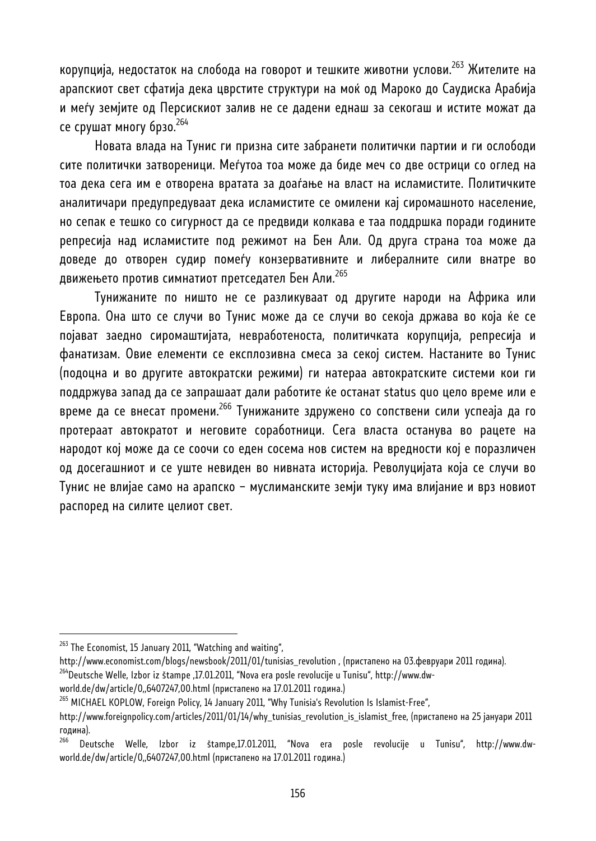корупција, недостаток на слобода на говорот и тешките животни услови.263 Жителите на арапскиот свет сфатија дека цврстите структури на моќ од Мароко до Саудиска Арабија и меѓу земјите од Персискиот залив не се дадени еднаш за секогаш и истите можат да се срушат многу брзо.<sup>264</sup>

Новата влада на Тунис ги призна сите забранети политички партии и ги ослободи сите политички затвореници. Меѓутоа тоа може да биде меч со две острици со оглед на тоа дека сега им е отворена вратата за доаѓање на власт на исламистите. Политичките аналитичари предупредуваат дека исламистите се омилени кај сиромашното население, но сепак е тешко со сигурност да се предвиди колкава е таа поддршка поради годините репресија над исламистите под режимот на Бен Али. Од друга страна тоа може да доведе до отворен судир помеѓу конзервативните и либералните сили внатре во движењето против симнатиот претседател Бен Али.<sup>265</sup>

Тунижаните по ништо не се разликуваат од другите народи на Африка или Европа. Она што се случи во Тунис може да се случи во секоја држава во која ќе се појават заедно сиромаштијата, невработеноста, политичката корупција, репресија и фанатизам. Овие елементи се експлозивна смеса за секој систем. Настаните во Тунис (подоцна и во другите автократски режими) ги натераа автократските системи кои ги поддржува запад да се запрашаат дали работите ќе останат status quo цело време или е време да се внесат промени.<sup>266</sup> Тунижаните здружено со сопствени сили успеаја да го протераат автократот и неговите соработници. Сега власта останува во рацете на народот кој може да се соочи со еден сосема нов систем на вредности кој е поразличен од досегашниот и се уште невиден во нивната историја. Револуцијата која се случи во Тунис не влијае само на арапско – муслиманските земји туку има влијание и врз новиот распоред на силите целиот свет.

<sup>&</sup>lt;sup>263</sup> The Economist, 15 January 2011, "Watching and waiting",

http://www.economist.com/blogs/newsbook/2011/01/tunisias\_revolution , (пристапено на 03.февруари 2011 година).<br><sup>264</sup>Deutsche Welle, Izbor iz štampe ,17.01.2011, "Nova era posle revolucije u Tunisu", http://www.dw-

world.de/dw/article/0,,6407247,00.html (пристапено на 17.01.2011 година.)

<sup>&</sup>lt;sup>265</sup> MICHAEL KOPLOW, Foreign Policy, 14 January 2011, "Why Tunisia's Revolution Is Islamist-Free",

http://www.foreignpolicy.com/articles/2011/01/14/why\_tunisias\_revolution\_is\_islamist\_free, (пристапено на 25 јануари 2011 година).

<sup>266</sup> Deutsche Welle, Izbor iz štampe,17.01.2011, "Nova era posle revolucije u Tunisu", http://www.dwworld.de/dw/article/0,,6407247,00.html (пристапено на 17.01.2011 година.)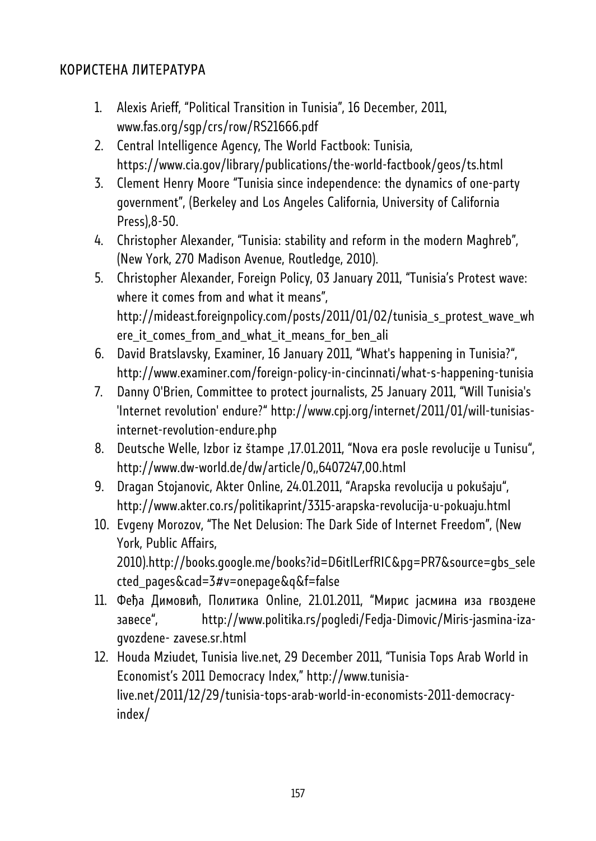# КОРИСТЕНА ЛИТЕРАТУРА

- 1. Alexis Arieff, "Political Transition in Tunisia", 16 December, 2011, www.fas.org/sgp/crs/row/RS21666.pdf
- 2. Central Intelligence Agency, The World Factbook: Tunisia, https://www.cia.gov/library/publications/the-world-factbook/geos/ts.html
- 3. Clement Henry Moore "Tunisia since independence: the dynamics of one-party government", (Berkeley and Los Angeles California, University of California Press),8-50.
- 4. Christopher Alexander, "Tunisia: stability and reform in the modern Maghreb", (New York, 270 Madison Avenue, Routledge, 2010).
- 5. Christopher Alexander, Foreign Policy, 03 January 2011, "Tunisia's Protest wave: where it comes from and what it means", http://mideast.foreignpolicy.com/posts/2011/01/02/tunisia\_s\_protest\_wave\_wh ere\_it\_comes\_from\_and\_what\_it\_means\_for\_ben\_ali
- 6. David Bratslavsky, Examiner, 16 January 2011, "What's happening in Tunisia?", http://www.examiner.com/foreign-policy-in-cincinnati/what-s-happening-tunisia
- 7. Danny O'Brien, Committee to protect journalists, 25 January 2011, "Will Tunisia's 'Internet revolution' endure?" http://www.cpj.org/internet/2011/01/will-tunisiasinternet-revolution-endure.php
- 8. Deutsche Welle, Izbor iz štampe ,17.01.2011, "Nova era posle revolucije u Tunisu", http://www.dw-world.de/dw/article/0,,6407247,00.html
- 9. Dragan Stojanovic, Akter Online, 24.01.2011, "Arapska revolucija u pokušaju", http://www.akter.co.rs/politikaprint/3315-arapska-revolucija-u-pokuaju.html
- 10. Evgeny Morozov, "The Net Delusion: The Dark Side of Internet Freedom", (New York, Public Affairs, 2010).http://books.google.me/books?id=D6itlLerfRIC&pg=PR7&source=gbs\_sele cted\_pages&cad=3#v=onepage&q&f=false
- 11. Феђа Димовић, Политика Online, 21.01.2011, "Мирис јасмина иза гвоздене завесе", http://www.politika.rs/pogledi/Fedja-Dimovic/Miris-jasmina-izagvozdene- zavese.sr.html
- 12. Houda Mziudet, Tunisia live.net, 29 December 2011, "Tunisia Tops Arab World in Economist's 2011 Democracy Index," http://www.tunisialive.net/2011/12/29/tunisia-tops-arab-world-in-economists-2011-democracyindex/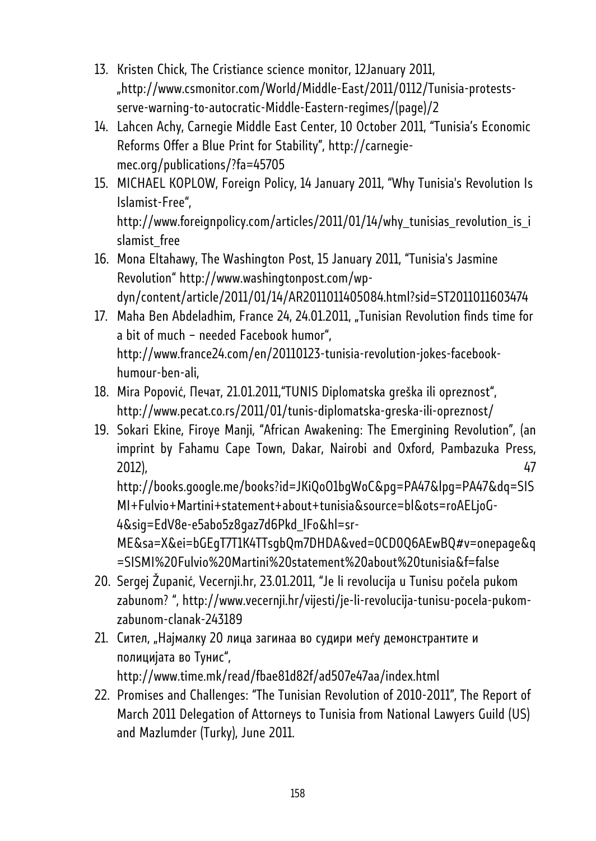- 13. Kristen Chick, The Cristiance science monitor, 12January 2011, "http://www.csmonitor.com/World/Middle-East/2011/0112/Tunisia-protestsserve-warning-to-autocratic-Middle-Eastern-regimes/(page)/2
- 14. Lahcen Achy, Carnegie Middle East Center, 10 October 2011, "Tunisia's Economic Reforms Offer a Blue Print for Stability", http://carnegiemec.org/publications/?fa=45705
- 15. MICHAEL KOPLOW, Foreign Policy, 14 January 2011, "Why Tunisia's Revolution Is Islamist-Free", http://www.foreignpolicy.com/articles/2011/01/14/why\_tunisias\_revolution\_is\_i slamist\_free
- 16. Mona Eltahawy, The Washington Post, 15 January 2011, "Tunisia's Jasmine Revolution" http://www.washingtonpost.com/wpdyn/content/article/2011/01/14/AR2011011405084.html?sid=ST2011011603474
- 17. Maha Ben Abdeladhim, France 24, 24.01.2011, "Tunisian Revolution finds time for a bit of much – needed Facebook humor", http://www.france24.com/en/20110123-tunisia-revolution-jokes-facebookhumour-ben-ali,
- 18. Mira Popović, Печат, 21.01.2011,"TUNIS Diplomatska greška ili opreznost", http://www.pecat.co.rs/2011/01/tunis-diplomatska-greska-ili-opreznost/
- 19. Sokari Ekine, Firoye Manji, "African Awakening: The Emergining Revolution", (an imprint by Fahamu Cape Town, Dakar, Nairobi and Oxford, Pambazuka Press, 2012), 47

http://books.google.me/books?id=JKiQoO1bgWoC&pg=PA47&lpg=PA47&dq=SIS MI+Fulvio+Martini+statement+about+tunisia&source=bl&ots=roAELjoG-4&sig=EdV8e-e5abo5z8gaz7d6Pkd\_lFo&hl=sr-

ME&sa=X&ei=bGEgT7T1K4TTsgbQm7DHDA&ved=0CD0Q6AEwBQ#v=onepage&q =SISMI%20Fulvio%20Martini%20statement%20about%20tunisia&f=false

- 20. Sergej Županić, Vecernji.hr, 23.01.2011, "Je li revolucija u Tunisu počela pukom zabunom? ", http://www.vecernji.hr/vijesti/je-li-revolucija-tunisu-pocela-pukomzabunom-clanak-243189
- 21. Сител, "Најмалку 20 лица загинаа во судири меѓу демонстрантите и полицијата во Тунис", http://www.time.mk/read/fbae81d82f/ad507e47aa/index.html
- 22. Promises and Challenges: "The Tunisian Revolution of 2010-2011", The Report of March 2011 Delegation of Attorneys to Tunisia from National Lawyers Guild (US) and Mazlumder (Turky), June 2011.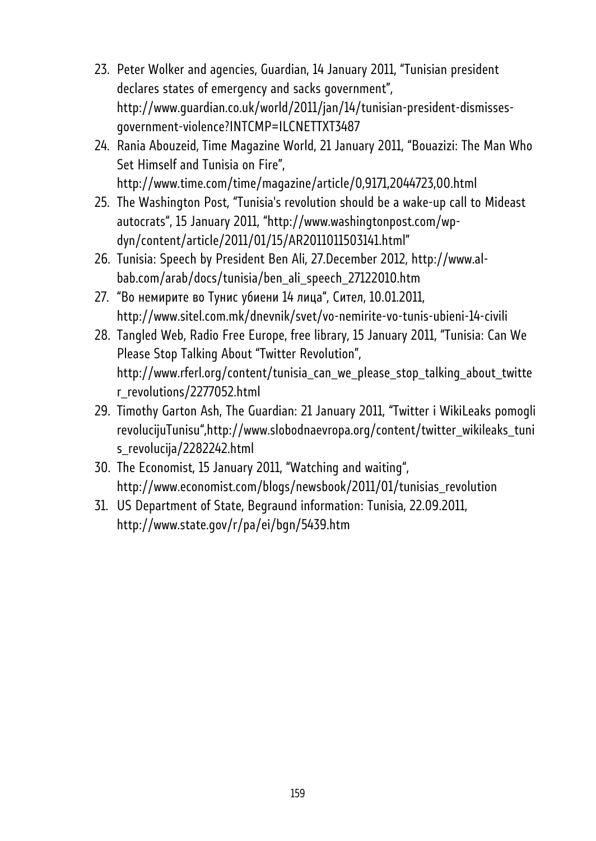- 23. Peter Wolker and agencies, Guardian, 14 January 2011, "Tunisian president declares states of emergency and sacks government", http://www.guardian.co.uk/world/2011/jan/14/tunisian-president-dismissesgovernment-violence?INTCMP=ILCNETTXT3487
- 24. Rania Abouzeid, Time Magazine World, 21 January 2011, "Bouazizi: The Man Who Set Himself and Tunisia on Fire", http://www.time.com/time/magazine/article/0,9171,2044723,00.html
- 25. The Washington Post, "Tunisia's revolution should be a wake-up call to Mideast autocrats", 15 January 2011, "http://www.washingtonpost.com/wpdyn/content/article/2011/01/15/AR2011011503141.html"
- 26. Tunisia: Speech by President Ben Ali, 27.December 2012, http://www.albab.com/arab/docs/tunisia/ben\_ali\_speech\_27122010.htm
- 27. "Во немирите во Тунис убиени 14 лица", Сител, 10.01.2011, http://www.sitel.com.mk/dnevnik/svet/vo-nemirite-vo-tunis-ubieni-14-civili
- 28. Tangled Web, Radio Free Europe, free library, 15 January 2011, "Tunisia: Can We Please Stop Talking About "Twitter Revolution", http://www.rferl.org/content/tunisia\_can\_we\_please\_stop\_talking\_about\_twitte r\_revolutions/2277052.html
- 29. Timothy Garton Ash, The Guardian: 21 January 2011, "Twitter i WikiLeaks pomogli revolucijuTunisu",http://www.slobodnaevropa.org/content/twitter\_wikileaks\_tuni s\_revolucija/2282242.html
- 30. The Economist, 15 January 2011, "Watching and waiting", http://www.economist.com/blogs/newsbook/2011/01/tunisias\_revolution
- 31. US Department of State, Begraund information: Tunisia, 22.09.2011, http://www.state.gov/r/pa/ei/bgn/5439.htm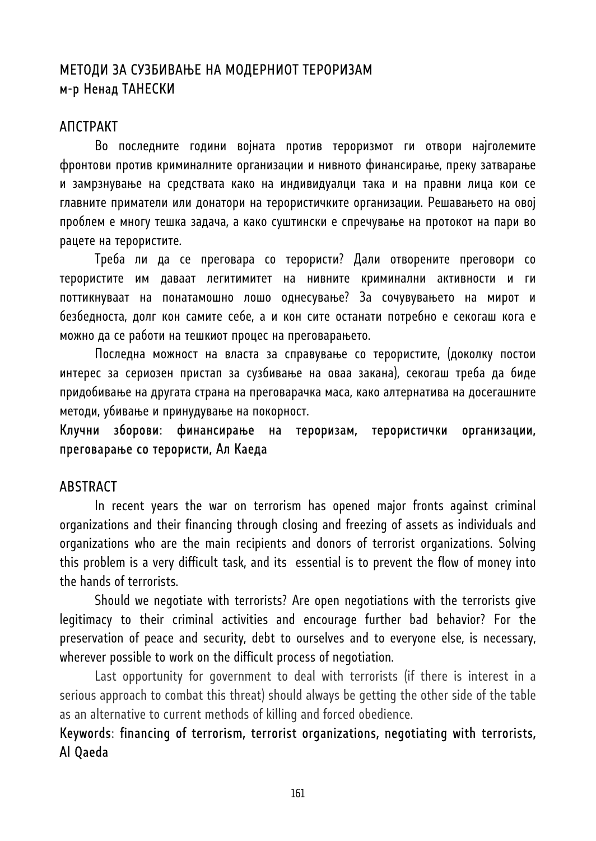# МЕТОДИ ЗА СУЗБИВАЊЕ НА МОДЕРНИОТ ТЕРОРИЗАМ м-р Ненад ТАНЕСКИ

## АПСТРАКТ

Во последните години војната против тероризмот ги отвори најголемите фронтови против криминалните организации и нивното финансирање, преку затварање и замрзнување на средствата како на индивидуалци така и на правни лица кои се главните приматели или донатори на терористичките организации. Решавањето на овој проблем е многу тешка задача, а како суштински е спречување на протокот на пари во рацете на терористите.

Треба ли да се преговара со терористи? Дали отворените преговори со терористите им даваат легитимитет на нивните криминални активности и ги поттикнуваат на понатамошно лошо однесување? За сочувувањето на мирот и безбедноста, долг кон самите себе, а и кон сите останати потребно е секогаш кога е можно да се работи на тешкиот процес на преговарањето.

Последна можност на власта за справување со терористите, (доколку постои интерес за сериозен пристап за сузбивање на оваа закана), секогаш треба да биде придобивање на другата страна на преговарачка маса, како алтернатива на досегашните методи, убивање и принудување на покорност.

## Клучни зборови: финансирање на тероризам, терористички организации, преговарање со терористи, Ал Каеда

#### **ABSTRACT**

In recent years the war on terrorism has opened major fronts against criminal organizations and their financing through closing and freezing of assets as individuals and organizations who are the main recipients and donors of terrorist organizations. Solving this problem is a very difficult task, and its essential is to prevent the flow of money into the hands of terrorists.

Should we negotiate with terrorists? Are open negotiations with the terrorists give legitimacy to their criminal activities and encourage further bad behavior? For the preservation of peace and security, debt to ourselves and to everyone else, is necessary, wherever possible to work on the difficult process of negotiation.

Last opportunity for government to deal with terrorists (if there is interest in a serious approach to combat this threat) should always be getting the other side of the table as an alternative to current methods of killing and forced obedience.

# Keywords: financing of terrorism, terrorist organizations, negotiating with terrorists, Al Qaeda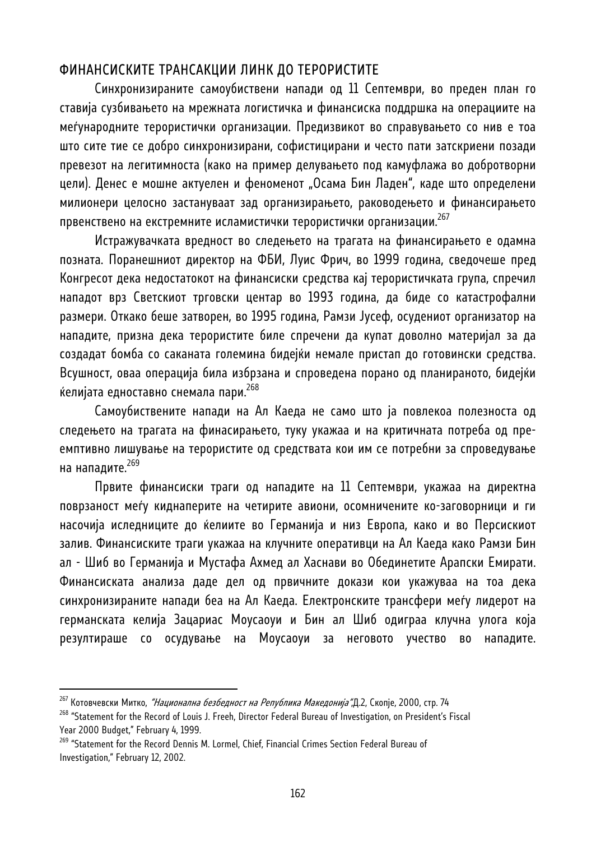## ФИНАНСИСКИТЕ ТРАНСАКЦИИ ЛИНК ДО ТЕРОРИСТИТЕ

Синхронизираните самоубиствени напади од 11 Септември, во преден план го ставија сузбивањето на мрежната логистичка и финансиска поддршка на операциите на меѓународните терористички организации. Предизвикот во справувањето со нив е тоа што сите тие се добро синхронизирани, софистицирани и често пати затскриени позади превезот на легитимноста (како на пример делувањето под камуфлажа во добротворни цели). Денес е мошне актуелен и феноменот "Осама Бин Ладен", каде што определени милионери целосно застануваат зад организирањето, раководењето и финансирањето првенствено на екстремните исламистички терористички организации.<sup>267</sup>

Истражувачката вредност во следењето на трагата на финансирањето е одамна позната. Поранешниот директор на ФБИ, Луис Фрич, во 1999 година, сведочеше пред Конгресот дека недостатокот на финансиски средства кај терористичката група, спречил нападот врз Светскиот трговски центар во 1993 година, да биде со катастрофални размери. Откако беше затворен, во 1995 година, Рамзи Јусеф, осудениот организатор на нападите, призна дека терористите биле спречени да купат доволно материјал за да создадат бомба со саканата големина бидејќи немале пристап до готовински средства. Всушност, оваа операција била избрзана и спроведена порано од планираното, бидејќи ќелијата едноставно снемала пари.<sup>268</sup>

Самоубиствените напади на Ал Каеда не само што ја повлекоа полезноста од следењето на трагата на финасирањето, туку укажаа и на критичната потреба од преемптивно лишување на терористите од средствата кои им се потребни за спроведување на нападите. 269

Првите финансиски траги од нападите на 11 Септември, укажаа на директна поврзаност меѓу киднаперите на четирите авиони, осомничените ко-заговорници и ги насочија иследниците до ќелиите во Германија и низ Европа, како и во Персискиот залив. Финансиските траги укажаа на клучните оперативци на Ал Каеда како Рамзи Бин ал - Шиб во Германија и Мустафа Ахмед ал Хаснави во Обединетите Арапски Емирати. Финансиската анализа даде дел од првичните докази кои укажуваа на тоа дека синхронизираните напади беа на Ал Каеда. Електронските трансфери меѓу лидерот на германската келија Зацариас Моусаоуи и Бин ал Шиб одиграа клучна улога која резултираше со осудување на Моусаоуи за неговото учество во нападите.

<sup>&</sup>lt;sup>267</sup> Котовчевски Митко, *"Национална безбедност на Република Македонија"*,Д.2, Скопје, 2000, стр. 74<br><sup>268</sup> "Statement for the Record of Louis J. Freeh, Director Federal Bureau of Investigation, on President's Fiscal Year 2000 Budget," February 4, 1999.

<sup>&</sup>lt;sup>269</sup> "Statement for the Record Dennis M. Lormel, Chief, Financial Crimes Section Federal Bureau of Investigation," February 12, 2002.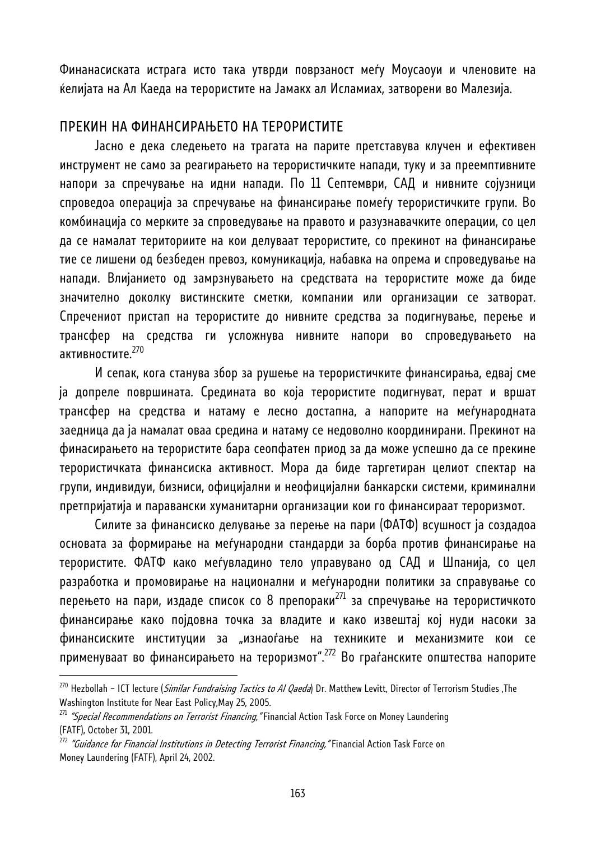Финанасиската истрага исто така утврди поврзаност меѓу Моусаоуи и членовите на ќелијата на Ал Каеда на терористите на Јамакх ал Исламиах, затворени во Малезија.

### ПРЕКИН НА ФИНАНСИРАЊЕТО НА ТЕРОРИСТИТЕ

Јасно е дека следењето на трагата на парите претставува клучен и ефективен инструмент не само за реагирањето на терористичките напади, туку и за преемптивните напори за спречување на идни напади. По 11 Септември, САД и нивните сојузници спроведоа операција за спречување на финансирање помеѓу терористичките групи. Во комбинација со мерките за спроведување на правото и разузнавачките операции, со цел да се намалат териториите на кои делуваат терористите, со прекинот на финансирање тие се лишени од безбеден превоз, комуникација, набавка на опрема и спроведување на напади. Влијанието од замрзнувањето на средствата на терористите може да биде значително доколку вистинските сметки, компании или организации се затворат. Спречениот пристап на терористите до нивните средства за подигнување, перење и трансфер на средства ги усложнува нивните напори во спроведувањето на активностите.<sup>270</sup>

И сепак, кога станува збор за рушење на терористичките финансирања, едвај сме ја допреле површината. Средината во која терористите подигнуват, перат и вршат трансфер на средства и натаму е лесно достапна, а напорите на меѓународната заедница да ја намалат оваа средина и натаму се недоволно координирани. Прекинот на финасирањето на терористите бара сеопфатен приод за да може успешно да се прекине терористичката финансиска активност. Мора да биде таргетиран целиот спектар на групи, индивидуи, бизниси, официјални и неофицијални банкарски системи, криминални претпријатија и паравански хуманитарни организации кои го финансираат тероризмот.

Силите за финансиско делување за перење на пари (ФАТФ) всушност ја создадоа основата за формирање на меѓународни стандарди за борба против финансирање на терористите. ФАТФ како меѓувладино тело управувано од САД и Шпанија, со цел разработка и промовирање на национални и меѓународни политики за справување со перењето на пари, издаде список со 8 препораки<sup>271</sup> за спречување на терористичкото финансирање како појдовна точка за владите и како извештај кој нуди насоки за финансиските институции за "изнаоѓање на техниките и механизмите кои се применуваат во финансирањето на тероризмот".272 Во граѓанските општества напорите

<sup>&</sup>lt;sup>270</sup> Hezbollah - ICT lecture (*Similar Fundraising Tactics to Al Qaeda*) Dr. Matthew Levitt, Director of Terrorism Studies ,The Washington Institute for Near East Policy,May 25, 2005.

<sup>&</sup>lt;sup>271</sup> "Special Recommendations on Terrorist Financing," Financial Action Task Force on Money Laundering (FATF), October 31, 2001.

 $^{272}$  "Guidance for Financial Institutions in Detecting Terrorist Financing," Financial Action Task Force on Money Laundering (FATF), April 24, 2002.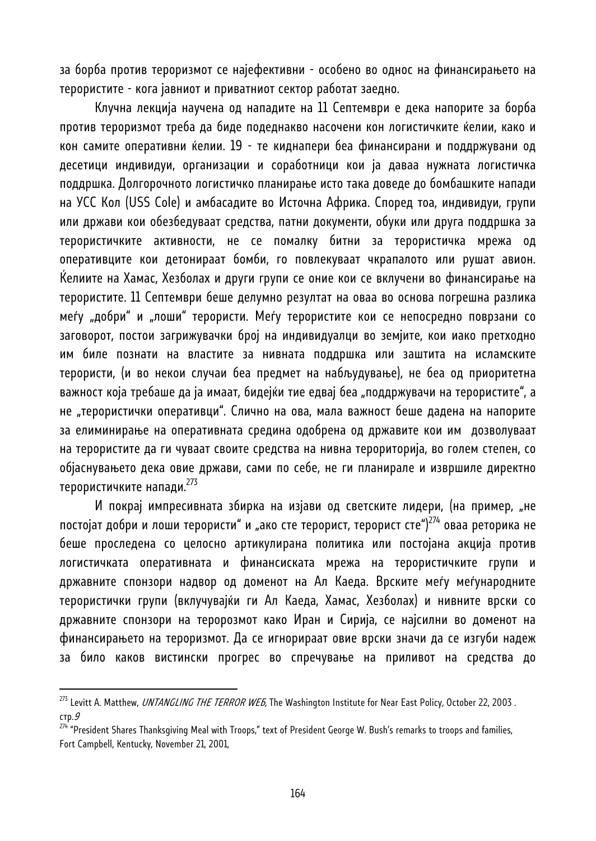за борба против тероризмот се најефективни - особено во однос на финансирањето на терористите - кога јавниот и приватниот сектор работат заедно.

Клучна лекција научена од нападите на 11 Септември е дека напорите зa борба против тероризмот треба да биде подеднакво насочени кон логистичките ќелии, како и кон самите оперативни ќелии. 19 - те киднапери беа финансирани и поддржувани од десетици индивидуи, организации и соработници кои ја даваа нужната логистичка поддршка. Долгорочното логистичко планирање исто така доведе до бомбашките напади на УСС Кол (USS Cole) и амбасадите во Источна Африка. Според тоа, индивидуи, групи или држави кои обезбедуваат средства, патни документи, обуки или друга поддршка за терористичките активности, не се помалку битни за терористичка мрежа од оперативците кои детонираат бомби, го повлекуваат чкрапалото или рушат авион. Ќелиите на Хамас, Хезболах и други групи се оние кои се вклучени во финансирање на терористите. 11 Септември беше делумно резултат на оваа во основа погрешна разлика меѓу "добри" и "лоши" терористи. Меѓу терористите кои се непосредно поврзани со заговорот, постои загрижувачки број на индивидуалци во земјите, кои иако претходно им биле познати на властите за нивната поддршка или заштита на исламските терористи, (и во некои случаи беа предмет на набљудување), не беа од приоритетна важност која требаше да ја имаат, бидејќи тие едвај беа "поддржувачи на терористите", а не "терористички оперативци". Слично на ова, мала важност беше дадена на напорите за елиминирање на оперативната средина одобрена од државите кои им дозволуваат на терористите да ги чуваат своите средства на нивна терориторија, во голем степен, со објаснувањето дека овие држави, сами по себе, не ги планирале и извршиле директно терористичките напади.273

И покрај импресивната збирка на изјави од светските лидери, (на пример, "не постојат добри и лоши терористи" и "ако сте терорист, терорист сте")<sup>274</sup> оваа реторика не беше проследена со целосно артикулирана политика или постојана акција против логистичката оперативната и финансиската мрежа на терористичките групи и државните спонзори надвор од доменот на Ал Каеда. Врските меѓу меѓународните терористички групи (вклучувајќи ги Ал Каеда, Хамас, Хезболах) и нивните врски со државните спонзори на теророзмот како Иран и Сирија, се најсилни во доменот на финансирањето на тероризмот. Да се игнорираат овие врски значи да се изгуби надеж за било каков вистински прогрес во спречување на приливот на средства до

<sup>&</sup>lt;sup>273</sup> Levitt A. Matthew, UNTANGLING THE TERROR WEB, The Washington Institute for Near East Policy, October 22, 2003. стр.9

 $^{274}$  "President Shares Thanksgiving Meal with Troops," text of President George W. Bush's remarks to troops and families, Fort Campbell, Kentucky, November 21, 2001,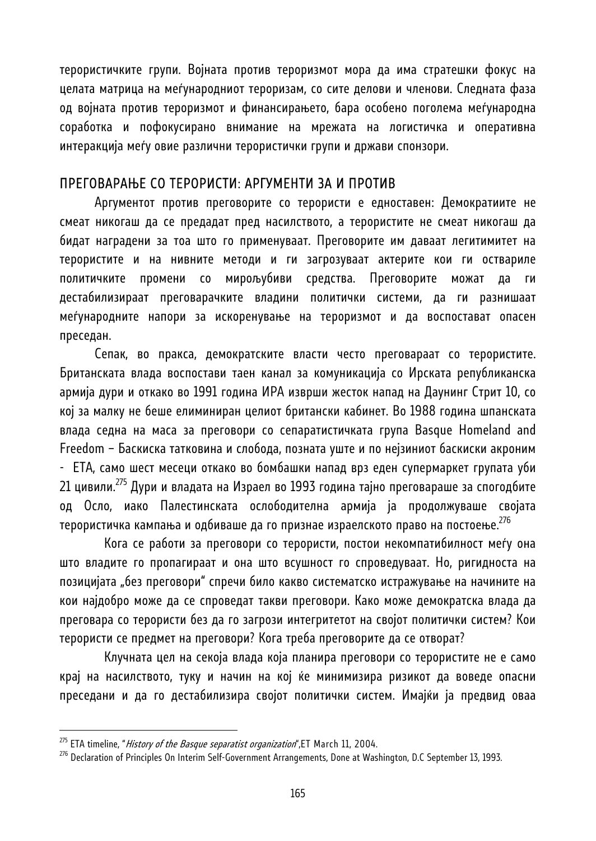терористичките групи. Војната против тероризмот мора да има стратешки фокус на целата матрица на меѓународниот тероризам, со сите делови и членови. Следната фаза од војната против тероризмот и финансирањето, бара особено поголема меѓународна соработка и пофокусирано внимание на мрежата на логистичка и оперативна интеракција меѓу овие различни терористички групи и држави спонзори.

### ПРЕГОВАРАЊЕ СО ТЕРОРИСТИ: АРГУМЕНТИ ЗА И ПРОТИВ

Аргументот против преговорите со терористи е едноставен: Демократиите не смеат никогаш да се предадат пред насилството, а терористите не смеат никогаш да бидат наградени за тоа што го применуваат. Преговорите им даваат легитимитет на терористите и на нивните методи и ги загрозуваат актерите кои ги оствариле политичките промени со мирољубиви средства. Преговорите можат да ги дестабилизираат преговарачките владини политички системи, да ги разнишаат меѓународните напори за искоренување на тероризмот и да воспостават опасен преседан.

Сепак, во пракса, демократските власти често преговараат со терористите. Британската влада воспостави таен канал за комуникација со Ирската републиканска армија дури и откако во 1991 година ИРА изврши жесток напад на Даунинг Стрит 10, со кој за малку не беше елиминиран целиот британски кабинет. Во 1988 година шпанската влада седна на маса за преговори со сепаратистичката група Basque Homeland and Freedom – Баскиска татковина и слобода, позната уште и по нејзиниот баскиски акроним - ЕТА, само шест месеци откако во бомбашки напад врз еден супермаркет групата уби 21 цивили.275 Дури и владата на Израел во 1993 година тајно преговараше за спогодбите од Осло, иако Палестинската ослободителна армија ја продолжуваше својата терористичка кампања и одбиваше да го признае израелското право на постоење.<sup>276</sup>

 Кога се работи за преговори со терористи, постои некомпатибилност меѓу она што владите го пропагираат и она што всушност го спроведуваат. Но, ригидноста на позицијата "без преговори" спречи било какво систематско истражување на начините на кои најдобро може да се спроведат такви преговори. Како може демократска влада да преговара со терористи без да го загрози интегритетот на својот политички систем? Кои терористи се предмет на преговори? Кога треба преговорите да се отворат?

 Клучната цел на секоја влада која планира преговори со терористите не е само крај на насилството, туку и начин на кој ќе минимизира ризикот да воведе опасни преседани и да го дестабилизира својот политички систем. Имајќи ја предвид оваа

<sup>&</sup>lt;sup>275</sup> ETA timeline, "*History of the Basque separatist organization*",ET March 11, 2004.<br><sup>276</sup> Declaration of Principles On Interim Self-Government Arrangements, Done at Washington, D.C September 13, 1993.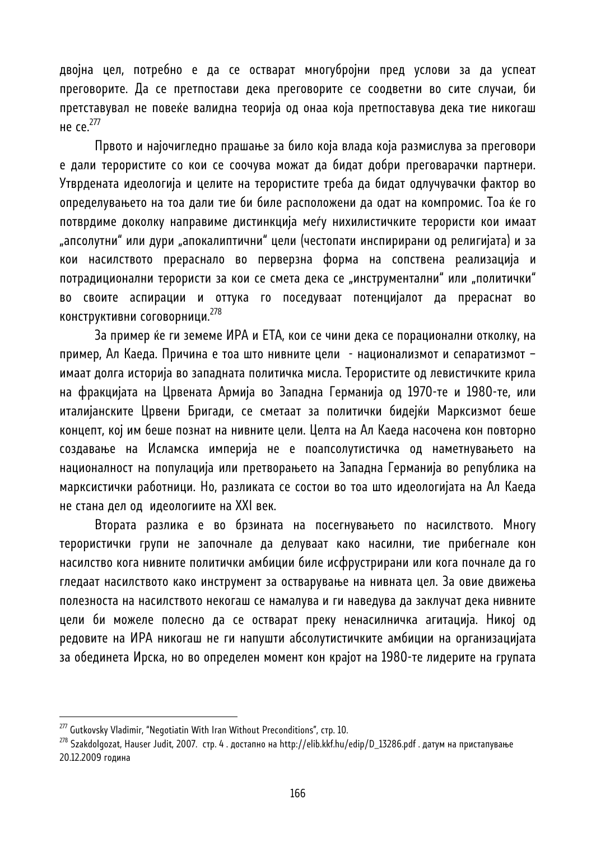двојна цел, потребно е да се остварат многубројни пред услови за да успеат преговорите. Да се претпостави дека преговорите се соодветни во сите случаи, би претставувал не повеќе валидна теорија од онаа која претпоставува дека тие никогаш не се.277

Првото и најочигледно прашање за било која влада која размислува за преговори е дали терористите со кои се соочува можат да бидат добри преговарачки партнери. Утврдената идеологија и целите на терористите треба да бидат одлучувачки фактор во определувањето на тоа дали тие би биле расположени да одат на компромис. Тоа ќе го потврдиме доколку направиме дистинкција меѓу нихилистичките терористи кои имаат "апсолутни" или дури "апокалиптични" цели (честопати инспирирани од религијата) и за кои насилството прераснало во перверзна форма на сопствена реализација и потрадиционални терористи за кои се смета дека се "инструментални" или "политички" во своите аспирации и оттука го поседуваат потенцијалот да прераснат во конструктивни соговорници.<sup>278</sup>

За пример ќе ги земеме ИРА и ЕТА, кои се чини дека се порационални отколку, на пример, Ал Каеда. Причина е тоа што нивните цели - национализмот и сепаратизмот – имаат долга историја во западната политичка мисла. Терористите од левистичките крила на фракцијата на Црвената Армија во Западна Германија од 1970-те и 1980-те, или италијанските Црвени Бригади, се сметаат за политички бидејќи Марксизмот беше концепт, кој им беше познат на нивните цели. Целта на Ал Каеда насочена кон повторно создавање на Исламска империја не е поапсолутистичка од наметнувањето на националност на популација или претворањето на Западна Германија во република на марксистички работници. Но, разликата се состои во тоа што идеологијата на Ал Каеда не стана дел од идеологиите на XXI век.

Втората разлика е во брзината на посегнувањето по насилството. Многу терористички групи не започнале да делуваат како насилни, тие прибегнале кон насилство кога нивните политички амбиции биле исфрустрирани или кога почнале да го гледаат насилството како инструмент за остварување на нивната цел. За овие движења полезноста на насилството некогаш се намалува и ги наведува да заклучат дека нивните цели би можеле полесно да се остварат преку ненасилничка агитација. Никој од редовите на ИРА никогаш не ги напушти абсолутистичките амбиции на организацијата за обединета Ирска, но во определен момент кон крајот на 1980-те лидерите на групата

<sup>&</sup>lt;sup>277</sup> Gutkovsky Vladimir, "Negotiatin With Iran Without Preconditions", стр. 10.<br><sup>278</sup> Szakdolgozat, Hauser Judit, 2007. стр. 4 . достапно на http://elib.kkf.hu/edip/D\_13286.pdf . датум на пристапување 20.12.2009 година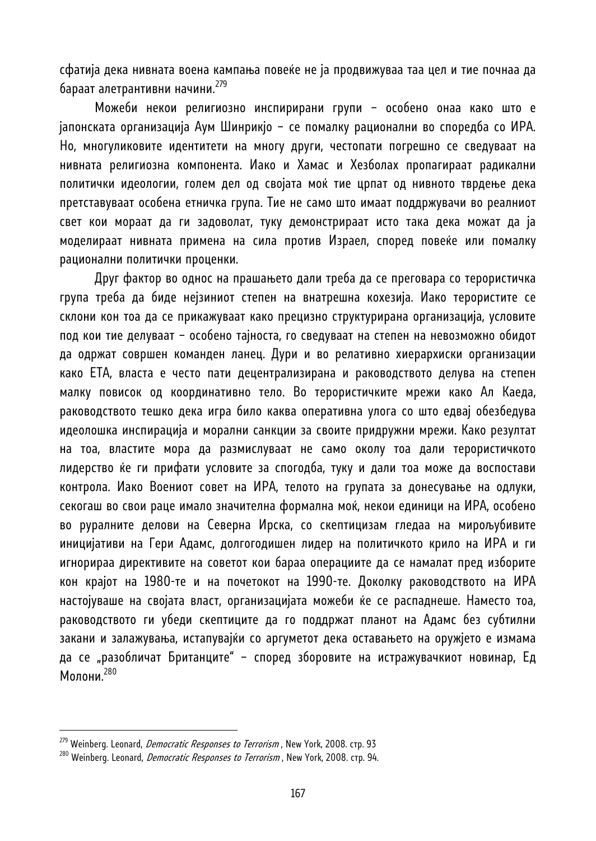сфатија дека нивната воена кампања повеќе не ја продвижуваа таа цел и тие почнаа да бараат алетрантивни начини.<sup>279</sup>

Можеби некои религиозно инспирирани групи – особено онаа како што е јапонската организација Аум Шинрикјо – се помалку рационални во споредба со ИРА. Но, многуликовите идентитети на многу други, честопати погрешно се сведуваат на нивната религиозна компонента. Иако и Хамас и Хезболах пропагираат радикални политички идеологии, голем дел од својата моќ тие црпат од нивното тврдење дека претставуваат особена етничка група. Тие не само што имаат поддржувачи во реалниот свет кои мораат да ги задоволат, туку демонстрираат исто така дека можат да ја моделираат нивната примена на сила против Израел, според повеќе или помалку рационални политички проценки.

Друг фактор во однос на прашањето дали треба да се преговара со терористичка група треба да биде нејзиниот степен на внатрешна кохезија. Иако терориститe се склони кон тоа да се прикажуваат како прецизно структурирана организација, условите под кои тие делуваат – особено тајноста, го сведуваат на степен на невозможно обидот да одржат совршен команден ланец. Дури и во релативно хиерархиски организации како ЕТА, власта е често пати децентрализирана и раководството делува на степен малку повисок од координативно тело. Во терористичките мрежи како Ал Каеда, раководството тешко дека игра било каква оперативна улога со што едвај обезбедува идеолошка инспирација и морални санкции за своите придружни мрежи. Како резултат на тоа, властите мора да размислуваат не само околу тоа дали терористичкото лидерство ќе ги прифати условите за спогодба, туку и дали тоа може да воспостави контрола. Иако Воениот совет на ИРА, телото на групата за донесување на одлуки, секогаш во свои раце имало значителна формална моќ, некои единици на ИРА, особено во руралните делови на Северна Ирска, со скептицизам гледаа на мирољубивите иницијативи на Гери Адамс, долгогодишен лидер на политичкото крило на ИРА и ги игнорираа директивите на советот кои бараа операциите да се намалат пред изборите кон крајот на 1980-те и на почетокот на 1990-те. Доколку раководството на ИРА настојуваше на својата власт, организацијата можеби ќе се распаднеше. Наместо тоа, раководството ги убеди скептиците да го поддржат планот на Адамс без субтилни закани и залажувања, истапувајќи со аргуметот дека оставањето на оружјето е измама да се "разобличат Британците" – според зборовите на истражувачкиот новинар, Ед Молони.<sup>280</sup>

<sup>&</sup>lt;sup>279</sup> Weinberg. Leonard, *Democratic Responses to Terrorism* , New York, 2008. crp. 93<br><sup>280</sup> Weinberg. Leonard, *Democratic Responses to Terrorism* , New York, 2008. crp. 94.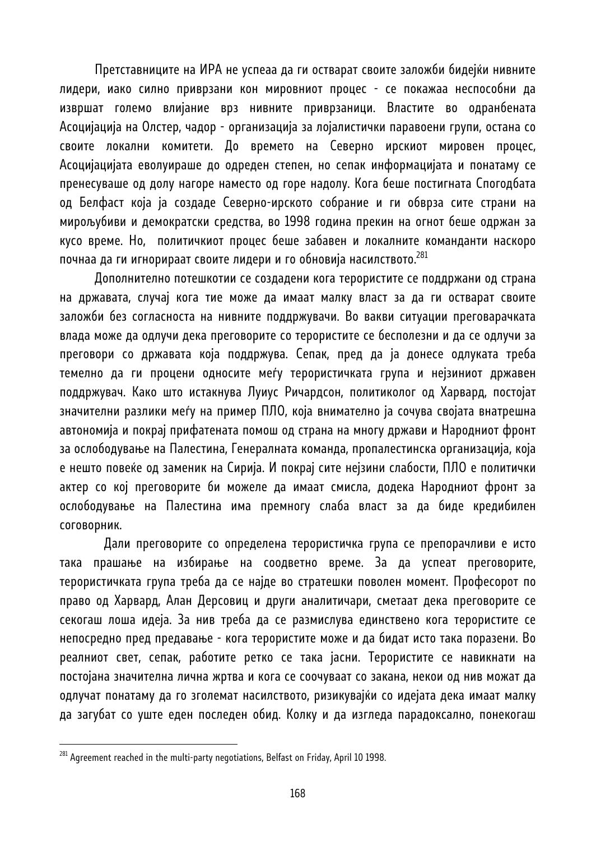Претставниците на ИРА не успеаа да ги остварат своите заложби бидејќи нивните лидери, иако силно приврзани кон мировниот процес - се покажаа неспособни да извршат големо влијание врз нивните приврзаници. Властите во одранбената Асоцијација на Олстер, чадор - организација за лојалистички паравоени групи, остана со своите локални комитети. До времето на Северно ирскиот мировен процес, Асоцијацијата еволуираше до одреден степен, но сепак информацијата и понатаму се пренесуваше од долу нагоре наместо од горе надолу. Кога беше постигната Спогодбата од Белфаст која ја создаде Северно-ирското собрание и ги обврза сите страни на мирољубиви и демократски средства, во 1998 година прекин на огнот беше одржан за кусо време. Но, политичкиот процес беше забавен и локалните команданти наскоро почнаа да ги игнорираат своите лидери и го обновија насилството.<sup>281</sup>

Дополнително потешкотии се создадени кога терористите се поддржани од страна на државата, случај кога тие може да имаат малку власт за да ги остварат своите заложби без согласноста на нивните поддржувачи. Во вакви ситуации преговарачката влада може да одлучи дека преговорите со терористите се бесполезни и да се одлучи за преговори со државата која поддржува. Сепак, пред да ја донесе одлуката треба темелно да ги процени односите меѓу терористичката група и нејзиниот државен поддржувач. Како што истакнува Луиус Ричардсон, политиколог од Харвард, постојат значителни разлики меѓу на пример ПЛО, која внимателно ја сочува својата внатрешна автономија и покрај прифатената помош од страна на многу држави и Народниот фронт за ослободување на Палестина, Генералната команда, пропалестинска организација, која е нешто повеќе од заменик на Сирија. И покрај сите нејзини слабости, ПЛО е политички актер со кој преговорите би можеле да имаат смисла, додека Народниот фронт за ослободување на Палестина има премногу слаба власт за да биде кредибилен соговорник.

 Дали преговорите со определена терористичка група се препорачливи е исто така прашање на избирање на соодветно време. За да успеат преговорите, терористичката група треба да се најде во стратешки поволен момент. Професорот по право од Харвард, Алан Дерсовиц и други аналитичари, сметаат дека преговорите се секогаш лоша идеја. За нив треба да се размислува единствено кога терористите се непосредно пред предавање - кога терористите може и да бидат исто така поразени. Во реалниот свет, сепак, работите ретко се така јасни. Терористите се навикнати на постојана значителна лична жртва и кога се соочуваат со закана, некои од нив можат да одлучат понатаму да го зголемат насилството, ризикувајќи со идејата дека имаат малку да загубат со уште еден последен обид. Колку и да изгледа парадоксално, понекогаш

<sup>&</sup>lt;sup>281</sup> Agreement reached in the multi-party negotiations, Belfast on Friday, April 10 1998.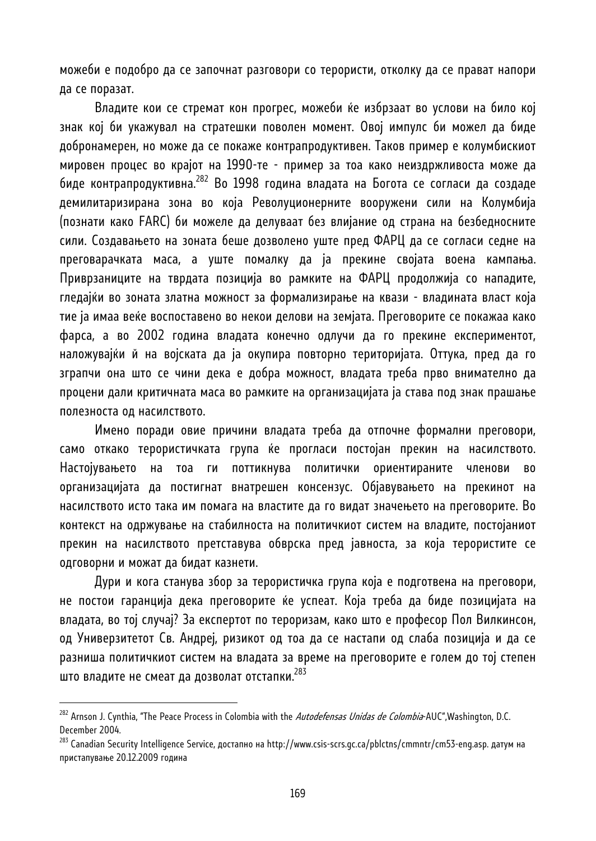можеби е подобро да се започнат разговори со терористи, отколку да се прават напори да се поразат.

Владите кои се стремат кон прогрес, можеби ќе избрзаат во услови на било кој знак кој би укажувал на стратешки поволен момент. Овој импулс би можел да биде добронамерен, но може да се покаже контрапродуктивен. Таков пример е колумбискиот мировен процес во крајот на 1990-те - пример за тоа како неиздржливоста може да биде контрапродуктивна.282 Во 1998 година владата на Богота се согласи да создаде демилитаризирана зона во која Револуционерните вооружени сили на Колумбија (познати како FARC) би можеле да делуваат без влијание од страна на безбедносните сили. Создавањето на зоната беше дозволено уште пред ФАРЦ да се согласи седне на преговарачката маса, а уште помалку да ја прекине својата воена кампања. Приврзаниците на тврдата позиција во рамките на ФАРЦ продолжија со нападите, гледајќи во зоната златна можност за формализирање на квази - владината власт која тие ја имаа веќе воспоставено во некои делови на земјата. Преговорите се покажаа како фарса, а во 2002 година владата конечно одлучи да го прекине експериментот, наложувајќи й на војската да ја окупира повторно територијата. Оттука, пред да го зграпчи она што се чини дека е добра можност, владата треба прво внимателно да процени дали критичната маса во рамките на организацијата ја става под знак прашање полезноста од насилството.

Имено поради овие причини владата треба да отпочне формални преговори, само откако терористичката група ќе прогласи постојан прекин на насилството. Настојувањето на тоа ги поттикнува политички ориентираните членови во организацијата да постигнат внатрешен консензус. Објавувањето на прекинот на насилството исто така им помага на властите да го видат значењето на преговорите. Во контекст на одржување на стабилноста на политичкиот систем на владите, постојаниот прекин на насилството претставува обврска пред јавноста, за која терористите се одговорни и можат да бидат казнети.

Дури и кога станува збор за терористичка група која е подготвена на преговори, не постои гаранција дека преговорите ќе успеат. Која треба да биде позицијата на владата, во тој случај? За експертот по тероризам, како што е професор Пол Вилкинсон, од Универзитетот Св. Андреј, ризикот од тоа да се настапи од слаба позиција и да се разниша политичкиот систем на владата за време на преговорите е голем до тој степен што владите не смеат да дозволат отстапки.283

<sup>&</sup>lt;sup>282</sup> Arnson J. Cynthia, "The Peace Process in Colombia with the *Autodefensas Unidas de Colombia*-AUC",Washington, D.C. December 2004.

<sup>283</sup> Canadian Security Intelligence Service, достапно на http://www.csis-scrs.gc.ca/pblctns/cmmntr/cm53-eng.asp. датум на пристапување 20.12.2009 година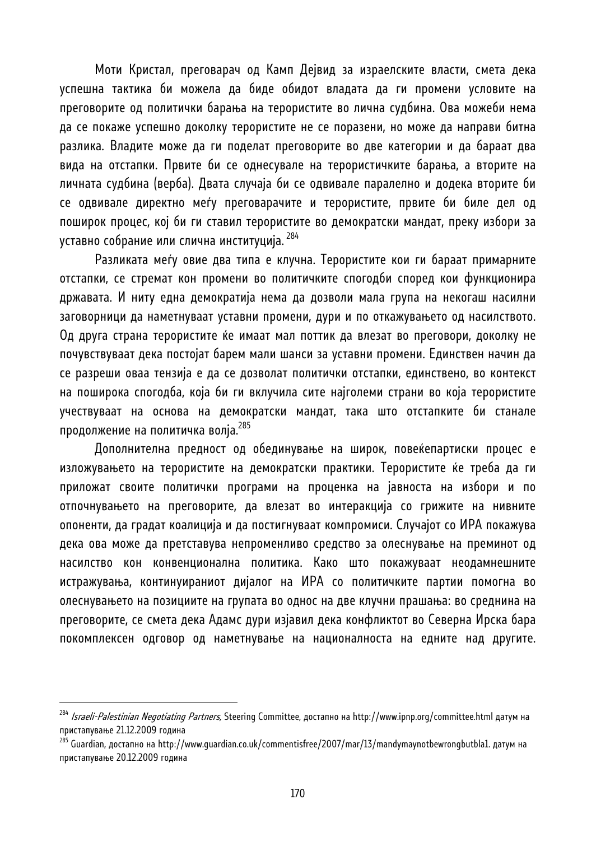Моти Кристал, преговарач од Камп Дејвид за израелските власти, смета дека успешна тактика би можела да биде обидот владата да ги промени условите на преговорите од политички барања на терористите во лична судбина. Ова можеби нема да се покаже успешно доколку терористите не се поразени, но може да направи битна разлика. Владите може да ги поделат преговорите во две категории и да бараат два вида на отстапки. Првите би се однесувале на терористичките барања, а вторите на личната судбина (верба). Двата случаја би се одвивале паралелно и додека вторите би се одвивале директно меѓу преговарачите и терористите, првите би биле дел од поширок процес, кој би ги ставил терористите во демократски мандат, преку избори за уставно собрание или слична институција. <sup>284</sup>

Разликата меѓу овие два типа е клучна. Терористите кои ги бараат примарните отстапки, се стремат кон промени во политичките спогодби според кои функционира државата. И ниту една демократија нема да дозволи мала група на некогаш насилни заговорници да наметнуваат уставни промени, дури и по откажувањето од насилството. Од друга страна терористите ќе имаат мал поттик да влезат во преговори, доколку не почувствуваат дека постојат барем мали шанси за уставни промени. Единствен начин да се разреши оваа тензија е да се дозволат политички отстапки, единствено, во контекст на поширока спогодба, која би ги вклучила сите најголеми страни во која терористите учествуваат на основа на демократски мандат, така што отстапките би станале продолжение на политичка волја.<sup>285</sup>

Дополнителна предност од обединување на широк, повеќепартиски процес е изложувањето на терористите на демократски практики. Терористите ќе треба да ги приложат своите политички програми на проценка на јавноста на избори и по отпочнувањето на преговорите, да влезат во интеракција со грижите на нивните опоненти, да градат коалиција и да постигнуваат компромиси. Случајот со ИРА покажува дека ова може да претставува непроменливо средство за олеснување на преминот од насилство кон конвенционална политика. Како што покажуваат неодамнешните истражувања, континуираниот дијалог на ИРА со политичките партии помогна во олеснувањето на позициите на групата во однос на две клучни прашања: во среднина на преговорите, се смета дека Адамс дури изјавил дека конфликтот во Северна Ирска бара покомплексен одговор од наметнување на националноста на едните над другите.

<sup>&</sup>lt;sup>284</sup> *Israeli-Palestinian Negotiating Partners,* Steering Committee, достапно на http://www.ipnp.org/committee.html датум на пристапување 21.12.2009 година

<sup>&</sup>lt;sup>285</sup> Guardian, достапно на http://www.guardian.co.uk/commentisfree/2007/mar/13/mandymaynotbewrongbutbla1. датум на пристапување 20.12.2009 година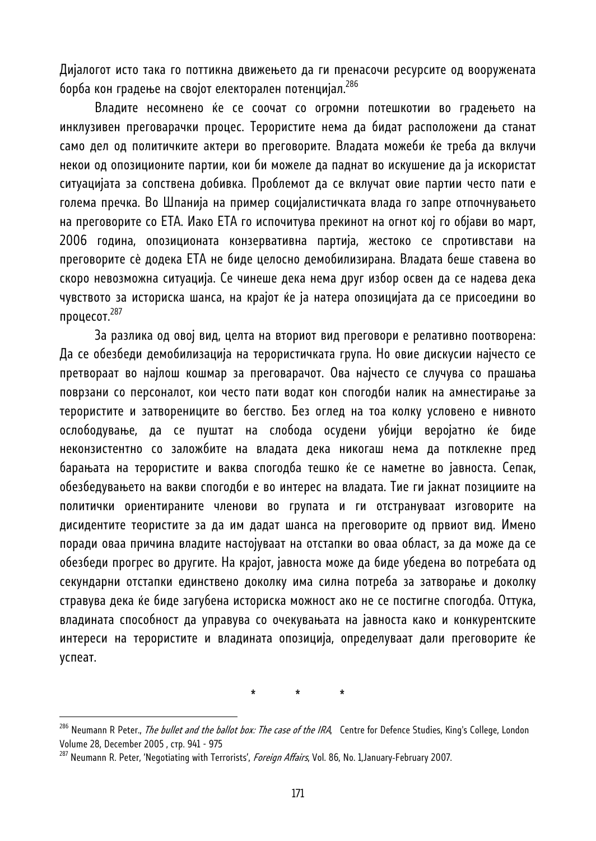Дијалогот исто така го поттикна движењето да ги пренасочи ресурсите од вооружената борба кон градење на својот електорален потенцијал.286

Владите несомнено ќе се соочат со огромни потешкотии во градењето на инклузивен преговарачки процес. Терористите нема да бидат расположени да станат само дел од политичките актери во преговорите. Владата можеби ќе треба да вклучи некои од опозиционите партии, кои би можеле да паднат во искушение да ја искористат ситуацијата за сопствена добивка. Проблемот да се вклучат овие партии често пати е голема пречка. Во Шпанија на пример социјалистичката влада го запре отпочнувањето на преговорите со ЕТА. Иако ЕТА го испочитува прекинот на огнот кој го објави во март, 2006 година, опозиционата конзервативна партија, жестоко се спротивстави на преговорите сè додека ЕТА не биде целосно демобилизирана. Владата беше ставена во скоро невозможна ситуација. Се чинеше дека нема друг избор освен да се надева дека чувството за историска шанса, на крајот ќе ја натера опозицијата да се присоедини во процесот. $^{287}$ 

За разлика од овој вид, целта на вториот вид преговори е релативно поотворена: Да се обезбеди демобилизација на терористичката група. Но овие дискусии најчесто се претвораат во најлош кошмар за преговарачот. Ова најчесто се случува со прашања поврзани со персоналот, кои често пати водат кон спогодби налик на амнестирање за терористите и затворениците во бегство. Без оглед на тоа колку условено е нивното ослободување, да се пуштат на слобода осудени убијци веројатно ќе биде неконзистентно со заложбите на владата дека никогаш нема да потклекне пред барањата на терористите и ваква спогодба тешко ќе се наметне во јавноста. Сепак, обезбедувањето на вакви спогодби е во интерес на владата. Тие ги јакнат позициите на политички ориентираните членови во групата и ги отстрануваат изговорите на дисидентите теористите за да им дадат шанса на преговорите од првиот вид. Имено поради оваа причина владите настојуваат на отстапки во оваа област, за да може да се обезбеди прогрес во другите. На крајот, јавноста може да биде убедена во потребата од секундарни отстапки единствено доколку има силна потреба за затворање и доколку стравува дека ќе биде загубена историска можност ако не се постигне спогодба. Оттука, владината способност да управува со очекувањата на јавноста како и конкурентските интереси на терористите и владината опозиција, определуваат дали преговорите ќе успеат.

\* \* \*

<sup>&</sup>lt;sup>286</sup> Neumann R Peter., *The bullet and the ballot box: The case of the IRA*, Centre for Defence Studies, King's College, London Volume 28, December 2005 , стр. 941 - 975<br><sup>287</sup> Neumann R. Peter, 'Negotiating with Terrorists', *Foreign Affairs*, Vol. 86, No. 1,January‐February 2007.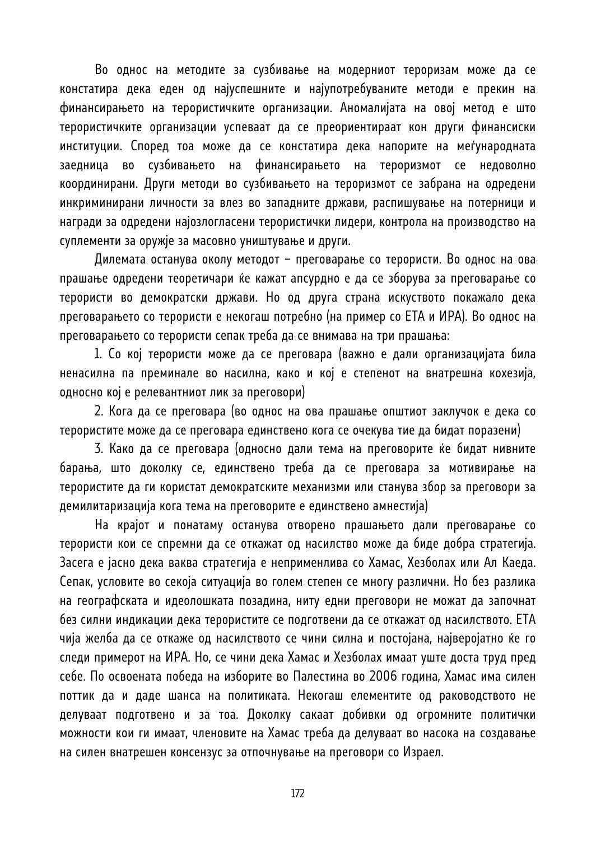Во однос на методите за сузбивање на модерниот тероризам може да се констатира дека еден од најуспешните и најупотребуваните методи е прекин на финансирањето на терористичките организации. Аномалијата на овој метод е што терористичките организации успеваат да се преориентираат кон други финансиски институции. Според тоа може да се констатира дека напорите на меѓународната заедница во сузбивањето на финансирањето на тероризмот се недоволно координирани. Други методи во сузбивањето на тероризмот се забрана на одредени инкриминирани личности за влез во западните држави, распишување на потерници и награди за одредени најозлогласени терористички лидери, контрола на производство на суплементи за оружје за масовно уништување и други.

Дилемата останува околу методот – преговарање со терористи. Во однос на ова прашање одредени теоретичари ќе кажат апсурдно е да се зборува за преговарање со терористи во демократски држави. Но од друга страна искуството покажало дека преговарањето со терористи е некогаш потребно (на пример со ЕТА и ИРА). Во однос на преговарањето со терористи сепак треба да се внимава на три прашања:

1. Со кој терористи може да се преговара (важно е дали организацијата била ненасилна па преминале во насилна, како и кој е степенот на внатрешна кохезија, односно кој е релевантниот лик за преговори)

2. Кога да се преговара (во однос на ова прашање општиот заклучок е дека со терористите може да се преговара единствено кога се очекува тие да бидат поразени)

3. Како да се преговара (односно дали тема на преговорите ќе бидат нивните барања, што доколку се, единствено треба да се преговара за мотивирање на терористите да ги користат демократските механизми или станува збор за преговори за демилитаризација кога тема на преговорите е единствено амнестија)

На крајот и понатаму останува отворено прашањето дали преговарање со терористи кои се спремни да се откажат од насилство може да биде добра стратегија. Засега е јасно дека ваква стратегија е неприменлива со Хамас, Хезболах или Ал Каеда. Сепак, условите во секоја ситуација во голем степен се многу различни. Но без разлика на географската и идеолошката позадина, ниту едни преговори не можат да започнат без силни индикации дека терористите се подготвени да се откажат од насилството. ЕТА чија желба да се откаже од насилството се чини силна и постојана, најверојатно ќе го следи примерот на ИРА. Но, се чини дека Хамас и Хезболах имаат уште доста труд пред себе. По освоената победа на изборите во Палестина во 2006 година, Хамас има силен поттик да и даде шанса на политиката. Некогаш елементите од раководството не делуваат подготвено и за тоа. Доколку сакаат добивки од огромните политички можности кои ги имаат, членовите на Хaмас треба да делуваат во насока на создавање на силен внатрешен консензус за отпочнување на преговoри со Израел.

172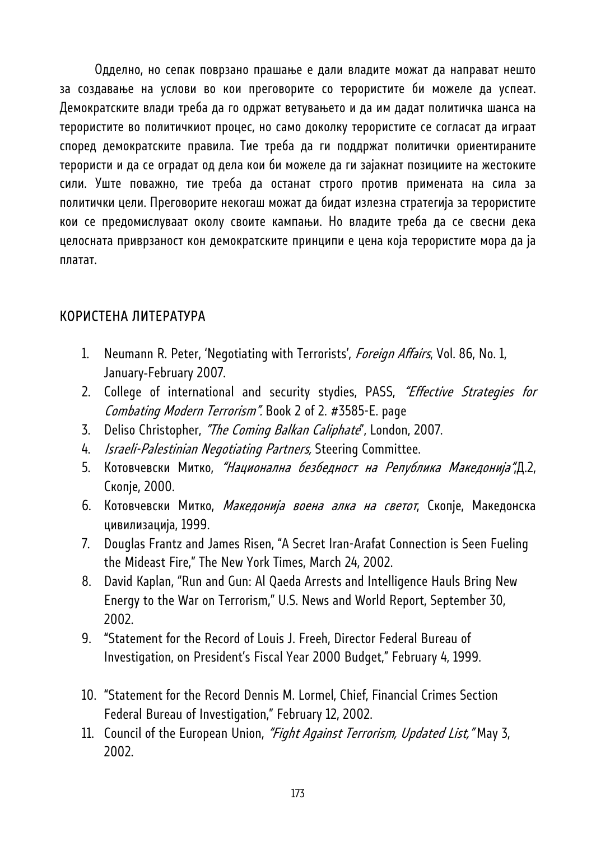Одделно, но сепак поврзано прашање е дали владите можат да направат нешто за создавање на услови во кои преговорите со терористите би можеле да успеат. Демократските влади треба да го одржат ветувањето и да им дадат политичка шанса на терористите во политичкиот процес, но само доколку терористите се согласат да играат според демократските правила. Тие треба да ги поддржат политички ориентираните терористи и да се оградат од дела кои би можеле да ги зајакнат позициите на жестоките сили. Уште поважно, тие треба да останат строго против примената на сила за политички цели. Преговорите некогаш можат да бидат излезна стратегија за терористите кои се предомислуваат околу своите кампањи. Но владите треба да се свесни дека целосната приврзаност кон демократските принципи е цена која терористите мора да ја платат.

# КОРИСТЕНА ЛИТЕРАТУРА

- 1. Neumann R. Peter, 'Negotiating with Terrorists', *Foreign Affairs*, Vol. 86, No. 1, January‐February 2007.
- 2. College of international and security stydies, PASS, "Effective Strategies for Combating Modern Terrorism". Book 2 of 2. #3585-E. page
- 3. Deliso Christopher, "The Coming Balkan Caliphate", London, 2007.
- 4. *Israeli-Palestinian Negotiating Partners*, Steering Committee.
- 5. Котовчевски Митко, "Национална безбедност на Република Македонија",Д.2, Скопје, 2000.
- 6. Котовчевски Митко, Македонија воена алка на светот, Скопје, Македонска цивилизација, 1999.
- 7. Douglas Frantz and James Risen, "A Secret Iran-Arafat Connection is Seen Fueling the Mideast Fire," The New York Times, March 24, 2002.
- 8. David Kaplan, "Run and Gun: Al Qaeda Arrests and Intelligence Hauls Bring New Energy to the War on Terrorism," U.S. News and World Report, September 30, 2002.
- 9. "Statement for the Record of Louis J. Freeh, Director Federal Bureau of Investigation, on President's Fiscal Year 2000 Budget," February 4, 1999.
- 10. "Statement for the Record Dennis M. Lormel, Chief, Financial Crimes Section Federal Bureau of Investigation," February 12, 2002.
- 11. Council of the European Union, "Fight Against Terrorism, Updated List," May 3, 2002.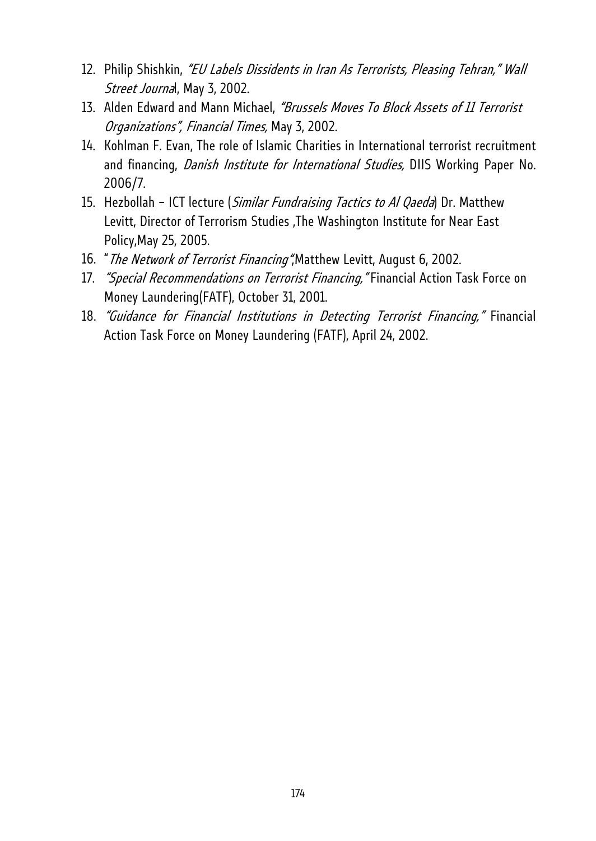- 12. Philip Shishkin, "EU Labels Dissidents in Iran As Terrorists, Pleasing Tehran," Wall Street Journal, May 3, 2002.
- 13. Alden Edward and Mann Michael, "Brussels Moves To Block Assets of 11 Terrorist Organizations", Financial Times, May 3, 2002.
- 14. Kohlman F. Evan, The role of Islamic Charities in International terrorist recruitment and financing, *Danish Institute for International Studies*, DIIS Working Paper No. 2006/7.
- 15. Hezbollah ICT lecture (Similar Fundraising Tactics to Al Qaeda) Dr. Matthew Levitt, Director of Terrorism Studies ,The Washington Institute for Near East Policy,May 25, 2005.
- 16. "The Network of Terrorist Financing", Matthew Levitt, August 6, 2002.
- 17. "Special Recommendations on Terrorist Financing, "Financial Action Task Force on Money Laundering(FATF), October 31, 2001.
- 18. "Guidance for Financial Institutions in Detecting Terrorist Financing," Financial Action Task Force on Money Laundering (FATF), April 24, 2002.